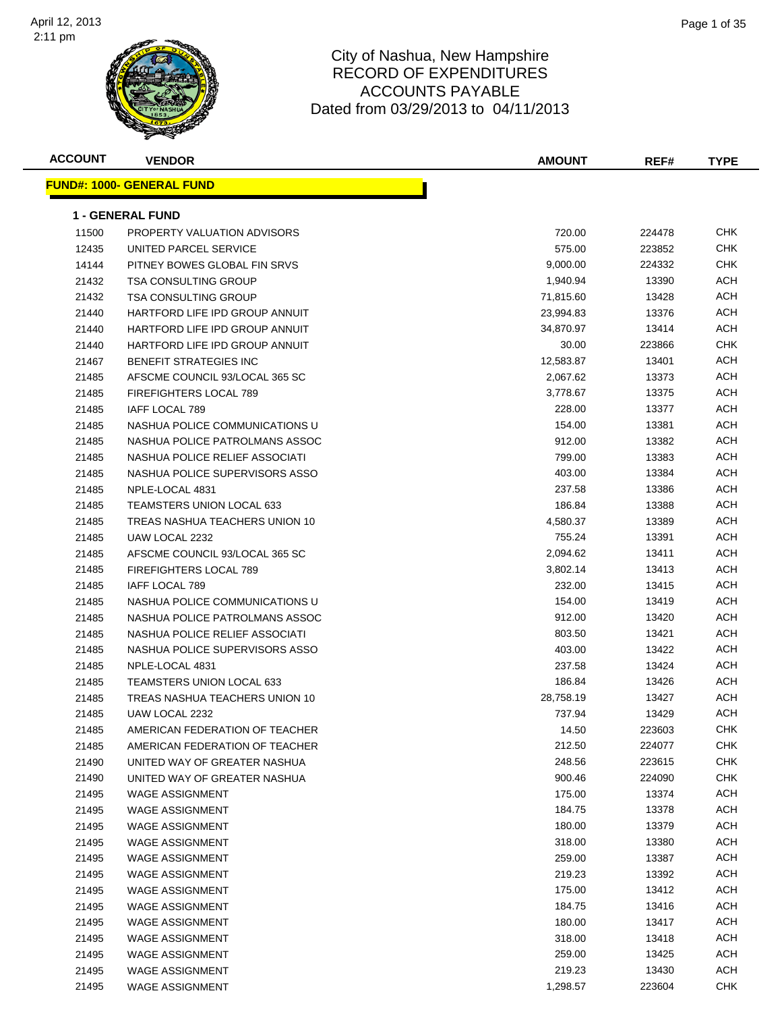

| <b>ACCOUNT</b> | <b>VENDOR</b>                    | <b>AMOUNT</b> | REF#   | <b>TYPE</b> |
|----------------|----------------------------------|---------------|--------|-------------|
|                | <b>FUND#: 1000- GENERAL FUND</b> |               |        |             |
|                | 1 - GENERAL FUND                 |               |        |             |
| 11500          | PROPERTY VALUATION ADVISORS      | 720.00        | 224478 | CHK         |
| 12435          | UNITED PARCEL SERVICE            | 575.00        | 223852 | CHK         |
| 14144          | PITNEY BOWES GLOBAL FIN SRVS     | 9,000.00      | 224332 | CHK         |
| 21432          | <b>TSA CONSULTING GROUP</b>      | 1,940.94      | 13390  | ACH         |
| 21432          | <b>TSA CONSULTING GROUP</b>      | 71,815.60     | 13428  | ACH         |
| 21440          | HARTFORD LIFE IPD GROUP ANNUIT   | 23,994.83     | 13376  | ACH         |
| 21440          | HARTFORD LIFE IPD GROUP ANNUIT   | 34,870.97     | 13414  | <b>ACH</b>  |
| 21440          | HARTFORD LIFE IPD GROUP ANNUIT   | 30.00         | 223866 | <b>CHK</b>  |
| 21467          | BENEFIT STRATEGIES INC           | 12,583.87     | 13401  | ACH         |
| 21485          | AFSCME COUNCIL 93/LOCAL 365 SC   | 2,067.62      | 13373  | ACH         |
| 21485          | <b>FIREFIGHTERS LOCAL 789</b>    | 3,778.67      | 13375  | ACH         |
| 21485          | <b>IAFF LOCAL 789</b>            | 228.00        | 13377  | ACH         |
| 21485          | NASHUA POLICE COMMUNICATIONS U   | 154.00        | 13381  | ACH         |
| 21485          | NASHUA POLICE PATROLMANS ASSOC   | 912.00        | 13382  | ACH         |
| 21485          | NASHUA POLICE RELIEF ASSOCIATI   | 799.00        | 13383  | ACH         |
| 21485          | NASHUA POLICE SUPERVISORS ASSO   | 403.00        | 13384  | ACH         |
| 21485          | NPLE-LOCAL 4831                  | 237.58        | 13386  | ACH         |
| 21485          | <b>TEAMSTERS UNION LOCAL 633</b> | 186.84        | 13388  | <b>ACH</b>  |
| 21485          | TREAS NASHUA TEACHERS UNION 10   | 4,580.37      | 13389  | <b>ACH</b>  |
| 21485          | UAW LOCAL 2232                   | 755.24        | 13391  | ACH         |
| 21485          | AFSCME COUNCIL 93/LOCAL 365 SC   | 2,094.62      | 13411  | ACH         |
| 21485          | FIREFIGHTERS LOCAL 789           | 3,802.14      | 13413  | ACH         |
| 21485          | IAFF LOCAL 789                   | 232.00        | 13415  | ACH         |
| 21485          | NASHUA POLICE COMMUNICATIONS U   | 154.00        | 13419  | ACH         |
| 21485          | NASHUA POLICE PATROLMANS ASSOC   | 912.00        | 13420  | ACH         |
| 21485          | NASHUA POLICE RELIEF ASSOCIATI   | 803.50        | 13421  | ACH         |
| 21485          | NASHUA POLICE SUPERVISORS ASSO   | 403.00        | 13422  | ACH         |
| 21485          | NPLE-LOCAL 4831                  | 237.58        | 13424  | ACH         |
| 21485          | <b>TEAMSTERS UNION LOCAL 633</b> | 186.84        | 13426  | <b>ACH</b>  |
| 21485          | TREAS NASHUA TEACHERS UNION 10   | 28,758.19     | 13427  | ACH         |
| 21485          | UAW LOCAL 2232                   | 737.94        | 13429  | ACH         |
| 21485          | AMERICAN FEDERATION OF TEACHER   | 14.50         | 223603 | <b>CHK</b>  |
| 21485          | AMERICAN FEDERATION OF TEACHER   | 212.50        | 224077 | <b>CHK</b>  |
| 21490          | UNITED WAY OF GREATER NASHUA     | 248.56        | 223615 | <b>CHK</b>  |
| 21490          | UNITED WAY OF GREATER NASHUA     | 900.46        | 224090 | <b>CHK</b>  |
| 21495          | <b>WAGE ASSIGNMENT</b>           | 175.00        | 13374  | <b>ACH</b>  |
| 21495          | <b>WAGE ASSIGNMENT</b>           | 184.75        | 13378  | ACH         |
| 21495          | <b>WAGE ASSIGNMENT</b>           | 180.00        | 13379  | ACH         |
| 21495          | WAGE ASSIGNMENT                  | 318.00        | 13380  | ACH         |
| 21495          | WAGE ASSIGNMENT                  | 259.00        | 13387  | <b>ACH</b>  |
| 21495          | <b>WAGE ASSIGNMENT</b>           | 219.23        | 13392  | <b>ACH</b>  |
| 21495          | WAGE ASSIGNMENT                  | 175.00        | 13412  | <b>ACH</b>  |
| 21495          | <b>WAGE ASSIGNMENT</b>           | 184.75        | 13416  | ACH         |
| 21495          | WAGE ASSIGNMENT                  | 180.00        | 13417  | ACH         |
| 21495          | WAGE ASSIGNMENT                  | 318.00        | 13418  | ACH         |
| 21495          | <b>WAGE ASSIGNMENT</b>           | 259.00        | 13425  | ACH         |
| 21495          | WAGE ASSIGNMENT                  | 219.23        | 13430  | ACH         |
| 21495          | WAGE ASSIGNMENT                  | 1,298.57      | 223604 | <b>CHK</b>  |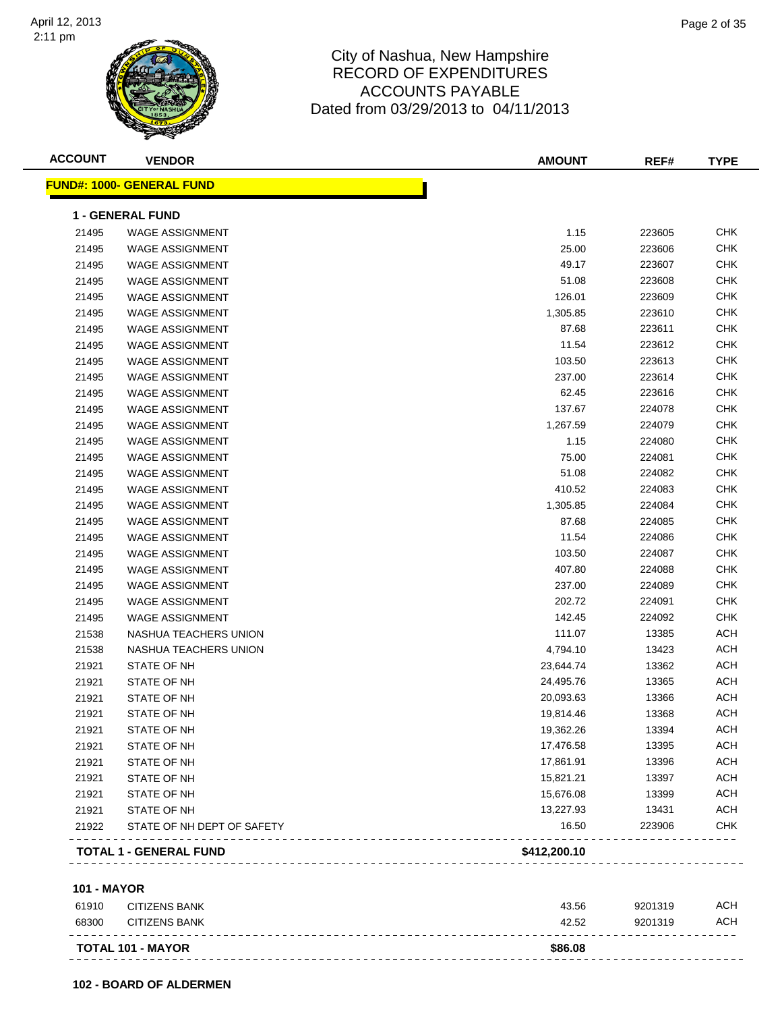

| <b>ACCOUNT</b> | <b>VENDOR</b>                    | <b>AMOUNT</b> | REF#   | <b>TYPE</b> |
|----------------|----------------------------------|---------------|--------|-------------|
|                | <b>FUND#: 1000- GENERAL FUND</b> |               |        |             |
|                | <b>1 - GENERAL FUND</b>          |               |        |             |
| 21495          | <b>WAGE ASSIGNMENT</b>           | 1.15          | 223605 | <b>CHK</b>  |
| 21495          | <b>WAGE ASSIGNMENT</b>           | 25.00         | 223606 | <b>CHK</b>  |
| 21495          | <b>WAGE ASSIGNMENT</b>           | 49.17         | 223607 | <b>CHK</b>  |
| 21495          | <b>WAGE ASSIGNMENT</b>           | 51.08         | 223608 | <b>CHK</b>  |
| 21495          | <b>WAGE ASSIGNMENT</b>           | 126.01        | 223609 | <b>CHK</b>  |
| 21495          | <b>WAGE ASSIGNMENT</b>           | 1,305.85      | 223610 | <b>CHK</b>  |
| 21495          | <b>WAGE ASSIGNMENT</b>           | 87.68         | 223611 | <b>CHK</b>  |
| 21495          | <b>WAGE ASSIGNMENT</b>           | 11.54         | 223612 | <b>CHK</b>  |
| 21495          | <b>WAGE ASSIGNMENT</b>           | 103.50        | 223613 | <b>CHK</b>  |
| 21495          | <b>WAGE ASSIGNMENT</b>           | 237.00        | 223614 | <b>CHK</b>  |
| 21495          | <b>WAGE ASSIGNMENT</b>           | 62.45         | 223616 | <b>CHK</b>  |
| 21495          | <b>WAGE ASSIGNMENT</b>           | 137.67        | 224078 | <b>CHK</b>  |
| 21495          | <b>WAGE ASSIGNMENT</b>           | 1,267.59      | 224079 | <b>CHK</b>  |
| 21495          | <b>WAGE ASSIGNMENT</b>           | 1.15          | 224080 | <b>CHK</b>  |
| 21495          | <b>WAGE ASSIGNMENT</b>           | 75.00         | 224081 | <b>CHK</b>  |
| 21495          | <b>WAGE ASSIGNMENT</b>           | 51.08         | 224082 | <b>CHK</b>  |
| 21495          | <b>WAGE ASSIGNMENT</b>           | 410.52        | 224083 | <b>CHK</b>  |
| 21495          | <b>WAGE ASSIGNMENT</b>           | 1,305.85      | 224084 | <b>CHK</b>  |
| 21495          | <b>WAGE ASSIGNMENT</b>           | 87.68         | 224085 | <b>CHK</b>  |
| 21495          | <b>WAGE ASSIGNMENT</b>           | 11.54         | 224086 | <b>CHK</b>  |
| 21495          | <b>WAGE ASSIGNMENT</b>           | 103.50        | 224087 | <b>CHK</b>  |
| 21495          | <b>WAGE ASSIGNMENT</b>           | 407.80        | 224088 | <b>CHK</b>  |
| 21495          | <b>WAGE ASSIGNMENT</b>           | 237.00        | 224089 | <b>CHK</b>  |
| 21495          | <b>WAGE ASSIGNMENT</b>           | 202.72        | 224091 | <b>CHK</b>  |
| 21495          | <b>WAGE ASSIGNMENT</b>           | 142.45        | 224092 | <b>CHK</b>  |
| 21538          | NASHUA TEACHERS UNION            | 111.07        | 13385  | <b>ACH</b>  |
| 21538          | NASHUA TEACHERS UNION            | 4,794.10      | 13423  | <b>ACH</b>  |
| 21921          | STATE OF NH                      | 23,644.74     | 13362  | ACH         |
| 21921          | STATE OF NH                      | 24,495.76     | 13365  | <b>ACH</b>  |
| 21921          | STATE OF NH                      | 20,093.63     | 13366  | <b>ACH</b>  |
| 21921          | STATE OF NH                      | 19,814.46     | 13368  | <b>ACH</b>  |
| 21921          | STATE OF NH                      | 19,362.26     | 13394  | <b>ACH</b>  |
| 21921          | STATE OF NH                      | 17,476.58     | 13395  | <b>ACH</b>  |
| 21921          | STATE OF NH                      | 17,861.91     | 13396  | <b>ACH</b>  |
| 21921          | STATE OF NH                      | 15,821.21     | 13397  | <b>ACH</b>  |
| 21921          | STATE OF NH                      | 15,676.08     | 13399  | <b>ACH</b>  |
| 21921          | STATE OF NH                      | 13,227.93     | 13431  | <b>ACH</b>  |
| 21922          | STATE OF NH DEPT OF SAFETY       | 16.50         | 223906 | <b>CHK</b>  |
|                | <b>TOTAL 1 - GENERAL FUND</b>    | \$412,200.10  |        |             |
|                |                                  |               |        |             |

#### **101 - MAYOR**

| 61910 | CITIZENS BANK            | 43.56   | 9201319 | <b>ACH</b> |
|-------|--------------------------|---------|---------|------------|
| 68300 | CITIZENS BANK            | 42.52   | 9201319 | <b>ACH</b> |
|       | <b>TOTAL 101 - MAYOR</b> | \$86.08 |         |            |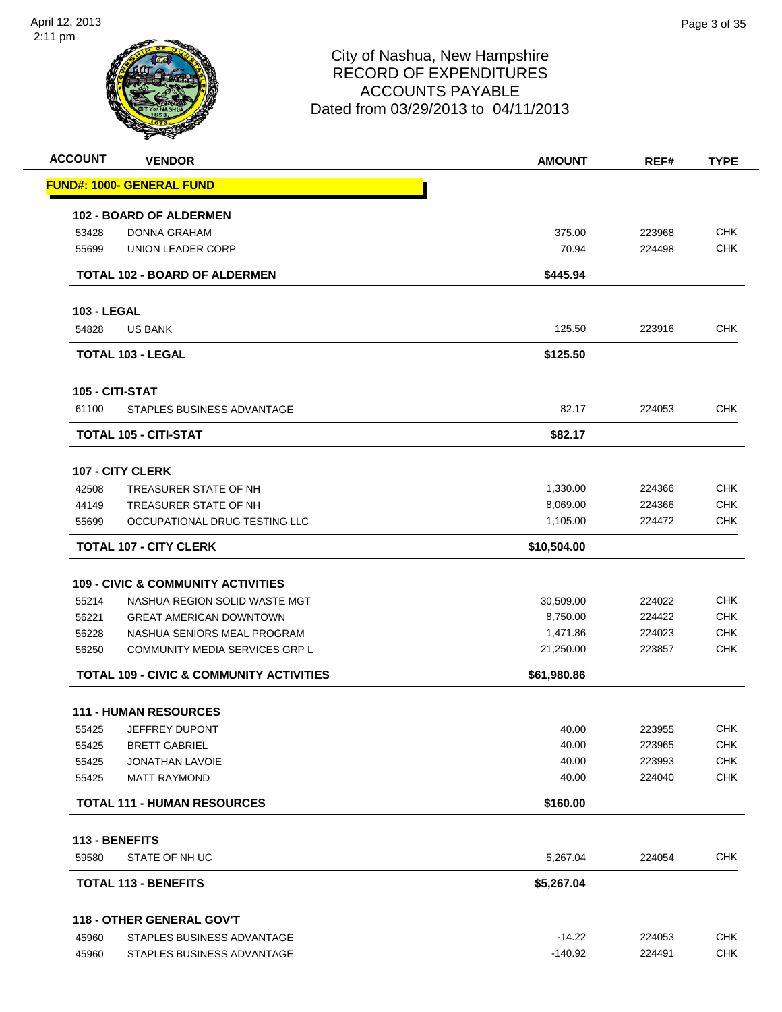

| <b>ACCOUNT</b>     | <b>VENDOR</b>                                       | <b>AMOUNT</b> | REF#   | <b>TYPE</b> |
|--------------------|-----------------------------------------------------|---------------|--------|-------------|
|                    | <b>FUND#: 1000- GENERAL FUND</b>                    |               |        |             |
|                    | <b>102 - BOARD OF ALDERMEN</b>                      |               |        |             |
| 53428              | <b>DONNA GRAHAM</b>                                 | 375.00        | 223968 | <b>CHK</b>  |
| 55699              | UNION LEADER CORP                                   | 70.94         | 224498 | <b>CHK</b>  |
|                    | <b>TOTAL 102 - BOARD OF ALDERMEN</b>                | \$445.94      |        |             |
| <b>103 - LEGAL</b> |                                                     |               |        |             |
| 54828              | <b>US BANK</b>                                      | 125.50        | 223916 | <b>CHK</b>  |
|                    | <b>TOTAL 103 - LEGAL</b>                            | \$125.50      |        |             |
| 105 - CITI-STAT    |                                                     |               |        |             |
| 61100              | STAPLES BUSINESS ADVANTAGE                          | 82.17         | 224053 | <b>CHK</b>  |
|                    | <b>TOTAL 105 - CITI-STAT</b>                        | \$82.17       |        |             |
| 107 - CITY CLERK   |                                                     |               |        |             |
| 42508              | TREASURER STATE OF NH                               | 1,330.00      | 224366 | <b>CHK</b>  |
| 44149              | TREASURER STATE OF NH                               | 8,069.00      | 224366 | <b>CHK</b>  |
| 55699              | OCCUPATIONAL DRUG TESTING LLC                       | 1,105.00      | 224472 | <b>CHK</b>  |
|                    | <b>TOTAL 107 - CITY CLERK</b>                       | \$10,504.00   |        |             |
|                    | <b>109 - CIVIC &amp; COMMUNITY ACTIVITIES</b>       |               |        |             |
| 55214              | NASHUA REGION SOLID WASTE MGT                       | 30,509.00     | 224022 | <b>CHK</b>  |
| 56221              | <b>GREAT AMERICAN DOWNTOWN</b>                      | 8,750.00      | 224422 | <b>CHK</b>  |
| 56228              | NASHUA SENIORS MEAL PROGRAM                         | 1,471.86      | 224023 | <b>CHK</b>  |
| 56250              | COMMUNITY MEDIA SERVICES GRP L                      | 21,250.00     | 223857 | <b>CHK</b>  |
|                    | <b>TOTAL 109 - CIVIC &amp; COMMUNITY ACTIVITIES</b> | \$61,980.86   |        |             |
|                    | <b>111 - HUMAN RESOURCES</b>                        |               |        |             |
| 55425              | JEFFREY DUPONT                                      | 40.00         | 223955 | <b>CHK</b>  |
| 55425              | <b>BRETT GABRIEL</b>                                | 40.00         | 223965 | <b>CHK</b>  |
| 55425              | <b>JONATHAN LAVOIE</b>                              | 40.00         | 223993 | <b>CHK</b>  |
| 55425              | <b>MATT RAYMOND</b>                                 | 40.00         | 224040 | <b>CHK</b>  |
|                    | <b>TOTAL 111 - HUMAN RESOURCES</b>                  | \$160.00      |        |             |
| 113 - BENEFITS     |                                                     |               |        |             |
| 59580              | STATE OF NH UC                                      | 5,267.04      | 224054 | <b>CHK</b>  |
|                    | <b>TOTAL 113 - BENEFITS</b>                         | \$5,267.04    |        |             |
|                    |                                                     |               |        |             |
|                    | <b>118 - OTHER GENERAL GOV'T</b>                    |               |        |             |
| 45960              | STAPLES BUSINESS ADVANTAGE                          | $-14.22$      | 224053 | <b>CHK</b>  |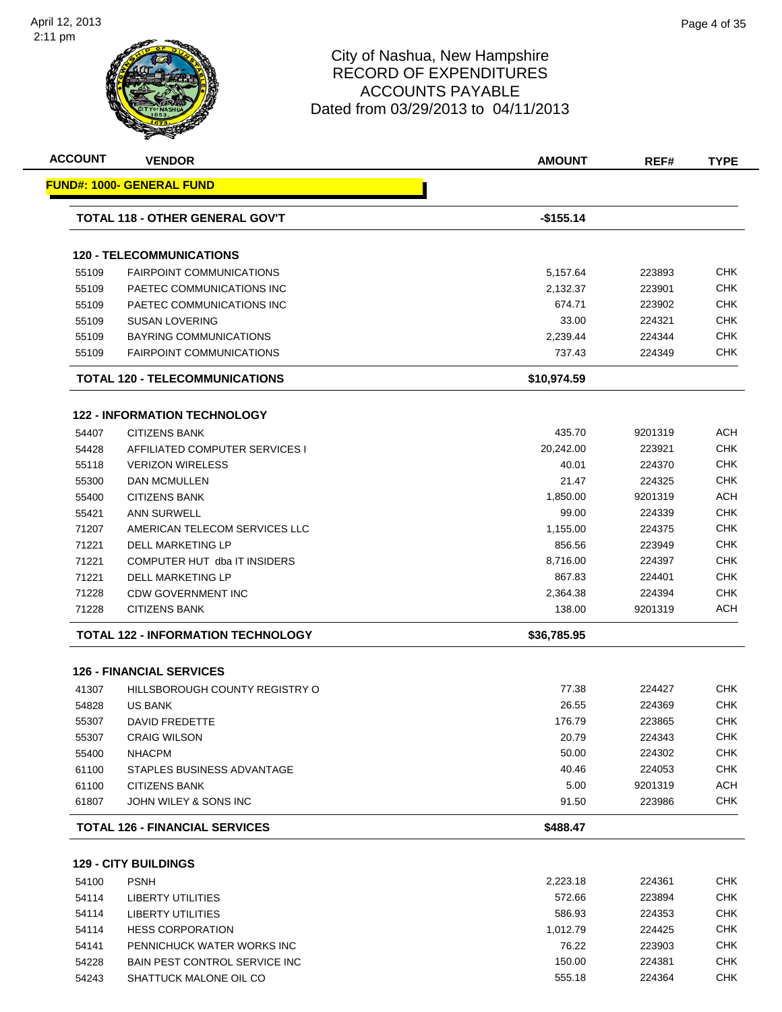

| <b>ACCOUNT</b> | <b>VENDOR</b>                          | <b>AMOUNT</b> | REF#    | <b>TYPE</b> |
|----------------|----------------------------------------|---------------|---------|-------------|
|                | <u> FUND#: 1000- GENERAL FUND</u>      |               |         |             |
|                | <b>TOTAL 118 - OTHER GENERAL GOV'T</b> | $-$155.14$    |         |             |
|                | <b>120 - TELECOMMUNICATIONS</b>        |               |         |             |
| 55109          | <b>FAIRPOINT COMMUNICATIONS</b>        | 5,157.64      | 223893  | CHK         |
| 55109          | PAETEC COMMUNICATIONS INC              | 2,132.37      | 223901  | <b>CHK</b>  |
| 55109          | PAETEC COMMUNICATIONS INC              | 674.71        | 223902  | <b>CHK</b>  |
| 55109          | <b>SUSAN LOVERING</b>                  | 33.00         | 224321  | CHK         |
| 55109          | <b>BAYRING COMMUNICATIONS</b>          | 2.239.44      | 224344  | CHK         |
| 55109          | <b>FAIRPOINT COMMUNICATIONS</b>        | 737.43        | 224349  | CHK         |
|                | <b>TOTAL 120 - TELECOMMUNICATIONS</b>  | \$10,974.59   |         |             |
|                | <b>122 - INFORMATION TECHNOLOGY</b>    |               |         |             |
| 54407          | <b>CITIZENS BANK</b>                   | 435.70        | 9201319 | <b>ACH</b>  |
| 54428          | AFFILIATED COMPUTER SERVICES I         | 20,242.00     | 223921  | <b>CHK</b>  |
| 55118          | <b>VERIZON WIRELESS</b>                | 40.01         | 224370  | <b>CHK</b>  |
| 55300          | <b>DAN MCMULLEN</b>                    | 21.47         | 224325  | <b>CHK</b>  |
| 55400          | <b>CITIZENS BANK</b>                   | 1,850.00      | 9201319 | <b>ACH</b>  |
| 55421          | <b>ANN SURWELL</b>                     | 99.00         | 224339  | CHK         |
| 71207          | AMERICAN TELECOM SERVICES LLC          | 1,155.00      | 224375  | <b>CHK</b>  |
| 71221          | DELL MARKETING LP                      | 856.56        | 223949  | <b>CHK</b>  |
| 71221          | COMPUTER HUT dba IT INSIDERS           | 8,716.00      | 224397  | <b>CHK</b>  |
| 71221          | <b>DELL MARKETING LP</b>               | 867.83        | 224401  | <b>CHK</b>  |
| 71228          | <b>CDW GOVERNMENT INC</b>              | 2,364.38      | 224394  | CHK         |
| 71228          | <b>CITIZENS BANK</b>                   | 138.00        | 9201319 | <b>ACH</b>  |
|                | TOTAL 122 - INFORMATION TECHNOLOGY     | \$36,785.95   |         |             |
|                | <b>126 - FINANCIAL SERVICES</b>        |               |         |             |
| 41307          | HILLSBOROUGH COUNTY REGISTRY O         | 77.38         | 224427  | <b>CHK</b>  |
| 54828          | <b>US BANK</b>                         | 26.55         | 224369  | CHK         |
| 55307          | DAVID FREDETTE                         | 176.79        | 223865  | CHK         |
| 55307          | <b>CRAIG WILSON</b>                    | 20.79         | 224343  | CHK         |
| 55400          | <b>NHACPM</b>                          | 50.00         | 224302  | <b>CHK</b>  |
| 61100          | STAPLES BUSINESS ADVANTAGE             | 40.46         | 224053  | <b>CHK</b>  |
| 61100          | <b>CITIZENS BANK</b>                   | 5.00          | 9201319 | ACH         |
| 61807          | JOHN WILEY & SONS INC                  | 91.50         | 223986  | <b>CHK</b>  |
|                | <b>TOTAL 126 - FINANCIAL SERVICES</b>  | \$488.47      |         |             |
|                | <b>129 - CITY BUILDINGS</b>            |               |         |             |
| 54100          | <b>PSNH</b>                            | 2,223.18      | 224361  | <b>CHK</b>  |
| 54114          | LIBERTY UTILITIES                      | 572.66        | 223894  | <b>CHK</b>  |
| 54114          | <b>LIBERTY UTILITIES</b>               | 586.93        | 224353  | <b>CHK</b>  |
| 54114          | <b>HESS CORPORATION</b>                | 1,012.79      | 224425  | <b>CHK</b>  |
| 54141          | PENNICHUCK WATER WORKS INC             | 76.22         | 223903  | <b>CHK</b>  |
| 54228          | BAIN PEST CONTROL SERVICE INC          | 150.00        | 224381  | <b>CHK</b>  |
| 54243          | SHATTUCK MALONE OIL CO                 | 555.18        | 224364  | <b>CHK</b>  |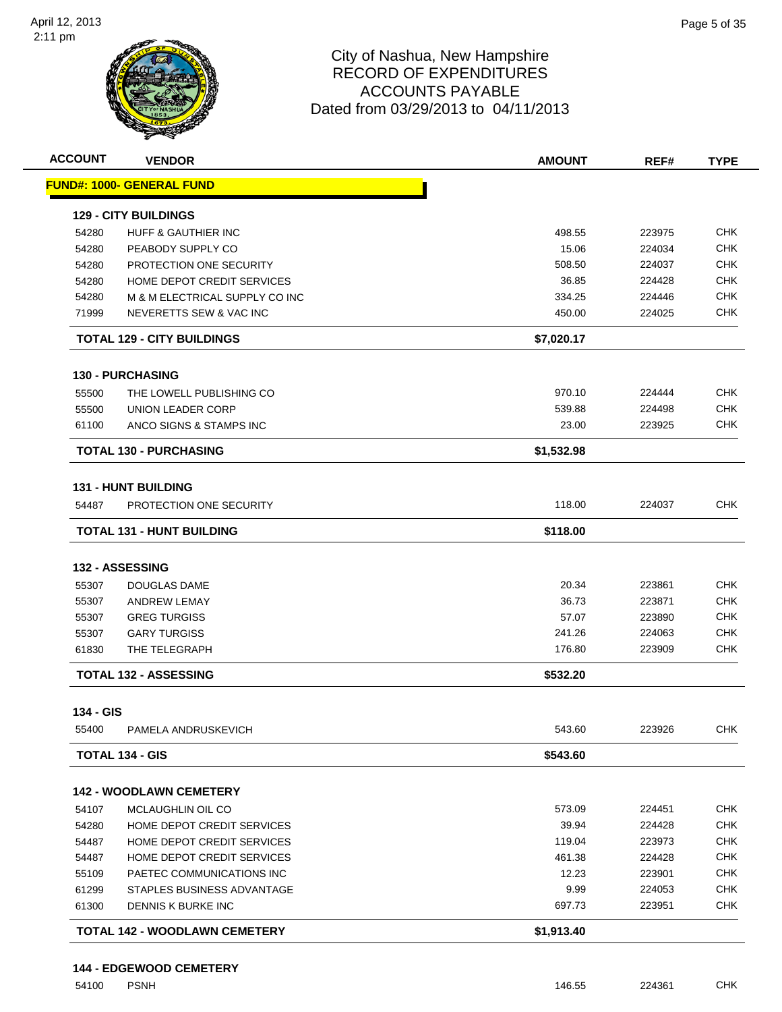

| <b>ACCOUNT</b> | <b>VENDOR</b>                        | <b>AMOUNT</b> | REF#   | <b>TYPE</b> |
|----------------|--------------------------------------|---------------|--------|-------------|
|                | <u> FUND#: 1000- GENERAL FUND</u>    |               |        |             |
|                | <b>129 - CITY BUILDINGS</b>          |               |        |             |
| 54280          | <b>HUFF &amp; GAUTHIER INC</b>       | 498.55        | 223975 | <b>CHK</b>  |
| 54280          | PEABODY SUPPLY CO                    | 15.06         | 224034 | <b>CHK</b>  |
| 54280          | PROTECTION ONE SECURITY              | 508.50        | 224037 | CHK         |
| 54280          | HOME DEPOT CREDIT SERVICES           | 36.85         | 224428 | CHK         |
| 54280          | M & M ELECTRICAL SUPPLY CO INC       | 334.25        | 224446 | <b>CHK</b>  |
| 71999          | NEVERETTS SEW & VAC INC              | 450.00        | 224025 | <b>CHK</b>  |
|                | <b>TOTAL 129 - CITY BUILDINGS</b>    | \$7,020.17    |        |             |
|                | 130 - PURCHASING                     |               |        |             |
| 55500          | THE LOWELL PUBLISHING CO             | 970.10        | 224444 | <b>CHK</b>  |
| 55500          | <b>UNION LEADER CORP</b>             | 539.88        | 224498 | <b>CHK</b>  |
| 61100          | ANCO SIGNS & STAMPS INC              | 23.00         | 223925 | <b>CHK</b>  |
|                | <b>TOTAL 130 - PURCHASING</b>        | \$1,532.98    |        |             |
|                | <b>131 - HUNT BUILDING</b>           |               |        |             |
| 54487          | PROTECTION ONE SECURITY              | 118.00        | 224037 | CHK         |
|                | TOTAL 131 - HUNT BUILDING            | \$118.00      |        |             |
|                |                                      |               |        |             |
|                | 132 - ASSESSING                      |               |        | <b>CHK</b>  |
| 55307          | <b>DOUGLAS DAME</b>                  | 20.34         | 223861 | <b>CHK</b>  |
| 55307          | <b>ANDREW LEMAY</b>                  | 36.73         | 223871 |             |
| 55307          | <b>GREG TURGISS</b>                  | 57.07         | 223890 | CHK         |
| 55307          | <b>GARY TURGISS</b>                  | 241.26        | 224063 | <b>CHK</b>  |
| 61830          | THE TELEGRAPH                        | 176.80        | 223909 | CHK         |
|                | <b>TOTAL 132 - ASSESSING</b>         | \$532.20      |        |             |
| 134 - GIS      |                                      |               |        |             |
| 55400          | PAMELA ANDRUSKEVICH                  | 543.60        | 223926 | <b>CHK</b>  |
|                | <b>TOTAL 134 - GIS</b>               | \$543.60      |        |             |
|                | <b>142 - WOODLAWN CEMETERY</b>       |               |        |             |
| 54107          | MCLAUGHLIN OIL CO                    | 573.09        | 224451 | CHK         |
| 54280          | HOME DEPOT CREDIT SERVICES           | 39.94         | 224428 | <b>CHK</b>  |
| 54487          | HOME DEPOT CREDIT SERVICES           | 119.04        | 223973 | <b>CHK</b>  |
| 54487          | HOME DEPOT CREDIT SERVICES           | 461.38        | 224428 | <b>CHK</b>  |
| 55109          | PAETEC COMMUNICATIONS INC            | 12.23         | 223901 | <b>CHK</b>  |
| 61299          | STAPLES BUSINESS ADVANTAGE           | 9.99          | 224053 | <b>CHK</b>  |
| 61300          | DENNIS K BURKE INC                   | 697.73        | 223951 | <b>CHK</b>  |
|                | <b>TOTAL 142 - WOODLAWN CEMETERY</b> | \$1,913.40    |        |             |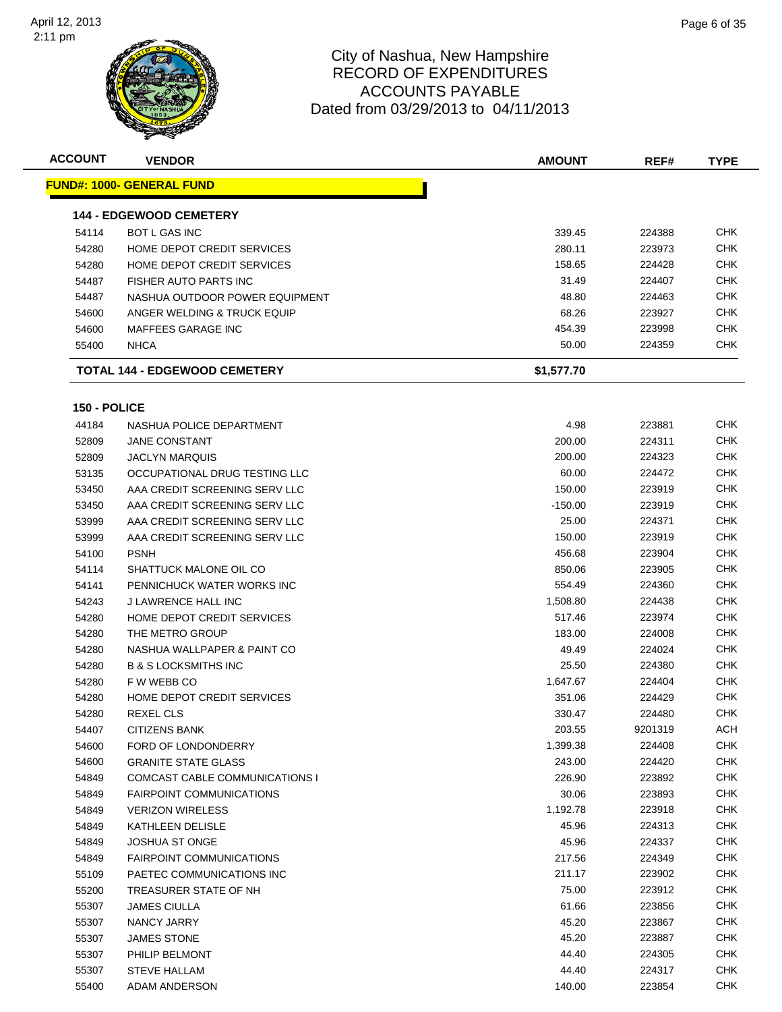

| <b>ACCOUNT</b> | <b>VENDOR</b>                     | <b>AMOUNT</b> | REF#    | <b>TYPE</b> |
|----------------|-----------------------------------|---------------|---------|-------------|
|                | <b>FUND#: 1000- GENERAL FUND</b>  |               |         |             |
|                |                                   |               |         |             |
|                | <b>144 - EDGEWOOD CEMETERY</b>    |               |         |             |
| 54114          | <b>BOT L GAS INC</b>              | 339.45        | 224388  | <b>CHK</b>  |
| 54280          | <b>HOME DEPOT CREDIT SERVICES</b> | 280.11        | 223973  | <b>CHK</b>  |
| 54280          | HOME DEPOT CREDIT SERVICES        | 158.65        | 224428  | <b>CHK</b>  |
| 54487          | <b>FISHER AUTO PARTS INC</b>      | 31.49         | 224407  | <b>CHK</b>  |
| 54487          | NASHUA OUTDOOR POWER EQUIPMENT    | 48.80         | 224463  | <b>CHK</b>  |
| 54600          | ANGER WELDING & TRUCK EQUIP       | 68.26         | 223927  | <b>CHK</b>  |
| 54600          | MAFFEES GARAGE INC                | 454.39        | 223998  | <b>CHK</b>  |
| 55400          | <b>NHCA</b>                       | 50.00         | 224359  | CHK         |
|                | TOTAL 144 - EDGEWOOD CEMETERY     | \$1,577.70    |         |             |
| 150 - POLICE   |                                   |               |         |             |
| 44184          | NASHUA POLICE DEPARTMENT          | 4.98          | 223881  | <b>CHK</b>  |
| 52809          | <b>JANE CONSTANT</b>              | 200.00        | 224311  | <b>CHK</b>  |
| 52809          | <b>JACLYN MARQUIS</b>             | 200.00        | 224323  | CHK         |
| 53135          | OCCUPATIONAL DRUG TESTING LLC     | 60.00         | 224472  | <b>CHK</b>  |
| 53450          | AAA CREDIT SCREENING SERV LLC     | 150.00        | 223919  | <b>CHK</b>  |
| 53450          | AAA CREDIT SCREENING SERV LLC     | $-150.00$     | 223919  | CHK         |
| 53999          | AAA CREDIT SCREENING SERV LLC     | 25.00         | 224371  | <b>CHK</b>  |
| 53999          | AAA CREDIT SCREENING SERV LLC     | 150.00        | 223919  | <b>CHK</b>  |
| 54100          | <b>PSNH</b>                       | 456.68        | 223904  | CHK         |
| 54114          | SHATTUCK MALONE OIL CO            | 850.06        | 223905  | CHK         |
| 54141          | PENNICHUCK WATER WORKS INC        | 554.49        | 224360  | <b>CHK</b>  |
| 54243          | <b>J LAWRENCE HALL INC</b>        | 1,508.80      | 224438  | <b>CHK</b>  |
| 54280          | HOME DEPOT CREDIT SERVICES        | 517.46        | 223974  | <b>CHK</b>  |
| 54280          | THE METRO GROUP                   | 183.00        | 224008  | CHK         |
| 54280          | NASHUA WALLPAPER & PAINT CO       | 49.49         | 224024  | <b>CHK</b>  |
| 54280          | <b>B &amp; S LOCKSMITHS INC</b>   | 25.50         | 224380  | <b>CHK</b>  |
| 54280          | F W WEBB CO                       | 1,647.67      | 224404  | CHK         |
| 54280          | HOME DEPOT CREDIT SERVICES        | 351.06        | 224429  | CHK         |
| 54280          | REXEL CLS                         | 330.47        | 224480  | <b>CHK</b>  |
| 54407          | CITIZENS BANK                     | 203.55        | 9201319 | <b>ACH</b>  |
| 54600          | FORD OF LONDONDERRY               | 1,399.38      | 224408  | <b>CHK</b>  |
| 54600          | <b>GRANITE STATE GLASS</b>        | 243.00        | 224420  | <b>CHK</b>  |
| 54849          | COMCAST CABLE COMMUNICATIONS I    | 226.90        | 223892  | <b>CHK</b>  |
| 54849          | <b>FAIRPOINT COMMUNICATIONS</b>   | 30.06         | 223893  | <b>CHK</b>  |
| 54849          | <b>VERIZON WIRELESS</b>           | 1,192.78      | 223918  | <b>CHK</b>  |
| 54849          | KATHLEEN DELISLE                  | 45.96         | 224313  | <b>CHK</b>  |
| 54849          | <b>JOSHUA ST ONGE</b>             | 45.96         | 224337  | <b>CHK</b>  |
| 54849          | <b>FAIRPOINT COMMUNICATIONS</b>   | 217.56        | 224349  | <b>CHK</b>  |
| 55109          | PAETEC COMMUNICATIONS INC         | 211.17        | 223902  | <b>CHK</b>  |
| 55200          | TREASURER STATE OF NH             | 75.00         | 223912  | CHK         |
| 55307          | <b>JAMES CIULLA</b>               | 61.66         | 223856  | <b>CHK</b>  |
| 55307          | NANCY JARRY                       | 45.20         | 223867  | CHK         |
| 55307          | <b>JAMES STONE</b>                | 45.20         | 223887  | <b>CHK</b>  |
| 55307          | PHILIP BELMONT                    | 44.40         | 224305  | <b>CHK</b>  |
| 55307          | <b>STEVE HALLAM</b>               | 44.40         | 224317  | <b>CHK</b>  |
| 55400          | ADAM ANDERSON                     | 140.00        | 223854  | <b>CHK</b>  |
|                |                                   |               |         |             |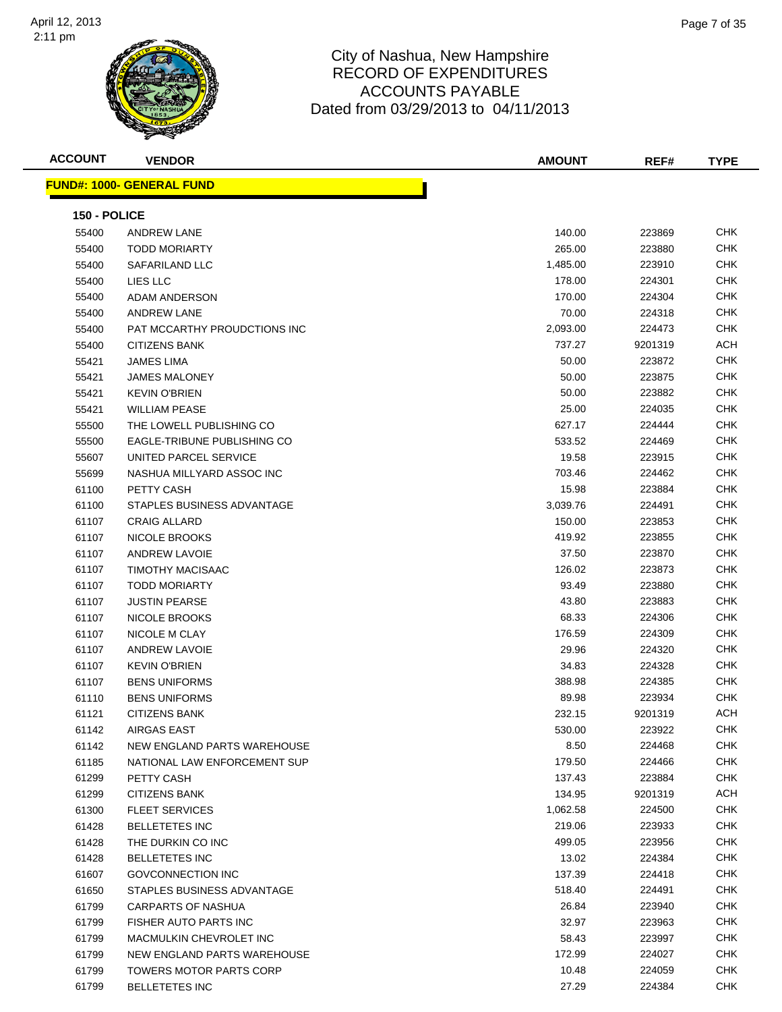

| <b>ACCOUNT</b> | <b>VENDOR</b>                            | <b>AMOUNT</b>   | REF#             | <b>TYPE</b>              |
|----------------|------------------------------------------|-----------------|------------------|--------------------------|
|                | <b>FUND#: 1000- GENERAL FUND</b>         |                 |                  |                          |
|                |                                          |                 |                  |                          |
| 150 - POLICE   |                                          |                 |                  |                          |
| 55400          | <b>ANDREW LANE</b>                       | 140.00          | 223869           | <b>CHK</b>               |
| 55400          | <b>TODD MORIARTY</b>                     | 265.00          | 223880           | <b>CHK</b>               |
| 55400          | SAFARILAND LLC                           | 1,485.00        | 223910           | <b>CHK</b>               |
| 55400          | LIES LLC                                 | 178.00          | 224301           | <b>CHK</b>               |
| 55400          | <b>ADAM ANDERSON</b>                     | 170.00          | 224304           | <b>CHK</b>               |
| 55400          | <b>ANDREW LANE</b>                       | 70.00           | 224318           | <b>CHK</b>               |
| 55400          | PAT MCCARTHY PROUDCTIONS INC             | 2,093.00        | 224473           | CHK                      |
| 55400          | CITIZENS BANK                            | 737.27          | 9201319          | ACH<br><b>CHK</b>        |
| 55421          | <b>JAMES LIMA</b>                        | 50.00           | 223872           |                          |
| 55421          | <b>JAMES MALONEY</b>                     | 50.00           | 223875           | СНК<br><b>CHK</b>        |
| 55421          | <b>KEVIN O'BRIEN</b>                     | 50.00           | 223882           |                          |
| 55421          | <b>WILLIAM PEASE</b>                     | 25.00           | 224035           | СНК                      |
| 55500          | THE LOWELL PUBLISHING CO                 | 627.17          | 224444           | <b>CHK</b>               |
| 55500          | EAGLE-TRIBUNE PUBLISHING CO              | 533.52          | 224469           | <b>CHK</b>               |
| 55607          | UNITED PARCEL SERVICE                    | 19.58           | 223915           | <b>CHK</b>               |
| 55699          | NASHUA MILLYARD ASSOC INC                | 703.46          | 224462           | <b>CHK</b><br><b>CHK</b> |
| 61100          | PETTY CASH                               | 15.98           | 223884           |                          |
| 61100          | STAPLES BUSINESS ADVANTAGE               | 3,039.76        | 224491           | <b>CHK</b><br><b>CHK</b> |
| 61107          | <b>CRAIG ALLARD</b>                      | 150.00          | 223853           | <b>CHK</b>               |
| 61107          | NICOLE BROOKS                            | 419.92          | 223855           | <b>CHK</b>               |
| 61107          | <b>ANDREW LAVOIE</b>                     | 37.50<br>126.02 | 223870           | <b>CHK</b>               |
| 61107<br>61107 | TIMOTHY MACISAAC<br><b>TODD MORIARTY</b> | 93.49           | 223873<br>223880 | <b>CHK</b>               |
| 61107          | <b>JUSTIN PEARSE</b>                     | 43.80           | 223883           | <b>CHK</b>               |
| 61107          | <b>NICOLE BROOKS</b>                     | 68.33           | 224306           | <b>CHK</b>               |
| 61107          | NICOLE M CLAY                            | 176.59          | 224309           | СНК                      |
| 61107          | <b>ANDREW LAVOIE</b>                     | 29.96           | 224320           | <b>CHK</b>               |
| 61107          | <b>KEVIN O'BRIEN</b>                     | 34.83           | 224328           | <b>CHK</b>               |
| 61107          | <b>BENS UNIFORMS</b>                     | 388.98          | 224385           | CHK                      |
| 61110          | <b>BENS UNIFORMS</b>                     | 89.98           | 223934           | <b>CHK</b>               |
| 61121          | CITIZENS BANK                            | 232.15          | 9201319          | <b>ACH</b>               |
| 61142          | <b>AIRGAS EAST</b>                       | 530.00          | 223922           | <b>CHK</b>               |
| 61142          | NEW ENGLAND PARTS WAREHOUSE              | 8.50            | 224468           | <b>CHK</b>               |
| 61185          | NATIONAL LAW ENFORCEMENT SUP             | 179.50          | 224466           | <b>CHK</b>               |
| 61299          | PETTY CASH                               | 137.43          | 223884           | <b>CHK</b>               |
| 61299          | <b>CITIZENS BANK</b>                     | 134.95          | 9201319          | <b>ACH</b>               |
| 61300          | <b>FLEET SERVICES</b>                    | 1,062.58        | 224500           | <b>CHK</b>               |
| 61428          | <b>BELLETETES INC</b>                    | 219.06          | 223933           | <b>CHK</b>               |
| 61428          | THE DURKIN CO INC                        | 499.05          | 223956           | <b>CHK</b>               |
| 61428          | <b>BELLETETES INC</b>                    | 13.02           | 224384           | <b>CHK</b>               |
| 61607          | <b>GOVCONNECTION INC</b>                 | 137.39          | 224418           | <b>CHK</b>               |
| 61650          | STAPLES BUSINESS ADVANTAGE               | 518.40          | 224491           | CHK                      |
| 61799          | <b>CARPARTS OF NASHUA</b>                | 26.84           | 223940           | CHK                      |
| 61799          | FISHER AUTO PARTS INC                    | 32.97           | 223963           | <b>CHK</b>               |
| 61799          | MACMULKIN CHEVROLET INC                  | 58.43           | 223997           | CHK                      |
| 61799          | NEW ENGLAND PARTS WAREHOUSE              | 172.99          | 224027           | <b>CHK</b>               |
| 61799          | TOWERS MOTOR PARTS CORP                  | 10.48           | 224059           | <b>CHK</b>               |
| 61799          | <b>BELLETETES INC</b>                    | 27.29           | 224384           | <b>CHK</b>               |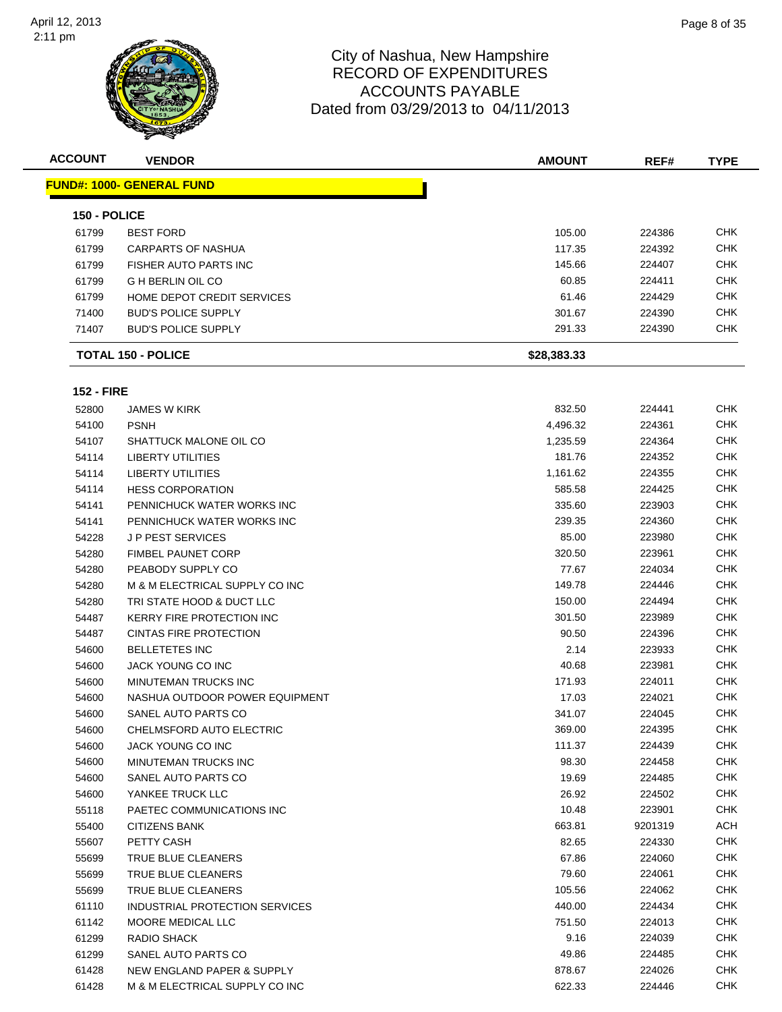

| <b>ACCOUNT</b>    | <b>VENDOR</b>                    | <b>AMOUNT</b> | REF#   | <b>TYPE</b> |
|-------------------|----------------------------------|---------------|--------|-------------|
|                   | <b>FUND#: 1000- GENERAL FUND</b> |               |        |             |
| 150 - POLICE      |                                  |               |        |             |
| 61799             | <b>BEST FORD</b>                 | 105.00        | 224386 | <b>CHK</b>  |
| 61799             | <b>CARPARTS OF NASHUA</b>        | 117.35        | 224392 | <b>CHK</b>  |
| 61799             | FISHER AUTO PARTS INC            | 145.66        | 224407 | <b>CHK</b>  |
| 61799             | <b>G H BERLIN OIL CO</b>         | 60.85         | 224411 | <b>CHK</b>  |
| 61799             | HOME DEPOT CREDIT SERVICES       | 61.46         | 224429 | <b>CHK</b>  |
| 71400             | <b>BUD'S POLICE SUPPLY</b>       | 301.67        | 224390 | <b>CHK</b>  |
| 71407             | <b>BUD'S POLICE SUPPLY</b>       | 291.33        | 224390 | <b>CHK</b>  |
|                   | <b>TOTAL 150 - POLICE</b>        | \$28,383.33   |        |             |
| <b>152 - FIRE</b> |                                  |               |        |             |
| 52800             | <b>JAMES W KIRK</b>              | 832.50        | 224441 | <b>CHK</b>  |
| 54100             | <b>PSNH</b>                      | 4,496.32      | 224361 | <b>CHK</b>  |
| 54107             | SHATTUCK MALONE OIL CO           | 1,235.59      | 224364 | <b>CHK</b>  |
| 54114             | <b>LIBERTY UTILITIES</b>         | 181.76        | 224352 | <b>CHK</b>  |
| 54114             | <b>LIBERTY UTILITIES</b>         | 1,161.62      | 224355 | <b>CHK</b>  |
| 54114             | <b>HESS CORPORATION</b>          | 585.58        | 224425 | <b>CHK</b>  |
| 54141             | PENNICHUCK WATER WORKS INC       | 335.60        | 223903 | <b>CHK</b>  |
| 54141             | PENNICHUCK WATER WORKS INC       | 239.35        | 224360 | <b>CHK</b>  |
| 54228             | <b>JP PEST SERVICES</b>          | 85.00         | 223980 | <b>CHK</b>  |
| 54280             | <b>FIMBEL PAUNET CORP</b>        | 320.50        | 223961 | <b>CHK</b>  |
|                   |                                  |               |        |             |

| 54114 | <b>LIBERTY UTILITIES</b>         | 181.76   | 224352  | <b>CHK</b> |
|-------|----------------------------------|----------|---------|------------|
| 54114 | LIBERTY UTILITIES                | 1,161.62 | 224355  | <b>CHK</b> |
| 54114 | <b>HESS CORPORATION</b>          | 585.58   | 224425  | <b>CHK</b> |
| 54141 | PENNICHUCK WATER WORKS INC       | 335.60   | 223903  | <b>CHK</b> |
| 54141 | PENNICHUCK WATER WORKS INC       | 239.35   | 224360  | <b>CHK</b> |
| 54228 | <b>JP PEST SERVICES</b>          | 85.00    | 223980  | <b>CHK</b> |
| 54280 | FIMBEL PAUNET CORP               | 320.50   | 223961  | <b>CHK</b> |
| 54280 | PEABODY SUPPLY CO                | 77.67    | 224034  | <b>CHK</b> |
| 54280 | M & M ELECTRICAL SUPPLY CO INC   | 149.78   | 224446  | <b>CHK</b> |
| 54280 | TRI STATE HOOD & DUCT LLC        | 150.00   | 224494  | <b>CHK</b> |
| 54487 | <b>KERRY FIRE PROTECTION INC</b> | 301.50   | 223989  | <b>CHK</b> |
| 54487 | <b>CINTAS FIRE PROTECTION</b>    | 90.50    | 224396  | <b>CHK</b> |
| 54600 | <b>BELLETETES INC</b>            | 2.14     | 223933  | <b>CHK</b> |
| 54600 | JACK YOUNG CO INC                | 40.68    | 223981  | CHK        |
| 54600 | <b>MINUTEMAN TRUCKS INC</b>      | 171.93   | 224011  | <b>CHK</b> |
| 54600 | NASHUA OUTDOOR POWER EQUIPMENT   | 17.03    | 224021  | <b>CHK</b> |
| 54600 | SANEL AUTO PARTS CO              | 341.07   | 224045  | <b>CHK</b> |
| 54600 | CHELMSFORD AUTO ELECTRIC         | 369.00   | 224395  | <b>CHK</b> |
| 54600 | JACK YOUNG CO INC                | 111.37   | 224439  | <b>CHK</b> |
| 54600 | MINUTEMAN TRUCKS INC             | 98.30    | 224458  | <b>CHK</b> |
| 54600 | SANEL AUTO PARTS CO              | 19.69    | 224485  | <b>CHK</b> |
| 54600 | YANKEE TRUCK LLC                 | 26.92    | 224502  | <b>CHK</b> |
| 55118 | PAETEC COMMUNICATIONS INC        | 10.48    | 223901  | <b>CHK</b> |
| 55400 | <b>CITIZENS BANK</b>             | 663.81   | 9201319 | <b>ACH</b> |
| 55607 | <b>PETTY CASH</b>                | 82.65    | 224330  | <b>CHK</b> |
| 55699 | <b>TRUE BLUE CLEANERS</b>        | 67.86    | 224060  | <b>CHK</b> |
| 55699 | TRUE BLUE CLEANERS               | 79.60    | 224061  | <b>CHK</b> |
| 55699 | <b>TRUE BLUE CLEANERS</b>        | 105.56   | 224062  | <b>CHK</b> |
| 61110 | INDUSTRIAL PROTECTION SERVICES   | 440.00   | 224434  | <b>CHK</b> |
| 61142 | <b>MOORE MEDICAL LLC</b>         | 751.50   | 224013  | <b>CHK</b> |
| 61299 | RADIO SHACK                      | 9.16     | 224039  | <b>CHK</b> |
| 61299 | SANEL AUTO PARTS CO              | 49.86    | 224485  | <b>CHK</b> |
| 61428 | NEW ENGLAND PAPER & SUPPLY       | 878.67   | 224026  | <b>CHK</b> |
| 61428 | M & M ELECTRICAL SUPPLY CO INC   | 622.33   | 224446  | CHK        |
|       |                                  |          |         |            |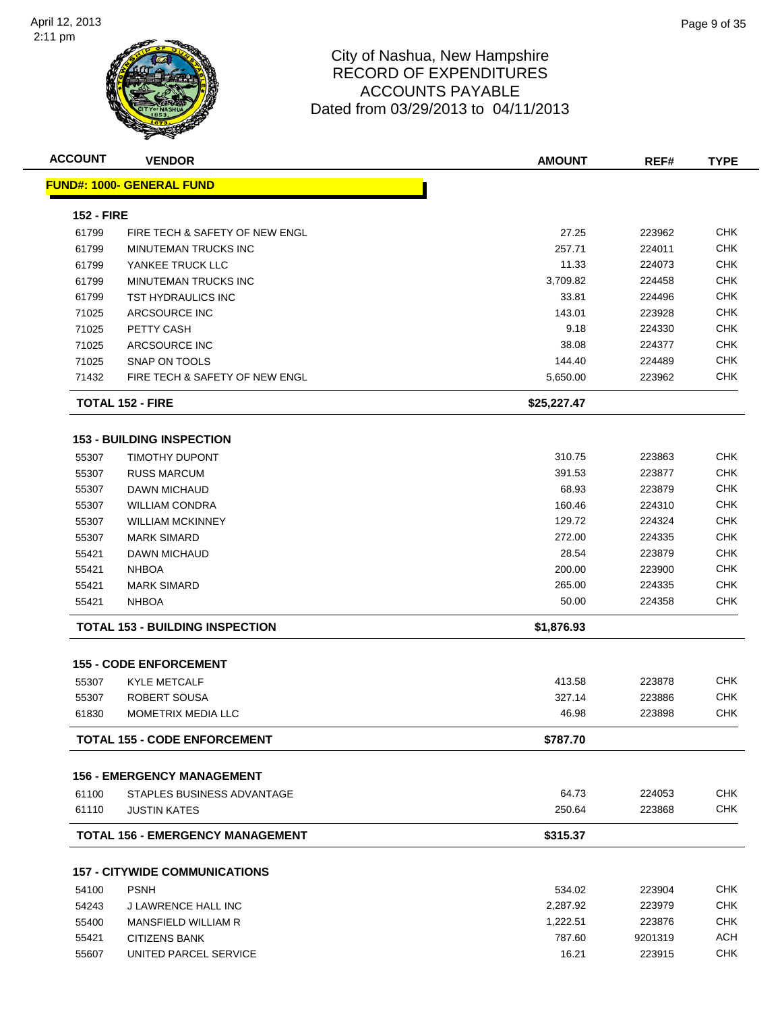

| <b>ACCOUNT</b>    | <b>VENDOR</b>                          | <b>AMOUNT</b> | REF#    | <b>TYPE</b> |
|-------------------|----------------------------------------|---------------|---------|-------------|
|                   | <u> FUND#: 1000- GENERAL FUND</u>      |               |         |             |
| <b>152 - FIRE</b> |                                        |               |         |             |
| 61799             | FIRE TECH & SAFETY OF NEW ENGL         | 27.25         | 223962  | <b>CHK</b>  |
| 61799             | MINUTEMAN TRUCKS INC                   | 257.71        | 224011  | <b>CHK</b>  |
| 61799             | YANKEE TRUCK LLC                       | 11.33         | 224073  | <b>CHK</b>  |
| 61799             | <b>MINUTEMAN TRUCKS INC</b>            | 3,709.82      | 224458  | <b>CHK</b>  |
| 61799             | TST HYDRAULICS INC                     | 33.81         | 224496  | <b>CHK</b>  |
| 71025             | ARCSOURCE INC                          | 143.01        | 223928  | <b>CHK</b>  |
| 71025             | PETTY CASH                             | 9.18          | 224330  | <b>CHK</b>  |
| 71025             | ARCSOURCE INC                          | 38.08         | 224377  | <b>CHK</b>  |
| 71025             | SNAP ON TOOLS                          | 144.40        | 224489  | <b>CHK</b>  |
| 71432             | FIRE TECH & SAFETY OF NEW ENGL         | 5,650.00      | 223962  | <b>CHK</b>  |
|                   | <b>TOTAL 152 - FIRE</b>                | \$25,227.47   |         |             |
|                   | <b>153 - BUILDING INSPECTION</b>       |               |         |             |
| 55307             | <b>TIMOTHY DUPONT</b>                  | 310.75        | 223863  | CHK         |
| 55307             | <b>RUSS MARCUM</b>                     | 391.53        | 223877  | <b>CHK</b>  |
| 55307             | DAWN MICHAUD                           | 68.93         | 223879  | <b>CHK</b>  |
| 55307             | <b>WILLIAM CONDRA</b>                  | 160.46        | 224310  | <b>CHK</b>  |
| 55307             | <b>WILLIAM MCKINNEY</b>                | 129.72        | 224324  | <b>CHK</b>  |
| 55307             | <b>MARK SIMARD</b>                     | 272.00        | 224335  | <b>CHK</b>  |
| 55421             | DAWN MICHAUD                           | 28.54         | 223879  | <b>CHK</b>  |
| 55421             | <b>NHBOA</b>                           | 200.00        | 223900  | <b>CHK</b>  |
| 55421             | <b>MARK SIMARD</b>                     | 265.00        | 224335  | <b>CHK</b>  |
| 55421             | <b>NHBOA</b>                           | 50.00         | 224358  | <b>CHK</b>  |
|                   | <b>TOTAL 153 - BUILDING INSPECTION</b> | \$1,876.93    |         |             |
|                   |                                        |               |         |             |
|                   | <b>155 - CODE ENFORCEMENT</b>          |               |         |             |
| 55307             | <b>KYLE METCALF</b>                    | 413.58        | 223878  | <b>CHK</b>  |
| 55307             | ROBERT SOUSA                           | 327.14        | 223886  | <b>CHK</b>  |
| 61830             | MOMETRIX MEDIA LLC                     | 46.98         | 223898  | <b>CHK</b>  |
|                   | <b>TOTAL 155 - CODE ENFORCEMENT</b>    | \$787.70      |         |             |
|                   | <b>156 - EMERGENCY MANAGEMENT</b>      |               |         |             |
| 61100             | STAPLES BUSINESS ADVANTAGE             | 64.73         | 224053  | <b>CHK</b>  |
| 61110             | <b>JUSTIN KATES</b>                    | 250.64        | 223868  | <b>CHK</b>  |
|                   | TOTAL 156 - EMERGENCY MANAGEMENT       | \$315.37      |         |             |
|                   | <b>157 - CITYWIDE COMMUNICATIONS</b>   |               |         |             |
| 54100             | <b>PSNH</b>                            | 534.02        | 223904  | <b>CHK</b>  |
| 54243             | J LAWRENCE HALL INC                    | 2,287.92      | 223979  | <b>CHK</b>  |
| 55400             | MANSFIELD WILLIAM R                    | 1,222.51      | 223876  | <b>CHK</b>  |
| 55421             | <b>CITIZENS BANK</b>                   | 787.60        | 9201319 | <b>ACH</b>  |
| 55607             | UNITED PARCEL SERVICE                  | 16.21         | 223915  | <b>CHK</b>  |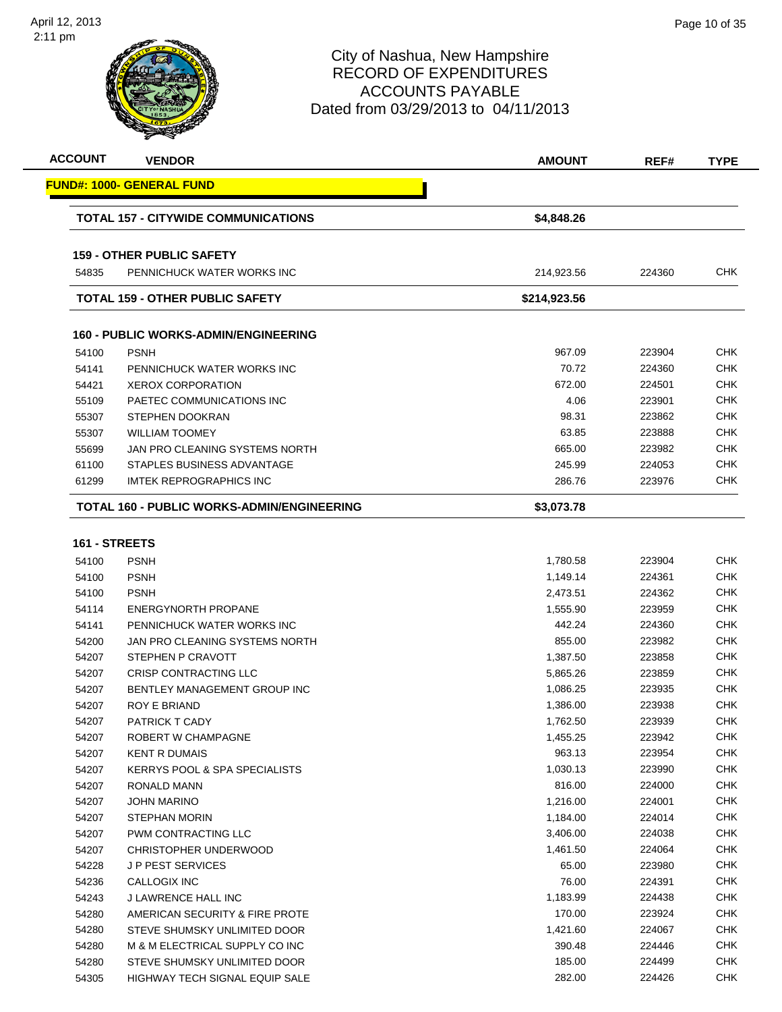#### 2:11 pm



| <b>ACCOUNT</b> | <b>VENDOR</b>                               | AMOUNT       | REF#   | <b>TYPE</b> |
|----------------|---------------------------------------------|--------------|--------|-------------|
|                | <b>FUND#: 1000- GENERAL FUND</b>            |              |        |             |
|                | <b>TOTAL 157 - CITYWIDE COMMUNICATIONS</b>  | \$4,848.26   |        |             |
|                | <b>159 - OTHER PUBLIC SAFETY</b>            |              |        |             |
| 54835          | PENNICHUCK WATER WORKS INC                  | 214,923.56   | 224360 | <b>CHK</b>  |
|                | <b>TOTAL 159 - OTHER PUBLIC SAFETY</b>      | \$214,923.56 |        |             |
|                |                                             |              |        |             |
|                | <b>160 - PUBLIC WORKS-ADMIN/ENGINEERING</b> |              |        |             |
| 54100          | <b>PSNH</b>                                 | 967.09       | 223904 | <b>CHK</b>  |
| 54141          | PENNICHUCK WATER WORKS INC                  | 70.72        | 224360 | <b>CHK</b>  |
| 54421          | <b>XEROX CORPORATION</b>                    | 672.00       | 224501 | CHK         |
| 55109          | PAETEC COMMUNICATIONS INC                   | 4.06         | 223901 | <b>CHK</b>  |
| 55307          | <b>STEPHEN DOOKRAN</b>                      | 98.31        | 223862 | <b>CHK</b>  |
| 55307          | <b>WILLIAM TOOMEY</b>                       | 63.85        | 223888 | <b>CHK</b>  |
| 55699          | JAN PRO CLEANING SYSTEMS NORTH              | 665.00       | 223982 | <b>CHK</b>  |
| 61100          | STAPLES BUSINESS ADVANTAGE                  | 245.99       | 224053 | <b>CHK</b>  |
| 61299          | <b>IMTEK REPROGRAPHICS INC</b>              | 286.76       | 223976 | <b>CHK</b>  |
|                | TOTAL 160 - PUBLIC WORKS-ADMIN/ENGINEERING  | \$3,073.78   |        |             |
|                |                                             |              |        |             |
| 161 - STREETS  |                                             |              |        |             |
| 54100          | <b>PSNH</b>                                 | 1,780.58     | 223904 | <b>CHK</b>  |
| 54100          | <b>PSNH</b>                                 | 1,149.14     | 224361 | <b>CHK</b>  |
| 54100          | <b>PSNH</b>                                 | 2,473.51     | 224362 | <b>CHK</b>  |
| 54114          | ENERGYNORTH PROPANE                         | 1,555.90     | 223959 | <b>CHK</b>  |
| 54141          | PENNICHUCK WATER WORKS INC                  | 442.24       | 224360 | <b>CHK</b>  |
| 54200          | JAN PRO CLEANING SYSTEMS NORTH              | 855.00       | 223982 | <b>CHK</b>  |
| 54207          | STEPHEN P CRAVOTT                           | 1,387.50     | 223858 | CHK         |
| 54207          | <b>CRISP CONTRACTING LLC</b>                | 5,865.26     | 223859 | <b>CHK</b>  |
| 54207          | BENTLEY MANAGEMENT GROUP INC                | 1,086.25     | 223935 | <b>CHK</b>  |
| 54207          | <b>ROY E BRIAND</b>                         | 1,386.00     | 223938 | <b>CHK</b>  |
| 54207          | <b>PATRICK T CADY</b>                       | 1.762.50     | 223939 | CHK         |
| 54207          | ROBERT W CHAMPAGNE                          | 1,455.25     | 223942 | <b>CHK</b>  |
| 54207          | <b>KENT R DUMAIS</b>                        | 963.13       | 223954 | <b>CHK</b>  |
| 54207          | <b>KERRYS POOL &amp; SPA SPECIALISTS</b>    | 1,030.13     | 223990 | <b>CHK</b>  |
| 54207          | RONALD MANN                                 | 816.00       | 224000 | <b>CHK</b>  |
| 54207          | <b>JOHN MARINO</b>                          | 1,216.00     | 224001 | <b>CHK</b>  |
| 54207          | STEPHAN MORIN                               | 1,184.00     | 224014 | <b>CHK</b>  |
| 54207          | PWM CONTRACTING LLC                         | 3,406.00     | 224038 | <b>CHK</b>  |
| 54207          | <b>CHRISTOPHER UNDERWOOD</b>                | 1,461.50     | 224064 | <b>CHK</b>  |
| 54228          | <b>JP PEST SERVICES</b>                     | 65.00        | 223980 | CHK         |
| 54236          | CALLOGIX INC                                | 76.00        | 224391 | <b>CHK</b>  |
| 54243          | J LAWRENCE HALL INC                         | 1,183.99     | 224438 | <b>CHK</b>  |
| 54280          | AMERICAN SECURITY & FIRE PROTE              | 170.00       | 223924 | CHK         |
| 54280          | STEVE SHUMSKY UNLIMITED DOOR                | 1,421.60     | 224067 | <b>CHK</b>  |
| 54280          | M & M ELECTRICAL SUPPLY CO INC              | 390.48       | 224446 | <b>CHK</b>  |
| 54280          | STEVE SHUMSKY UNLIMITED DOOR                | 185.00       | 224499 | <b>CHK</b>  |
| 54305          | HIGHWAY TECH SIGNAL EQUIP SALE              | 282.00       | 224426 | <b>CHK</b>  |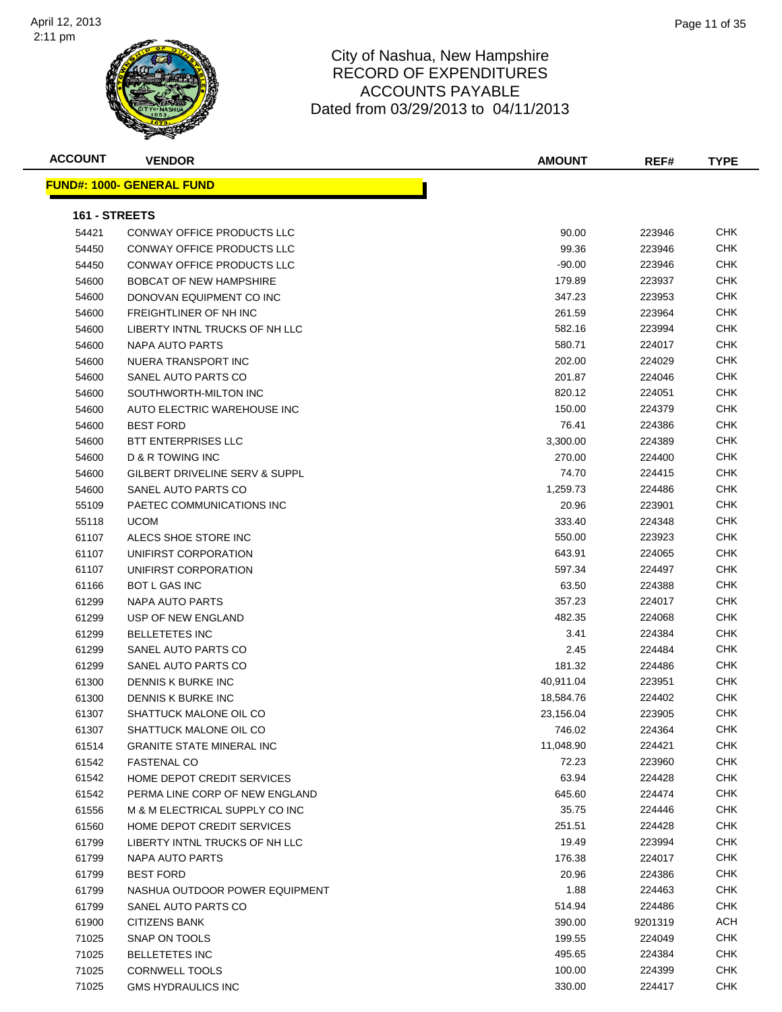

| <b>ACCOUNT</b> | <b>VENDOR</b>                                    | <b>AMOUNT</b> | REF#    | <b>TYPE</b> |
|----------------|--------------------------------------------------|---------------|---------|-------------|
|                | <u> FUND#: 1000- GENERAL FUND</u>                |               |         |             |
|                |                                                  |               |         |             |
| 161 - STREETS  |                                                  |               |         |             |
| 54421          | CONWAY OFFICE PRODUCTS LLC                       | 90.00         | 223946  | <b>CHK</b>  |
| 54450          | CONWAY OFFICE PRODUCTS LLC                       | 99.36         | 223946  | CHK         |
| 54450          | CONWAY OFFICE PRODUCTS LLC                       | $-90.00$      | 223946  | CHK         |
| 54600          | <b>BOBCAT OF NEW HAMPSHIRE</b>                   | 179.89        | 223937  | <b>CHK</b>  |
| 54600          | DONOVAN EQUIPMENT CO INC                         | 347.23        | 223953  | <b>CHK</b>  |
| 54600          | <b>FREIGHTLINER OF NH INC</b>                    | 261.59        | 223964  | <b>CHK</b>  |
| 54600          | LIBERTY INTNL TRUCKS OF NH LLC                   | 582.16        | 223994  | <b>CHK</b>  |
| 54600          | NAPA AUTO PARTS                                  | 580.71        | 224017  | <b>CHK</b>  |
| 54600          | NUERA TRANSPORT INC                              | 202.00        | 224029  | CHK         |
| 54600          | SANEL AUTO PARTS CO                              | 201.87        | 224046  | <b>CHK</b>  |
| 54600          | SOUTHWORTH-MILTON INC                            | 820.12        | 224051  | CHK         |
| 54600          | AUTO ELECTRIC WAREHOUSE INC                      | 150.00        | 224379  | CHK         |
| 54600          | <b>BEST FORD</b>                                 | 76.41         | 224386  | <b>CHK</b>  |
| 54600          | <b>BTT ENTERPRISES LLC</b>                       | 3,300.00      | 224389  | CHK.        |
| 54600          | D & R TOWING INC                                 | 270.00        | 224400  | <b>CHK</b>  |
| 54600          | GILBERT DRIVELINE SERV & SUPPL                   | 74.70         | 224415  | <b>CHK</b>  |
| 54600          | SANEL AUTO PARTS CO                              | 1,259.73      | 224486  | <b>CHK</b>  |
| 55109          | PAETEC COMMUNICATIONS INC                        | 20.96         | 223901  | <b>CHK</b>  |
| 55118          | <b>UCOM</b>                                      | 333.40        | 224348  | <b>CHK</b>  |
| 61107          | ALECS SHOE STORE INC                             | 550.00        | 223923  | <b>CHK</b>  |
| 61107          | UNIFIRST CORPORATION                             | 643.91        | 224065  | <b>CHK</b>  |
| 61107          | UNIFIRST CORPORATION                             | 597.34        | 224497  | CHK.        |
| 61166          | <b>BOT L GAS INC</b>                             | 63.50         | 224388  | <b>CHK</b>  |
| 61299          | NAPA AUTO PARTS                                  | 357.23        | 224017  | <b>CHK</b>  |
| 61299          | USP OF NEW ENGLAND                               | 482.35        | 224068  | <b>CHK</b>  |
| 61299          | <b>BELLETETES INC</b>                            | 3.41          | 224384  | <b>CHK</b>  |
| 61299          | SANEL AUTO PARTS CO                              | 2.45          | 224484  | <b>CHK</b>  |
| 61299          | SANEL AUTO PARTS CO                              | 181.32        | 224486  | <b>CHK</b>  |
| 61300          | DENNIS K BURKE INC                               | 40,911.04     | 223951  | <b>CHK</b>  |
| 61300          | DENNIS K BURKE INC                               | 18,584.76     | 224402  | <b>CHK</b>  |
| 61307          | SHATTUCK MALONE OIL CO                           | 23,156.04     | 223905  | CHK         |
|                | SHATTUCK MALONE OIL CO                           | 746.02        | 224364  | <b>CHK</b>  |
| 61307<br>61514 | <b>GRANITE STATE MINERAL INC</b>                 | 11,048.90     | 224421  | <b>CHK</b>  |
|                |                                                  | 72.23         |         | <b>CHK</b>  |
| 61542          | <b>FASTENAL CO</b><br>HOME DEPOT CREDIT SERVICES | 63.94         | 223960  | <b>CHK</b>  |
| 61542          | PERMA LINE CORP OF NEW ENGLAND                   |               | 224428  | <b>CHK</b>  |
| 61542          |                                                  | 645.60        | 224474  |             |
| 61556          | M & M ELECTRICAL SUPPLY CO INC                   | 35.75         | 224446  | <b>CHK</b>  |
| 61560          | HOME DEPOT CREDIT SERVICES                       | 251.51        | 224428  | <b>CHK</b>  |
| 61799          | LIBERTY INTNL TRUCKS OF NH LLC                   | 19.49         | 223994  | <b>CHK</b>  |
| 61799          | NAPA AUTO PARTS                                  | 176.38        | 224017  | <b>CHK</b>  |
| 61799          | <b>BEST FORD</b>                                 | 20.96         | 224386  | <b>CHK</b>  |
| 61799          | NASHUA OUTDOOR POWER EQUIPMENT                   | 1.88          | 224463  | <b>CHK</b>  |
| 61799          | SANEL AUTO PARTS CO                              | 514.94        | 224486  | <b>CHK</b>  |
| 61900          | CITIZENS BANK                                    | 390.00        | 9201319 | ACH         |
| 71025          | SNAP ON TOOLS                                    | 199.55        | 224049  | CHK         |
| 71025          | <b>BELLETETES INC</b>                            | 495.65        | 224384  | <b>CHK</b>  |
| 71025          | <b>CORNWELL TOOLS</b>                            | 100.00        | 224399  | <b>CHK</b>  |
| 71025          | <b>GMS HYDRAULICS INC</b>                        | 330.00        | 224417  | <b>CHK</b>  |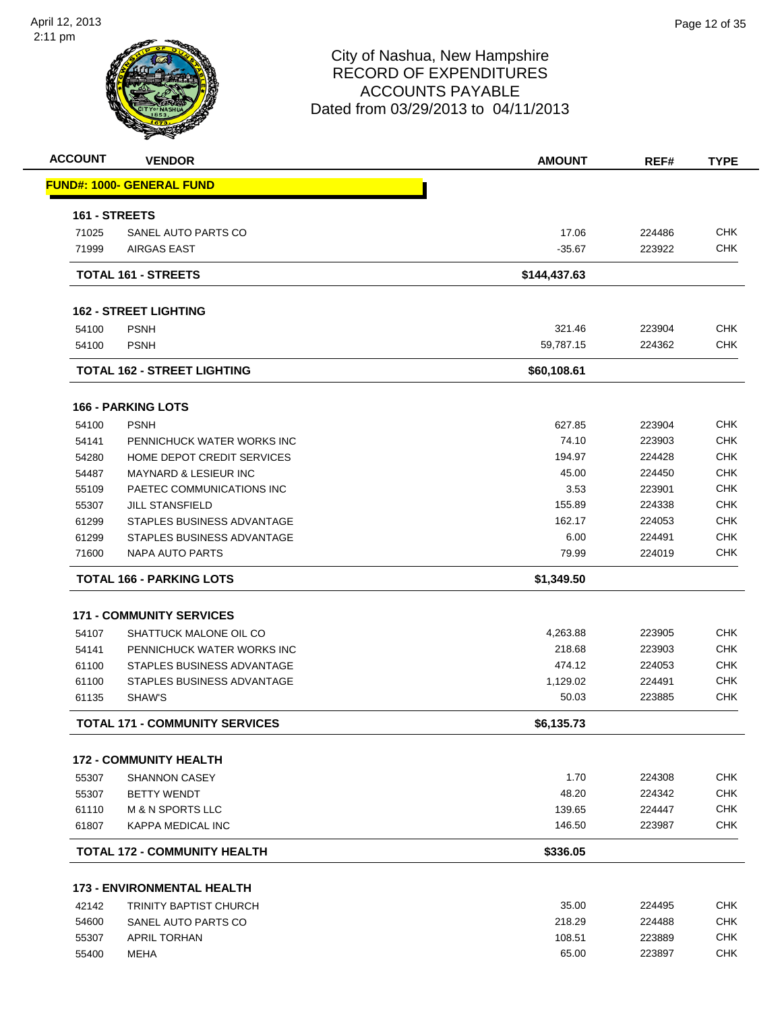

| <b>ACCOUNT</b> | <b>VENDOR</b>                         | <b>AMOUNT</b> | REF#   | <b>TYPE</b> |
|----------------|---------------------------------------|---------------|--------|-------------|
|                | <b>FUND#: 1000- GENERAL FUND</b>      |               |        |             |
| 161 - STREETS  |                                       |               |        |             |
| 71025          | SANEL AUTO PARTS CO                   | 17.06         | 224486 | <b>CHK</b>  |
| 71999          | <b>AIRGAS EAST</b>                    | $-35.67$      | 223922 | <b>CHK</b>  |
|                | <b>TOTAL 161 - STREETS</b>            | \$144,437.63  |        |             |
|                | <b>162 - STREET LIGHTING</b>          |               |        |             |
| 54100          | <b>PSNH</b>                           | 321.46        | 223904 | <b>CHK</b>  |
| 54100          | <b>PSNH</b>                           | 59,787.15     | 224362 | <b>CHK</b>  |
|                | <b>TOTAL 162 - STREET LIGHTING</b>    | \$60,108.61   |        |             |
|                | <b>166 - PARKING LOTS</b>             |               |        |             |
| 54100          | <b>PSNH</b>                           | 627.85        | 223904 | <b>CHK</b>  |
| 54141          | PENNICHUCK WATER WORKS INC            | 74.10         | 223903 | <b>CHK</b>  |
| 54280          | HOME DEPOT CREDIT SERVICES            | 194.97        | 224428 | CHK         |
| 54487          | <b>MAYNARD &amp; LESIEUR INC</b>      | 45.00         | 224450 | CHK         |
| 55109          | PAETEC COMMUNICATIONS INC             | 3.53          | 223901 | <b>CHK</b>  |
| 55307          | <b>JILL STANSFIELD</b>                | 155.89        | 224338 | CHK         |
| 61299          | STAPLES BUSINESS ADVANTAGE            | 162.17        | 224053 | <b>CHK</b>  |
| 61299          | STAPLES BUSINESS ADVANTAGE            | 6.00          | 224491 | <b>CHK</b>  |
| 71600          | <b>NAPA AUTO PARTS</b>                | 79.99         | 224019 | CHK         |
|                | <b>TOTAL 166 - PARKING LOTS</b>       | \$1,349.50    |        |             |
|                | <b>171 - COMMUNITY SERVICES</b>       |               |        |             |
| 54107          | SHATTUCK MALONE OIL CO                | 4,263.88      | 223905 | <b>CHK</b>  |
| 54141          | PENNICHUCK WATER WORKS INC            | 218.68        | 223903 | CHK         |
| 61100          | STAPLES BUSINESS ADVANTAGE            | 474.12        | 224053 | <b>CHK</b>  |
| 61100          | STAPLES BUSINESS ADVANTAGE            | 1,129.02      | 224491 | <b>CHK</b>  |
| 61135          | SHAW'S                                | 50.03         | 223885 | <b>CHK</b>  |
|                | <b>TOTAL 171 - COMMUNITY SERVICES</b> | \$6,135.73    |        |             |
|                | <b>172 - COMMUNITY HEALTH</b>         |               |        |             |
| 55307          | <b>SHANNON CASEY</b>                  | 1.70          | 224308 | <b>CHK</b>  |
| 55307          | <b>BETTY WENDT</b>                    | 48.20         | 224342 | <b>CHK</b>  |
| 61110          | M & N SPORTS LLC                      | 139.65        | 224447 | <b>CHK</b>  |
| 61807          | KAPPA MEDICAL INC                     | 146.50        | 223987 | <b>CHK</b>  |
|                | <b>TOTAL 172 - COMMUNITY HEALTH</b>   | \$336.05      |        |             |
|                | <b>173 - ENVIRONMENTAL HEALTH</b>     |               |        |             |
| 42142          | TRINITY BAPTIST CHURCH                | 35.00         | 224495 | <b>CHK</b>  |
| 54600          | SANEL AUTO PARTS CO                   | 218.29        | 224488 | <b>CHK</b>  |
| 55307          | <b>APRIL TORHAN</b>                   | 108.51        | 223889 | <b>CHK</b>  |
| 55400          | MEHA                                  | 65.00         | 223897 | <b>CHK</b>  |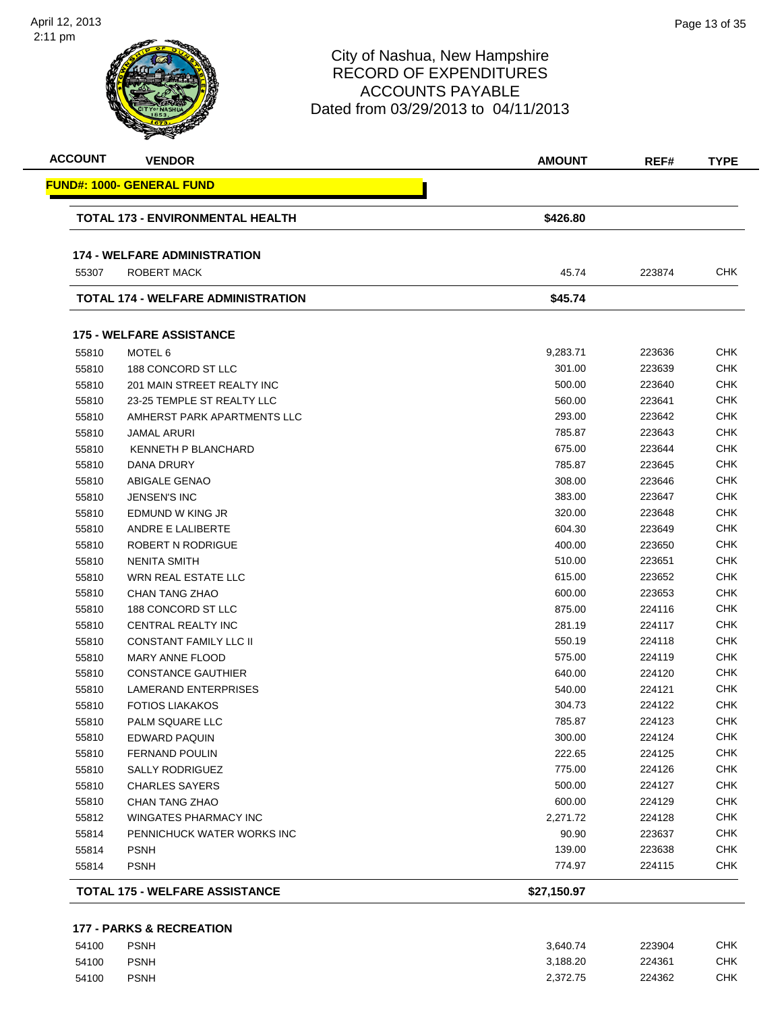## 2:11 pm



#### City of Nashua, New Hampshire RECORD OF EXPENDITURES ACCOUNTS PAYABLE Dated from 03/29/2013 to 04/11/2013

| <b>ACCOUNT</b> | <b>VENDOR</b>                           | <b>AMOUNT</b> | REF#   | <b>TYPE</b> |
|----------------|-----------------------------------------|---------------|--------|-------------|
|                | <u> FUND#: 1000- GENERAL FUND</u>       |               |        |             |
|                | <b>TOTAL 173 - ENVIRONMENTAL HEALTH</b> | \$426.80      |        |             |
|                | <b>174 - WELFARE ADMINISTRATION</b>     |               |        |             |
| 55307          | ROBERT MACK                             | 45.74         | 223874 | CHK         |
|                | TOTAL 174 - WELFARE ADMINISTRATION      | \$45.74       |        |             |
|                | <b>175 - WELFARE ASSISTANCE</b>         |               |        |             |
| 55810          | MOTEL 6                                 | 9,283.71      | 223636 | CHK         |
| 55810          | 188 CONCORD ST LLC                      | 301.00        | 223639 | <b>CHK</b>  |
| 55810          | 201 MAIN STREET REALTY INC              | 500.00        | 223640 | <b>CHK</b>  |
| 55810          | 23-25 TEMPLE ST REALTY LLC              | 560.00        | 223641 | CHK         |
| 55810          | AMHERST PARK APARTMENTS LLC             | 293.00        | 223642 | <b>CHK</b>  |
| 55810          | <b>JAMAL ARURI</b>                      | 785.87        | 223643 | <b>CHK</b>  |
| 55810          | <b>KENNETH P BLANCHARD</b>              | 675.00        | 223644 | <b>CHK</b>  |
| 55810          | DANA DRURY                              | 785.87        | 223645 | <b>CHK</b>  |
| 55810          | ABIGALE GENAO                           | 308.00        | 223646 | CHK         |
| 55810          | <b>JENSEN'S INC</b>                     | 383.00        | 223647 | CHK         |
| 55810          | EDMUND W KING JR                        | 320.00        | 223648 | <b>CHK</b>  |
| 55810          | ANDRE E LALIBERTE                       | 604.30        | 223649 | CHK         |
| 55810          | ROBERT N RODRIGUE                       | 400.00        | 223650 | <b>CHK</b>  |
| 55810          | <b>NENITA SMITH</b>                     | 510.00        | 223651 | <b>CHK</b>  |
| 55810          | WRN REAL ESTATE LLC                     | 615.00        | 223652 | CHK         |
| 55810          | CHAN TANG ZHAO                          | 600.00        | 223653 | <b>CHK</b>  |
| 55810          | 188 CONCORD ST LLC                      | 875.00        | 224116 | <b>CHK</b>  |
| 55810          | CENTRAL REALTY INC                      | 281.19        | 224117 | <b>CHK</b>  |
| 55810          | <b>CONSTANT FAMILY LLC II</b>           | 550.19        | 224118 | CHK         |
| 55810          | <b>MARY ANNE FLOOD</b>                  | 575.00        | 224119 | <b>CHK</b>  |
| 55810          | <b>CONSTANCE GAUTHIER</b>               | 640.00        | 224120 | <b>CHK</b>  |
| 55810          | <b>LAMERAND ENTERPRISES</b>             | 540.00        | 224121 | <b>CHK</b>  |
| 55810          | <b>FOTIOS LIAKAKOS</b>                  | 304.73        | 224122 | <b>CHK</b>  |
| 55810          | PALM SQUARE LLC                         | 785.87        | 224123 | CHK         |
| 55810          | EDWARD PAQUIN                           | 300.00        | 224124 | <b>CHK</b>  |
| 55810          | <b>FERNAND POULIN</b>                   | 222.65        | 224125 | <b>CHK</b>  |
| 55810          | <b>SALLY RODRIGUEZ</b>                  | 775.00        | 224126 | <b>CHK</b>  |
| 55810          | <b>CHARLES SAYERS</b>                   | 500.00        | 224127 | <b>CHK</b>  |
| 55810          | CHAN TANG ZHAO                          | 600.00        | 224129 | <b>CHK</b>  |
| 55812          | WINGATES PHARMACY INC                   | 2,271.72      | 224128 | <b>CHK</b>  |
| 55814          | PENNICHUCK WATER WORKS INC              | 90.90         | 223637 | <b>CHK</b>  |
| 55814          | <b>PSNH</b>                             | 139.00        | 223638 | <b>CHK</b>  |
| 55814          | <b>PSNH</b>                             | 774.97        | 224115 | <b>CHK</b>  |
|                | <b>TOTAL 175 - WELFARE ASSISTANCE</b>   | \$27,150.97   |        |             |

#### **177 - PARKS & RECREATION**

| 54100 | <b>PSNH</b> | 3.640.74 | 223904 | <b>CHK</b> |
|-------|-------------|----------|--------|------------|
| 54100 | PSNH        | 3.188.20 | 224361 | CHK        |
| 54100 | <b>PSNH</b> | 2.372.75 | 224362 | <b>CHK</b> |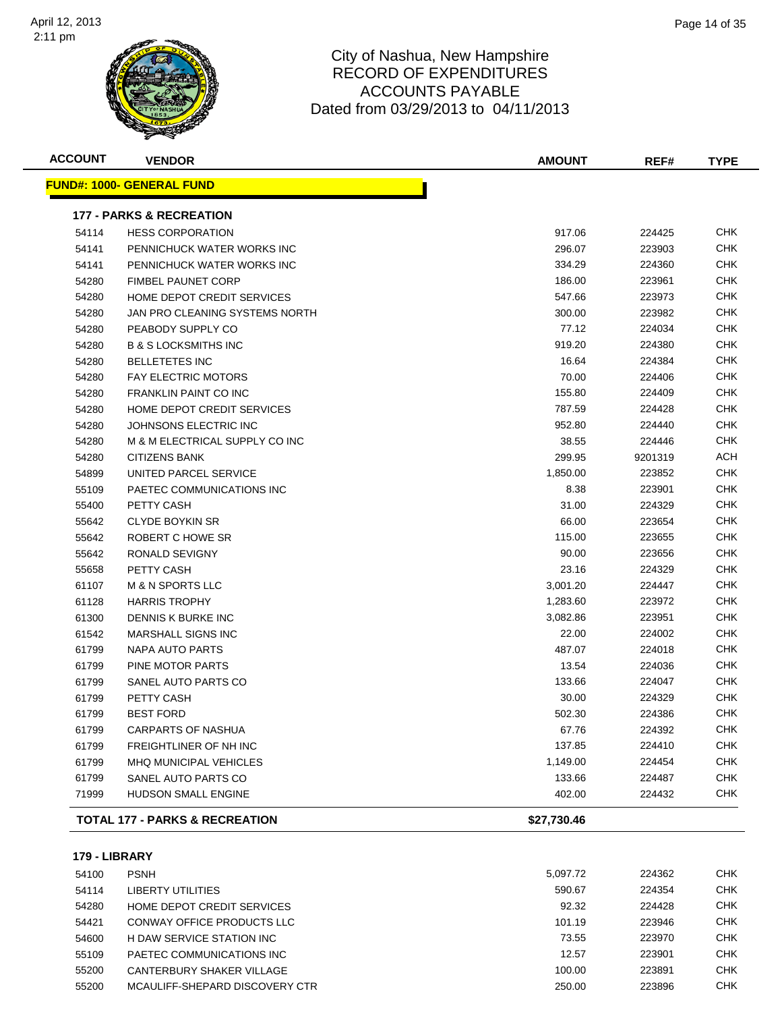

| <b>ACCOUNT</b> | <b>VENDOR</b>                             | <b>AMOUNT</b> | REF#    | <b>TYPE</b> |
|----------------|-------------------------------------------|---------------|---------|-------------|
|                | <b>FUND#: 1000- GENERAL FUND</b>          |               |         |             |
|                | <b>177 - PARKS &amp; RECREATION</b>       |               |         |             |
| 54114          | <b>HESS CORPORATION</b>                   | 917.06        | 224425  | CHK         |
| 54141          | PENNICHUCK WATER WORKS INC                | 296.07        | 223903  | CHK         |
| 54141          | PENNICHUCK WATER WORKS INC                | 334.29        | 224360  | CHK         |
| 54280          | <b>FIMBEL PAUNET CORP</b>                 | 186.00        | 223961  | CHK         |
| 54280          | HOME DEPOT CREDIT SERVICES                | 547.66        | 223973  | CHK         |
| 54280          | JAN PRO CLEANING SYSTEMS NORTH            | 300.00        | 223982  | CHK         |
| 54280          | PEABODY SUPPLY CO                         | 77.12         | 224034  | CHK         |
| 54280          | <b>B &amp; S LOCKSMITHS INC</b>           | 919.20        | 224380  | <b>CHK</b>  |
| 54280          | <b>BELLETETES INC</b>                     | 16.64         | 224384  | <b>CHK</b>  |
| 54280          | <b>FAY ELECTRIC MOTORS</b>                | 70.00         | 224406  | <b>CHK</b>  |
| 54280          | <b>FRANKLIN PAINT CO INC</b>              | 155.80        | 224409  | <b>CHK</b>  |
| 54280          | HOME DEPOT CREDIT SERVICES                | 787.59        | 224428  | <b>CHK</b>  |
| 54280          | JOHNSONS ELECTRIC INC                     | 952.80        | 224440  | <b>CHK</b>  |
| 54280          | M & M ELECTRICAL SUPPLY CO INC            | 38.55         | 224446  | <b>CHK</b>  |
| 54280          | <b>CITIZENS BANK</b>                      | 299.95        | 9201319 | ACH         |
| 54899          | UNITED PARCEL SERVICE                     | 1,850.00      | 223852  | <b>CHK</b>  |
| 55109          | PAETEC COMMUNICATIONS INC                 | 8.38          | 223901  | <b>CHK</b>  |
| 55400          | PETTY CASH                                | 31.00         | 224329  | CHK         |
| 55642          | <b>CLYDE BOYKIN SR</b>                    | 66.00         | 223654  | <b>CHK</b>  |
| 55642          | ROBERT C HOWE SR                          | 115.00        | 223655  | СНК         |
| 55642          | RONALD SEVIGNY                            | 90.00         | 223656  | CHK         |
| 55658          | PETTY CASH                                | 23.16         | 224329  | <b>CHK</b>  |
| 61107          | <b>M &amp; N SPORTS LLC</b>               | 3,001.20      | 224447  | <b>CHK</b>  |
| 61128          | <b>HARRIS TROPHY</b>                      | 1,283.60      | 223972  | <b>CHK</b>  |
| 61300          | DENNIS K BURKE INC                        | 3,082.86      | 223951  | CHK         |
| 61542          | <b>MARSHALL SIGNS INC</b>                 | 22.00         | 224002  | <b>CHK</b>  |
| 61799          | <b>NAPA AUTO PARTS</b>                    | 487.07        | 224018  | <b>CHK</b>  |
| 61799          | PINE MOTOR PARTS                          | 13.54         | 224036  | <b>CHK</b>  |
| 61799          | SANEL AUTO PARTS CO                       | 133.66        | 224047  | CHK         |
| 61799          | PETTY CASH                                | 30.00         | 224329  | CHK         |
| 61799          | <b>BEST FORD</b>                          | 502.30        | 224386  | CHK         |
| 61799          | <b>CARPARTS OF NASHUA</b>                 | 67.76         | 224392  | CHK         |
| 61799          | FREIGHTLINER OF NH INC                    | 137.85        | 224410  | <b>CHK</b>  |
| 61799          | <b>MHQ MUNICIPAL VEHICLES</b>             | 1,149.00      | 224454  | <b>CHK</b>  |
| 61799          | SANEL AUTO PARTS CO                       | 133.66        | 224487  | <b>CHK</b>  |
| 71999          | <b>HUDSON SMALL ENGINE</b>                | 402.00        | 224432  | <b>CHK</b>  |
|                | <b>TOTAL 177 - PARKS &amp; RECREATION</b> | \$27,730.46   |         |             |

#### **179 - LIBRARY**

| 54100 | <b>PSNH</b>                       | 5.097.72 | 224362 | <b>CHK</b> |
|-------|-----------------------------------|----------|--------|------------|
| 54114 | LIBERTY UTILITIES                 | 590.67   | 224354 | <b>CHK</b> |
| 54280 | <b>HOME DEPOT CREDIT SERVICES</b> | 92.32    | 224428 | <b>CHK</b> |
| 54421 | CONWAY OFFICE PRODUCTS LLC        | 101.19   | 223946 | <b>CHK</b> |
| 54600 | H DAW SERVICE STATION INC.        | 73.55    | 223970 | <b>CHK</b> |
| 55109 | PAETEC COMMUNICATIONS INC         | 12.57    | 223901 | <b>CHK</b> |
| 55200 | CANTERBURY SHAKER VILLAGE         | 100.00   | 223891 | <b>CHK</b> |
| 55200 | MCAULIFF-SHEPARD DISCOVERY CTR    | 250.00   | 223896 | <b>CHK</b> |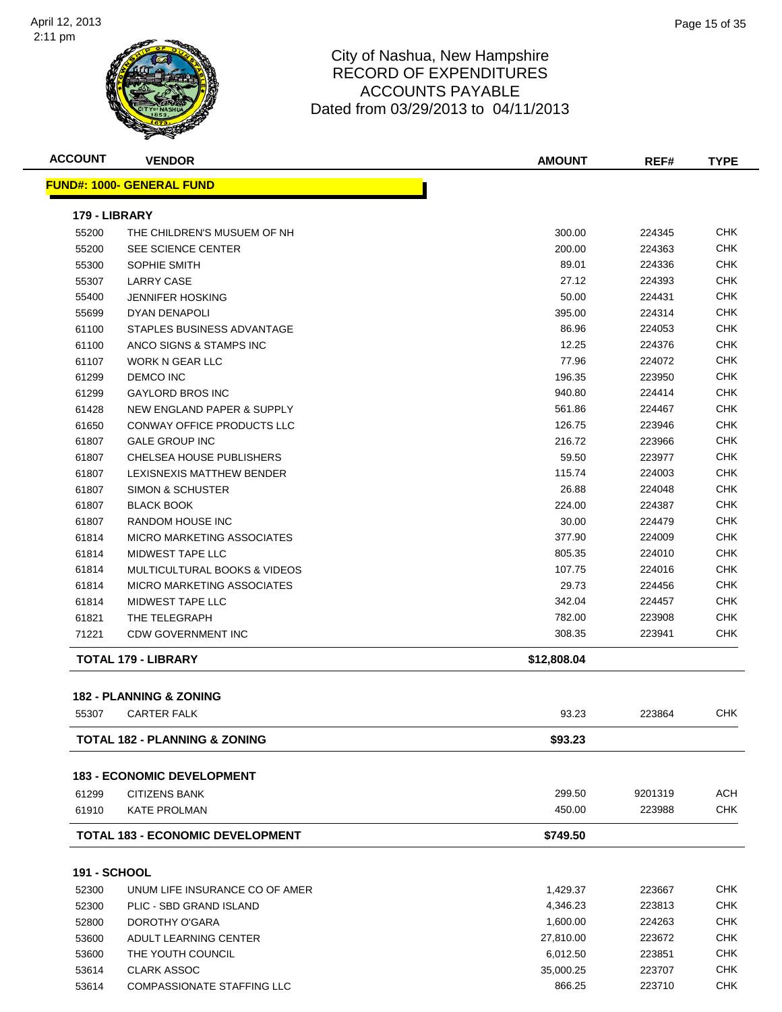

| <b>ACCOUNT</b>      | <b>VENDOR</b>                                            | <b>AMOUNT</b> | REF#    | <b>TYPE</b> |
|---------------------|----------------------------------------------------------|---------------|---------|-------------|
|                     | <b>FUND#: 1000- GENERAL FUND</b>                         |               |         |             |
| 179 - LIBRARY       |                                                          |               |         |             |
| 55200               | THE CHILDREN'S MUSUEM OF NH                              | 300.00        | 224345  | <b>CHK</b>  |
| 55200               | SEE SCIENCE CENTER                                       | 200.00        | 224363  | <b>CHK</b>  |
| 55300               | SOPHIE SMITH                                             | 89.01         | 224336  | CHK         |
| 55307               | <b>LARRY CASE</b>                                        | 27.12         | 224393  | CHK         |
| 55400               | <b>JENNIFER HOSKING</b>                                  | 50.00         | 224431  | CHK         |
| 55699               | DYAN DENAPOLI                                            | 395.00        | 224314  | CHK         |
| 61100               | STAPLES BUSINESS ADVANTAGE                               | 86.96         | 224053  | <b>CHK</b>  |
| 61100               | ANCO SIGNS & STAMPS INC                                  | 12.25         | 224376  | <b>CHK</b>  |
| 61107               | <b>WORK N GEAR LLC</b>                                   | 77.96         | 224072  | <b>CHK</b>  |
| 61299               | <b>DEMCO INC</b>                                         | 196.35        | 223950  | <b>CHK</b>  |
| 61299               | <b>GAYLORD BROS INC</b>                                  | 940.80        | 224414  | <b>CHK</b>  |
| 61428               | <b>NEW ENGLAND PAPER &amp; SUPPLY</b>                    | 561.86        | 224467  | <b>CHK</b>  |
| 61650               | CONWAY OFFICE PRODUCTS LLC                               | 126.75        | 223946  | <b>CHK</b>  |
| 61807               | <b>GALE GROUP INC</b>                                    | 216.72        | 223966  | CHK         |
| 61807               | CHELSEA HOUSE PUBLISHERS                                 | 59.50         | 223977  | CHK         |
| 61807               | LEXISNEXIS MATTHEW BENDER                                | 115.74        | 224003  | CHK         |
| 61807               | <b>SIMON &amp; SCHUSTER</b>                              | 26.88         | 224048  | CHK         |
| 61807               | <b>BLACK BOOK</b>                                        | 224.00        | 224387  | <b>CHK</b>  |
| 61807               | <b>RANDOM HOUSE INC</b>                                  | 30.00         | 224479  | CHK         |
| 61814               | <b>MICRO MARKETING ASSOCIATES</b>                        | 377.90        | 224009  | CHK         |
| 61814               | MIDWEST TAPE LLC                                         | 805.35        | 224010  | <b>CHK</b>  |
| 61814               | MULTICULTURAL BOOKS & VIDEOS                             | 107.75        | 224016  | CHK         |
| 61814               | <b>MICRO MARKETING ASSOCIATES</b>                        | 29.73         | 224456  | <b>CHK</b>  |
| 61814               | <b>MIDWEST TAPE LLC</b>                                  | 342.04        | 224457  | CHK         |
| 61821               | THE TELEGRAPH                                            | 782.00        | 223908  | CHK         |
| 71221               | <b>CDW GOVERNMENT INC</b>                                | 308.35        | 223941  | <b>CHK</b>  |
|                     | <b>TOTAL 179 - LIBRARY</b>                               | \$12,808.04   |         |             |
|                     |                                                          |               |         |             |
| 55307               | <b>182 - PLANNING &amp; ZONING</b><br><b>CARTER FALK</b> | 93.23         | 223864  | CHK         |
|                     |                                                          |               |         |             |
|                     | <b>TOTAL 182 - PLANNING &amp; ZONING</b>                 | \$93.23       |         |             |
|                     | <b>183 - ECONOMIC DEVELOPMENT</b>                        |               |         |             |
| 61299               | <b>CITIZENS BANK</b>                                     | 299.50        | 9201319 | ACH         |
| 61910               | <b>KATE PROLMAN</b>                                      | 450.00        | 223988  | CHK         |
|                     | <b>TOTAL 183 - ECONOMIC DEVELOPMENT</b>                  | \$749.50      |         |             |
|                     |                                                          |               |         |             |
| <b>191 - SCHOOL</b> | UNUM LIFE INSURANCE CO OF AMER                           | 1,429.37      |         | CHK         |
| 52300               |                                                          |               | 223667  | <b>CHK</b>  |
| 52300               | PLIC - SBD GRAND ISLAND                                  | 4,346.23      | 223813  |             |
| 52800               | DOROTHY O'GARA                                           | 1,600.00      | 224263  | <b>CHK</b>  |
| 53600               | ADULT LEARNING CENTER                                    | 27,810.00     | 223672  | <b>CHK</b>  |
| 53600               | THE YOUTH COUNCIL                                        | 6,012.50      | 223851  | <b>CHK</b>  |
| 53614               | <b>CLARK ASSOC</b>                                       | 35,000.25     | 223707  | <b>CHK</b>  |
| 53614               | COMPASSIONATE STAFFING LLC                               | 866.25        | 223710  | <b>CHK</b>  |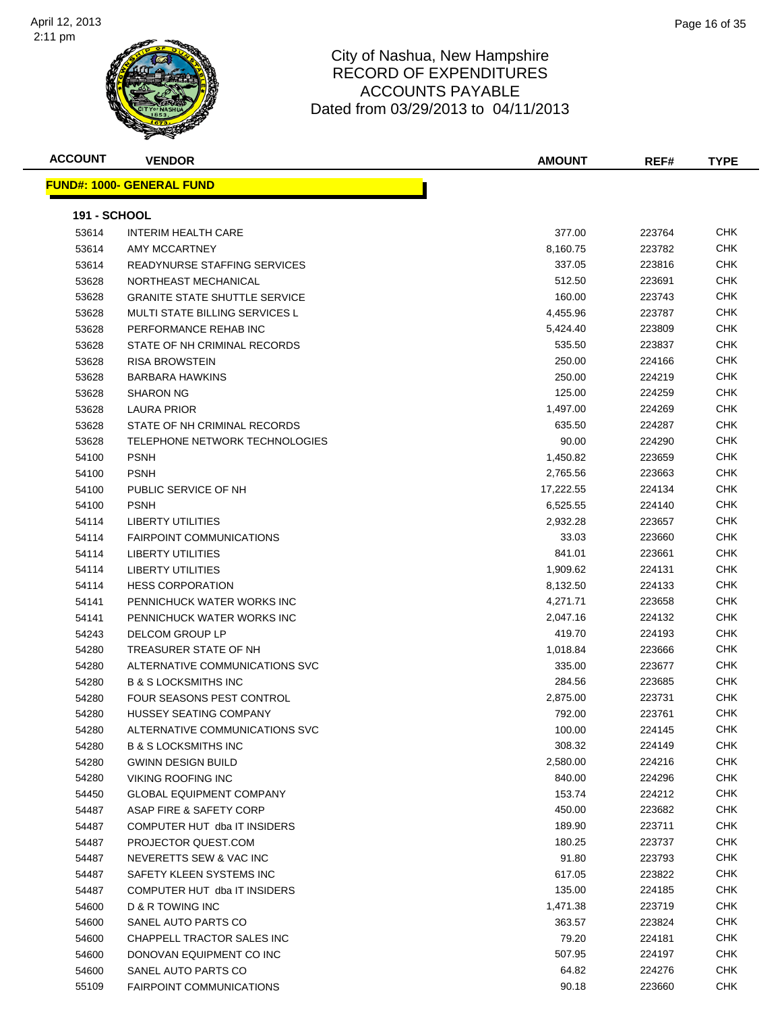

| <b>ACCOUNT</b>      | <b>VENDOR</b>                         | AMOUNT    | REF#   | <b>TYPE</b> |
|---------------------|---------------------------------------|-----------|--------|-------------|
|                     | <b>FUND#: 1000- GENERAL FUND</b>      |           |        |             |
|                     |                                       |           |        |             |
| <b>191 - SCHOOL</b> |                                       |           |        |             |
| 53614               | <b>INTERIM HEALTH CARE</b>            | 377.00    | 223764 | <b>CHK</b>  |
| 53614               | <b>AMY MCCARTNEY</b>                  | 8,160.75  | 223782 | CHK         |
| 53614               | READYNURSE STAFFING SERVICES          | 337.05    | 223816 | <b>CHK</b>  |
| 53628               | NORTHEAST MECHANICAL                  | 512.50    | 223691 | <b>CHK</b>  |
| 53628               | <b>GRANITE STATE SHUTTLE SERVICE</b>  | 160.00    | 223743 | <b>CHK</b>  |
| 53628               | <b>MULTI STATE BILLING SERVICES L</b> | 4,455.96  | 223787 | <b>CHK</b>  |
| 53628               | PERFORMANCE REHAB INC                 | 5,424.40  | 223809 | <b>CHK</b>  |
| 53628               | STATE OF NH CRIMINAL RECORDS          | 535.50    | 223837 | <b>CHK</b>  |
| 53628               | <b>RISA BROWSTEIN</b>                 | 250.00    | 224166 | <b>CHK</b>  |
| 53628               | <b>BARBARA HAWKINS</b>                | 250.00    | 224219 | <b>CHK</b>  |
| 53628               | <b>SHARON NG</b>                      | 125.00    | 224259 | CHK         |
| 53628               | <b>LAURA PRIOR</b>                    | 1,497.00  | 224269 | CHK         |
| 53628               | STATE OF NH CRIMINAL RECORDS          | 635.50    | 224287 | CHK         |
| 53628               | TELEPHONE NETWORK TECHNOLOGIES        | 90.00     | 224290 | <b>CHK</b>  |
| 54100               | <b>PSNH</b>                           | 1,450.82  | 223659 | <b>CHK</b>  |
| 54100               | <b>PSNH</b>                           | 2,765.56  | 223663 | <b>CHK</b>  |
| 54100               | PUBLIC SERVICE OF NH                  | 17,222.55 | 224134 | <b>CHK</b>  |
| 54100               | <b>PSNH</b>                           | 6,525.55  | 224140 | CHK         |
| 54114               | <b>LIBERTY UTILITIES</b>              | 2,932.28  | 223657 | <b>CHK</b>  |
| 54114               | <b>FAIRPOINT COMMUNICATIONS</b>       | 33.03     | 223660 | <b>CHK</b>  |
| 54114               | <b>LIBERTY UTILITIES</b>              | 841.01    | 223661 | CHK         |
| 54114               | <b>LIBERTY UTILITIES</b>              | 1,909.62  | 224131 | CHK         |
| 54114               | <b>HESS CORPORATION</b>               | 8,132.50  | 224133 | CHK         |
| 54141               | PENNICHUCK WATER WORKS INC            | 4,271.71  | 223658 | CHK         |
| 54141               | PENNICHUCK WATER WORKS INC            | 2,047.16  | 224132 | <b>CHK</b>  |
| 54243               | DELCOM GROUP LP                       | 419.70    | 224193 | <b>CHK</b>  |
| 54280               | TREASURER STATE OF NH                 | 1,018.84  | 223666 | <b>CHK</b>  |
| 54280               | ALTERNATIVE COMMUNICATIONS SVC        | 335.00    | 223677 | <b>CHK</b>  |
| 54280               | <b>B &amp; S LOCKSMITHS INC</b>       | 284.56    | 223685 | <b>CHK</b>  |
| 54280               | FOUR SEASONS PEST CONTROL             | 2,875.00  | 223731 | <b>CHK</b>  |
| 54280               | HUSSEY SEATING COMPANY                | 792.00    | 223761 | <b>CHK</b>  |
| 54280               | ALTERNATIVE COMMUNICATIONS SVC        | 100.00    | 224145 | CHK         |
| 54280               | <b>B &amp; S LOCKSMITHS INC</b>       | 308.32    | 224149 | <b>CHK</b>  |
| 54280               | <b>GWINN DESIGN BUILD</b>             | 2,580.00  | 224216 | <b>CHK</b>  |
| 54280               | <b>VIKING ROOFING INC</b>             | 840.00    | 224296 | <b>CHK</b>  |
| 54450               | <b>GLOBAL EQUIPMENT COMPANY</b>       | 153.74    | 224212 | <b>CHK</b>  |
| 54487               | ASAP FIRE & SAFETY CORP               | 450.00    | 223682 | <b>CHK</b>  |
| 54487               | COMPUTER HUT dba IT INSIDERS          | 189.90    | 223711 | <b>CHK</b>  |
| 54487               | PROJECTOR QUEST.COM                   | 180.25    | 223737 | <b>CHK</b>  |
| 54487               | NEVERETTS SEW & VAC INC               | 91.80     | 223793 | <b>CHK</b>  |
| 54487               | SAFETY KLEEN SYSTEMS INC              | 617.05    | 223822 | <b>CHK</b>  |
| 54487               | COMPUTER HUT dba IT INSIDERS          | 135.00    | 224185 | <b>CHK</b>  |
| 54600               | D & R TOWING INC                      | 1,471.38  | 223719 | <b>CHK</b>  |
| 54600               | SANEL AUTO PARTS CO                   | 363.57    | 223824 | <b>CHK</b>  |
| 54600               | CHAPPELL TRACTOR SALES INC            | 79.20     | 224181 | <b>CHK</b>  |
| 54600               | DONOVAN EQUIPMENT CO INC              | 507.95    | 224197 | CHK         |
| 54600               | SANEL AUTO PARTS CO                   | 64.82     | 224276 | <b>CHK</b>  |
| 55109               | <b>FAIRPOINT COMMUNICATIONS</b>       | 90.18     | 223660 | <b>CHK</b>  |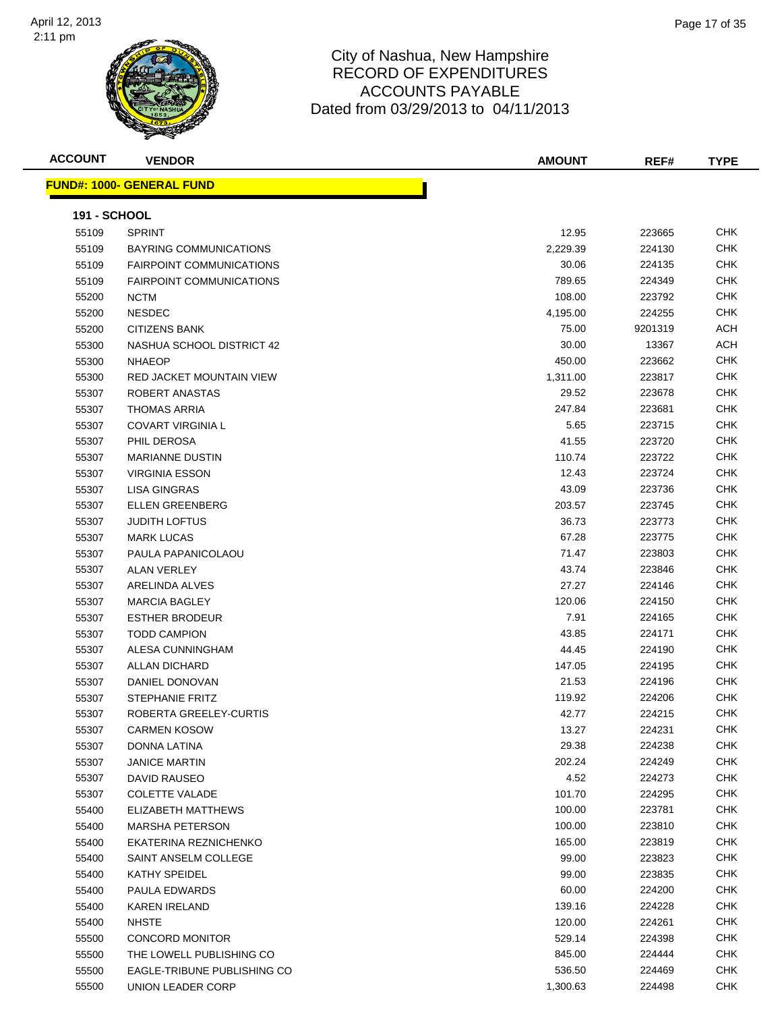

| <b>ACCOUNT</b>      | <b>VENDOR</b>                    | <b>AMOUNT</b> | REF#    | <b>TYPE</b> |
|---------------------|----------------------------------|---------------|---------|-------------|
|                     | <b>FUND#: 1000- GENERAL FUND</b> |               |         |             |
|                     |                                  |               |         |             |
| <b>191 - SCHOOL</b> |                                  |               |         |             |
| 55109               | <b>SPRINT</b>                    | 12.95         | 223665  | <b>CHK</b>  |
| 55109               | <b>BAYRING COMMUNICATIONS</b>    | 2,229.39      | 224130  | <b>CHK</b>  |
| 55109               | <b>FAIRPOINT COMMUNICATIONS</b>  | 30.06         | 224135  | <b>CHK</b>  |
| 55109               | <b>FAIRPOINT COMMUNICATIONS</b>  | 789.65        | 224349  | <b>CHK</b>  |
| 55200               | <b>NCTM</b>                      | 108.00        | 223792  | <b>CHK</b>  |
| 55200               | <b>NESDEC</b>                    | 4,195.00      | 224255  | <b>CHK</b>  |
| 55200               | CITIZENS BANK                    | 75.00         | 9201319 | ACH         |
| 55300               | NASHUA SCHOOL DISTRICT 42        | 30.00         | 13367   | ACH         |
| 55300               | <b>NHAEOP</b>                    | 450.00        | 223662  | <b>CHK</b>  |
| 55300               | RED JACKET MOUNTAIN VIEW         | 1,311.00      | 223817  | <b>CHK</b>  |
| 55307               | ROBERT ANASTAS                   | 29.52         | 223678  | CHK         |
| 55307               | <b>THOMAS ARRIA</b>              | 247.84        | 223681  | CHK         |
| 55307               | <b>COVART VIRGINIA L</b>         | 5.65          | 223715  | <b>CHK</b>  |
| 55307               | PHIL DEROSA                      | 41.55         | 223720  | CHK         |
| 55307               | <b>MARIANNE DUSTIN</b>           | 110.74        | 223722  | <b>CHK</b>  |
| 55307               | <b>VIRGINIA ESSON</b>            | 12.43         | 223724  | <b>CHK</b>  |
| 55307               | <b>LISA GINGRAS</b>              | 43.09         | 223736  | <b>CHK</b>  |
| 55307               | <b>ELLEN GREENBERG</b>           | 203.57        | 223745  | <b>CHK</b>  |
| 55307               | <b>JUDITH LOFTUS</b>             | 36.73         | 223773  | <b>CHK</b>  |
| 55307               | <b>MARK LUCAS</b>                | 67.28         | 223775  | <b>CHK</b>  |
| 55307               | PAULA PAPANICOLAOU               | 71.47         | 223803  | <b>CHK</b>  |
| 55307               | <b>ALAN VERLEY</b>               | 43.74         | 223846  | CHK.        |
| 55307               | ARELINDA ALVES                   | 27.27         | 224146  | <b>CHK</b>  |
| 55307               | <b>MARCIA BAGLEY</b>             | 120.06        | 224150  | <b>CHK</b>  |
| 55307               | <b>ESTHER BRODEUR</b>            | 7.91          | 224165  | <b>CHK</b>  |
| 55307               | <b>TODD CAMPION</b>              | 43.85         | 224171  | <b>CHK</b>  |
| 55307               | ALESA CUNNINGHAM                 | 44.45         | 224190  | <b>CHK</b>  |
| 55307               | <b>ALLAN DICHARD</b>             | 147.05        | 224195  | <b>CHK</b>  |
| 55307               | DANIEL DONOVAN                   | 21.53         | 224196  | <b>CHK</b>  |
| 55307               | <b>STEPHANIE FRITZ</b>           | 119.92        | 224206  | <b>CHK</b>  |
| 55307               | ROBERTA GREELEY-CURTIS           | 42.77         | 224215  | CHK         |
| 55307               | <b>CARMEN KOSOW</b>              | 13.27         | 224231  | <b>CHK</b>  |
| 55307               | DONNA LATINA                     | 29.38         | 224238  | <b>CHK</b>  |
| 55307               | <b>JANICE MARTIN</b>             | 202.24        | 224249  | <b>CHK</b>  |
| 55307               | <b>DAVID RAUSEO</b>              | 4.52          | 224273  | <b>CHK</b>  |
| 55307               | <b>COLETTE VALADE</b>            | 101.70        | 224295  | <b>CHK</b>  |
| 55400               | ELIZABETH MATTHEWS               | 100.00        | 223781  | <b>CHK</b>  |
| 55400               | <b>MARSHA PETERSON</b>           | 100.00        | 223810  | <b>CHK</b>  |
| 55400               | EKATERINA REZNICHENKO            | 165.00        | 223819  | <b>CHK</b>  |
| 55400               | SAINT ANSELM COLLEGE             | 99.00         | 223823  | <b>CHK</b>  |
| 55400               | <b>KATHY SPEIDEL</b>             | 99.00         | 223835  | <b>CHK</b>  |
| 55400               | PAULA EDWARDS                    | 60.00         | 224200  | <b>CHK</b>  |
| 55400               | <b>KAREN IRELAND</b>             | 139.16        | 224228  | <b>CHK</b>  |
| 55400               | <b>NHSTE</b>                     | 120.00        | 224261  | CHK         |
| 55500               | <b>CONCORD MONITOR</b>           | 529.14        | 224398  | CHK         |
| 55500               | THE LOWELL PUBLISHING CO         | 845.00        | 224444  | <b>CHK</b>  |
| 55500               | EAGLE-TRIBUNE PUBLISHING CO      | 536.50        | 224469  | <b>CHK</b>  |
| 55500               | UNION LEADER CORP                | 1,300.63      | 224498  | CHK         |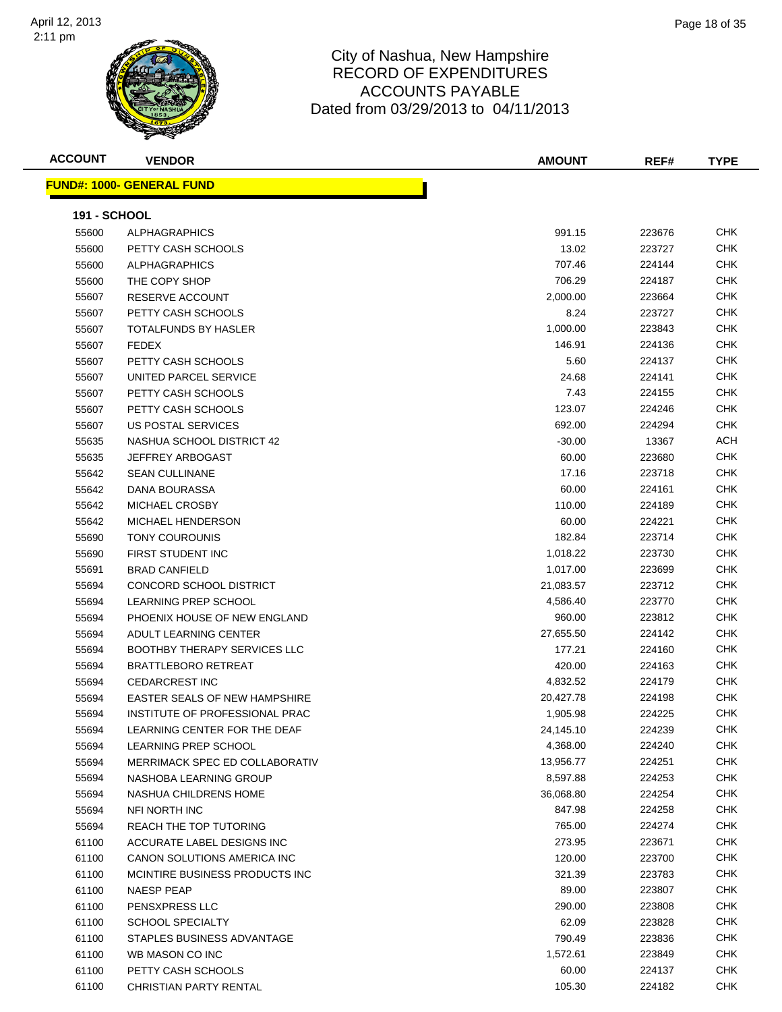

| <b>ACCOUNT</b>      | <b>VENDOR</b>                       | <b>AMOUNT</b> | REF#   | <b>TYPE</b> |
|---------------------|-------------------------------------|---------------|--------|-------------|
|                     | <b>FUND#: 1000- GENERAL FUND</b>    |               |        |             |
|                     |                                     |               |        |             |
| <b>191 - SCHOOL</b> |                                     |               |        |             |
| 55600               | <b>ALPHAGRAPHICS</b>                | 991.15        | 223676 | <b>CHK</b>  |
| 55600               | PETTY CASH SCHOOLS                  | 13.02         | 223727 | <b>CHK</b>  |
| 55600               | <b>ALPHAGRAPHICS</b>                | 707.46        | 224144 | <b>CHK</b>  |
| 55600               | THE COPY SHOP                       | 706.29        | 224187 | <b>CHK</b>  |
| 55607               | <b>RESERVE ACCOUNT</b>              | 2,000.00      | 223664 | <b>CHK</b>  |
| 55607               | PETTY CASH SCHOOLS                  | 8.24          | 223727 | <b>CHK</b>  |
| 55607               | TOTALFUNDS BY HASLER                | 1,000.00      | 223843 | CHK         |
| 55607               | <b>FEDEX</b>                        | 146.91        | 224136 | <b>CHK</b>  |
| 55607               | PETTY CASH SCHOOLS                  | 5.60          | 224137 | <b>CHK</b>  |
| 55607               | UNITED PARCEL SERVICE               | 24.68         | 224141 | <b>CHK</b>  |
| 55607               | PETTY CASH SCHOOLS                  | 7.43          | 224155 | <b>CHK</b>  |
| 55607               | PETTY CASH SCHOOLS                  | 123.07        | 224246 | CHK         |
| 55607               | US POSTAL SERVICES                  | 692.00        | 224294 | <b>CHK</b>  |
| 55635               | NASHUA SCHOOL DISTRICT 42           | $-30.00$      | 13367  | <b>ACH</b>  |
| 55635               | <b>JEFFREY ARBOGAST</b>             | 60.00         | 223680 | <b>CHK</b>  |
| 55642               | <b>SEAN CULLINANE</b>               | 17.16         | 223718 | <b>CHK</b>  |
| 55642               | DANA BOURASSA                       | 60.00         | 224161 | <b>CHK</b>  |
| 55642               | <b>MICHAEL CROSBY</b>               | 110.00        | 224189 | <b>CHK</b>  |
| 55642               | MICHAEL HENDERSON                   | 60.00         | 224221 | <b>CHK</b>  |
| 55690               | <b>TONY COUROUNIS</b>               | 182.84        | 223714 | <b>CHK</b>  |
| 55690               | FIRST STUDENT INC                   | 1,018.22      | 223730 | CHK         |
| 55691               | <b>BRAD CANFIELD</b>                | 1,017.00      | 223699 | <b>CHK</b>  |
| 55694               | CONCORD SCHOOL DISTRICT             | 21,083.57     | 223712 | CHK         |
| 55694               | LEARNING PREP SCHOOL                | 4,586.40      | 223770 | <b>CHK</b>  |
| 55694               | PHOENIX HOUSE OF NEW ENGLAND        | 960.00        | 223812 | <b>CHK</b>  |
| 55694               | ADULT LEARNING CENTER               | 27,655.50     | 224142 | <b>CHK</b>  |
| 55694               | <b>BOOTHBY THERAPY SERVICES LLC</b> | 177.21        | 224160 | <b>CHK</b>  |
| 55694               | <b>BRATTLEBORO RETREAT</b>          | 420.00        | 224163 | <b>CHK</b>  |
| 55694               | <b>CEDARCREST INC</b>               | 4,832.52      | 224179 | <b>CHK</b>  |
| 55694               | EASTER SEALS OF NEW HAMPSHIRE       | 20,427.78     | 224198 | <b>CHK</b>  |
| 55694               | INSTITUTE OF PROFESSIONAL PRAC      | 1,905.98      | 224225 | <b>CHK</b>  |
| 55694               | LEARNING CENTER FOR THE DEAF        | 24,145.10     | 224239 | <b>CHK</b>  |
| 55694               | <b>LEARNING PREP SCHOOL</b>         | 4,368.00      | 224240 | <b>CHK</b>  |
| 55694               | MERRIMACK SPEC ED COLLABORATIV      | 13,956.77     | 224251 | <b>CHK</b>  |
| 55694               | NASHOBA LEARNING GROUP              | 8,597.88      | 224253 | <b>CHK</b>  |
| 55694               | NASHUA CHILDRENS HOME               | 36,068.80     | 224254 | <b>CHK</b>  |
| 55694               | NFI NORTH INC                       | 847.98        | 224258 | <b>CHK</b>  |
| 55694               | REACH THE TOP TUTORING              | 765.00        | 224274 | <b>CHK</b>  |
| 61100               | ACCURATE LABEL DESIGNS INC          | 273.95        | 223671 | <b>CHK</b>  |
| 61100               | CANON SOLUTIONS AMERICA INC         | 120.00        | 223700 | <b>CHK</b>  |
| 61100               | MCINTIRE BUSINESS PRODUCTS INC      | 321.39        | 223783 | <b>CHK</b>  |
| 61100               | <b>NAESP PEAP</b>                   | 89.00         | 223807 | <b>CHK</b>  |
| 61100               | PENSXPRESS LLC                      | 290.00        | 223808 | <b>CHK</b>  |
| 61100               | <b>SCHOOL SPECIALTY</b>             | 62.09         | 223828 | <b>CHK</b>  |
| 61100               | STAPLES BUSINESS ADVANTAGE          | 790.49        | 223836 | CHK         |
| 61100               | WB MASON CO INC                     | 1,572.61      | 223849 | CHK         |
| 61100               | PETTY CASH SCHOOLS                  | 60.00         | 224137 | <b>CHK</b>  |
| 61100               | CHRISTIAN PARTY RENTAL              | 105.30        | 224182 | <b>CHK</b>  |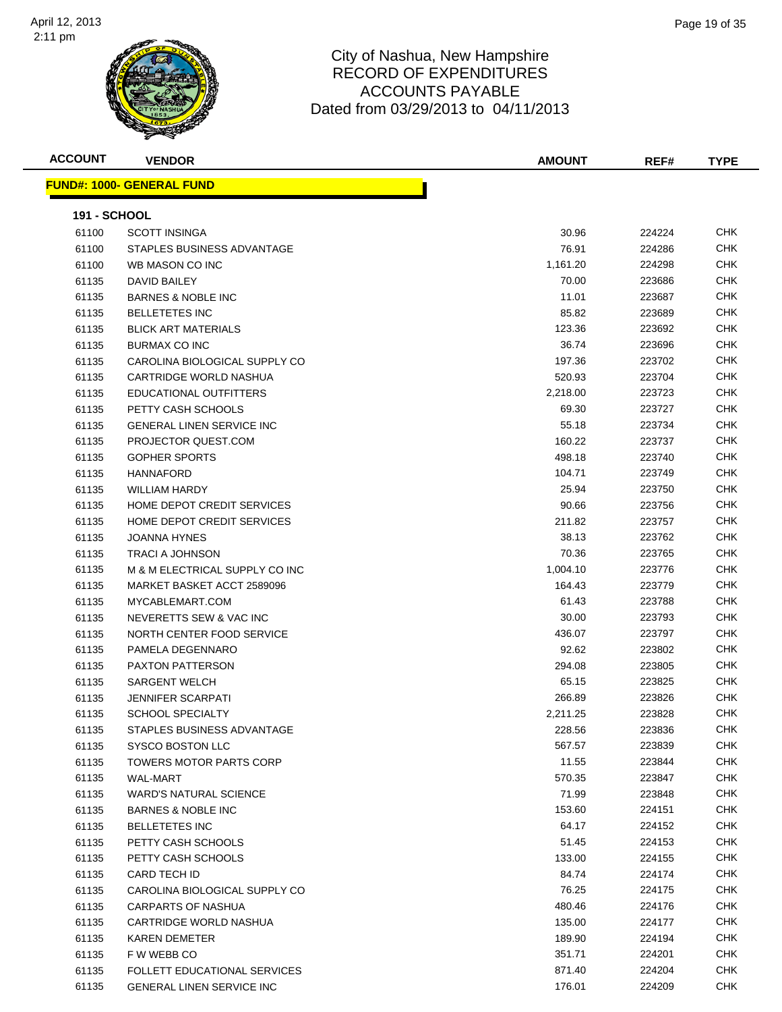

| <b>ACCOUNT</b> | <b>VENDOR</b>                    | <b>AMOUNT</b> | REF#   | <b>TYPE</b> |
|----------------|----------------------------------|---------------|--------|-------------|
|                | <b>FUND#: 1000- GENERAL FUND</b> |               |        |             |
| 191 - SCHOOL   |                                  |               |        |             |
| 61100          | <b>SCOTT INSINGA</b>             | 30.96         | 224224 | CHK         |
| 61100          | STAPLES BUSINESS ADVANTAGE       | 76.91         | 224286 | <b>CHK</b>  |
| 61100          | WB MASON CO INC                  | 1,161.20      | 224298 | CHK         |
| 61135          | DAVID BAILEY                     | 70.00         | 223686 | CHK         |
| 61135          | <b>BARNES &amp; NOBLE INC</b>    | 11.01         | 223687 | <b>CHK</b>  |
| 61135          | <b>BELLETETES INC</b>            | 85.82         | 223689 | CHK         |
| 61135          | <b>BLICK ART MATERIALS</b>       | 123.36        | 223692 | <b>CHK</b>  |
| 61135          | <b>BURMAX CO INC</b>             | 36.74         | 223696 | <b>CHK</b>  |
| 61135          | CAROLINA BIOLOGICAL SUPPLY CO    | 197.36        | 223702 | <b>CHK</b>  |
| 61135          | CARTRIDGE WORLD NASHUA           | 520.93        | 223704 | <b>CHK</b>  |
| 61135          | EDUCATIONAL OUTFITTERS           | 2,218.00      | 223723 | <b>CHK</b>  |
| 61135          | PETTY CASH SCHOOLS               | 69.30         | 223727 | CHK         |
| 61135          | <b>GENERAL LINEN SERVICE INC</b> | 55.18         | 223734 | <b>CHK</b>  |
| 61135          | PROJECTOR QUEST.COM              | 160.22        | 223737 | CHK         |
| 61135          | <b>GOPHER SPORTS</b>             | 498.18        | 223740 | CHK         |
| 61135          | <b>HANNAFORD</b>                 | 104.71        | 223749 | <b>CHK</b>  |
| 61135          | <b>WILLIAM HARDY</b>             | 25.94         | 223750 | CHK         |
| 61135          | HOME DEPOT CREDIT SERVICES       | 90.66         | 223756 | <b>CHK</b>  |
| 61135          | HOME DEPOT CREDIT SERVICES       | 211.82        | 223757 | <b>CHK</b>  |
| 61135          | <b>JOANNA HYNES</b>              | 38.13         | 223762 | <b>CHK</b>  |
| 61135          | <b>TRACI A JOHNSON</b>           | 70.36         | 223765 | <b>CHK</b>  |
| 61135          | M & M ELECTRICAL SUPPLY CO INC   | 1,004.10      | 223776 | <b>CHK</b>  |
| 61135          | MARKET BASKET ACCT 2589096       | 164.43        | 223779 | <b>CHK</b>  |
| 61135          | MYCABLEMART.COM                  | 61.43         | 223788 | <b>CHK</b>  |
| 61135          | NEVERETTS SEW & VAC INC          | 30.00         | 223793 | <b>CHK</b>  |
| 61135          | NORTH CENTER FOOD SERVICE        | 436.07        | 223797 | <b>CHK</b>  |
| 61135          | PAMELA DEGENNARO                 | 92.62         | 223802 | <b>CHK</b>  |
| 61135          | <b>PAXTON PATTERSON</b>          | 294.08        | 223805 | CHK         |
| 61135          | <b>SARGENT WELCH</b>             | 65.15         | 223825 | <b>CHK</b>  |
| 61135          | JENNIFER SCARPATI                | 266.89        | 223826 | <b>CHK</b>  |
| 61135          | <b>SCHOOL SPECIALTY</b>          | 2,211.25      | 223828 | <b>CHK</b>  |
| 61135          | STAPLES BUSINESS ADVANTAGE       | 228.56        | 223836 | <b>CHK</b>  |
| 61135          | SYSCO BOSTON LLC                 | 567.57        | 223839 | <b>CHK</b>  |
| 61135          | <b>TOWERS MOTOR PARTS CORP</b>   | 11.55         | 223844 | <b>CHK</b>  |
| 61135          | WAL-MART                         | 570.35        | 223847 | <b>CHK</b>  |
| 61135          | <b>WARD'S NATURAL SCIENCE</b>    | 71.99         | 223848 | <b>CHK</b>  |
| 61135          | <b>BARNES &amp; NOBLE INC</b>    | 153.60        | 224151 | <b>CHK</b>  |
| 61135          | <b>BELLETETES INC</b>            | 64.17         | 224152 | CHK         |
| 61135          | PETTY CASH SCHOOLS               | 51.45         | 224153 | CHK         |
| 61135          | PETTY CASH SCHOOLS               | 133.00        | 224155 | <b>CHK</b>  |
| 61135          | CARD TECH ID                     | 84.74         | 224174 | <b>CHK</b>  |
| 61135          | CAROLINA BIOLOGICAL SUPPLY CO    | 76.25         | 224175 | <b>CHK</b>  |
| 61135          | <b>CARPARTS OF NASHUA</b>        | 480.46        | 224176 | <b>CHK</b>  |
| 61135          | CARTRIDGE WORLD NASHUA           | 135.00        | 224177 | <b>CHK</b>  |
| 61135          | <b>KAREN DEMETER</b>             | 189.90        | 224194 | <b>CHK</b>  |
| 61135          | F W WEBB CO                      | 351.71        | 224201 | CHK         |
| 61135          | FOLLETT EDUCATIONAL SERVICES     | 871.40        | 224204 | CHK         |
| 61135          | <b>GENERAL LINEN SERVICE INC</b> | 176.01        | 224209 | <b>CHK</b>  |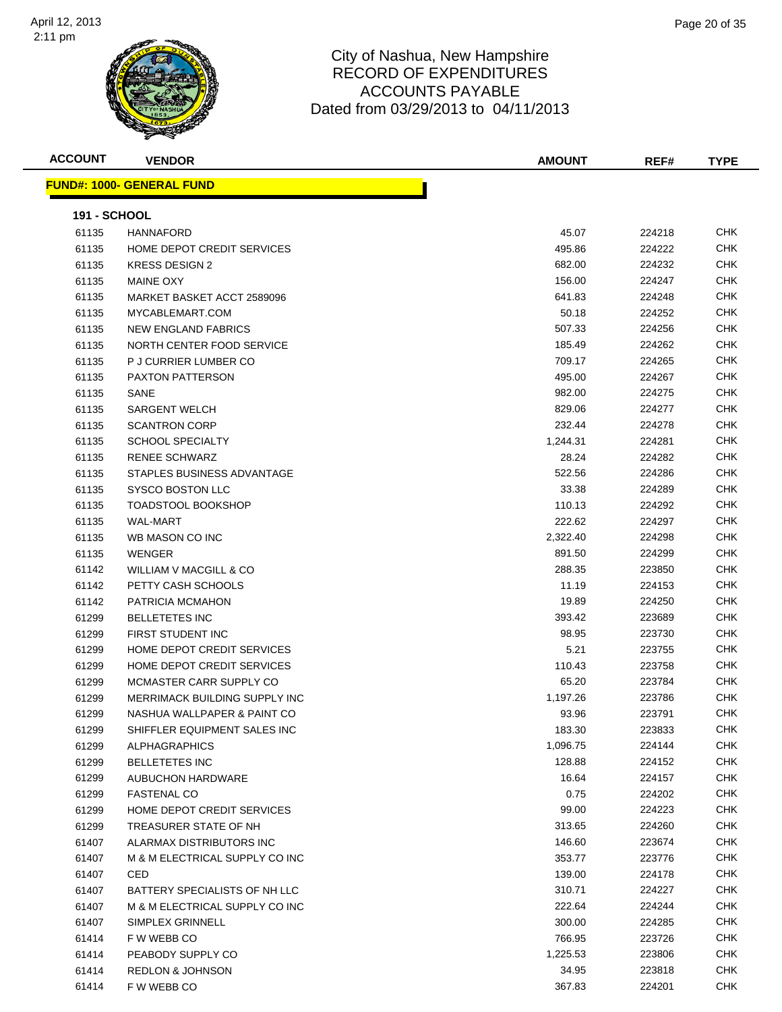

| <b>ACCOUNT</b>      | <b>VENDOR</b>                     | <b>AMOUNT</b> | REF#   | <b>TYPE</b> |
|---------------------|-----------------------------------|---------------|--------|-------------|
|                     | <u> FUND#: 1000- GENERAL FUND</u> |               |        |             |
| <b>191 - SCHOOL</b> |                                   |               |        |             |
| 61135               | <b>HANNAFORD</b>                  | 45.07         | 224218 | <b>CHK</b>  |
| 61135               | HOME DEPOT CREDIT SERVICES        | 495.86        | 224222 | <b>CHK</b>  |
| 61135               | <b>KRESS DESIGN 2</b>             | 682.00        | 224232 | <b>CHK</b>  |
| 61135               | <b>MAINE OXY</b>                  | 156.00        | 224247 | <b>CHK</b>  |
| 61135               | MARKET BASKET ACCT 2589096        | 641.83        | 224248 | CHK         |
| 61135               | MYCABLEMART.COM                   | 50.18         | 224252 | <b>CHK</b>  |
| 61135               | <b>NEW ENGLAND FABRICS</b>        | 507.33        | 224256 | <b>CHK</b>  |
| 61135               | NORTH CENTER FOOD SERVICE         | 185.49        | 224262 | <b>CHK</b>  |
| 61135               | P J CURRIER LUMBER CO             | 709.17        | 224265 | <b>CHK</b>  |
| 61135               | <b>PAXTON PATTERSON</b>           | 495.00        | 224267 | CHK         |
| 61135               | SANE                              | 982.00        | 224275 | CHK         |
| 61135               | <b>SARGENT WELCH</b>              | 829.06        | 224277 | <b>CHK</b>  |
| 61135               | <b>SCANTRON CORP</b>              | 232.44        | 224278 | <b>CHK</b>  |
| 61135               | <b>SCHOOL SPECIALTY</b>           | 1,244.31      | 224281 | <b>CHK</b>  |
| 61135               | RENEE SCHWARZ                     | 28.24         | 224282 | <b>CHK</b>  |
| 61135               | STAPLES BUSINESS ADVANTAGE        | 522.56        | 224286 | CHK         |
| 61135               | <b>SYSCO BOSTON LLC</b>           | 33.38         | 224289 | <b>CHK</b>  |
| 61135               | <b>TOADSTOOL BOOKSHOP</b>         | 110.13        | 224292 | <b>CHK</b>  |
| 61135               | <b>WAL-MART</b>                   | 222.62        | 224297 | <b>CHK</b>  |
| 61135               | WB MASON CO INC                   | 2,322.40      | 224298 | <b>CHK</b>  |
| 61135               | <b>WENGER</b>                     | 891.50        | 224299 | <b>CHK</b>  |
| 61142               | WILLIAM V MACGILL & CO            | 288.35        | 223850 | <b>CHK</b>  |
| 61142               | PETTY CASH SCHOOLS                | 11.19         | 224153 | <b>CHK</b>  |
| 61142               | PATRICIA MCMAHON                  | 19.89         | 224250 | <b>CHK</b>  |
| 61299               | <b>BELLETETES INC</b>             | 393.42        | 223689 | CHK         |
| 61299               | FIRST STUDENT INC                 | 98.95         | 223730 | <b>CHK</b>  |
| 61299               | HOME DEPOT CREDIT SERVICES        | 5.21          | 223755 | CHK         |
| 61299               | HOME DEPOT CREDIT SERVICES        | 110.43        | 223758 | <b>CHK</b>  |
| 61299               | MCMASTER CARR SUPPLY CO           | 65.20         | 223784 | <b>CHK</b>  |
| 61299               | MERRIMACK BUILDING SUPPLY INC     | 1,197.26      | 223786 | <b>CHK</b>  |
| 61299               | NASHUA WALLPAPER & PAINT CO       | 93.96         | 223791 | <b>CHK</b>  |
| 61299               | SHIFFLER EQUIPMENT SALES INC      | 183.30        | 223833 | <b>CHK</b>  |
| 61299               | <b>ALPHAGRAPHICS</b>              | 1,096.75      | 224144 | <b>CHK</b>  |
| 61299               | <b>BELLETETES INC</b>             | 128.88        | 224152 | <b>CHK</b>  |
| 61299               | AUBUCHON HARDWARE                 | 16.64         | 224157 | <b>CHK</b>  |
| 61299               | <b>FASTENAL CO</b>                | 0.75          | 224202 | <b>CHK</b>  |
| 61299               | HOME DEPOT CREDIT SERVICES        | 99.00         | 224223 | <b>CHK</b>  |
| 61299               | TREASURER STATE OF NH             | 313.65        | 224260 | CHK         |
| 61407               | ALARMAX DISTRIBUTORS INC          | 146.60        | 223674 | <b>CHK</b>  |
| 61407               | M & M ELECTRICAL SUPPLY CO INC    | 353.77        | 223776 | <b>CHK</b>  |
| 61407               | <b>CED</b>                        | 139.00        | 224178 | <b>CHK</b>  |
| 61407               | BATTERY SPECIALISTS OF NH LLC     | 310.71        | 224227 | <b>CHK</b>  |
| 61407               | M & M ELECTRICAL SUPPLY CO INC    | 222.64        | 224244 | <b>CHK</b>  |
| 61407               | SIMPLEX GRINNELL                  | 300.00        | 224285 | <b>CHK</b>  |
| 61414               | F W WEBB CO                       | 766.95        | 223726 | <b>CHK</b>  |
| 61414               | PEABODY SUPPLY CO                 | 1,225.53      | 223806 | CHK         |
| 61414               | <b>REDLON &amp; JOHNSON</b>       | 34.95         | 223818 | <b>CHK</b>  |
| 61414               | F W WEBB CO                       | 367.83        | 224201 | <b>CHK</b>  |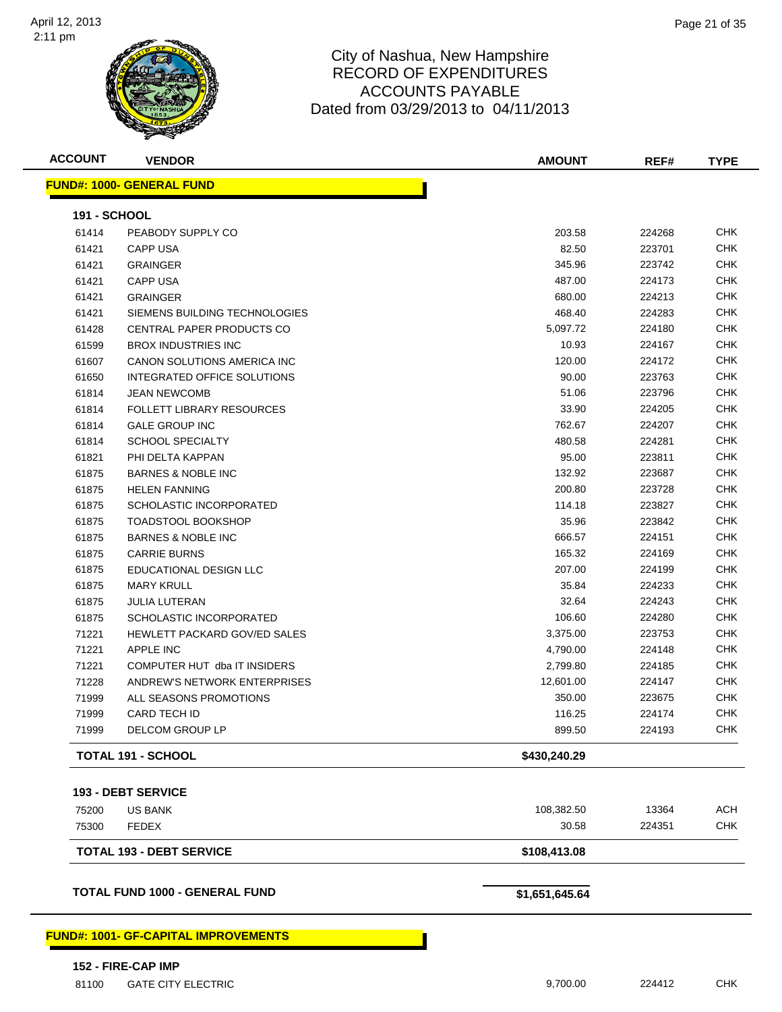

| <b>ACCOUNT</b>      | <b>VENDOR</b>                          | <b>AMOUNT</b>    | REF#             | <b>TYPE</b>              |
|---------------------|----------------------------------------|------------------|------------------|--------------------------|
|                     | <b>FUND#: 1000- GENERAL FUND</b>       |                  |                  |                          |
| <b>191 - SCHOOL</b> |                                        |                  |                  |                          |
| 61414               | PEABODY SUPPLY CO                      | 203.58           | 224268           | <b>CHK</b>               |
| 61421               | <b>CAPP USA</b>                        | 82.50            | 223701           | <b>CHK</b>               |
| 61421               | <b>GRAINGER</b>                        | 345.96           | 223742           | <b>CHK</b>               |
| 61421               | <b>CAPP USA</b>                        | 487.00           | 224173           | <b>CHK</b>               |
| 61421               | <b>GRAINGER</b>                        | 680.00           | 224213           | <b>CHK</b>               |
| 61421               | SIEMENS BUILDING TECHNOLOGIES          | 468.40           | 224283           | <b>CHK</b>               |
| 61428               | CENTRAL PAPER PRODUCTS CO              | 5,097.72         | 224180           | <b>CHK</b>               |
| 61599               | <b>BROX INDUSTRIES INC</b>             | 10.93            | 224167           | <b>CHK</b>               |
| 61607               | CANON SOLUTIONS AMERICA INC            | 120.00           | 224172           | <b>CHK</b>               |
| 61650               | INTEGRATED OFFICE SOLUTIONS            | 90.00            | 223763           | <b>CHK</b>               |
| 61814               | <b>JEAN NEWCOMB</b>                    | 51.06            | 223796           | <b>CHK</b>               |
| 61814               | <b>FOLLETT LIBRARY RESOURCES</b>       | 33.90            | 224205           | <b>CHK</b>               |
| 61814               | <b>GALE GROUP INC</b>                  | 762.67           | 224207           | <b>CHK</b>               |
| 61814               | <b>SCHOOL SPECIALTY</b>                | 480.58           | 224281           | <b>CHK</b>               |
| 61821               | PHI DELTA KAPPAN                       | 95.00            | 223811           | <b>CHK</b>               |
| 61875               | <b>BARNES &amp; NOBLE INC</b>          | 132.92           | 223687           | <b>CHK</b>               |
| 61875               | <b>HELEN FANNING</b>                   | 200.80           | 223728           | <b>CHK</b>               |
| 61875               | <b>SCHOLASTIC INCORPORATED</b>         | 114.18           | 223827           | <b>CHK</b>               |
| 61875               | <b>TOADSTOOL BOOKSHOP</b>              | 35.96            | 223842           | <b>CHK</b>               |
| 61875               | <b>BARNES &amp; NOBLE INC</b>          | 666.57           | 224151           | <b>CHK</b>               |
| 61875               | <b>CARRIE BURNS</b>                    | 165.32           | 224169           | <b>CHK</b>               |
| 61875               | EDUCATIONAL DESIGN LLC                 | 207.00           | 224199           | <b>CHK</b>               |
| 61875               | <b>MARY KRULL</b>                      | 35.84            | 224233           | <b>CHK</b>               |
| 61875               | <b>JULIA LUTERAN</b>                   | 32.64            | 224243           | <b>CHK</b>               |
| 61875               | SCHOLASTIC INCORPORATED                | 106.60           | 224280           | <b>CHK</b>               |
| 71221               | <b>HEWLETT PACKARD GOV/ED SALES</b>    | 3,375.00         | 223753           | <b>CHK</b>               |
| 71221               | <b>APPLE INC</b>                       | 4,790.00         | 224148           | <b>CHK</b>               |
| 71221               | COMPUTER HUT dba IT INSIDERS           | 2,799.80         | 224185           | <b>CHK</b>               |
| 71228               | ANDREW'S NETWORK ENTERPRISES           | 12,601.00        | 224147           | <b>CHK</b>               |
| 71999               | ALL SEASONS PROMOTIONS                 | 350.00           | 223675           | <b>CHK</b>               |
| 71999<br>71999      | <b>CARD TECH ID</b><br>DELCOM GROUP LP | 116.25<br>899.50 | 224174<br>224193 | <b>CHK</b><br><b>CHK</b> |
|                     |                                        |                  |                  |                          |
|                     | <b>TOTAL 191 - SCHOOL</b>              | \$430,240.29     |                  |                          |
|                     | 193 - DEBT SERVICE                     |                  |                  |                          |
| 75200               | <b>US BANK</b>                         | 108,382.50       | 13364            | <b>ACH</b>               |
| 75300               | <b>FEDEX</b>                           | 30.58            | 224351           | <b>CHK</b>               |
|                     | <b>TOTAL 193 - DEBT SERVICE</b>        | \$108,413.08     |                  |                          |
|                     |                                        |                  |                  |                          |
|                     | <b>TOTAL FUND 1000 - GENERAL FUND</b>  | \$1,651,645.64   |                  |                          |

**FUND#: 1001- GF-CAPITAL IMPROVEMENTS**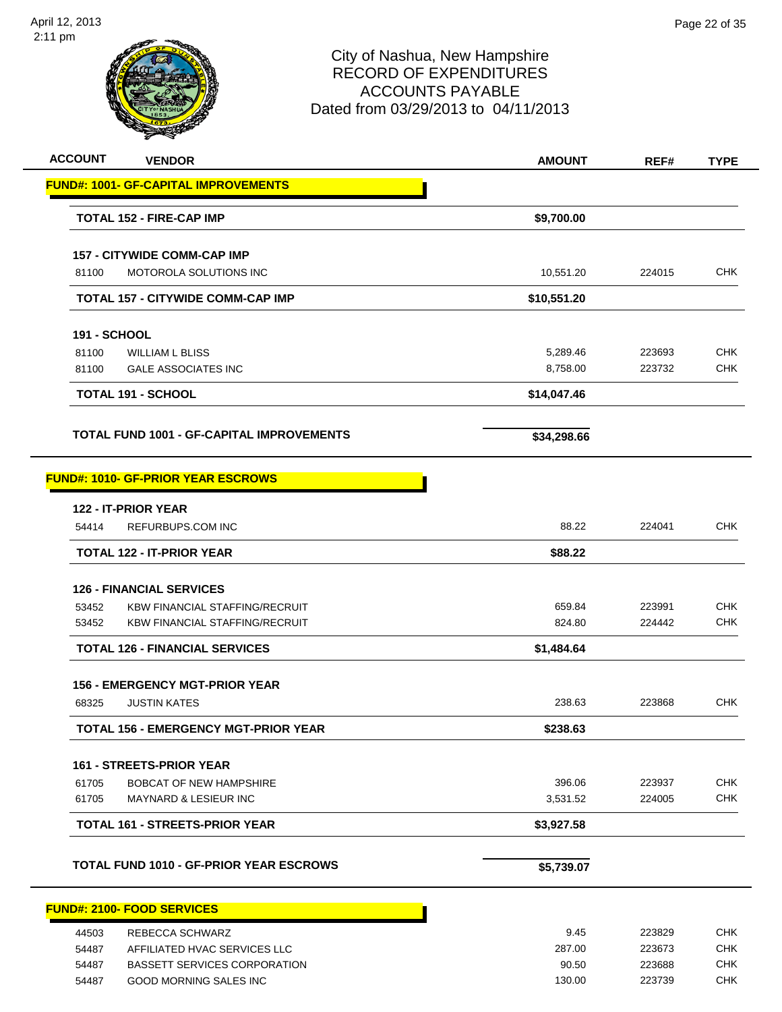

| <b>ACCOUNT</b> | <b>VENDOR</b>                                                        | <b>AMOUNT</b>   | REF#             | <b>TYPE</b>              |
|----------------|----------------------------------------------------------------------|-----------------|------------------|--------------------------|
|                | <b>FUND#: 1001- GF-CAPITAL IMPROVEMENTS</b>                          |                 |                  |                          |
|                | <b>TOTAL 152 - FIRE-CAP IMP</b>                                      | \$9,700.00      |                  |                          |
|                | <b>157 - CITYWIDE COMM-CAP IMP</b>                                   |                 |                  |                          |
| 81100          | MOTOROLA SOLUTIONS INC                                               | 10,551.20       | 224015           | <b>CHK</b>               |
|                | <b>TOTAL 157 - CITYWIDE COMM-CAP IMP</b>                             | \$10,551.20     |                  |                          |
| 191 - SCHOOL   |                                                                      |                 |                  |                          |
| 81100          | <b>WILLIAM L BLISS</b>                                               | 5,289.46        | 223693           | <b>CHK</b>               |
| 81100          | <b>GALE ASSOCIATES INC</b>                                           | 8,758.00        | 223732           | <b>CHK</b>               |
|                | TOTAL 191 - SCHOOL                                                   | \$14,047.46     |                  |                          |
|                | <b>TOTAL FUND 1001 - GF-CAPITAL IMPROVEMENTS</b>                     | \$34,298.66     |                  |                          |
|                | <b>FUND#: 1010- GF-PRIOR YEAR ESCROWS</b>                            |                 |                  |                          |
|                | 122 - IT-PRIOR YEAR                                                  |                 |                  |                          |
| 54414          | REFURBUPS.COM INC                                                    | 88.22           | 224041           | <b>CHK</b>               |
|                | <b>TOTAL 122 - IT-PRIOR YEAR</b>                                     | \$88.22         |                  |                          |
|                | <b>126 - FINANCIAL SERVICES</b>                                      |                 |                  |                          |
| 53452          | <b>KBW FINANCIAL STAFFING/RECRUIT</b>                                | 659.84          | 223991           | <b>CHK</b>               |
| 53452          | <b>KBW FINANCIAL STAFFING/RECRUIT</b>                                | 824.80          | 224442           | <b>CHK</b>               |
|                | <b>TOTAL 126 - FINANCIAL SERVICES</b>                                | \$1,484.64      |                  |                          |
|                | <b>156 - EMERGENCY MGT-PRIOR YEAR</b>                                |                 |                  |                          |
| 68325          | <b>JUSTIN KATES</b>                                                  | 238.63          | 223868           | <b>CHK</b>               |
|                | <b>TOTAL 156 - EMERGENCY MGT-PRIOR YEAR</b>                          | \$238.63        |                  |                          |
|                | <b>161 - STREETS-PRIOR YEAR</b>                                      |                 |                  |                          |
| 61705          | <b>BOBCAT OF NEW HAMPSHIRE</b>                                       | 396.06          | 223937           | <b>CHK</b>               |
| 61705          | <b>MAYNARD &amp; LESIEUR INC</b>                                     | 3,531.52        | 224005           | <b>CHK</b>               |
|                | <b>TOTAL 161 - STREETS-PRIOR YEAR</b>                                | \$3,927.58      |                  |                          |
|                | <b>TOTAL FUND 1010 - GF-PRIOR YEAR ESCROWS</b>                       | \$5,739.07      |                  |                          |
|                |                                                                      |                 |                  |                          |
|                | <b>FUND#: 2100- FOOD SERVICES</b>                                    |                 |                  |                          |
| 44503          | REBECCA SCHWARZ                                                      | 9.45            | 223829           | <b>CHK</b>               |
| 54487          | AFFILIATED HVAC SERVICES LLC                                         | 287.00          | 223673           | <b>CHK</b><br><b>CHK</b> |
| 54487<br>54487 | <b>BASSETT SERVICES CORPORATION</b><br><b>GOOD MORNING SALES INC</b> | 90.50<br>130.00 | 223688<br>223739 | <b>CHK</b>               |
|                |                                                                      |                 |                  |                          |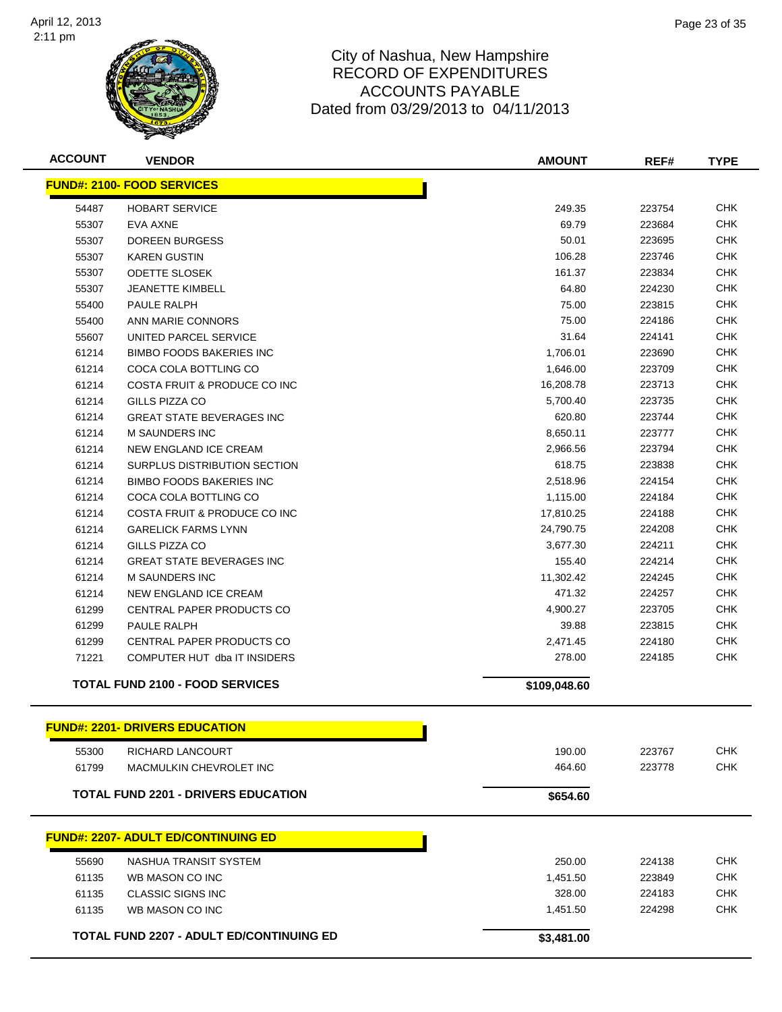

| <b>ACCOUNT</b> | <b>VENDOR</b>                              | <b>AMOUNT</b> | REF#   | <b>TYPE</b> |
|----------------|--------------------------------------------|---------------|--------|-------------|
|                | <b>FUND#: 2100- FOOD SERVICES</b>          |               |        |             |
| 54487          | <b>HOBART SERVICE</b>                      | 249.35        | 223754 | <b>CHK</b>  |
| 55307          | EVA AXNE                                   | 69.79         | 223684 | <b>CHK</b>  |
| 55307          | <b>DOREEN BURGESS</b>                      | 50.01         | 223695 | <b>CHK</b>  |
| 55307          | <b>KAREN GUSTIN</b>                        | 106.28        | 223746 | <b>CHK</b>  |
| 55307          | <b>ODETTE SLOSEK</b>                       | 161.37        | 223834 | <b>CHK</b>  |
| 55307          | <b>JEANETTE KIMBELL</b>                    | 64.80         | 224230 | <b>CHK</b>  |
| 55400          | PAULE RALPH                                | 75.00         | 223815 | <b>CHK</b>  |
| 55400          | ANN MARIE CONNORS                          | 75.00         | 224186 | <b>CHK</b>  |
| 55607          | UNITED PARCEL SERVICE                      | 31.64         | 224141 | <b>CHK</b>  |
| 61214          | <b>BIMBO FOODS BAKERIES INC</b>            | 1,706.01      | 223690 | <b>CHK</b>  |
| 61214          | COCA COLA BOTTLING CO                      | 1,646.00      | 223709 | <b>CHK</b>  |
| 61214          | COSTA FRUIT & PRODUCE CO INC               | 16,208.78     | 223713 | <b>CHK</b>  |
| 61214          | GILLS PIZZA CO                             | 5,700.40      | 223735 | <b>CHK</b>  |
| 61214          | <b>GREAT STATE BEVERAGES INC</b>           | 620.80        | 223744 | <b>CHK</b>  |
| 61214          | <b>M SAUNDERS INC</b>                      | 8,650.11      | 223777 | <b>CHK</b>  |
| 61214          | NEW ENGLAND ICE CREAM                      | 2,966.56      | 223794 | <b>CHK</b>  |
| 61214          | SURPLUS DISTRIBUTION SECTION               | 618.75        | 223838 | <b>CHK</b>  |
| 61214          | <b>BIMBO FOODS BAKERIES INC</b>            | 2,518.96      | 224154 | <b>CHK</b>  |
| 61214          | COCA COLA BOTTLING CO                      | 1,115.00      | 224184 | <b>CHK</b>  |
| 61214          | COSTA FRUIT & PRODUCE CO INC               | 17,810.25     | 224188 | <b>CHK</b>  |
| 61214          | <b>GARELICK FARMS LYNN</b>                 | 24,790.75     | 224208 | <b>CHK</b>  |
| 61214          | GILLS PIZZA CO                             | 3,677.30      | 224211 | <b>CHK</b>  |
| 61214          | <b>GREAT STATE BEVERAGES INC</b>           | 155.40        | 224214 | <b>CHK</b>  |
| 61214          | <b>M SAUNDERS INC</b>                      | 11,302.42     | 224245 | <b>CHK</b>  |
| 61214          | <b>NEW ENGLAND ICE CREAM</b>               | 471.32        | 224257 | <b>CHK</b>  |
| 61299          | CENTRAL PAPER PRODUCTS CO                  | 4,900.27      | 223705 | <b>CHK</b>  |
| 61299          | PAULE RALPH                                | 39.88         | 223815 | <b>CHK</b>  |
| 61299          | CENTRAL PAPER PRODUCTS CO                  | 2,471.45      | 224180 | <b>CHK</b>  |
| 71221          | COMPUTER HUT dba IT INSIDERS               | 278.00        | 224185 | <b>CHK</b>  |
|                | <b>TOTAL FUND 2100 - FOOD SERVICES</b>     | \$109,048.60  |        |             |
|                |                                            |               |        |             |
|                | <b>FUND#: 2201- DRIVERS EDUCATION</b>      |               |        |             |
| 55300          | RICHARD LANCOURT                           | 190.00        | 223767 | CHK         |
| 61799          | MACMULKIN CHEVROLET INC                    | 464.60        | 223778 | <b>CHK</b>  |
|                | <b>TOTAL FUND 2201 - DRIVERS EDUCATION</b> | \$654.60      |        |             |
|                | <b>FUND#: 2207- ADULT ED/CONTINUING ED</b> |               |        |             |
|                |                                            |               |        |             |
| 55690          | NASHUA TRANSIT SYSTEM                      | 250.00        | 224138 | <b>CHK</b>  |
| 61135          | WB MASON CO INC                            | 1,451.50      | 223849 | <b>CHK</b>  |
| 61135          | <b>CLASSIC SIGNS INC</b>                   | 328.00        | 224183 | <b>CHK</b>  |
| 61135          | WB MASON CO INC                            | 1,451.50      | 224298 | <b>CHK</b>  |
|                | TOTAL FUND 2207 - ADULT ED/CONTINUING ED   | \$3,481.00    |        |             |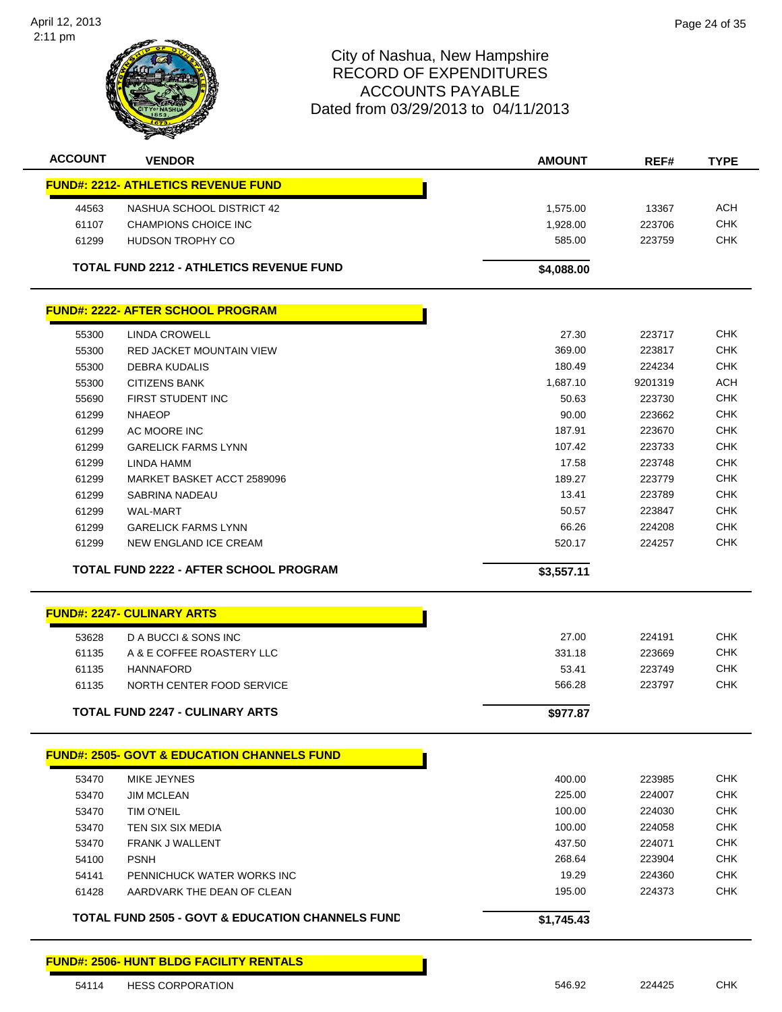

| <b>ACCOUNT</b> | <b>VENDOR</b>                                               | <b>AMOUNT</b> | REF#    | <b>TYPE</b> |
|----------------|-------------------------------------------------------------|---------------|---------|-------------|
|                | <b>FUND#: 2212- ATHLETICS REVENUE FUND</b>                  |               |         |             |
| 44563          | NASHUA SCHOOL DISTRICT 42                                   | 1,575.00      | 13367   | <b>ACH</b>  |
| 61107          | <b>CHAMPIONS CHOICE INC</b>                                 | 1,928.00      | 223706  | <b>CHK</b>  |
| 61299          | <b>HUDSON TROPHY CO</b>                                     | 585.00        | 223759  | <b>CHK</b>  |
|                | <b>TOTAL FUND 2212 - ATHLETICS REVENUE FUND</b>             | \$4,088.00    |         |             |
|                | <b>FUND#: 2222- AFTER SCHOOL PROGRAM</b>                    |               |         |             |
| 55300          | <b>LINDA CROWELL</b>                                        | 27.30         | 223717  | <b>CHK</b>  |
| 55300          | <b>RED JACKET MOUNTAIN VIEW</b>                             | 369.00        | 223817  | <b>CHK</b>  |
| 55300          | <b>DEBRA KUDALIS</b>                                        | 180.49        | 224234  | <b>CHK</b>  |
| 55300          | <b>CITIZENS BANK</b>                                        | 1,687.10      | 9201319 | ACH         |
| 55690          | FIRST STUDENT INC                                           | 50.63         | 223730  | <b>CHK</b>  |
| 61299          | <b>NHAEOP</b>                                               | 90.00         | 223662  | <b>CHK</b>  |
| 61299          | AC MOORE INC                                                | 187.91        | 223670  | <b>CHK</b>  |
| 61299          | <b>GARELICK FARMS LYNN</b>                                  | 107.42        | 223733  | <b>CHK</b>  |
| 61299          | LINDA HAMM                                                  | 17.58         | 223748  | <b>CHK</b>  |
| 61299          | MARKET BASKET ACCT 2589096                                  | 189.27        | 223779  | <b>CHK</b>  |
| 61299          | SABRINA NADEAU                                              | 13.41         | 223789  | <b>CHK</b>  |
| 61299          | <b>WAL-MART</b>                                             | 50.57         | 223847  | <b>CHK</b>  |
| 61299          | <b>GARELICK FARMS LYNN</b>                                  | 66.26         | 224208  | <b>CHK</b>  |
| 61299          | NEW ENGLAND ICE CREAM                                       | 520.17        | 224257  | <b>CHK</b>  |
|                | TOTAL FUND 2222 - AFTER SCHOOL PROGRAM                      | \$3,557.11    |         |             |
|                | <b>FUND#: 2247- CULINARY ARTS</b>                           |               |         |             |
| 53628          | D A BUCCI & SONS INC                                        | 27.00         | 224191  | <b>CHK</b>  |
| 61135          | A & E COFFEE ROASTERY LLC                                   | 331.18        | 223669  | <b>CHK</b>  |
| 61135          | <b>HANNAFORD</b>                                            | 53.41         | 223749  | <b>CHK</b>  |
| 61135          | NORTH CENTER FOOD SERVICE                                   | 566.28        | 223797  | <b>CHK</b>  |
|                | <b>TOTAL FUND 2247 - CULINARY ARTS</b>                      | \$977.87      |         |             |
|                | <b>FUND#: 2505- GOVT &amp; EDUCATION CHANNELS FUND</b>      |               |         |             |
|                |                                                             |               |         |             |
| 53470          | MIKE JEYNES                                                 | 400.00        | 223985  | <b>CHK</b>  |
| 53470          | <b>JIM MCLEAN</b>                                           | 225.00        | 224007  | <b>CHK</b>  |
| 53470          | <b>TIM O'NEIL</b>                                           | 100.00        | 224030  | <b>CHK</b>  |
| 53470          | TEN SIX SIX MEDIA                                           | 100.00        | 224058  | <b>CHK</b>  |
| 53470          | FRANK J WALLENT                                             | 437.50        | 224071  | <b>CHK</b>  |
| 54100          | <b>PSNH</b>                                                 | 268.64        | 223904  | <b>CHK</b>  |
| 54141          | PENNICHUCK WATER WORKS INC                                  | 19.29         | 224360  | <b>CHK</b>  |
| 61428          | AARDVARK THE DEAN OF CLEAN                                  | 195.00        | 224373  | CHK         |
|                | <b>TOTAL FUND 2505 - GOVT &amp; EDUCATION CHANNELS FUND</b> | \$1,745.43    |         |             |
|                |                                                             |               |         |             |
|                | <b>FUND#: 2506- HUNT BLDG FACILITY RENTALS</b>              |               |         |             |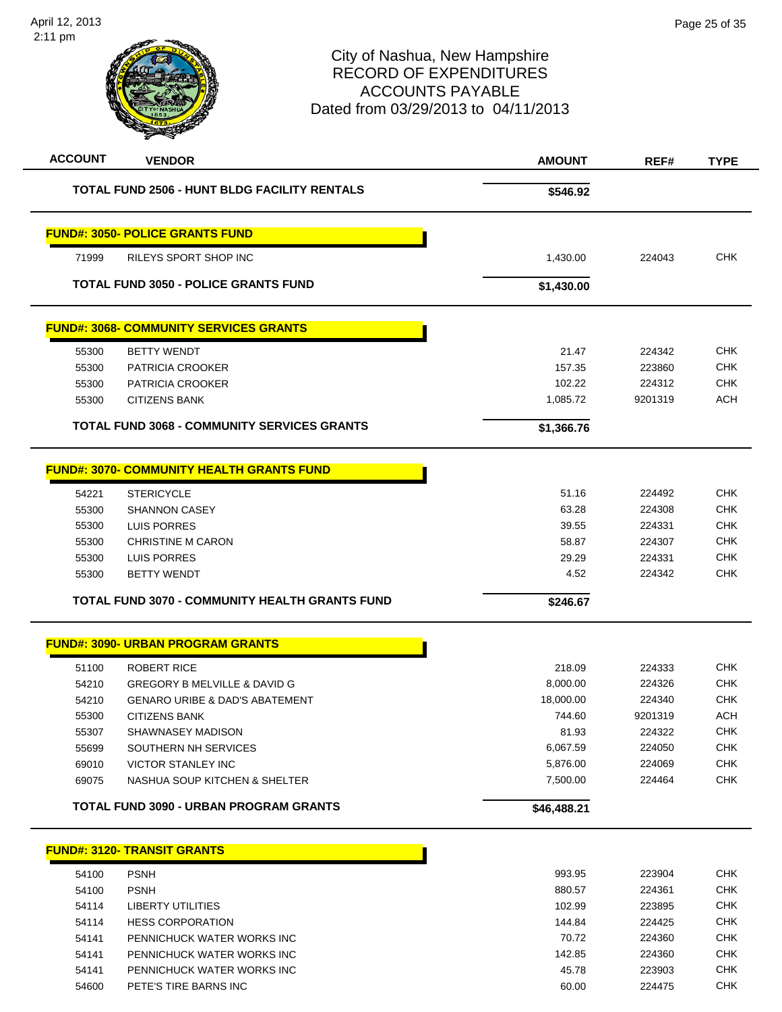

| <b>ACCOUNT</b> | <b>VENDOR</b>                                         | <b>AMOUNT</b> | REF#    | <b>TYPE</b> |
|----------------|-------------------------------------------------------|---------------|---------|-------------|
|                | <b>TOTAL FUND 2506 - HUNT BLDG FACILITY RENTALS</b>   | \$546.92      |         |             |
|                | <b>FUND#: 3050- POLICE GRANTS FUND</b>                |               |         |             |
| 71999          | RILEYS SPORT SHOP INC                                 | 1,430.00      | 224043  | <b>CHK</b>  |
|                | <b>TOTAL FUND 3050 - POLICE GRANTS FUND</b>           | \$1,430.00    |         |             |
|                | <b>FUND#: 3068- COMMUNITY SERVICES GRANTS</b>         |               |         |             |
| 55300          | <b>BETTY WENDT</b>                                    | 21.47         | 224342  | <b>CHK</b>  |
| 55300          | PATRICIA CROOKER                                      | 157.35        | 223860  | <b>CHK</b>  |
| 55300          | PATRICIA CROOKER                                      | 102.22        | 224312  | CHK         |
| 55300          | <b>CITIZENS BANK</b>                                  | 1,085.72      | 9201319 | <b>ACH</b>  |
|                | <b>TOTAL FUND 3068 - COMMUNITY SERVICES GRANTS</b>    | \$1,366.76    |         |             |
|                | <b>FUND#: 3070- COMMUNITY HEALTH GRANTS FUND</b>      |               |         |             |
| 54221          | <b>STERICYCLE</b>                                     | 51.16         | 224492  | CHK         |
| 55300          | <b>SHANNON CASEY</b>                                  | 63.28         | 224308  | <b>CHK</b>  |
| 55300          | LUIS PORRES                                           | 39.55         | 224331  | <b>CHK</b>  |
| 55300          | <b>CHRISTINE M CARON</b>                              | 58.87         | 224307  | <b>CHK</b>  |
| 55300          | LUIS PORRES                                           | 29.29         | 224331  | <b>CHK</b>  |
| 55300          | <b>BETTY WENDT</b>                                    | 4.52          | 224342  | <b>CHK</b>  |
|                | <b>TOTAL FUND 3070 - COMMUNITY HEALTH GRANTS FUND</b> | \$246.67      |         |             |
|                | <b>FUND#: 3090- URBAN PROGRAM GRANTS</b>              |               |         |             |
| 51100          | <b>ROBERT RICE</b>                                    | 218.09        | 224333  | <b>CHK</b>  |
| 54210          | GREGORY B MELVILLE & DAVID G                          | 8,000.00      | 224326  | <b>CHK</b>  |
| 54210          | <b>GENARO URIBE &amp; DAD'S ABATEMENT</b>             | 18,000.00     | 224340  | <b>CHK</b>  |
| 55300          | <b>CITIZENS BANK</b>                                  | 744.60        | 9201319 | <b>ACH</b>  |
| 55307          | SHAWNASEY MADISON                                     | 81.93         | 224322  | снк         |
| 55699          | SOUTHERN NH SERVICES                                  | 6,067.59      | 224050  | <b>CHK</b>  |
| 69010          | <b>VICTOR STANLEY INC</b>                             | 5,876.00      | 224069  | <b>CHK</b>  |
| 69075          | NASHUA SOUP KITCHEN & SHELTER                         | 7,500.00      | 224464  | <b>CHK</b>  |
|                | <b>TOTAL FUND 3090 - URBAN PROGRAM GRANTS</b>         | \$46,488.21   |         |             |
|                | <b>FUND#: 3120- TRANSIT GRANTS</b>                    |               |         |             |
| 54100          | <b>PSNH</b>                                           | 993.95        | 223904  | CHK         |
| 54100          | <b>PSNH</b>                                           | 880.57        | 224361  | <b>CHK</b>  |
| 54114          | <b>LIBERTY UTILITIES</b>                              | 102.99        | 223895  | <b>CHK</b>  |
| 54114          | <b>HESS CORPORATION</b>                               | 144.84        | 224425  | <b>CHK</b>  |
| 54141          | PENNICHUCK WATER WORKS INC                            | 70.72         | 224360  | <b>CHK</b>  |
| 54141          | PENNICHUCK WATER WORKS INC                            | 142.85        | 224360  | <b>CHK</b>  |
| 54141          | PENNICHUCK WATER WORKS INC                            | 45.78         | 223903  | <b>CHK</b>  |
| 54600          | PETE'S TIRE BARNS INC                                 | 60.00         | 224475  | <b>CHK</b>  |
|                |                                                       |               |         |             |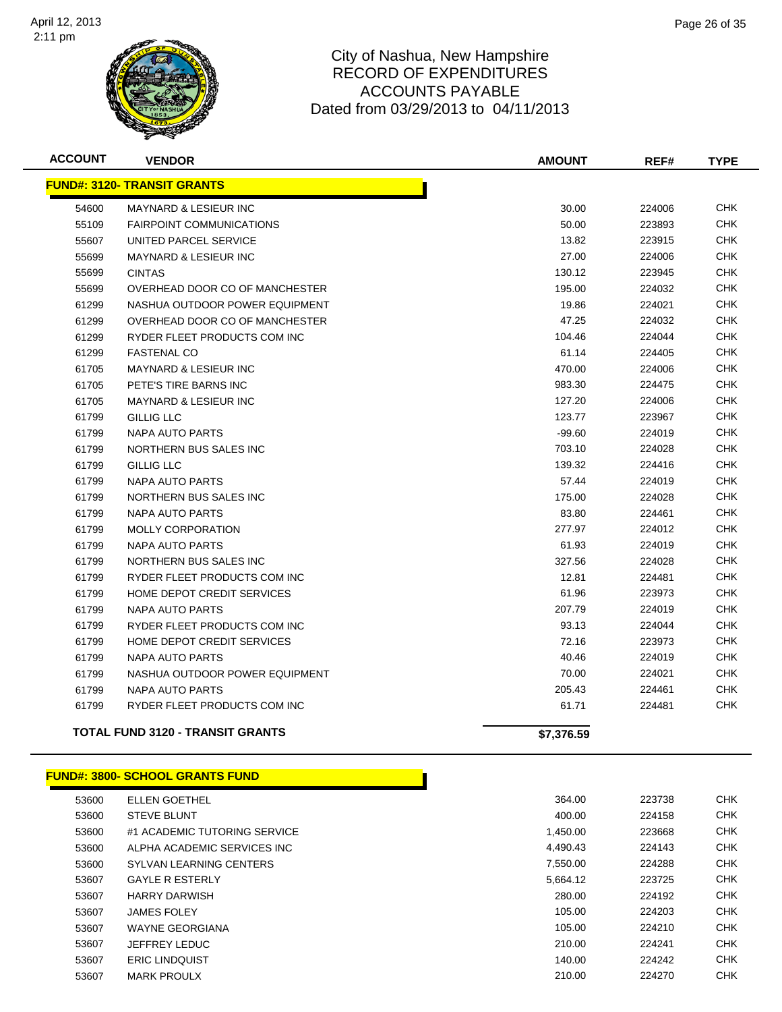

| <b>ACCOUNT</b> | <b>VENDOR</b>                           | <b>AMOUNT</b> | REF#   | <b>TYPE</b> |
|----------------|-----------------------------------------|---------------|--------|-------------|
|                | <b>FUND#: 3120- TRANSIT GRANTS</b>      |               |        |             |
| 54600          | <b>MAYNARD &amp; LESIEUR INC</b>        | 30.00         | 224006 | <b>CHK</b>  |
| 55109          | <b>FAIRPOINT COMMUNICATIONS</b>         | 50.00         | 223893 | <b>CHK</b>  |
| 55607          | UNITED PARCEL SERVICE                   | 13.82         | 223915 | <b>CHK</b>  |
| 55699          | <b>MAYNARD &amp; LESIEUR INC</b>        | 27.00         | 224006 | <b>CHK</b>  |
| 55699          | <b>CINTAS</b>                           | 130.12        | 223945 | <b>CHK</b>  |
| 55699          | OVERHEAD DOOR CO OF MANCHESTER          | 195.00        | 224032 | <b>CHK</b>  |
| 61299          | NASHUA OUTDOOR POWER EQUIPMENT          | 19.86         | 224021 | <b>CHK</b>  |
| 61299          | OVERHEAD DOOR CO OF MANCHESTER          | 47.25         | 224032 | CHK         |
| 61299          | RYDER FLEET PRODUCTS COM INC            | 104.46        | 224044 | <b>CHK</b>  |
| 61299          | <b>FASTENAL CO</b>                      | 61.14         | 224405 | <b>CHK</b>  |
| 61705          | <b>MAYNARD &amp; LESIEUR INC</b>        | 470.00        | 224006 | CHK         |
| 61705          | PETE'S TIRE BARNS INC                   | 983.30        | 224475 | <b>CHK</b>  |
| 61705          | <b>MAYNARD &amp; LESIEUR INC</b>        | 127.20        | 224006 | CHK         |
| 61799          | GILLIG LLC                              | 123.77        | 223967 | CHK         |
| 61799          | NAPA AUTO PARTS                         | $-99.60$      | 224019 | CHK         |
| 61799          | NORTHERN BUS SALES INC                  | 703.10        | 224028 | CHK         |
| 61799          | <b>GILLIG LLC</b>                       | 139.32        | 224416 | CHK         |
| 61799          | NAPA AUTO PARTS                         | 57.44         | 224019 | CHK         |
| 61799          | NORTHERN BUS SALES INC                  | 175.00        | 224028 | CHK         |
| 61799          | NAPA AUTO PARTS                         | 83.80         | 224461 | CHK         |
| 61799          | <b>MOLLY CORPORATION</b>                | 277.97        | 224012 | CHK         |
| 61799          | NAPA AUTO PARTS                         | 61.93         | 224019 | CHK         |
| 61799          | NORTHERN BUS SALES INC                  | 327.56        | 224028 | <b>CHK</b>  |
| 61799          | RYDER FLEET PRODUCTS COM INC            | 12.81         | 224481 | <b>CHK</b>  |
| 61799          | <b>HOME DEPOT CREDIT SERVICES</b>       | 61.96         | 223973 | <b>CHK</b>  |
| 61799          | NAPA AUTO PARTS                         | 207.79        | 224019 | <b>CHK</b>  |
| 61799          | RYDER FLEET PRODUCTS COM INC            | 93.13         | 224044 | <b>CHK</b>  |
| 61799          | HOME DEPOT CREDIT SERVICES              | 72.16         | 223973 | <b>CHK</b>  |
| 61799          | <b>NAPA AUTO PARTS</b>                  | 40.46         | 224019 | CHK         |
| 61799          | NASHUA OUTDOOR POWER EQUIPMENT          | 70.00         | 224021 | <b>CHK</b>  |
| 61799          | <b>NAPA AUTO PARTS</b>                  | 205.43        | 224461 | <b>CHK</b>  |
| 61799          | RYDER FLEET PRODUCTS COM INC            | 61.71         | 224481 | <b>CHK</b>  |
|                | <b>TOTAL FUND 3120 - TRANSIT GRANTS</b> | \$7.376.59    |        |             |

|       | <b>FUND#: 3800- SCHOOL GRANTS FUND</b> |          |        |            |
|-------|----------------------------------------|----------|--------|------------|
| 53600 | <b>ELLEN GOETHEL</b>                   | 364.00   | 223738 | <b>CHK</b> |
| 53600 | <b>STEVE BLUNT</b>                     | 400.00   | 224158 | <b>CHK</b> |
| 53600 | #1 ACADEMIC TUTORING SERVICE           | 1,450.00 | 223668 | <b>CHK</b> |
| 53600 | ALPHA ACADEMIC SERVICES INC            | 4.490.43 | 224143 | <b>CHK</b> |
| 53600 | SYLVAN LEARNING CENTERS                | 7.550.00 | 224288 | <b>CHK</b> |
| 53607 | <b>GAYLE R ESTERLY</b>                 | 5.664.12 | 223725 | <b>CHK</b> |
| 53607 | <b>HARRY DARWISH</b>                   | 280.00   | 224192 | <b>CHK</b> |
| 53607 | <b>JAMES FOLEY</b>                     | 105.00   | 224203 | <b>CHK</b> |
| 53607 | <b>WAYNE GEORGIANA</b>                 | 105.00   | 224210 | <b>CHK</b> |
| 53607 | JEFFREY LEDUC                          | 210.00   | 224241 | <b>CHK</b> |
| 53607 | <b>ERIC LINDQUIST</b>                  | 140.00   | 224242 | <b>CHK</b> |
| 53607 | <b>MARK PROULX</b>                     | 210.00   | 224270 | <b>CHK</b> |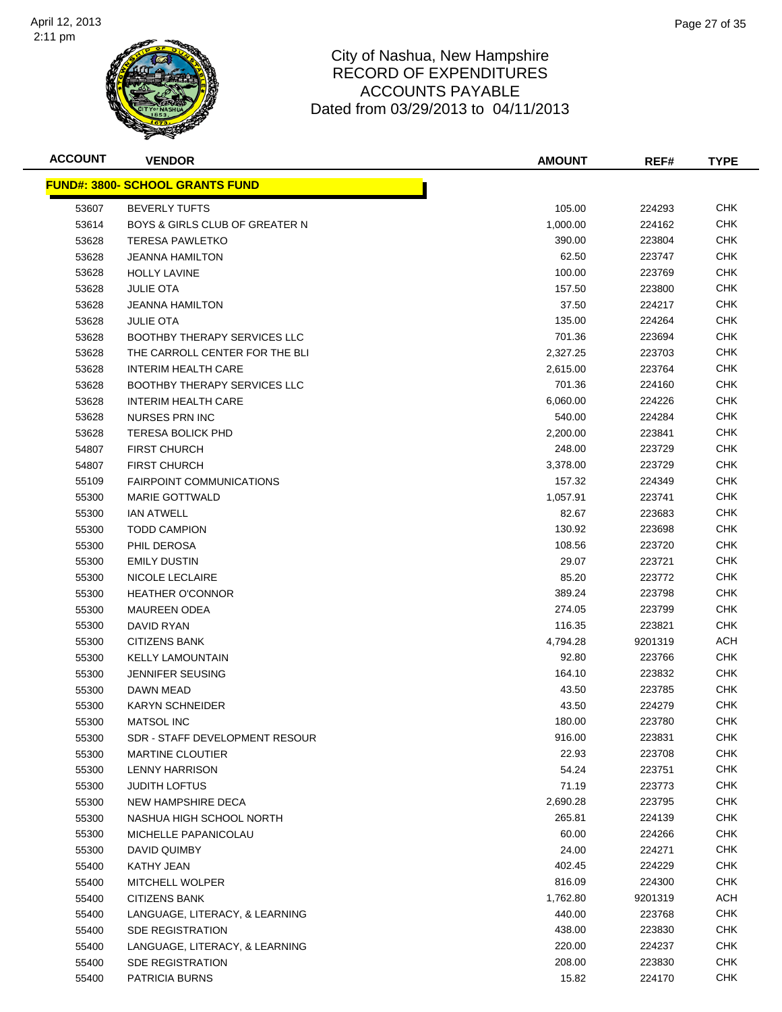

| <b>ACCOUNT</b> | <b>VENDOR</b>                             | <b>AMOUNT</b> | REF#    | <b>TYPE</b> |
|----------------|-------------------------------------------|---------------|---------|-------------|
|                | <u> FUND#: 3800- SCHOOL GRANTS FUND</u>   |               |         |             |
| 53607          | <b>BEVERLY TUFTS</b>                      | 105.00        | 224293  | <b>CHK</b>  |
| 53614          | <b>BOYS &amp; GIRLS CLUB OF GREATER N</b> | 1,000.00      | 224162  | <b>CHK</b>  |
| 53628          | <b>TERESA PAWLETKO</b>                    | 390.00        | 223804  | CHK         |
| 53628          | <b>JEANNA HAMILTON</b>                    | 62.50         | 223747  | <b>CHK</b>  |
| 53628          | <b>HOLLY LAVINE</b>                       | 100.00        | 223769  | CHK         |
| 53628          | <b>JULIE OTA</b>                          | 157.50        | 223800  | CHK         |
| 53628          | <b>JEANNA HAMILTON</b>                    | 37.50         | 224217  | <b>CHK</b>  |
| 53628          | <b>JULIE OTA</b>                          | 135.00        | 224264  | СНК         |
| 53628          | <b>BOOTHBY THERAPY SERVICES LLC</b>       | 701.36        | 223694  | <b>CHK</b>  |
| 53628          | THE CARROLL CENTER FOR THE BLI            | 2,327.25      | 223703  | <b>CHK</b>  |
| 53628          | <b>INTERIM HEALTH CARE</b>                | 2,615.00      | 223764  | <b>CHK</b>  |
| 53628          | <b>BOOTHBY THERAPY SERVICES LLC</b>       | 701.36        | 224160  | <b>CHK</b>  |
| 53628          | <b>INTERIM HEALTH CARE</b>                | 6,060.00      | 224226  | <b>CHK</b>  |
| 53628          | NURSES PRN INC                            | 540.00        | 224284  | CHK         |
| 53628          | <b>TERESA BOLICK PHD</b>                  | 2,200.00      | 223841  | CHK         |
| 54807          | <b>FIRST CHURCH</b>                       | 248.00        | 223729  | CHK         |
| 54807          | <b>FIRST CHURCH</b>                       | 3,378.00      | 223729  | <b>CHK</b>  |
| 55109          | <b>FAIRPOINT COMMUNICATIONS</b>           | 157.32        | 224349  | <b>CHK</b>  |
| 55300          | <b>MARIE GOTTWALD</b>                     | 1,057.91      | 223741  | CHK         |
| 55300          | <b>IAN ATWELL</b>                         | 82.67         | 223683  | <b>CHK</b>  |
| 55300          | <b>TODD CAMPION</b>                       | 130.92        | 223698  | <b>CHK</b>  |
| 55300          | PHIL DEROSA                               | 108.56        | 223720  | <b>CHK</b>  |
| 55300          | <b>EMILY DUSTIN</b>                       | 29.07         | 223721  | <b>CHK</b>  |
| 55300          | NICOLE LECLAIRE                           | 85.20         | 223772  | <b>CHK</b>  |
| 55300          | <b>HEATHER O'CONNOR</b>                   | 389.24        | 223798  | <b>CHK</b>  |
| 55300          | <b>MAUREEN ODEA</b>                       | 274.05        | 223799  | CHK         |
| 55300          | DAVID RYAN                                | 116.35        | 223821  | CHK         |
| 55300          | <b>CITIZENS BANK</b>                      | 4,794.28      | 9201319 | <b>ACH</b>  |
| 55300          | <b>KELLY LAMOUNTAIN</b>                   | 92.80         | 223766  | <b>CHK</b>  |
| 55300          | <b>JENNIFER SEUSING</b>                   | 164.10        | 223832  | <b>CHK</b>  |
| 55300          | DAWN MEAD                                 | 43.50         | 223785  | <b>CHK</b>  |
| 55300          | <b>KARYN SCHNEIDER</b>                    | 43.50         | 224279  | <b>CHK</b>  |
| 55300          | <b>MATSOL INC</b>                         | 180.00        | 223780  | CHK         |
| 55300          | SDR - STAFF DEVELOPMENT RESOUR            | 916.00        | 223831  | <b>CHK</b>  |
| 55300          | MARTINE CLOUTIER                          | 22.93         | 223708  | <b>CHK</b>  |
| 55300          | <b>LENNY HARRISON</b>                     | 54.24         | 223751  | <b>CHK</b>  |
| 55300          | <b>JUDITH LOFTUS</b>                      | 71.19         | 223773  | <b>CHK</b>  |
| 55300          | <b>NEW HAMPSHIRE DECA</b>                 | 2,690.28      | 223795  | CHK         |
| 55300          | NASHUA HIGH SCHOOL NORTH                  | 265.81        | 224139  | <b>CHK</b>  |
| 55300          | MICHELLE PAPANICOLAU                      | 60.00         | 224266  | <b>CHK</b>  |
| 55300          | DAVID QUIMBY                              | 24.00         | 224271  | CHK         |
| 55400          | KATHY JEAN                                | 402.45        | 224229  | <b>CHK</b>  |
| 55400          | <b>MITCHELL WOLPER</b>                    | 816.09        | 224300  | CHK         |
| 55400          | CITIZENS BANK                             | 1,762.80      | 9201319 | ACH         |
| 55400          | LANGUAGE, LITERACY, & LEARNING            | 440.00        | 223768  | <b>CHK</b>  |
| 55400          | <b>SDE REGISTRATION</b>                   | 438.00        | 223830  | <b>CHK</b>  |
| 55400          | LANGUAGE, LITERACY, & LEARNING            | 220.00        | 224237  | <b>CHK</b>  |
| 55400          | <b>SDE REGISTRATION</b>                   | 208.00        | 223830  | <b>CHK</b>  |
| 55400          | PATRICIA BURNS                            | 15.82         | 224170  | <b>CHK</b>  |
|                |                                           |               |         |             |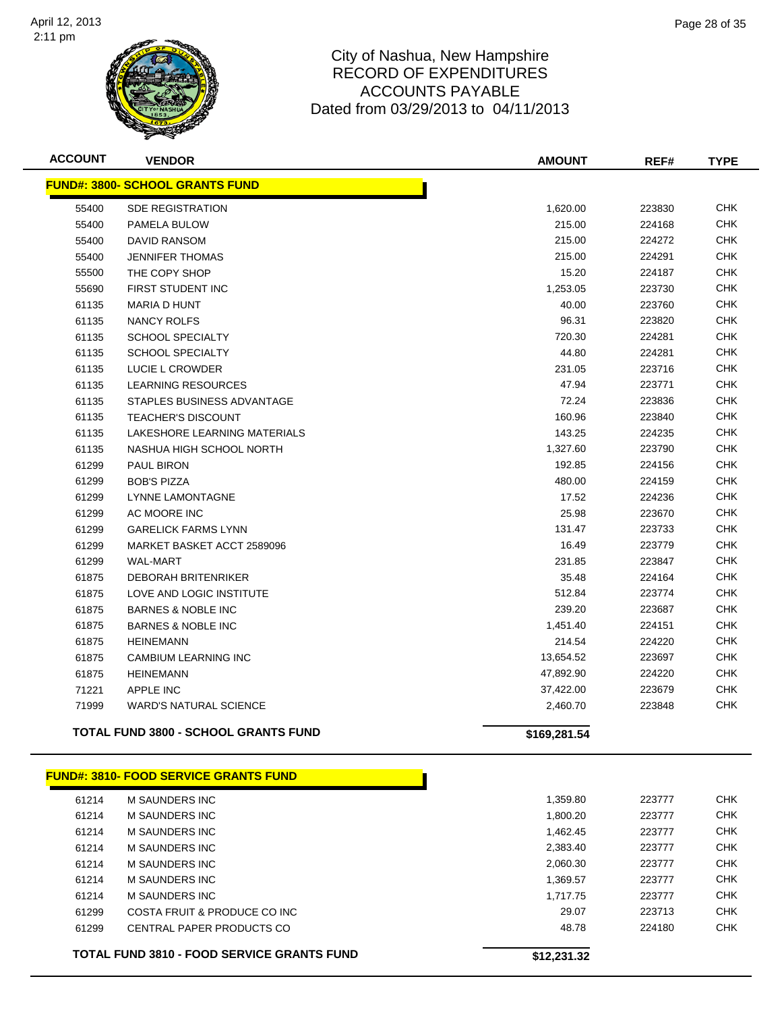

| <b>ACCOUNT</b> | <b>VENDOR</b>                                | <b>AMOUNT</b> | REF#   | <b>TYPE</b> |
|----------------|----------------------------------------------|---------------|--------|-------------|
|                | <b>FUND#: 3800- SCHOOL GRANTS FUND</b>       |               |        |             |
| 55400          | <b>SDE REGISTRATION</b>                      | 1,620.00      | 223830 | <b>CHK</b>  |
| 55400          | PAMELA BULOW                                 | 215.00        | 224168 | <b>CHK</b>  |
| 55400          | <b>DAVID RANSOM</b>                          | 215.00        | 224272 | <b>CHK</b>  |
| 55400          | <b>JENNIFER THOMAS</b>                       | 215.00        | 224291 | <b>CHK</b>  |
| 55500          | THE COPY SHOP                                | 15.20         | 224187 | <b>CHK</b>  |
| 55690          | FIRST STUDENT INC                            | 1,253.05      | 223730 | <b>CHK</b>  |
| 61135          | <b>MARIA D HUNT</b>                          | 40.00         | 223760 | <b>CHK</b>  |
| 61135          | <b>NANCY ROLFS</b>                           | 96.31         | 223820 | CHK         |
| 61135          | <b>SCHOOL SPECIALTY</b>                      | 720.30        | 224281 | <b>CHK</b>  |
| 61135          | <b>SCHOOL SPECIALTY</b>                      | 44.80         | 224281 | <b>CHK</b>  |
| 61135          | LUCIE L CROWDER                              | 231.05        | 223716 | <b>CHK</b>  |
| 61135          | <b>LEARNING RESOURCES</b>                    | 47.94         | 223771 | <b>CHK</b>  |
| 61135          | STAPLES BUSINESS ADVANTAGE                   | 72.24         | 223836 | <b>CHK</b>  |
| 61135          | <b>TEACHER'S DISCOUNT</b>                    | 160.96        | 223840 | <b>CHK</b>  |
| 61135          | LAKESHORE LEARNING MATERIALS                 | 143.25        | 224235 | <b>CHK</b>  |
| 61135          | NASHUA HIGH SCHOOL NORTH                     | 1,327.60      | 223790 | <b>CHK</b>  |
| 61299          | PAUL BIRON                                   | 192.85        | 224156 | <b>CHK</b>  |
| 61299          | <b>BOB'S PIZZA</b>                           | 480.00        | 224159 | <b>CHK</b>  |
| 61299          | LYNNE LAMONTAGNE                             | 17.52         | 224236 | <b>CHK</b>  |
| 61299          | AC MOORE INC                                 | 25.98         | 223670 | <b>CHK</b>  |
| 61299          | <b>GARELICK FARMS LYNN</b>                   | 131.47        | 223733 | CHK         |
| 61299          | MARKET BASKET ACCT 2589096                   | 16.49         | 223779 | <b>CHK</b>  |
| 61299          | <b>WAL-MART</b>                              | 231.85        | 223847 | CHK         |
| 61875          | <b>DEBORAH BRITENRIKER</b>                   | 35.48         | 224164 | <b>CHK</b>  |
| 61875          | LOVE AND LOGIC INSTITUTE                     | 512.84        | 223774 | <b>CHK</b>  |
| 61875          | <b>BARNES &amp; NOBLE INC</b>                | 239.20        | 223687 | <b>CHK</b>  |
| 61875          | <b>BARNES &amp; NOBLE INC</b>                | 1,451.40      | 224151 | <b>CHK</b>  |
| 61875          | <b>HEINEMANN</b>                             | 214.54        | 224220 | <b>CHK</b>  |
| 61875          | CAMBIUM LEARNING INC                         | 13,654.52     | 223697 | <b>CHK</b>  |
| 61875          | <b>HEINEMANN</b>                             | 47,892.90     | 224220 | CHK         |
| 71221          | <b>APPLE INC</b>                             | 37,422.00     | 223679 | <b>CHK</b>  |
| 71999          | <b>WARD'S NATURAL SCIENCE</b>                | 2,460.70      | 223848 | <b>CHK</b>  |
|                | TOTAL FUND 3800 - SCHOOL GRANTS FUND         | \$169,281.54  |        |             |
|                | <b>FUND#: 3810- FOOD SERVICE GRANTS FUND</b> |               |        |             |

|       | UND#: 3810- FOOD SERVICE GRANTS FUND.             |             |        |            |
|-------|---------------------------------------------------|-------------|--------|------------|
| 61214 | M SAUNDERS INC                                    | 1.359.80    | 223777 | <b>CHK</b> |
| 61214 | M SAUNDERS INC                                    | 1.800.20    | 223777 | <b>CHK</b> |
| 61214 | M SAUNDERS INC                                    | 1.462.45    | 223777 | <b>CHK</b> |
| 61214 | M SAUNDERS INC                                    | 2.383.40    | 223777 | <b>CHK</b> |
| 61214 | M SAUNDERS INC                                    | 2.060.30    | 223777 | <b>CHK</b> |
| 61214 | M SAUNDERS INC                                    | 1.369.57    | 223777 | <b>CHK</b> |
| 61214 | M SAUNDERS INC                                    | 1.717.75    | 223777 | <b>CHK</b> |
| 61299 | COSTA FRUIT & PRODUCE CO INC.                     | 29.07       | 223713 | <b>CHK</b> |
| 61299 | CENTRAL PAPER PRODUCTS CO                         | 48.78       | 224180 | <b>CHK</b> |
|       | <b>TOTAL FUND 3810 - FOOD SERVICE GRANTS FUND</b> | \$12,231.32 |        |            |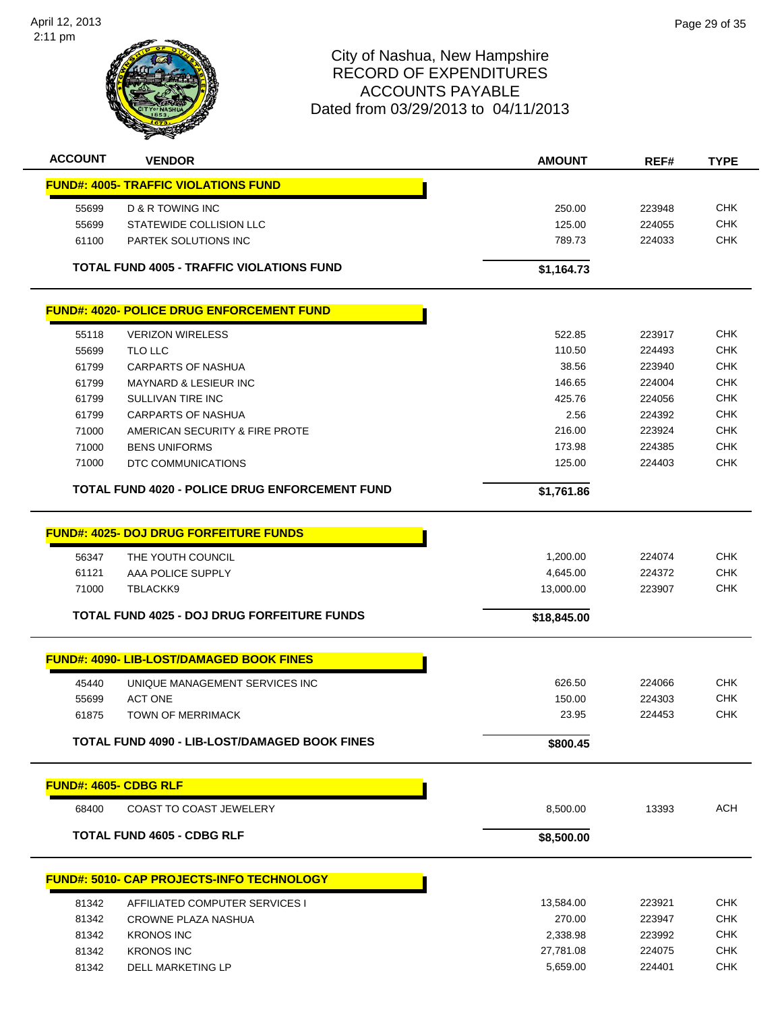

| <b>ACCOUNT</b>               | <b>VENDOR</b>                                         | <b>AMOUNT</b>        | REF#             | <b>TYPE</b> |
|------------------------------|-------------------------------------------------------|----------------------|------------------|-------------|
|                              | <b>FUND#: 4005- TRAFFIC VIOLATIONS FUND</b>           |                      |                  |             |
| 55699                        | D & R TOWING INC                                      | 250.00               | 223948           | <b>CHK</b>  |
| 55699                        | STATEWIDE COLLISION LLC                               | 125.00               | 224055           | <b>CHK</b>  |
| 61100                        | <b>PARTEK SOLUTIONS INC</b>                           | 789.73               | 224033           | <b>CHK</b>  |
|                              | <b>TOTAL FUND 4005 - TRAFFIC VIOLATIONS FUND</b>      | \$1,164.73           |                  |             |
|                              |                                                       |                      |                  |             |
|                              | <b>FUND#: 4020- POLICE DRUG ENFORCEMENT FUND</b>      |                      |                  |             |
| 55118                        | <b>VERIZON WIRELESS</b>                               | 522.85               | 223917           | <b>CHK</b>  |
| 55699                        | TLO LLC                                               | 110.50               | 224493           | <b>CHK</b>  |
| 61799                        | <b>CARPARTS OF NASHUA</b>                             | 38.56                | 223940           | <b>CHK</b>  |
| 61799                        | <b>MAYNARD &amp; LESIEUR INC</b>                      | 146.65               | 224004           | <b>CHK</b>  |
| 61799                        | SULLIVAN TIRE INC                                     | 425.76               | 224056           | <b>CHK</b>  |
| 61799                        | <b>CARPARTS OF NASHUA</b>                             | 2.56                 | 224392           | <b>CHK</b>  |
| 71000                        | AMERICAN SECURITY & FIRE PROTE                        | 216.00               | 223924           | <b>CHK</b>  |
| 71000                        | <b>BENS UNIFORMS</b>                                  | 173.98               | 224385           | <b>CHK</b>  |
| 71000                        | DTC COMMUNICATIONS                                    | 125.00               | 224403           | <b>CHK</b>  |
|                              | <b>TOTAL FUND 4020 - POLICE DRUG ENFORCEMENT FUND</b> | \$1,761.86           |                  |             |
|                              | <b>FUND#: 4025- DOJ DRUG FORFEITURE FUNDS</b>         |                      |                  |             |
|                              |                                                       |                      |                  | <b>CHK</b>  |
| 56347                        | THE YOUTH COUNCIL                                     | 1,200.00<br>4,645.00 | 224074<br>224372 | <b>CHK</b>  |
| 61121<br>71000               | AAA POLICE SUPPLY<br>TBLACKK9                         | 13,000.00            | 223907           | <b>CHK</b>  |
|                              |                                                       |                      |                  |             |
|                              | <b>TOTAL FUND 4025 - DOJ DRUG FORFEITURE FUNDS</b>    | \$18,845.00          |                  |             |
|                              | <b>FUND#: 4090- LIB-LOST/DAMAGED BOOK FINES</b>       |                      |                  |             |
| 45440                        | UNIQUE MANAGEMENT SERVICES INC                        | 626.50               | 224066           | <b>CHK</b>  |
| 55699                        | <b>ACT ONE</b>                                        | 150.00               | 224303           | <b>CHK</b>  |
| 61875                        | <b>TOWN OF MERRIMACK</b>                              | 23.95                | 224453           | <b>CHK</b>  |
|                              | TOTAL FUND 4090 - LIB-LOST/DAMAGED BOOK FINES         | \$800.45             |                  |             |
| <b>FUND#: 4605- CDBG RLF</b> |                                                       |                      |                  |             |
| 68400                        | <b>COAST TO COAST JEWELERY</b>                        | 8,500.00             | 13393            | <b>ACH</b>  |
|                              | <b>TOTAL FUND 4605 - CDBG RLF</b>                     | \$8,500.00           |                  |             |
|                              | <b>FUND#: 5010- CAP PROJECTS-INFO TECHNOLOGY</b>      |                      |                  |             |
| 81342                        | AFFILIATED COMPUTER SERVICES I                        | 13,584.00            | 223921           | <b>CHK</b>  |
| 81342                        | CROWNE PLAZA NASHUA                                   | 270.00               | 223947           | <b>CHK</b>  |
| 81342                        | <b>KRONOS INC</b>                                     | 2,338.98             | 223992           | <b>CHK</b>  |
| 81342                        | <b>KRONOS INC</b>                                     | 27,781.08            | 224075           | <b>CHK</b>  |
|                              |                                                       | 5,659.00             | 224401           | <b>CHK</b>  |
| 81342                        | DELL MARKETING LP                                     |                      |                  |             |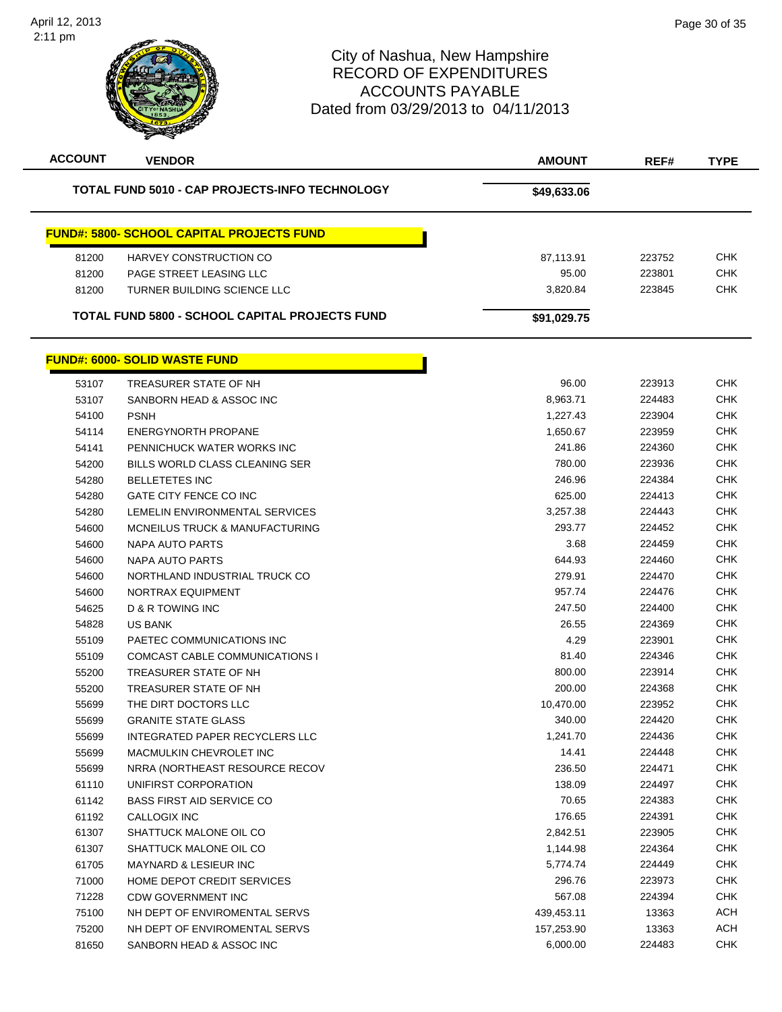

| <b>ACCOUNT</b> | <b>VENDOR</b>                                         | <b>AMOUNT</b> | REF#   | <b>TYPE</b> |
|----------------|-------------------------------------------------------|---------------|--------|-------------|
|                | TOTAL FUND 5010 - CAP PROJECTS-INFO TECHNOLOGY        | \$49,633.06   |        |             |
|                | <b>FUND#: 5800- SCHOOL CAPITAL PROJECTS FUND</b>      |               |        |             |
| 81200          | HARVEY CONSTRUCTION CO                                | 87,113.91     | 223752 | <b>CHK</b>  |
| 81200          | PAGE STREET LEASING LLC                               | 95.00         | 223801 | <b>CHK</b>  |
| 81200          | TURNER BUILDING SCIENCE LLC                           | 3,820.84      | 223845 | <b>CHK</b>  |
|                | <b>TOTAL FUND 5800 - SCHOOL CAPITAL PROJECTS FUND</b> | \$91,029.75   |        |             |
|                | <b>FUND#: 6000- SOLID WASTE FUND</b>                  |               |        |             |
| 53107          | TREASURER STATE OF NH                                 | 96.00         | 223913 | <b>CHK</b>  |
| 53107          | SANBORN HEAD & ASSOC INC                              | 8,963.71      | 224483 | <b>CHK</b>  |
| 54100          | <b>PSNH</b>                                           | 1,227.43      | 223904 | <b>CHK</b>  |
| 54114          | ENERGYNORTH PROPANE                                   | 1,650.67      | 223959 | <b>CHK</b>  |
| 54141          | PENNICHUCK WATER WORKS INC                            | 241.86        | 224360 | <b>CHK</b>  |
| 54200          | BILLS WORLD CLASS CLEANING SER                        | 780.00        | 223936 | <b>CHK</b>  |
| 54280          | <b>BELLETETES INC</b>                                 | 246.96        | 224384 | <b>CHK</b>  |
| 54280          | GATE CITY FENCE CO INC                                | 625.00        | 224413 | <b>CHK</b>  |
| 54280          | LEMELIN ENVIRONMENTAL SERVICES                        | 3,257.38      | 224443 | <b>CHK</b>  |
| 54600          | MCNEILUS TRUCK & MANUFACTURING                        | 293.77        | 224452 | <b>CHK</b>  |
| 54600          | NAPA AUTO PARTS                                       | 3.68          | 224459 | <b>CHK</b>  |
| 54600          | NAPA AUTO PARTS                                       | 644.93        | 224460 | <b>CHK</b>  |
| 54600          | NORTHLAND INDUSTRIAL TRUCK CO                         | 279.91        | 224470 | <b>CHK</b>  |
| 54600          | NORTRAX EQUIPMENT                                     | 957.74        | 224476 | <b>CHK</b>  |
| 54625          | D & R TOWING INC                                      | 247.50        | 224400 | <b>CHK</b>  |
| 54828          | US BANK                                               | 26.55         | 224369 | <b>CHK</b>  |
| 55109          | PAETEC COMMUNICATIONS INC                             | 4.29          | 223901 | <b>CHK</b>  |
| 55109          | COMCAST CABLE COMMUNICATIONS I                        | 81.40         | 224346 | <b>CHK</b>  |
| 55200          | TREASURER STATE OF NH                                 | 800.00        | 223914 | <b>CHK</b>  |
| 55200          | TREASURER STATE OF NH                                 | 200.00        | 224368 | <b>CHK</b>  |
| 55699          | THE DIRT DOCTORS LLC                                  | 10,470.00     | 223952 | <b>CHK</b>  |
| 55699          | <b>GRANITE STATE GLASS</b>                            | 340.00        | 224420 | <b>CHK</b>  |
| 55699          | INTEGRATED PAPER RECYCLERS LLC                        | 1,241.70      | 224436 | <b>CHK</b>  |
| 55699          | <b>MACMULKIN CHEVROLET INC</b>                        | 14.41         | 224448 | <b>CHK</b>  |
| 55699          | NRRA (NORTHEAST RESOURCE RECOV                        | 236.50        | 224471 | <b>CHK</b>  |
| 61110          | UNIFIRST CORPORATION                                  | 138.09        | 224497 | <b>CHK</b>  |
| 61142          | <b>BASS FIRST AID SERVICE CO</b>                      | 70.65         | 224383 | <b>CHK</b>  |
| 61192          | CALLOGIX INC                                          | 176.65        | 224391 | <b>CHK</b>  |
| 61307          | SHATTUCK MALONE OIL CO                                | 2,842.51      | 223905 | <b>CHK</b>  |
| 61307          | SHATTUCK MALONE OIL CO                                | 1,144.98      | 224364 | <b>CHK</b>  |
| 61705          | <b>MAYNARD &amp; LESIEUR INC</b>                      | 5,774.74      | 224449 | <b>CHK</b>  |
| 71000          | HOME DEPOT CREDIT SERVICES                            | 296.76        | 223973 | <b>CHK</b>  |
| 71228          | <b>CDW GOVERNMENT INC</b>                             | 567.08        | 224394 | CHK         |
| 75100          | NH DEPT OF ENVIROMENTAL SERVS                         | 439,453.11    | 13363  | <b>ACH</b>  |
| 75200          | NH DEPT OF ENVIROMENTAL SERVS                         | 157,253.90    | 13363  | <b>ACH</b>  |
| 81650          | SANBORN HEAD & ASSOC INC                              | 6,000.00      | 224483 | <b>CHK</b>  |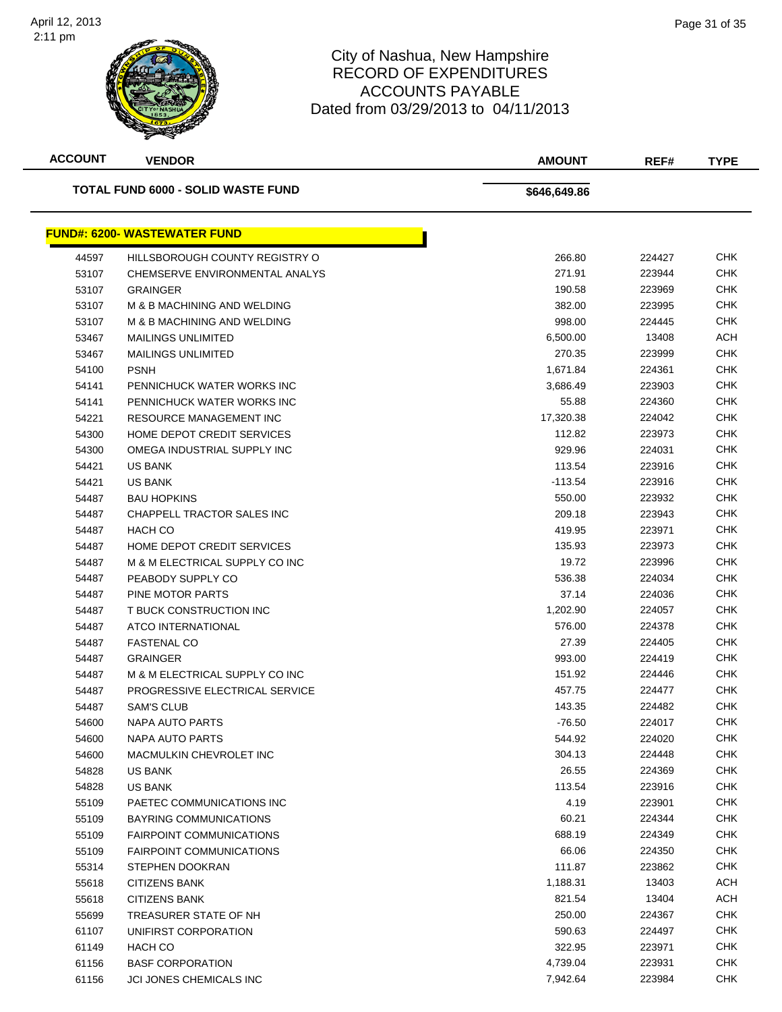

| <b>ACCOUNT</b>                            | <b>VENDOR</b>                       | <b>AMOUNT</b> | REF#   | <b>TYPE</b> |
|-------------------------------------------|-------------------------------------|---------------|--------|-------------|
| <b>TOTAL FUND 6000 - SOLID WASTE FUND</b> |                                     | \$646,649.86  |        |             |
|                                           | <b>FUND#: 6200- WASTEWATER FUND</b> |               |        |             |
| 44597                                     | HILLSBOROUGH COUNTY REGISTRY O      | 266.80        | 224427 | <b>CHK</b>  |
| 53107                                     | CHEMSERVE ENVIRONMENTAL ANALYS      | 271.91        | 223944 | <b>CHK</b>  |
| 53107                                     | <b>GRAINGER</b>                     | 190.58        | 223969 | <b>CHK</b>  |
| 53107                                     | M & B MACHINING AND WELDING         | 382.00        | 223995 | <b>CHK</b>  |
| 53107                                     | M & B MACHINING AND WELDING         | 998.00        | 224445 | <b>CHK</b>  |
| 53467                                     | <b>MAILINGS UNLIMITED</b>           | 6,500.00      | 13408  | ACH         |
| 53467                                     | <b>MAILINGS UNLIMITED</b>           | 270.35        | 223999 | <b>CHK</b>  |
| 54100                                     | <b>PSNH</b>                         | 1,671.84      | 224361 | <b>CHK</b>  |
| 54141                                     | PENNICHUCK WATER WORKS INC          | 3,686.49      | 223903 | <b>CHK</b>  |
| 54141                                     | PENNICHUCK WATER WORKS INC          | 55.88         | 224360 | <b>CHK</b>  |
| 54221                                     | RESOURCE MANAGEMENT INC             | 17,320.38     | 224042 | <b>CHK</b>  |
| 54300                                     | HOME DEPOT CREDIT SERVICES          | 112.82        | 223973 | <b>CHK</b>  |
| 54300                                     | OMEGA INDUSTRIAL SUPPLY INC         | 929.96        | 224031 | <b>CHK</b>  |
| 54421                                     | <b>US BANK</b>                      | 113.54        | 223916 | <b>CHK</b>  |
| 54421                                     | <b>US BANK</b>                      | $-113.54$     | 223916 | <b>CHK</b>  |
| 54487                                     | <b>BAU HOPKINS</b>                  | 550.00        | 223932 | <b>CHK</b>  |
| 54487                                     | CHAPPELL TRACTOR SALES INC          | 209.18        | 223943 | <b>CHK</b>  |
| 54487                                     | <b>HACH CO</b>                      | 419.95        | 223971 | <b>CHK</b>  |
| 54487                                     | <b>HOME DEPOT CREDIT SERVICES</b>   | 135.93        | 223973 | <b>CHK</b>  |
| 54487                                     | M & M ELECTRICAL SUPPLY CO INC      | 19.72         | 223996 | <b>CHK</b>  |
| 54487                                     | PEABODY SUPPLY CO                   | 536.38        | 224034 | <b>CHK</b>  |
| 54487                                     | PINE MOTOR PARTS                    | 37.14         | 224036 | <b>CHK</b>  |
| 54487                                     | T BUCK CONSTRUCTION INC             | 1,202.90      | 224057 | <b>CHK</b>  |
| 54487                                     | <b>ATCO INTERNATIONAL</b>           | 576.00        | 224378 | <b>CHK</b>  |
| 54487                                     | <b>FASTENAL CO</b>                  | 27.39         | 224405 | <b>CHK</b>  |
| 54487                                     | <b>GRAINGER</b>                     | 993.00        | 224419 | <b>CHK</b>  |
| 54487                                     | M & M ELECTRICAL SUPPLY CO INC      | 151.92        | 224446 | <b>CHK</b>  |
| 54487                                     | PROGRESSIVE ELECTRICAL SERVICE      | 457.75        | 224477 | <b>CHK</b>  |
| 54487                                     | <b>SAM'S CLUB</b>                   | 143.35        | 224482 | CHK         |
| 54600                                     | NAPA AUTO PARTS                     | $-76.50$      | 224017 | CHK         |
| 54600                                     | NAPA AUTO PARTS                     | 544.92        | 224020 | <b>CHK</b>  |
| 54600                                     | <b>MACMULKIN CHEVROLET INC</b>      | 304.13        | 224448 | <b>CHK</b>  |
| 54828                                     | US BANK                             | 26.55         | 224369 | <b>CHK</b>  |
| 54828                                     | US BANK                             | 113.54        | 223916 | <b>CHK</b>  |
| 55109                                     | PAETEC COMMUNICATIONS INC           | 4.19          | 223901 | <b>CHK</b>  |
| 55109                                     | <b>BAYRING COMMUNICATIONS</b>       | 60.21         | 224344 | <b>CHK</b>  |
| 55109                                     | <b>FAIRPOINT COMMUNICATIONS</b>     | 688.19        | 224349 | <b>CHK</b>  |
| 55109                                     | <b>FAIRPOINT COMMUNICATIONS</b>     | 66.06         | 224350 | CHK         |
| 55314                                     | STEPHEN DOOKRAN                     | 111.87        | 223862 | CHK         |
| 55618                                     | <b>CITIZENS BANK</b>                | 1,188.31      | 13403  | ACH         |
| 55618                                     | <b>CITIZENS BANK</b>                | 821.54        | 13404  | <b>ACH</b>  |
| 55699                                     | TREASURER STATE OF NH               | 250.00        | 224367 | <b>CHK</b>  |
| 61107                                     | UNIFIRST CORPORATION                | 590.63        | 224497 | <b>CHK</b>  |
| 61149                                     | HACH CO                             | 322.95        | 223971 | <b>CHK</b>  |
| 61156                                     | <b>BASF CORPORATION</b>             | 4,739.04      | 223931 | <b>CHK</b>  |
| 61156                                     | JCI JONES CHEMICALS INC             | 7,942.64      | 223984 | <b>CHK</b>  |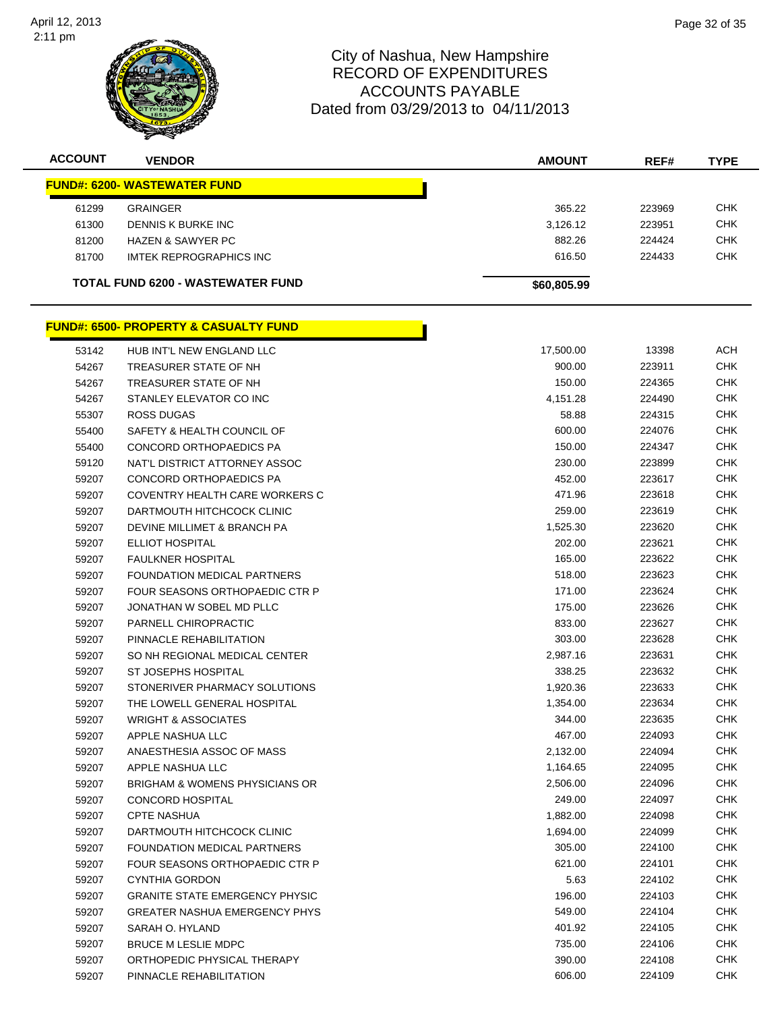

| <b>ACCOUNT</b> | <b>VENDOR</b>                                    | <b>AMOUNT</b> | REF#   | <b>TYPE</b> |
|----------------|--------------------------------------------------|---------------|--------|-------------|
|                | <b>FUND#: 6200- WASTEWATER FUND</b>              |               |        |             |
| 61299          | <b>GRAINGER</b>                                  | 365.22        | 223969 | <b>CHK</b>  |
| 61300          | DENNIS K BURKE INC                               | 3,126.12      | 223951 | <b>CHK</b>  |
| 81200          | <b>HAZEN &amp; SAWYER PC</b>                     | 882.26        | 224424 | <b>CHK</b>  |
| 81700          | <b>IMTEK REPROGRAPHICS INC</b>                   | 616.50        | 224433 | <b>CHK</b>  |
|                | TOTAL FUND 6200 - WASTEWATER FUND                | \$60,805.99   |        |             |
|                | <b>FUND#: 6500- PROPERTY &amp; CASUALTY FUND</b> |               |        |             |
| 53142          | HUB INT'L NEW ENGLAND LLC                        | 17,500.00     | 13398  | ACH         |
| 54267          | TREASURER STATE OF NH                            | 900.00        | 223911 | <b>CHK</b>  |
| 54267          | TREASURER STATE OF NH                            | 150.00        | 224365 | <b>CHK</b>  |
| 54267          | STANLEY ELEVATOR CO INC                          | 4,151.28      | 224490 | <b>CHK</b>  |
| 55307          | <b>ROSS DUGAS</b>                                | 58.88         | 224315 | <b>CHK</b>  |
| 55400          | SAFETY & HEALTH COUNCIL OF                       | 600.00        | 224076 | <b>CHK</b>  |
| 55400          | <b>CONCORD ORTHOPAEDICS PA</b>                   | 150.00        | 224347 | <b>CHK</b>  |
| 59120          | NAT'L DISTRICT ATTORNEY ASSOC                    | 230.00        | 223899 | <b>CHK</b>  |
| 59207          | CONCORD ORTHOPAEDICS PA                          | 452.00        | 223617 | <b>CHK</b>  |
| 59207          | COVENTRY HEALTH CARE WORKERS C                   | 471.96        | 223618 | <b>CHK</b>  |
| 59207          | DARTMOUTH HITCHCOCK CLINIC                       | 259.00        | 223619 | <b>CHK</b>  |
| 59207          | DEVINE MILLIMET & BRANCH PA                      | 1,525.30      | 223620 | <b>CHK</b>  |
| 59207          | ELLIOT HOSPITAL                                  | 202.00        | 223621 | CHK         |
| 59207          | <b>FAULKNER HOSPITAL</b>                         | 165.00        | 223622 | <b>CHK</b>  |
| 59207          | <b>FOUNDATION MEDICAL PARTNERS</b>               | 518.00        | 223623 | <b>CHK</b>  |
| 59207          | FOUR SEASONS ORTHOPAEDIC CTR P                   | 171.00        | 223624 | <b>CHK</b>  |
| 59207          | JONATHAN W SOBEL MD PLLC                         | 175.00        | 223626 | <b>CHK</b>  |
| 59207          | PARNELL CHIROPRACTIC                             | 833.00        | 223627 | <b>CHK</b>  |
| 59207          | PINNACLE REHABILITATION                          | 303.00        | 223628 | <b>CHK</b>  |
| 59207          | SO NH REGIONAL MEDICAL CENTER                    | 2,987.16      | 223631 | <b>CHK</b>  |
| 59207          | ST JOSEPHS HOSPITAL                              | 338.25        | 223632 | <b>CHK</b>  |
| 59207          | STONERIVER PHARMACY SOLUTIONS                    | 1,920.36      | 223633 | <b>CHK</b>  |
| 59207          | THE LOWELL GENERAL HOSPITAL                      | 1,354.00      | 223634 | <b>CHK</b>  |
| 59207          | <b>WRIGHT &amp; ASSOCIATES</b>                   | 344.00        | 223635 | CHK         |
| 59207          | APPLE NASHUA LLC                                 | 467.00        | 224093 | <b>CHK</b>  |
| 59207          | ANAESTHESIA ASSOC OF MASS                        | 2,132.00      | 224094 | <b>CHK</b>  |
| 59207          | APPLE NASHUA LLC                                 | 1,164.65      | 224095 | <b>CHK</b>  |
| 59207          | <b>BRIGHAM &amp; WOMENS PHYSICIANS OR</b>        | 2,506.00      | 224096 | <b>CHK</b>  |
| 59207          | <b>CONCORD HOSPITAL</b>                          | 249.00        | 224097 | <b>CHK</b>  |
| 59207          | <b>CPTE NASHUA</b>                               | 1,882.00      | 224098 | <b>CHK</b>  |
| 59207          | DARTMOUTH HITCHCOCK CLINIC                       | 1,694.00      | 224099 | <b>CHK</b>  |
| 59207          | FOUNDATION MEDICAL PARTNERS                      | 305.00        | 224100 | <b>CHK</b>  |
| 59207          | FOUR SEASONS ORTHOPAEDIC CTR P                   | 621.00        | 224101 | <b>CHK</b>  |
| 59207          | <b>CYNTHIA GORDON</b>                            | 5.63          | 224102 | <b>CHK</b>  |
| 59207          | <b>GRANITE STATE EMERGENCY PHYSIC</b>            | 196.00        | 224103 | <b>CHK</b>  |
| 59207          | GREATER NASHUA EMERGENCY PHYS                    | 549.00        | 224104 | CHK         |
| 59207          | SARAH O. HYLAND                                  | 401.92        | 224105 | <b>CHK</b>  |
| 59207          | BRUCE M LESLIE MDPC                              | 735.00        | 224106 | <b>CHK</b>  |
| 59207          | ORTHOPEDIC PHYSICAL THERAPY                      | 390.00        | 224108 | <b>CHK</b>  |
| 59207          | PINNACLE REHABILITATION                          | 606.00        | 224109 | <b>CHK</b>  |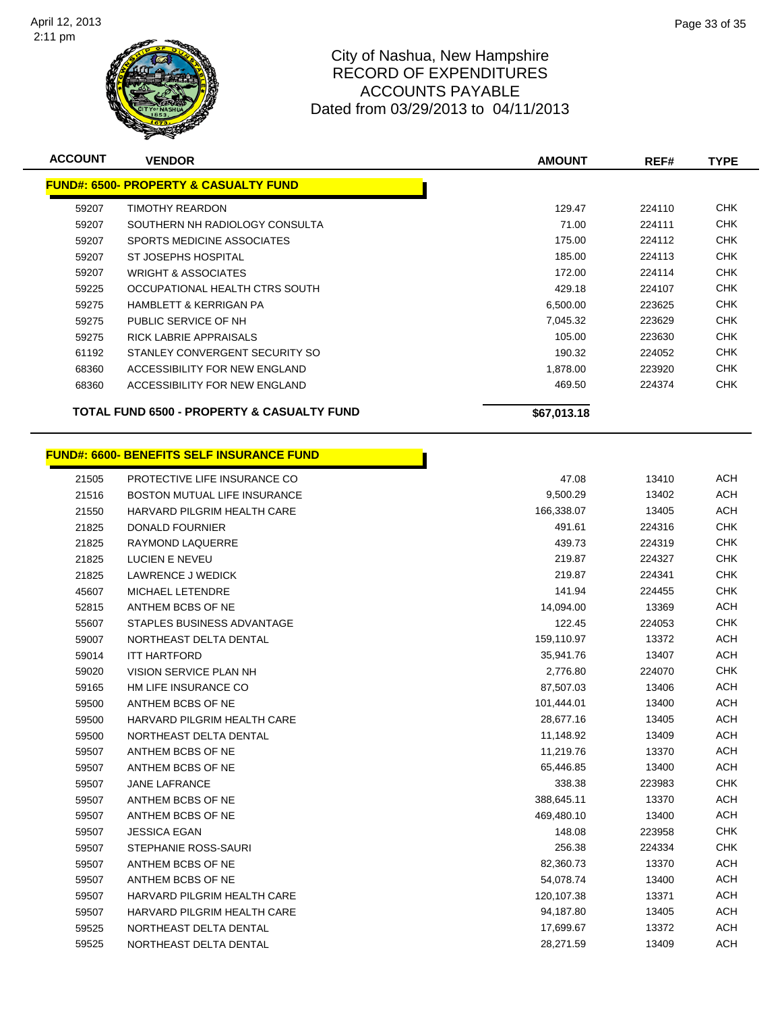

| <b>ACCOUNT</b> | <b>VENDOR</b>                                         | <b>AMOUNT</b> | REF#   | <b>TYPE</b> |
|----------------|-------------------------------------------------------|---------------|--------|-------------|
|                | <b>FUND#: 6500- PROPERTY &amp; CASUALTY FUND</b>      |               |        |             |
| 59207          | <b>TIMOTHY REARDON</b>                                | 129.47        | 224110 | <b>CHK</b>  |
| 59207          | SOUTHERN NH RADIOLOGY CONSULTA                        | 71.00         | 224111 | <b>CHK</b>  |
| 59207          | SPORTS MEDICINE ASSOCIATES                            | 175.00        | 224112 | <b>CHK</b>  |
| 59207          | ST JOSEPHS HOSPITAL                                   | 185.00        | 224113 | <b>CHK</b>  |
| 59207          | <b>WRIGHT &amp; ASSOCIATES</b>                        | 172.00        | 224114 | <b>CHK</b>  |
| 59225          | OCCUPATIONAL HEALTH CTRS SOUTH                        | 429.18        | 224107 | <b>CHK</b>  |
| 59275          | <b>HAMBLETT &amp; KERRIGAN PA</b>                     | 6,500.00      | 223625 | <b>CHK</b>  |
| 59275          | PUBLIC SERVICE OF NH                                  | 7,045.32      | 223629 | <b>CHK</b>  |
| 59275          | RICK LABRIE APPRAISALS                                | 105.00        | 223630 | <b>CHK</b>  |
| 61192          | STANLEY CONVERGENT SECURITY SO                        | 190.32        | 224052 | <b>CHK</b>  |
| 68360          | ACCESSIBILITY FOR NEW ENGLAND                         | 1,878.00      | 223920 | <b>CHK</b>  |
| 68360          | ACCESSIBILITY FOR NEW ENGLAND                         | 469.50        | 224374 | <b>CHK</b>  |
|                | <b>TOTAL FUND 6500 - PROPERTY &amp; CASUALTY FUND</b> | \$67,013.18   |        |             |
|                | <b>FUND#: 6600- BENEFITS SELF INSURANCE FUND</b>      |               |        |             |
| 21505          | PROTECTIVE LIFE INSURANCE CO                          | 47.08         | 13410  | ACH         |
| 21516          | BOSTON MUTUAL LIFE INSURANCE                          | 9,500.29      | 13402  | <b>ACH</b>  |
| 21550          | HARVARD PILGRIM HEALTH CARE                           | 166,338.07    | 13405  | ACH         |
| 21825          | DONALD FOURNIER                                       | 491.61        | 224316 | <b>CHK</b>  |
| 21825          | RAYMOND LAQUERRE                                      | 439.73        | 224319 | <b>CHK</b>  |
| 21825          | LUCIEN E NEVEU                                        | 219.87        | 224327 | <b>CHK</b>  |
| 21825          | LAWRENCE J WEDICK                                     | 219.87        | 224341 | <b>CHK</b>  |
| 45607          | MICHAEL LETENDRE                                      | 141.94        | 224455 | <b>CHK</b>  |
| 52815          | ANTHEM BCBS OF NE                                     | 14,094.00     | 13369  | ACH         |
| 55607          | STAPLES BUSINESS ADVANTAGE                            | 122.45        | 224053 | <b>CHK</b>  |
| 59007          | NORTHEAST DELTA DENTAL                                | 159,110.97    | 13372  | <b>ACH</b>  |
| 59014          | <b>ITT HARTFORD</b>                                   | 35,941.76     | 13407  | ACH         |
| 59020          | VISION SERVICE PLAN NH                                | 2,776.80      | 224070 | <b>CHK</b>  |
| 59165          | HM LIFE INSURANCE CO                                  | 87,507.03     | 13406  | ACH         |
| 59500          | ANTHEM BCBS OF NE                                     | 101,444.01    | 13400  | <b>ACH</b>  |
| 59500          | HARVARD PILGRIM HEALTH CARE                           | 28,677.16     | 13405  | <b>ACH</b>  |
| 59500          | NORTHEAST DELTA DENTAL                                | 11,148.92     | 13409  | <b>ACH</b>  |
| 59507          | ANTHEM BCBS OF NE                                     | 11,219.76     | 13370  | <b>ACH</b>  |
| 59507          | ANTHEM BCBS OF NE                                     | 65,446.85     | 13400  | <b>ACH</b>  |
| 59507          | JANE LAFRANCE                                         | 338.38        | 223983 | <b>CHK</b>  |
| 59507          | ANTHEM BCBS OF NE                                     | 388,645.11    | 13370  | <b>ACH</b>  |
| 59507          | ANTHEM BCBS OF NE                                     | 469,480.10    | 13400  | <b>ACH</b>  |
| 59507          | <b>JESSICA EGAN</b>                                   | 148.08        | 223958 | <b>CHK</b>  |
| 59507          | STEPHANIE ROSS-SAURI                                  | 256.38        | 224334 | <b>CHK</b>  |
| 59507          | ANTHEM BCBS OF NE                                     | 82,360.73     | 13370  | <b>ACH</b>  |
| 59507          | ANTHEM BCBS OF NE                                     | 54,078.74     | 13400  | <b>ACH</b>  |
| 59507          | HARVARD PILGRIM HEALTH CARE                           | 120,107.38    | 13371  | ACH         |
| 59507          | HARVARD PILGRIM HEALTH CARE                           | 94,187.80     | 13405  | ACH         |
| 59525          | NORTHEAST DELTA DENTAL                                | 17,699.67     | 13372  | <b>ACH</b>  |
| 59525          | NORTHEAST DELTA DENTAL                                | 28,271.59     | 13409  | <b>ACH</b>  |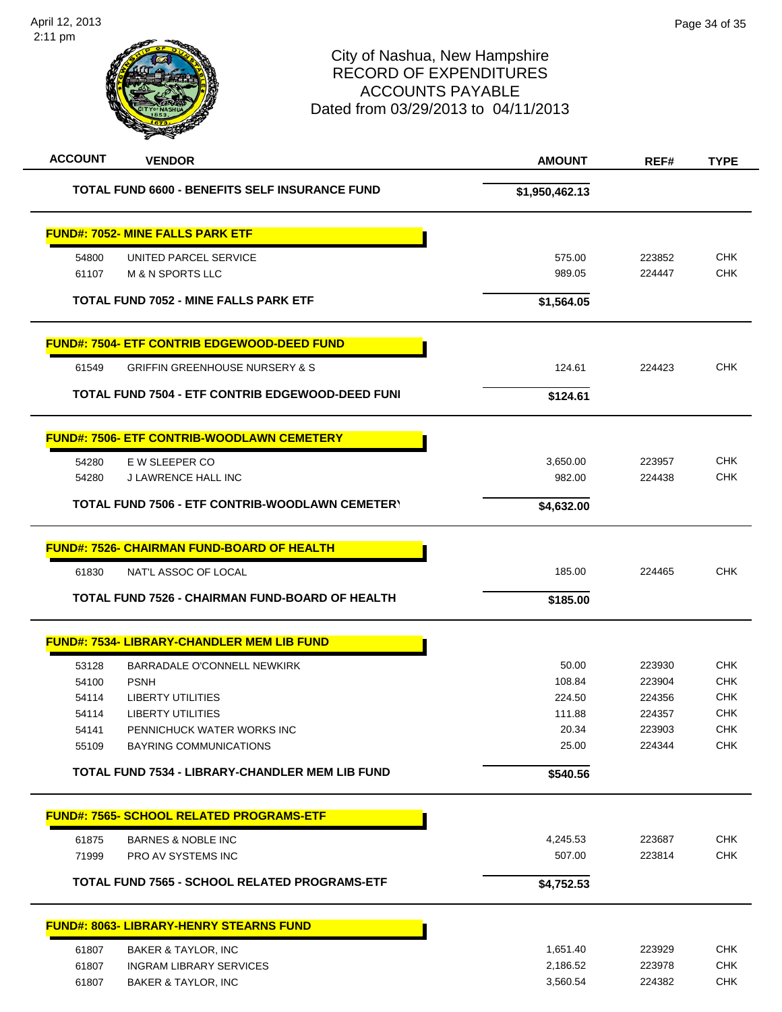| <b>ACCOUNT</b><br><b>VENDOR</b>                         | <b>AMOUNT</b>  | REF#   | <b>TYPE</b> |
|---------------------------------------------------------|----------------|--------|-------------|
| <b>TOTAL FUND 6600 - BENEFITS SELF INSURANCE FUND</b>   | \$1,950,462.13 |        |             |
| <b>FUND#: 7052- MINE FALLS PARK ETF</b>                 |                |        |             |
| UNITED PARCEL SERVICE<br>54800                          | 575.00         | 223852 | CHK         |
| 61107<br>M & N SPORTS LLC                               | 989.05         | 224447 | CHK         |
| <b>TOTAL FUND 7052 - MINE FALLS PARK ETF</b>            | \$1,564.05     |        |             |
| <b>FUND#: 7504- ETF CONTRIB EDGEWOOD-DEED FUND</b>      |                |        |             |
| 61549<br><b>GRIFFIN GREENHOUSE NURSERY &amp; S</b>      | 124.61         | 224423 | <b>CHK</b>  |
| <b>TOTAL FUND 7504 - ETF CONTRIB EDGEWOOD-DEED FUNI</b> | \$124.61       |        |             |
| <b>FUND#: 7506- ETF CONTRIB-WOODLAWN CEMETERY</b>       |                |        |             |
| 54280<br>E W SLEEPER CO                                 | 3,650.00       | 223957 | CHK         |
| 54280<br><b>J LAWRENCE HALL INC</b>                     | 982.00         | 224438 | <b>CHK</b>  |
| <b>TOTAL FUND 7506 - ETF CONTRIB-WOODLAWN CEMETERY</b>  | \$4,632.00     |        |             |
| <u> FUND#: 7526- CHAIRMAN FUND-BOARD OF HEALTH</u>      |                |        |             |
| 61830<br>NAT'L ASSOC OF LOCAL                           | 185.00         | 224465 | <b>CHK</b>  |
| TOTAL FUND 7526 - CHAIRMAN FUND-BOARD OF HEALTH         | \$185.00       |        |             |
| <b>FUND#: 7534- LIBRARY-CHANDLER MEM LIB FUND</b>       |                |        |             |
| 53128<br>BARRADALE O'CONNELL NEWKIRK                    | 50.00          | 223930 | <b>CHK</b>  |
| 54100<br><b>PSNH</b>                                    | 108.84         | 223904 | CHK         |
| 54114<br><b>LIBERTY UTILITIES</b>                       | 224.50         | 224356 | CHK         |
| 54114<br>LIBERTY UTILITIES                              | 111.88         | 224357 | CHK         |
| PENNICHUCK WATER WORKS INC<br>54141                     | 20.34          | 223903 | <b>CHK</b>  |
| 55109<br><b>BAYRING COMMUNICATIONS</b>                  | 25.00          | 224344 | <b>CHK</b>  |
| <b>TOTAL FUND 7534 - LIBRARY-CHANDLER MEM LIB FUND</b>  | \$540.56       |        |             |
| <b>FUND#: 7565- SCHOOL RELATED PROGRAMS-ETF</b>         |                |        |             |
| <b>BARNES &amp; NOBLE INC</b><br>61875                  | 4,245.53       | 223687 | <b>CHK</b>  |
| 71999<br>PRO AV SYSTEMS INC                             | 507.00         | 223814 | <b>CHK</b>  |
| <b>TOTAL FUND 7565 - SCHOOL RELATED PROGRAMS-ETF</b>    | \$4,752.53     |        |             |
| <b>FUND#: 8063- LIBRARY-HENRY STEARNS FUND</b>          |                |        |             |
| 61807<br><b>BAKER &amp; TAYLOR, INC</b>                 | 1,651.40       | 223929 | <b>CHK</b>  |
| 61807<br><b>INGRAM LIBRARY SERVICES</b>                 | 2,186.52       | 223978 | CHK         |
| 61807<br><b>BAKER &amp; TAYLOR, INC</b>                 | 3,560.54       | 224382 | <b>CHK</b>  |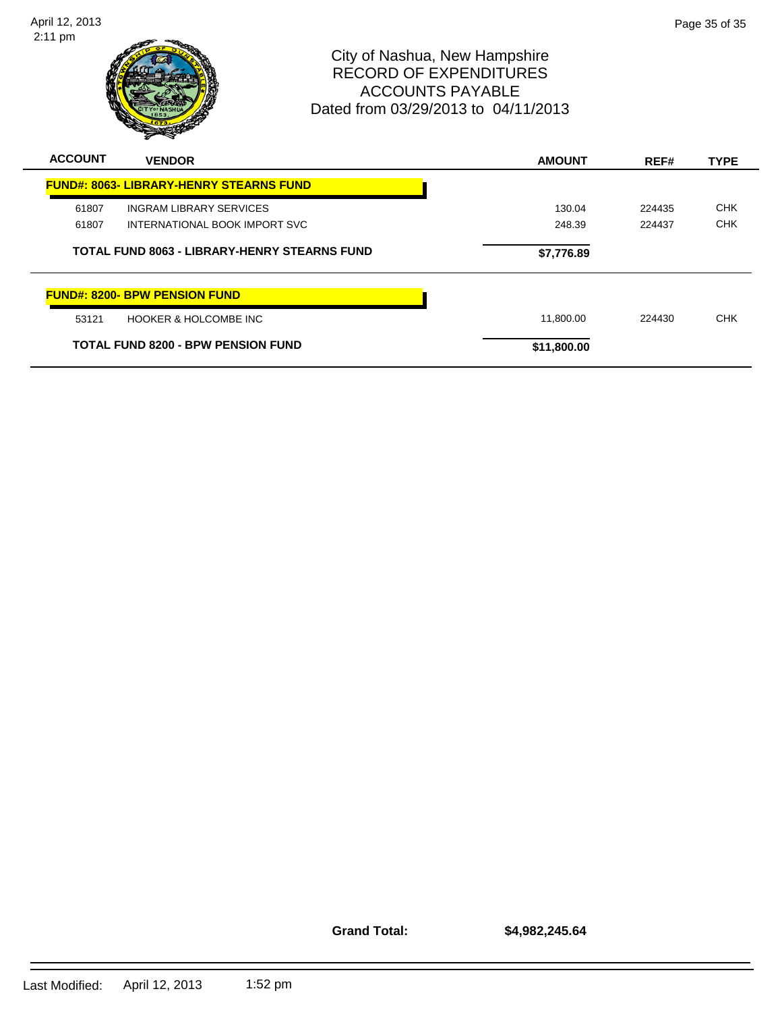April 12, 2013 2:11 pm



## City of Nashua, New Hampshire RECORD OF EXPENDITURES ACCOUNTS PAYABLE Dated from 03/29/2013 to 04/11/2013

| <b>ACCOUNT</b>                                      | <b>VENDOR</b>                                  | <b>AMOUNT</b> | REF#   | <b>TYPE</b> |
|-----------------------------------------------------|------------------------------------------------|---------------|--------|-------------|
|                                                     | <b>FUND#: 8063- LIBRARY-HENRY STEARNS FUND</b> |               |        |             |
| 61807                                               | <b>INGRAM LIBRARY SERVICES</b>                 | 130.04        | 224435 | <b>CHK</b>  |
| 61807                                               | INTERNATIONAL BOOK IMPORT SVC                  | 248.39        | 224437 | <b>CHK</b>  |
| <b>TOTAL FUND 8063 - LIBRARY-HENRY STEARNS FUND</b> |                                                | \$7,776.89    |        |             |
|                                                     | <b>FUND#: 8200- BPW PENSION FUND</b>           |               |        |             |
| 53121                                               | HOOKER & HOLCOMBE INC                          | 11.800.00     | 224430 | <b>CHK</b>  |
|                                                     | <b>TOTAL FUND 8200 - BPW PENSION FUND</b>      | \$11,800.00   |        |             |

**Grand Total:**

**\$4,982,245.64**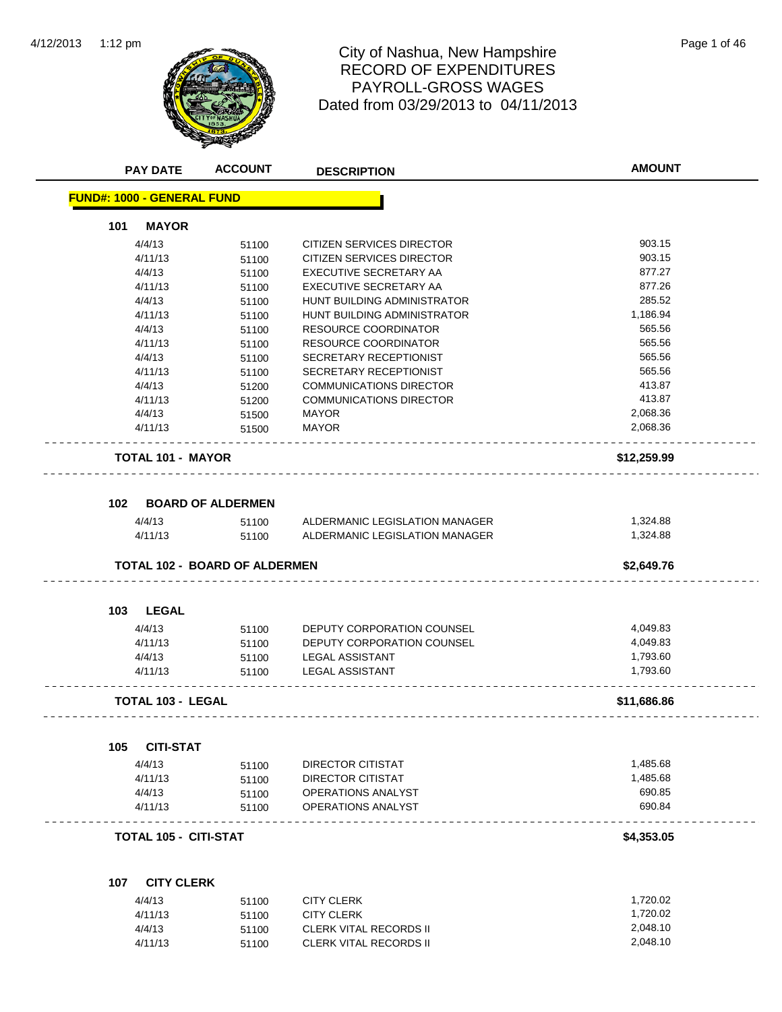

# City of Nashua, New Hampshire<br>
Page 1 of 46 RECORD OF EXPENDITURES PAYROLL-GROSS WAGES Dated from 03/29/2013 to 04/11/2013

| <b>PAY DATE</b>                   | <b>ACCOUNT</b>                       | <b>DESCRIPTION</b>                                                 | <b>AMOUNT</b> |
|-----------------------------------|--------------------------------------|--------------------------------------------------------------------|---------------|
| <b>FUND#: 1000 - GENERAL FUND</b> |                                      |                                                                    |               |
| <b>MAYOR</b><br>101               |                                      |                                                                    |               |
| 4/4/13                            | 51100                                | CITIZEN SERVICES DIRECTOR                                          | 903.15        |
| 4/11/13                           | 51100                                | CITIZEN SERVICES DIRECTOR                                          | 903.15        |
| 4/4/13                            | 51100                                | EXECUTIVE SECRETARY AA                                             | 877.27        |
| 4/11/13                           | 51100                                | EXECUTIVE SECRETARY AA                                             | 877.26        |
| 4/4/13                            | 51100                                | <b>HUNT BUILDING ADMINISTRATOR</b>                                 | 285.52        |
| 4/11/13                           | 51100                                | HUNT BUILDING ADMINISTRATOR                                        | 1,186.94      |
| 4/4/13                            | 51100                                | <b>RESOURCE COORDINATOR</b>                                        | 565.56        |
| 4/11/13                           | 51100                                | <b>RESOURCE COORDINATOR</b>                                        | 565.56        |
| 4/4/13                            | 51100                                | SECRETARY RECEPTIONIST                                             | 565.56        |
| 4/11/13                           | 51100                                | SECRETARY RECEPTIONIST                                             | 565.56        |
| 4/4/13                            | 51200                                | <b>COMMUNICATIONS DIRECTOR</b>                                     | 413.87        |
| 4/11/13                           | 51200                                | <b>COMMUNICATIONS DIRECTOR</b>                                     | 413.87        |
| 4/4/13                            | 51500                                | <b>MAYOR</b>                                                       | 2,068.36      |
| 4/11/13                           | 51500                                | <b>MAYOR</b>                                                       | 2,068.36      |
| <b>TOTAL 101 - MAYOR</b>          |                                      |                                                                    | \$12,259.99   |
|                                   |                                      |                                                                    |               |
| 102                               | <b>BOARD OF ALDERMEN</b>             |                                                                    |               |
| 4/4/13                            | 51100                                | ALDERMANIC LEGISLATION MANAGER                                     | 1,324.88      |
| 4/11/13                           | 51100                                | ALDERMANIC LEGISLATION MANAGER<br>________________________________ | 1,324.88      |
|                                   | <b>TOTAL 102 - BOARD OF ALDERMEN</b> |                                                                    | \$2,649.76    |
| <b>LEGAL</b><br>103               |                                      |                                                                    |               |
| 4/4/13                            | 51100                                | DEPUTY CORPORATION COUNSEL                                         | 4,049.83      |
| 4/11/13                           | 51100                                | DEPUTY CORPORATION COUNSEL                                         | 4,049.83      |
| 4/4/13                            | 51100                                | LEGAL ASSISTANT                                                    | 1,793.60      |
| 4/11/13                           | 51100                                | LEGAL ASSISTANT                                                    | 1,793.60      |
| <b>TOTAL 103 - LEGAL</b>          |                                      |                                                                    | \$11,686.86   |
|                                   |                                      |                                                                    |               |
| <b>CITI-STAT</b><br>105           |                                      |                                                                    |               |
| 4/4/13                            | 51100                                | DIRECTOR CITISTAT                                                  | 1,485.68      |
| 4/11/13                           | 51100                                | <b>DIRECTOR CITISTAT</b>                                           | 1.485.68      |
| 4/4/13                            | 51100                                | <b>OPERATIONS ANALYST</b>                                          | 690.85        |
| 4/11/13                           | 51100                                | <b>OPERATIONS ANALYST</b>                                          | 690.84        |
| <b>TOTAL 105 - CITI-STAT</b>      |                                      |                                                                    | \$4,353.05    |
|                                   |                                      |                                                                    |               |
| 107<br><b>CITY CLERK</b>          |                                      |                                                                    |               |
| 4/4/13                            | 51100                                | <b>CITY CLERK</b>                                                  | 1,720.02      |
| 4/11/13                           | 51100                                | <b>CITY CLERK</b>                                                  | 1,720.02      |
| 4/4/13                            | 51100                                | <b>CLERK VITAL RECORDS II</b>                                      | 2,048.10      |
| 4/11/13                           | 51100                                | <b>CLERK VITAL RECORDS II</b>                                      | 2,048.10      |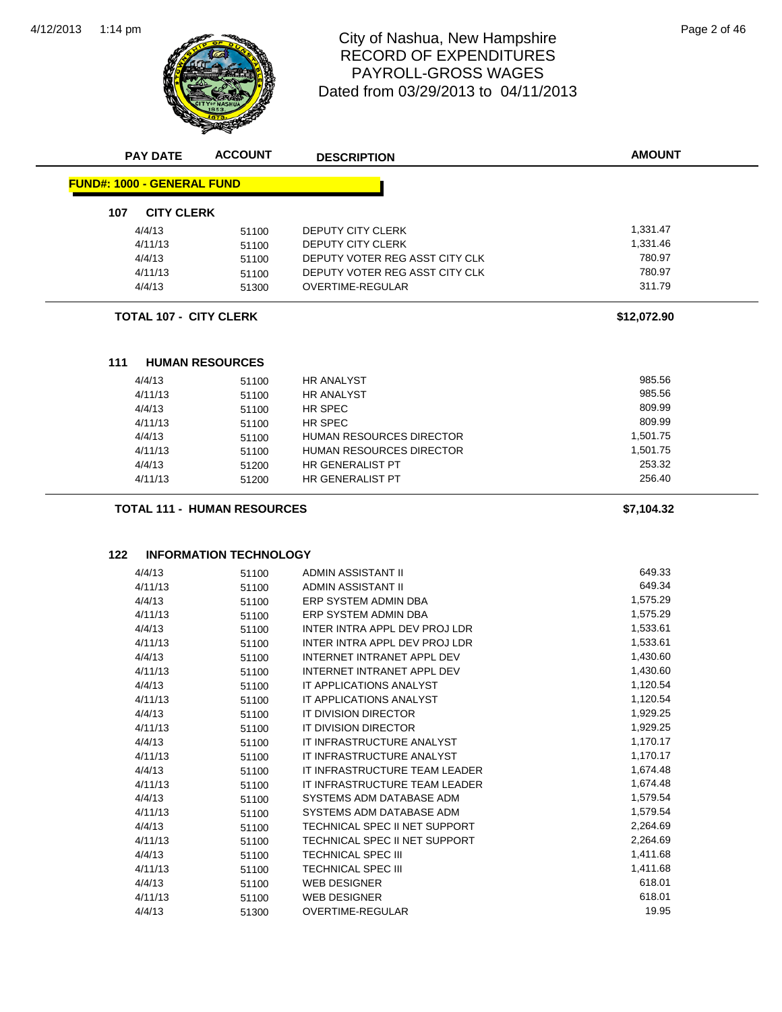

# City of Nashua, New Hampshire<br>
Page 2 of 46 RECORD OF EXPENDITURES PAYROLL-GROSS WAGES Dated from 03/29/2013 to 04/11/2013

| <b>PAY DATE</b>                   | <b>ACCOUNT</b>                     | <b>DESCRIPTION</b>                       | <b>AMOUNT</b> |
|-----------------------------------|------------------------------------|------------------------------------------|---------------|
| <b>FUND#: 1000 - GENERAL FUND</b> |                                    |                                          |               |
| 107<br><b>CITY CLERK</b>          |                                    |                                          |               |
| 4/4/13                            | 51100                              | <b>DEPUTY CITY CLERK</b>                 | 1,331.47      |
| 4/11/13                           | 51100                              | <b>DEPUTY CITY CLERK</b>                 | 1,331.46      |
| 4/4/13                            | 51100                              | DEPUTY VOTER REG ASST CITY CLK           | 780.97        |
| 4/11/13                           | 51100                              | DEPUTY VOTER REG ASST CITY CLK           | 780.97        |
| 4/4/13                            | 51300                              | <b>OVERTIME-REGULAR</b>                  | 311.79        |
| <b>TOTAL 107 - CITY CLERK</b>     |                                    |                                          | \$12,072.90   |
| 111                               | <b>HUMAN RESOURCES</b>             |                                          |               |
| 4/4/13                            | 51100                              | <b>HR ANALYST</b>                        | 985.56        |
| 4/11/13                           | 51100                              | <b>HR ANALYST</b>                        | 985.56        |
| 4/4/13                            | 51100                              | HR SPEC                                  | 809.99        |
| 4/11/13                           | 51100                              | HR SPEC                                  | 809.99        |
| 4/4/13                            | 51100                              | <b>HUMAN RESOURCES DIRECTOR</b>          | 1,501.75      |
| 4/11/13                           | 51100                              | <b>HUMAN RESOURCES DIRECTOR</b>          | 1,501.75      |
| 4/4/13                            | 51200                              | HR GENERALIST PT                         | 253.32        |
| 4/11/13                           | 51200                              | HR GENERALIST PT                         | 256.40        |
|                                   | <b>TOTAL 111 - HUMAN RESOURCES</b> |                                          | \$7,104.32    |
| 122                               | <b>INFORMATION TECHNOLOGY</b>      |                                          | 649.33        |
| 4/4/13<br>4/11/13                 | 51100                              | ADMIN ASSISTANT II<br>ADMIN ASSISTANT II | 649.34        |
| 4/4/13                            | 51100<br>51100                     | ERP SYSTEM ADMIN DBA                     | 1,575.29      |
| 4/11/13                           | 51100                              | ERP SYSTEM ADMIN DBA                     | 1,575.29      |
| 4/4/13                            | 51100                              | INTER INTRA APPL DEV PROJ LDR            | 1,533.61      |
| 4/11/13                           | 51100                              | INTER INTRA APPL DEV PROJ LDR            | 1,533.61      |
| 4/4/13                            | 51100                              | INTERNET INTRANET APPL DEV               | 1,430.60      |
| 4/11/13                           | 51100                              | INTERNET INTRANET APPL DEV               | 1,430.60      |
| 4/4/13                            | 51100                              | IT APPLICATIONS ANALYST                  | 1,120.54      |
| 4/11/13                           | 51100                              | IT APPLICATIONS ANALYST                  | 1,120.54      |
| 4/4/13                            | 51100                              | IT DIVISION DIRECTOR                     | 1,929.25      |
| 4/11/13                           | 51100                              | IT DIVISION DIRECTOR                     | 1,929.25      |
| 4/4/13                            | 51100                              | IT INFRASTRUCTURE ANALYST                | 1,170.17      |
| 4/11/13                           | 51100                              | IT INFRASTRUCTURE ANALYST                | 1,170.17      |
| 4/4/13                            | 51100                              | IT INFRASTRUCTURE TEAM LEADER            | 1,674.48      |
| 4/11/13                           | 51100                              | IT INFRASTRUCTURE TEAM LEADER            | 1,674.48      |
| 4/4/13                            | 51100                              | SYSTEMS ADM DATABASE ADM                 | 1,579.54      |
| 4/11/13                           | 51100                              | SYSTEMS ADM DATABASE ADM                 | 1,579.54      |
| 4/4/13                            | 51100                              | TECHNICAL SPEC II NET SUPPORT            | 2,264.69      |
| 4/11/13                           | 51100                              | TECHNICAL SPEC II NET SUPPORT            | 2,264.69      |
| 4/4/13                            | 51100                              | <b>TECHNICAL SPEC III</b>                | 1,411.68      |
| 4/11/13                           | 51100                              | TECHNICAL SPEC III                       | 1,411.68      |
| 4/4/13                            | 51100                              | <b>WEB DESIGNER</b>                      | 618.01        |
| 4/11/13                           | 51100                              | <b>WEB DESIGNER</b>                      | 618.01        |
| 4/4/13                            | 51300                              | OVERTIME-REGULAR                         | 19.95         |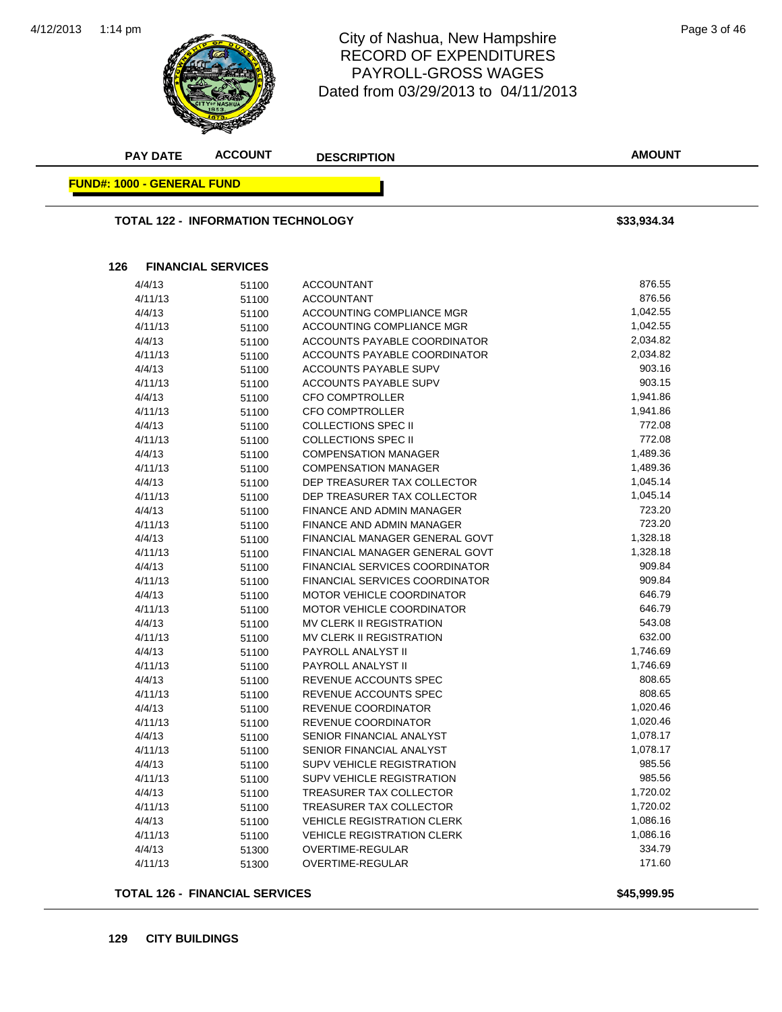

# City of Nashua, New Hampshire<br>
<u>146</u> Page 3 of 46 RECORD OF EXPENDITURES PAYROLL-GROSS WAGES Dated from 03/29/2013 to 04/11/2013

**AMOUNT PAY DATE ACCOUNT DESCRIPTION FUND#: 1000 - GENERAL FUND TOTAL 122 - INFORMATION TECHNOLOGY \$33,934.34 126 FINANCIAL SERVICES**

| 4/4/13  | 51100 | <b>ACCOUNTANT</b>                     | 876.55   |
|---------|-------|---------------------------------------|----------|
| 4/11/13 | 51100 | <b>ACCOUNTANT</b>                     | 876.56   |
| 4/4/13  | 51100 | ACCOUNTING COMPLIANCE MGR             | 1,042.55 |
| 4/11/13 | 51100 | <b>ACCOUNTING COMPLIANCE MGR</b>      | 1,042.55 |
| 4/4/13  | 51100 | ACCOUNTS PAYABLE COORDINATOR          | 2,034.82 |
| 4/11/13 | 51100 | ACCOUNTS PAYABLE COORDINATOR          | 2,034.82 |
| 4/4/13  | 51100 | <b>ACCOUNTS PAYABLE SUPV</b>          | 903.16   |
| 4/11/13 | 51100 | <b>ACCOUNTS PAYABLE SUPV</b>          | 903.15   |
| 4/4/13  | 51100 | <b>CFO COMPTROLLER</b>                | 1,941.86 |
| 4/11/13 | 51100 | <b>CFO COMPTROLLER</b>                | 1,941.86 |
| 4/4/13  | 51100 | <b>COLLECTIONS SPEC II</b>            | 772.08   |
| 4/11/13 | 51100 | <b>COLLECTIONS SPEC II</b>            | 772.08   |
| 4/4/13  | 51100 | <b>COMPENSATION MANAGER</b>           | 1,489.36 |
| 4/11/13 | 51100 | <b>COMPENSATION MANAGER</b>           | 1,489.36 |
| 4/4/13  | 51100 | DEP TREASURER TAX COLLECTOR           | 1,045.14 |
| 4/11/13 | 51100 | DEP TREASURER TAX COLLECTOR           | 1,045.14 |
| 4/4/13  | 51100 | FINANCE AND ADMIN MANAGER             | 723.20   |
| 4/11/13 | 51100 | <b>FINANCE AND ADMIN MANAGER</b>      | 723.20   |
| 4/4/13  | 51100 | FINANCIAL MANAGER GENERAL GOVT        | 1,328.18 |
| 4/11/13 | 51100 | FINANCIAL MANAGER GENERAL GOVT        | 1,328.18 |
| 4/4/13  | 51100 | <b>FINANCIAL SERVICES COORDINATOR</b> | 909.84   |
| 4/11/13 | 51100 | <b>FINANCIAL SERVICES COORDINATOR</b> | 909.84   |
| 4/4/13  | 51100 | MOTOR VEHICLE COORDINATOR             | 646.79   |
| 4/11/13 | 51100 | MOTOR VEHICLE COORDINATOR             | 646.79   |
| 4/4/13  | 51100 | MV CLERK II REGISTRATION              | 543.08   |
| 4/11/13 | 51100 | MV CLERK II REGISTRATION              | 632.00   |
| 4/4/13  | 51100 | PAYROLL ANALYST II                    | 1,746.69 |
| 4/11/13 | 51100 | PAYROLL ANALYST II                    | 1,746.69 |
| 4/4/13  | 51100 | REVENUE ACCOUNTS SPEC                 | 808.65   |
| 4/11/13 | 51100 | REVENUE ACCOUNTS SPEC                 | 808.65   |
| 4/4/13  | 51100 | REVENUE COORDINATOR                   | 1,020.46 |
| 4/11/13 | 51100 | REVENUE COORDINATOR                   | 1,020.46 |
| 4/4/13  | 51100 | SENIOR FINANCIAL ANALYST              | 1,078.17 |
| 4/11/13 | 51100 | SENIOR FINANCIAL ANALYST              | 1,078.17 |
| 4/4/13  | 51100 | <b>SUPV VEHICLE REGISTRATION</b>      | 985.56   |
| 4/11/13 | 51100 | <b>SUPV VEHICLE REGISTRATION</b>      | 985.56   |
| 4/4/13  | 51100 | TREASURER TAX COLLECTOR               | 1,720.02 |
| 4/11/13 | 51100 | TREASURER TAX COLLECTOR               | 1,720.02 |
| 4/4/13  | 51100 | <b>VEHICLE REGISTRATION CLERK</b>     | 1,086.16 |
| 4/11/13 | 51100 | <b>VEHICLE REGISTRATION CLERK</b>     | 1,086.16 |
| 4/4/13  | 51300 | OVERTIME-REGULAR                      | 334.79   |
| 4/11/13 | 51300 | OVERTIME-REGULAR                      | 171.60   |
|         |       |                                       |          |

**TOTAL 126 - FINANCIAL SERVICES \$45,999.95**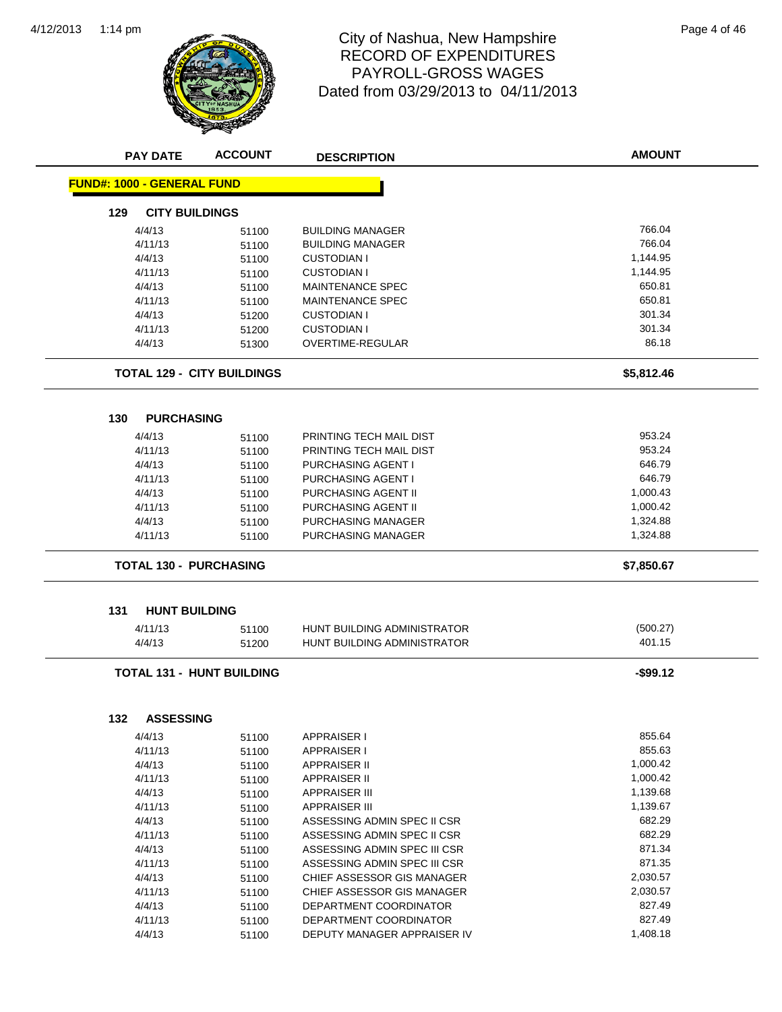

# 1:14 pm Page 4 of 46 RECORD OF EXPENDITURES PAYROLL-GROSS WAGES Dated from 03/29/2013 to 04/11/2013

| <b>PAY DATE</b>                   | <b>ACCOUNT</b>                    | <b>DESCRIPTION</b>                                                       | <b>AMOUNT</b>      |
|-----------------------------------|-----------------------------------|--------------------------------------------------------------------------|--------------------|
| <b>FUND#: 1000 - GENERAL FUND</b> |                                   |                                                                          |                    |
| 129<br><b>CITY BUILDINGS</b>      |                                   |                                                                          |                    |
| 4/4/13                            | 51100                             | <b>BUILDING MANAGER</b>                                                  | 766.04             |
| 4/11/13                           | 51100                             | <b>BUILDING MANAGER</b>                                                  | 766.04             |
| 4/4/13                            | 51100                             | <b>CUSTODIAN I</b>                                                       | 1,144.95           |
| 4/11/13                           | 51100                             | <b>CUSTODIAN I</b>                                                       | 1,144.95           |
| 4/4/13                            | 51100                             | <b>MAINTENANCE SPEC</b>                                                  | 650.81             |
| 4/11/13                           | 51100                             | <b>MAINTENANCE SPEC</b>                                                  | 650.81             |
| 4/4/13                            | 51200                             | <b>CUSTODIAN I</b>                                                       | 301.34             |
| 4/11/13                           | 51200                             | <b>CUSTODIAN I</b>                                                       | 301.34             |
| 4/4/13                            | 51300                             | <b>OVERTIME-REGULAR</b>                                                  | 86.18              |
|                                   | <b>TOTAL 129 - CITY BUILDINGS</b> |                                                                          | \$5,812.46         |
|                                   |                                   |                                                                          |                    |
| <b>PURCHASING</b><br>130          |                                   |                                                                          |                    |
| 4/4/13                            | 51100                             | PRINTING TECH MAIL DIST                                                  | 953.24<br>953.24   |
| 4/11/13                           | 51100                             | PRINTING TECH MAIL DIST                                                  | 646.79             |
| 4/4/13<br>4/11/13                 | 51100                             | <b>PURCHASING AGENT I</b>                                                | 646.79             |
| 4/4/13                            | 51100                             | PURCHASING AGENT I<br>PURCHASING AGENT II                                | 1,000.43           |
| 4/11/13                           | 51100                             | PURCHASING AGENT II                                                      | 1,000.42           |
| 4/4/13                            | 51100                             | PURCHASING MANAGER                                                       | 1,324.88           |
| 4/11/13                           | 51100                             | <b>PURCHASING MANAGER</b>                                                | 1,324.88           |
|                                   | 51100                             |                                                                          |                    |
| <b>TOTAL 130 - PURCHASING</b>     |                                   |                                                                          | \$7,850.67         |
| 131<br><b>HUNT BUILDING</b>       |                                   |                                                                          |                    |
|                                   |                                   |                                                                          |                    |
| 4/11/13<br>4/4/13                 | 51100                             | <b>HUNT BUILDING ADMINISTRATOR</b><br><b>HUNT BUILDING ADMINISTRATOR</b> | (500.27)<br>401.15 |
|                                   | 51200                             |                                                                          |                    |
| <b>TOTAL 131 - HUNT BUILDING</b>  |                                   |                                                                          | $-$99.12$          |
|                                   |                                   |                                                                          |                    |
| 132<br><b>ASSESSING</b>           |                                   |                                                                          |                    |
| 4/4/13                            | 51100                             | <b>APPRAISER I</b>                                                       | 855.64             |
| 4/11/13                           | 51100                             | <b>APPRAISER I</b>                                                       | 855.63             |
| 4/4/13                            | 51100                             | <b>APPRAISER II</b>                                                      | 1,000.42           |
| 4/11/13                           | 51100                             | <b>APPRAISER II</b>                                                      | 1,000.42           |
| 4/4/13                            | 51100                             | <b>APPRAISER III</b>                                                     | 1,139.68           |
| 4/11/13                           | 51100                             | <b>APPRAISER III</b>                                                     | 1,139.67           |
| 4/4/13                            | 51100                             | ASSESSING ADMIN SPEC II CSR                                              | 682.29             |
| 4/11/13                           | 51100                             | ASSESSING ADMIN SPEC II CSR                                              | 682.29             |
| 4/4/13                            | 51100                             | ASSESSING ADMIN SPEC III CSR                                             | 871.34<br>871.35   |
| 4/11/13                           | 51100                             | ASSESSING ADMIN SPEC III CSR                                             |                    |
| 4/4/13                            | 51100                             | CHIEF ASSESSOR GIS MANAGER                                               | 2,030.57           |
| 4/11/13                           | 51100                             | CHIEF ASSESSOR GIS MANAGER<br>DEPARTMENT COORDINATOR                     | 2,030.57<br>827.49 |
| 4/4/13<br>4/11/13                 | 51100                             | DEPARTMENT COORDINATOR                                                   | 827.49             |
| 4/4/13                            | 51100<br>51100                    | DEPUTY MANAGER APPRAISER IV                                              | 1,408.18           |
|                                   |                                   |                                                                          |                    |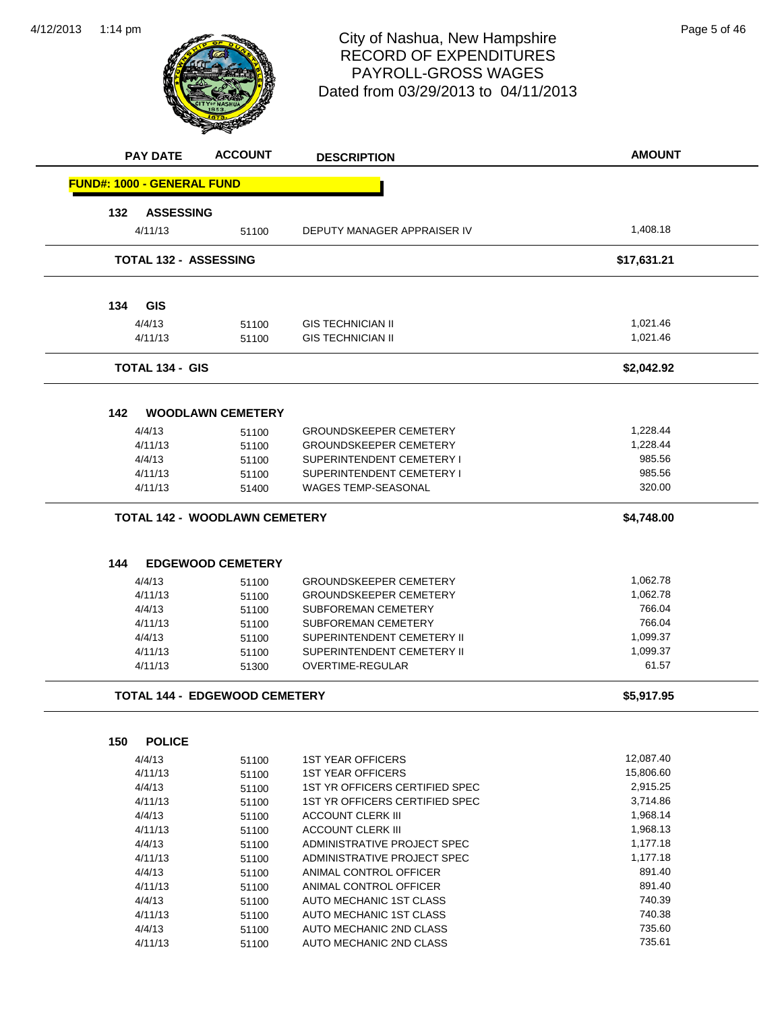$\overline{\phantom{0}}$ 



# 1:14 pm Page 5 of 46 RECORD OF EXPENDITURES PAYROLL-GROSS WAGES Dated from 03/29/2013 to 04/11/2013

| <b>PAY DATE</b>                      | <b>ACCOUNT</b>           | <b>DESCRIPTION</b>                                         | <b>AMOUNT</b>    |
|--------------------------------------|--------------------------|------------------------------------------------------------|------------------|
| <b>FUND#: 1000 - GENERAL FUND</b>    |                          |                                                            |                  |
| <b>ASSESSING</b><br>132              |                          |                                                            |                  |
| 4/11/13                              | 51100                    | DEPUTY MANAGER APPRAISER IV                                | 1,408.18         |
| <b>TOTAL 132 - ASSESSING</b>         |                          |                                                            | \$17,631.21      |
| <b>GIS</b><br>134                    |                          |                                                            |                  |
| 4/4/13                               | 51100                    | <b>GIS TECHNICIAN II</b>                                   | 1,021.46         |
| 4/11/13                              | 51100                    | <b>GIS TECHNICIAN II</b>                                   | 1,021.46         |
| <b>TOTAL 134 - GIS</b>               |                          |                                                            | \$2,042.92       |
|                                      |                          |                                                            |                  |
| 142                                  | <b>WOODLAWN CEMETERY</b> |                                                            |                  |
| 4/4/13                               | 51100                    | <b>GROUNDSKEEPER CEMETERY</b>                              | 1,228.44         |
| 4/11/13                              | 51100                    | <b>GROUNDSKEEPER CEMETERY</b>                              | 1.228.44         |
| 4/4/13                               | 51100                    | SUPERINTENDENT CEMETERY I                                  | 985.56           |
| 4/11/13                              | 51100                    | SUPERINTENDENT CEMETERY I                                  | 985.56           |
| 4/11/13                              | 51400                    | <b>WAGES TEMP-SEASONAL</b>                                 | 320.00           |
| <b>TOTAL 142 - WOODLAWN CEMETERY</b> |                          |                                                            | \$4,748.00       |
|                                      |                          |                                                            |                  |
| 144                                  | <b>EDGEWOOD CEMETERY</b> |                                                            |                  |
| 4/4/13                               | 51100                    | <b>GROUNDSKEEPER CEMETERY</b>                              | 1,062.78         |
| 4/11/13                              | 51100                    | <b>GROUNDSKEEPER CEMETERY</b>                              | 1,062.78         |
| 4/4/13                               | 51100                    | SUBFOREMAN CEMETERY                                        | 766.04<br>766.04 |
| 4/11/13                              | 51100                    | SUBFOREMAN CEMETERY                                        | 1,099.37         |
| 4/4/13                               | 51100                    | SUPERINTENDENT CEMETERY II                                 | 1,099.37         |
| 4/11/13<br>4/11/13                   | 51100<br>51300           | SUPERINTENDENT CEMETERY II<br><b>OVERTIME-REGULAR</b>      | 61.57            |
|                                      |                          |                                                            |                  |
| <b>TOTAL 144 - EDGEWOOD CEMETERY</b> |                          |                                                            | \$5,917.95       |
| 150<br><b>POLICE</b>                 |                          |                                                            |                  |
|                                      |                          |                                                            | 12,087.40        |
| 4/4/13                               | 51100                    | <b>1ST YEAR OFFICERS</b>                                   | 15,806.60        |
| 4/11/13                              | 51100                    | <b>1ST YEAR OFFICERS</b><br>1ST YR OFFICERS CERTIFIED SPEC | 2,915.25         |
| 4/4/13<br>4/11/13                    | 51100                    | 1ST YR OFFICERS CERTIFIED SPEC                             | 3,714.86         |
| 4/4/13                               | 51100<br>51100           | <b>ACCOUNT CLERK III</b>                                   | 1,968.14         |
| 4/11/13                              | 51100                    | <b>ACCOUNT CLERK III</b>                                   | 1,968.13         |
| 4/4/13                               | 51100                    | ADMINISTRATIVE PROJECT SPEC                                | 1,177.18         |
| 4/11/13                              | 51100                    | ADMINISTRATIVE PROJECT SPEC                                | 1,177.18         |
| 4/4/13                               | 51100                    | ANIMAL CONTROL OFFICER                                     | 891.40           |
| 4/11/13                              | 51100                    | ANIMAL CONTROL OFFICER                                     | 891.40           |
| 4/4/13                               | 51100                    | AUTO MECHANIC 1ST CLASS                                    | 740.39           |
| 4/11/13                              | 51100                    | AUTO MECHANIC 1ST CLASS                                    | 740.38           |
| 4/4/13                               | 51100                    | AUTO MECHANIC 2ND CLASS                                    | 735.60           |
| 4/11/13                              | 51100                    | AUTO MECHANIC 2ND CLASS                                    | 735.61           |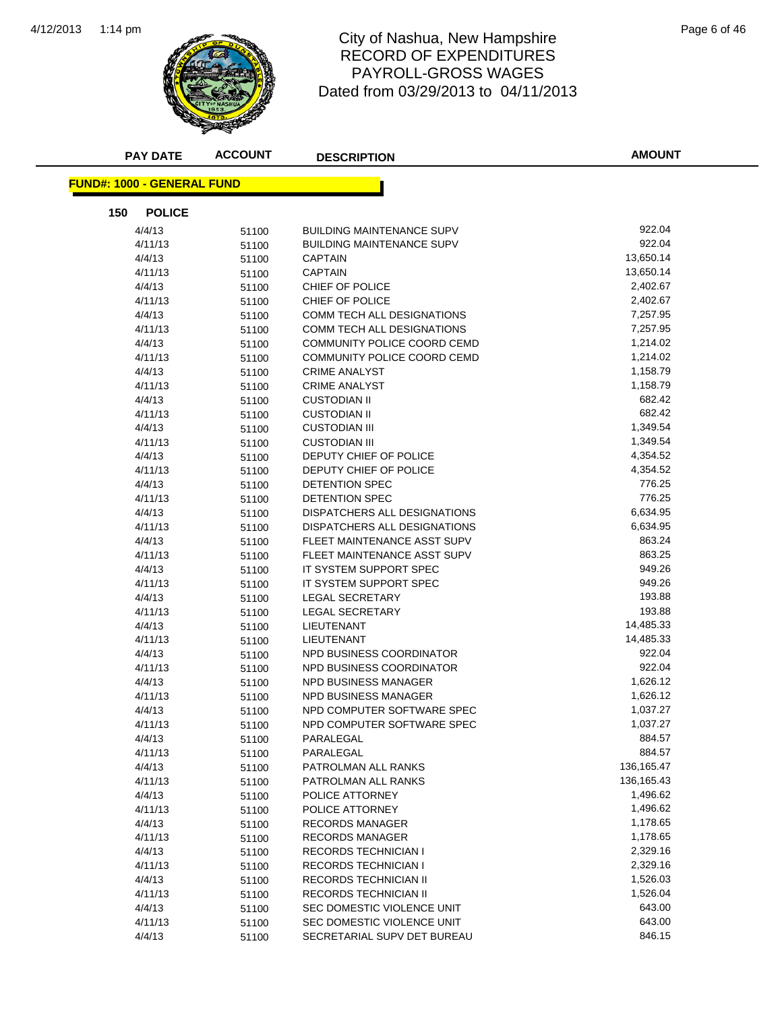

## 1:14 pm Page 6 of 46 RECORD OF EXPENDITURES PAYROLL-GROSS WAGES Dated from 03/29/2013 to 04/11/2013

| <b>PAY DATE</b>                   | <b>ACCOUNT</b> | <b>DESCRIPTION</b>                        | <b>AMOUNT</b>        |
|-----------------------------------|----------------|-------------------------------------------|----------------------|
| <b>FUND#: 1000 - GENERAL FUND</b> |                |                                           |                      |
| 150<br><b>POLICE</b>              |                |                                           |                      |
| 4/4/13                            | 51100          | <b>BUILDING MAINTENANCE SUPV</b>          | 922.04               |
| 4/11/13                           | 51100          | <b>BUILDING MAINTENANCE SUPV</b>          | 922.04               |
| 4/4/13                            | 51100          | CAPTAIN                                   | 13,650.14            |
| 4/11/13                           | 51100          | <b>CAPTAIN</b>                            | 13,650.14            |
| 4/4/13                            | 51100          | CHIEF OF POLICE                           | 2,402.67             |
| 4/11/13                           | 51100          | CHIEF OF POLICE                           | 2,402.67             |
| 4/4/13                            | 51100          | COMM TECH ALL DESIGNATIONS                | 7,257.95             |
| 4/11/13                           | 51100          | COMM TECH ALL DESIGNATIONS                | 7,257.95             |
| 4/4/13                            | 51100          | COMMUNITY POLICE COORD CEMD               | 1,214.02             |
| 4/11/13                           | 51100          | COMMUNITY POLICE COORD CEMD               | 1,214.02             |
| 4/4/13                            | 51100          | <b>CRIME ANALYST</b>                      | 1,158.79             |
| 4/11/13                           | 51100          | <b>CRIME ANALYST</b>                      | 1,158.79             |
| 4/4/13                            | 51100          | <b>CUSTODIAN II</b>                       | 682.42               |
| 4/11/13                           | 51100          | <b>CUSTODIAN II</b>                       | 682.42               |
| 4/4/13                            | 51100          | <b>CUSTODIAN III</b>                      | 1,349.54             |
| 4/11/13                           | 51100          | <b>CUSTODIAN III</b>                      | 1,349.54             |
| 4/4/13                            | 51100          | DEPUTY CHIEF OF POLICE                    | 4,354.52             |
| 4/11/13                           | 51100          | DEPUTY CHIEF OF POLICE                    | 4,354.52             |
| 4/4/13                            | 51100          | <b>DETENTION SPEC</b>                     | 776.25               |
| 4/11/13                           | 51100          | DETENTION SPEC                            | 776.25               |
| 4/4/13                            | 51100          | DISPATCHERS ALL DESIGNATIONS              | 6,634.95             |
| 4/11/13                           | 51100          | DISPATCHERS ALL DESIGNATIONS              | 6,634.95             |
| 4/4/13                            | 51100          | FLEET MAINTENANCE ASST SUPV               | 863.24               |
| 4/11/13                           | 51100          | FLEET MAINTENANCE ASST SUPV               | 863.25               |
| 4/4/13                            | 51100          | IT SYSTEM SUPPORT SPEC                    | 949.26               |
| 4/11/13                           | 51100          | IT SYSTEM SUPPORT SPEC                    | 949.26               |
| 4/4/13                            | 51100          | LEGAL SECRETARY                           | 193.88               |
| 4/11/13                           | 51100          | <b>LEGAL SECRETARY</b>                    | 193.88               |
| 4/4/13                            | 51100          | <b>LIEUTENANT</b>                         | 14,485.33            |
| 4/11/13                           | 51100          | LIEUTENANT                                | 14,485.33            |
| 4/4/13                            | 51100          | NPD BUSINESS COORDINATOR                  | 922.04               |
| 4/11/13                           | 51100          | NPD BUSINESS COORDINATOR                  | 922.04               |
| 4/4/13                            | 51100          | NPD BUSINESS MANAGER                      | 1,626.12             |
| 4/11/13                           | 51100          | <b>NPD BUSINESS MANAGER</b>               | 1,626.12             |
| 4/4/13                            | 51100          | NPD COMPUTER SOFTWARE SPEC                | 1,037.27             |
| 4/11/13                           | 51100          | NPD COMPUTER SOFTWARE SPEC                | 1,037.27             |
| 4/4/13                            | 51100          | PARALEGAL                                 | 884.57               |
| 4/11/13                           | 51100          | PARALEGAL                                 | 884.57               |
| 4/4/13                            | 51100          | PATROLMAN ALL RANKS                       | 136, 165. 47         |
| 4/11/13                           | 51100          | PATROLMAN ALL RANKS                       | 136,165.43           |
| 4/4/13                            | 51100          | POLICE ATTORNEY                           | 1,496.62             |
| 4/11/13<br>4/4/13                 | 51100          | POLICE ATTORNEY<br><b>RECORDS MANAGER</b> | 1,496.62<br>1,178.65 |
|                                   | 51100          |                                           |                      |
| 4/11/13<br>4/4/13                 | 51100          | RECORDS MANAGER<br>RECORDS TECHNICIAN I   | 1,178.65<br>2,329.16 |
|                                   | 51100          | <b>RECORDS TECHNICIAN I</b>               | 2,329.16             |
| 4/11/13<br>4/4/13                 | 51100          | RECORDS TECHNICIAN II                     | 1,526.03             |
| 4/11/13                           | 51100          | RECORDS TECHNICIAN II                     | 1,526.04             |
| 4/4/13                            | 51100          | SEC DOMESTIC VIOLENCE UNIT                | 643.00               |
| 4/11/13                           | 51100          | SEC DOMESTIC VIOLENCE UNIT                | 643.00               |
| 4/4/13                            | 51100<br>51100 | SECRETARIAL SUPV DET BUREAU               | 846.15               |
|                                   |                |                                           |                      |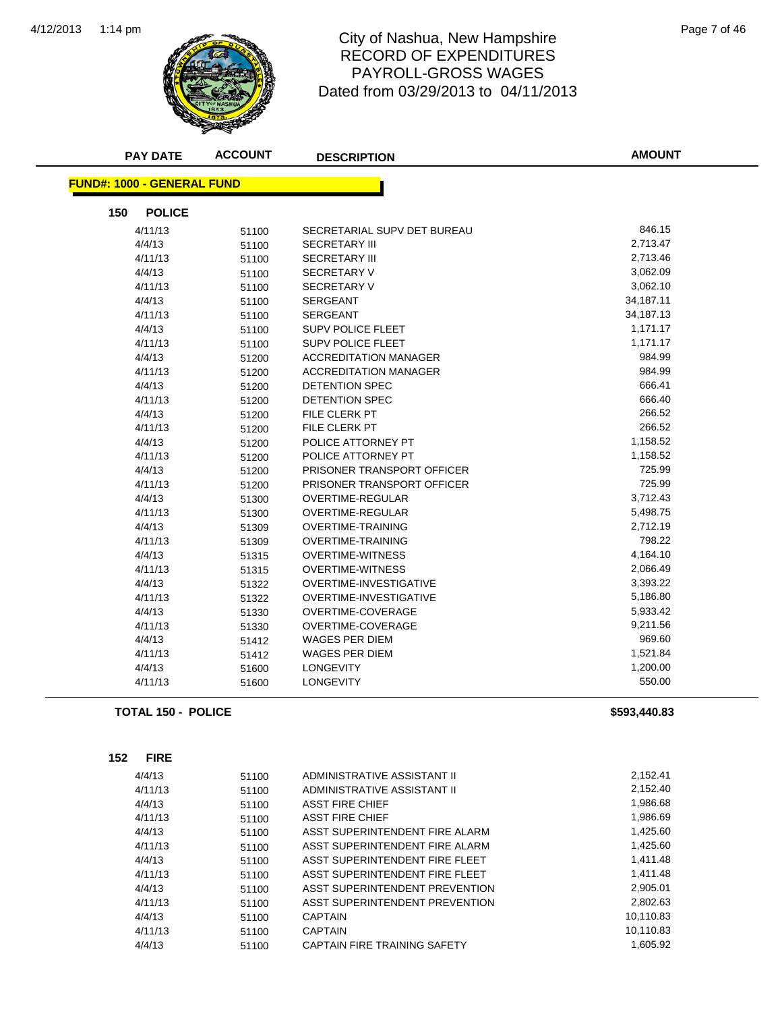

## 1:14 pm Page 7 of 46 RECORD OF EXPENDITURES PAYROLL-GROSS WAGES Dated from 03/29/2013 to 04/11/2013

| <b>PAY DATE</b>                   | <b>ACCOUNT</b> | <b>DESCRIPTION</b>           | <b>AMOUNT</b> |
|-----------------------------------|----------------|------------------------------|---------------|
| <b>FUND#: 1000 - GENERAL FUND</b> |                |                              |               |
| <b>POLICE</b><br>150              |                |                              |               |
| 4/11/13                           | 51100          | SECRETARIAL SUPV DET BUREAU  | 846.15        |
| 4/4/13                            | 51100          | <b>SECRETARY III</b>         | 2,713.47      |
| 4/11/13                           | 51100          | <b>SECRETARY III</b>         | 2,713.46      |
| 4/4/13                            | 51100          | <b>SECRETARY V</b>           | 3,062.09      |
| 4/11/13                           | 51100          | <b>SECRETARY V</b>           | 3,062.10      |
| 4/4/13                            | 51100          | <b>SERGEANT</b>              | 34,187.11     |
| 4/11/13                           | 51100          | SERGEANT                     | 34,187.13     |
| 4/4/13                            | 51100          | <b>SUPV POLICE FLEET</b>     | 1,171.17      |
| 4/11/13                           | 51100          | <b>SUPV POLICE FLEET</b>     | 1,171.17      |
| 4/4/13                            | 51200          | <b>ACCREDITATION MANAGER</b> | 984.99        |
| 4/11/13                           | 51200          | <b>ACCREDITATION MANAGER</b> | 984.99        |
| 4/4/13                            | 51200          | DETENTION SPEC               | 666.41        |
| 4/11/13                           | 51200          | DETENTION SPEC               | 666.40        |
| 4/4/13                            | 51200          | FILE CLERK PT                | 266.52        |
| 4/11/13                           | 51200          | <b>FILE CLERK PT</b>         | 266.52        |
| 4/4/13                            | 51200          | POLICE ATTORNEY PT           | 1,158.52      |
| 4/11/13                           | 51200          | POLICE ATTORNEY PT           | 1,158.52      |
| 4/4/13                            | 51200          | PRISONER TRANSPORT OFFICER   | 725.99        |
| 4/11/13                           | 51200          | PRISONER TRANSPORT OFFICER   | 725.99        |
| 4/4/13                            | 51300          | OVERTIME-REGULAR             | 3,712.43      |
| 4/11/13                           | 51300          | <b>OVERTIME-REGULAR</b>      | 5,498.75      |
| 4/4/13                            | 51309          | <b>OVERTIME-TRAINING</b>     | 2,712.19      |
| 4/11/13                           | 51309          | <b>OVERTIME-TRAINING</b>     | 798.22        |
| 4/4/13                            | 51315          | <b>OVERTIME-WITNESS</b>      | 4,164.10      |
| 4/11/13                           | 51315          | <b>OVERTIME-WITNESS</b>      | 2,066.49      |
| 4/4/13                            | 51322          | OVERTIME-INVESTIGATIVE       | 3,393.22      |
| 4/11/13                           | 51322          | OVERTIME-INVESTIGATIVE       | 5,186.80      |
| 4/4/13                            | 51330          | OVERTIME-COVERAGE            | 5,933.42      |
| 4/11/13                           | 51330          | OVERTIME-COVERAGE            | 9,211.56      |
| 4/4/13                            | 51412          | <b>WAGES PER DIEM</b>        | 969.60        |
| 4/11/13                           | 51412          | <b>WAGES PER DIEM</b>        | 1,521.84      |
| 4/4/13                            | 51600          | <b>LONGEVITY</b>             | 1,200.00      |
| 4/11/13                           | 51600          | <b>LONGEVITY</b>             | 550.00        |
| <b>TOTAL 150 - POLICE</b>         |                |                              | \$593,440.83  |
| <b>FIRE</b><br>152                |                |                              |               |
| 4/4/13                            |                | ADMINISTRATIVE ASSISTANT II  | 2,152.41      |
| 4/11/13                           | 51100          | ADMINISTRATIVE ASSISTANT II  | 2,152.40      |
| 4/4/13                            | 51100<br>51100 | <b>ASST FIRE CHIEF</b>       | 1,986.68      |
| 4/11/13                           | 51100          | <b>ASST FIRE CHIEF</b>       | 1,986.69      |
|                                   |                |                              |               |

| 4/4/13  | 51100 | ASST FIRE CHIEF                | 1,986.68  |
|---------|-------|--------------------------------|-----------|
| 4/11/13 | 51100 | ASST FIRE CHIEF                | 1,986.69  |
| 4/4/13  | 51100 | ASST SUPERINTENDENT FIRE ALARM | 1,425.60  |
| 4/11/13 | 51100 | ASST SUPERINTENDENT FIRE ALARM | 1,425.60  |
| 4/4/13  | 51100 | ASST SUPERINTENDENT FIRE FLEET | 1.411.48  |
| 4/11/13 | 51100 | ASST SUPERINTENDENT FIRE FLEET | 1,411.48  |
| 4/4/13  | 51100 | ASST SUPERINTENDENT PREVENTION | 2,905.01  |
| 4/11/13 | 51100 | ASST SUPERINTENDENT PREVENTION | 2,802.63  |
| 4/4/13  | 51100 | CAPTAIN                        | 10,110.83 |
| 4/11/13 | 51100 | <b>CAPTAIN</b>                 | 10,110.83 |
| 4/4/13  | 51100 | CAPTAIN FIRE TRAINING SAFETY   | 1.605.92  |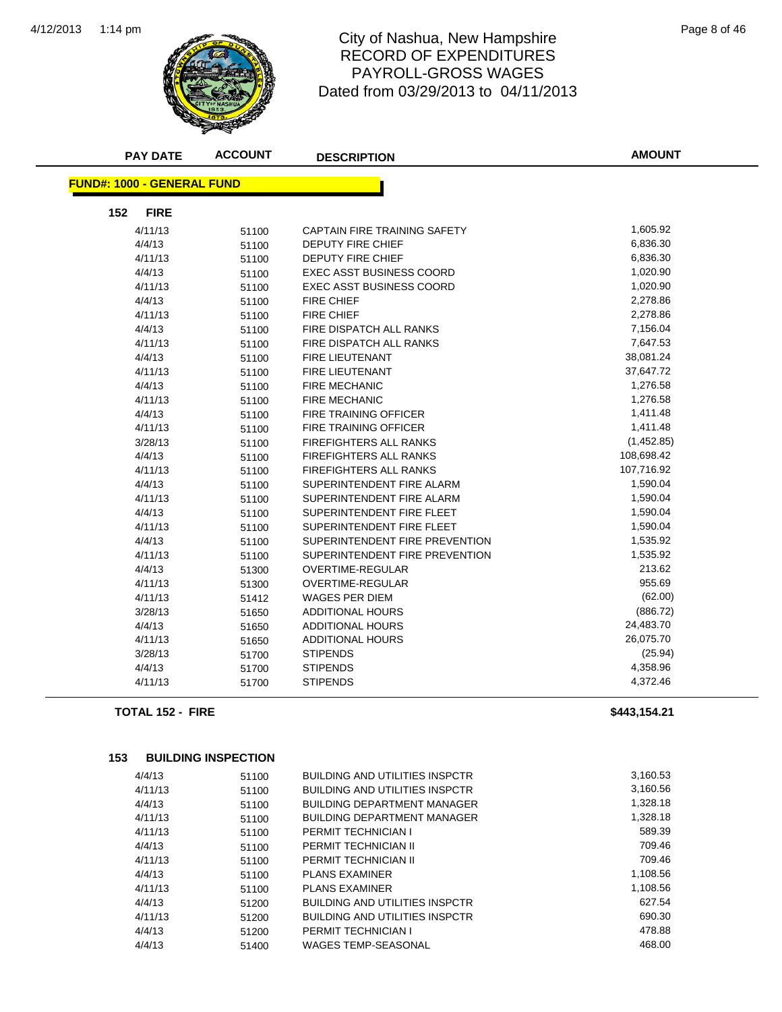

#### 1:14 pm Page 8 of 46 RECORD OF EXPENDITURES PAYROLL-GROSS WAGES Dated from 03/29/2013 to 04/11/2013

| <b>PAY DATE</b>                   | <b>ACCOUNT</b> | <b>DESCRIPTION</b>                  | <b>AMOUNT</b> |
|-----------------------------------|----------------|-------------------------------------|---------------|
| <b>FUND#: 1000 - GENERAL FUND</b> |                |                                     |               |
| 152<br><b>FIRE</b>                |                |                                     |               |
| 4/11/13                           | 51100          | <b>CAPTAIN FIRE TRAINING SAFETY</b> | 1,605.92      |
| 4/4/13                            | 51100          | <b>DEPUTY FIRE CHIEF</b>            | 6,836.30      |
| 4/11/13                           | 51100          | DEPUTY FIRE CHIEF                   | 6,836.30      |
| 4/4/13                            | 51100          | <b>EXEC ASST BUSINESS COORD</b>     | 1,020.90      |
| 4/11/13                           | 51100          | <b>EXEC ASST BUSINESS COORD</b>     | 1,020.90      |
| 4/4/13                            | 51100          | <b>FIRE CHIEF</b>                   | 2,278.86      |
| 4/11/13                           | 51100          | <b>FIRE CHIEF</b>                   | 2,278.86      |
| 4/4/13                            | 51100          | FIRE DISPATCH ALL RANKS             | 7,156.04      |
| 4/11/13                           | 51100          | FIRE DISPATCH ALL RANKS             | 7,647.53      |
| 4/4/13                            | 51100          | <b>FIRE LIEUTENANT</b>              | 38,081.24     |
| 4/11/13                           | 51100          | <b>FIRE LIEUTENANT</b>              | 37,647.72     |
| 4/4/13                            | 51100          | <b>FIRE MECHANIC</b>                | 1,276.58      |
| 4/11/13                           | 51100          | <b>FIRE MECHANIC</b>                | 1,276.58      |
| 4/4/13                            | 51100          | <b>FIRE TRAINING OFFICER</b>        | 1,411.48      |
| 4/11/13                           | 51100          | <b>FIRE TRAINING OFFICER</b>        | 1,411.48      |
| 3/28/13                           | 51100          | <b>FIREFIGHTERS ALL RANKS</b>       | (1,452.85)    |
| 4/4/13                            | 51100          | <b>FIREFIGHTERS ALL RANKS</b>       | 108,698.42    |
| 4/11/13                           | 51100          | <b>FIREFIGHTERS ALL RANKS</b>       | 107,716.92    |
| 4/4/13                            | 51100          | SUPERINTENDENT FIRE ALARM           | 1,590.04      |
| 4/11/13                           | 51100          | SUPERINTENDENT FIRE ALARM           | 1,590.04      |
| 4/4/13                            | 51100          | SUPERINTENDENT FIRE FLEET           | 1,590.04      |
| 4/11/13                           | 51100          | SUPERINTENDENT FIRE FLEET           | 1,590.04      |
| 4/4/13                            | 51100          | SUPERINTENDENT FIRE PREVENTION      | 1,535.92      |
| 4/11/13                           | 51100          | SUPERINTENDENT FIRE PREVENTION      | 1,535.92      |
| 4/4/13                            | 51300          | OVERTIME-REGULAR                    | 213.62        |
| 4/11/13                           | 51300          | OVERTIME-REGULAR                    | 955.69        |
| 4/11/13                           | 51412          | <b>WAGES PER DIEM</b>               | (62.00)       |
| 3/28/13                           | 51650          | <b>ADDITIONAL HOURS</b>             | (886.72)      |
| 4/4/13                            | 51650          | <b>ADDITIONAL HOURS</b>             | 24,483.70     |
| 4/11/13                           | 51650          | <b>ADDITIONAL HOURS</b>             | 26,075.70     |
| 3/28/13                           | 51700          | <b>STIPENDS</b>                     | (25.94)       |
| 4/4/13                            | 51700          | <b>STIPENDS</b>                     | 4,358.96      |
| 4/11/13                           | 51700          | <b>STIPENDS</b>                     | 4,372.46      |
|                                   |                |                                     |               |

**TOTAL 152 - FIRE \$443,154.21**

| 4/4/13  | 51100 | <b>BUILDING AND UTILITIES INSPCTR</b> | 3,160.53 |
|---------|-------|---------------------------------------|----------|
| 4/11/13 | 51100 | <b>BUILDING AND UTILITIES INSPCTR</b> | 3,160.56 |
| 4/4/13  | 51100 | <b>BUILDING DEPARTMENT MANAGER</b>    | 1.328.18 |
| 4/11/13 | 51100 | <b>BUILDING DEPARTMENT MANAGER</b>    | 1,328.18 |
| 4/11/13 | 51100 | PERMIT TECHNICIAN I                   | 589.39   |
| 4/4/13  | 51100 | PERMIT TECHNICIAN II                  | 709.46   |
| 4/11/13 | 51100 | PERMIT TECHNICIAN II                  | 709.46   |
| 4/4/13  | 51100 | <b>PLANS EXAMINER</b>                 | 1,108.56 |
| 4/11/13 | 51100 | <b>PLANS EXAMINER</b>                 | 1,108.56 |
| 4/4/13  | 51200 | <b>BUILDING AND UTILITIES INSPCTR</b> | 627.54   |
| 4/11/13 | 51200 | <b>BUILDING AND UTILITIES INSPCTR</b> | 690.30   |
| 4/4/13  | 51200 | PERMIT TECHNICIAN I                   | 478.88   |
| 4/4/13  | 51400 | <b>WAGES TEMP-SEASONAL</b>            | 468.00   |
|         |       | <b>BUILDING INSPECTION</b>            |          |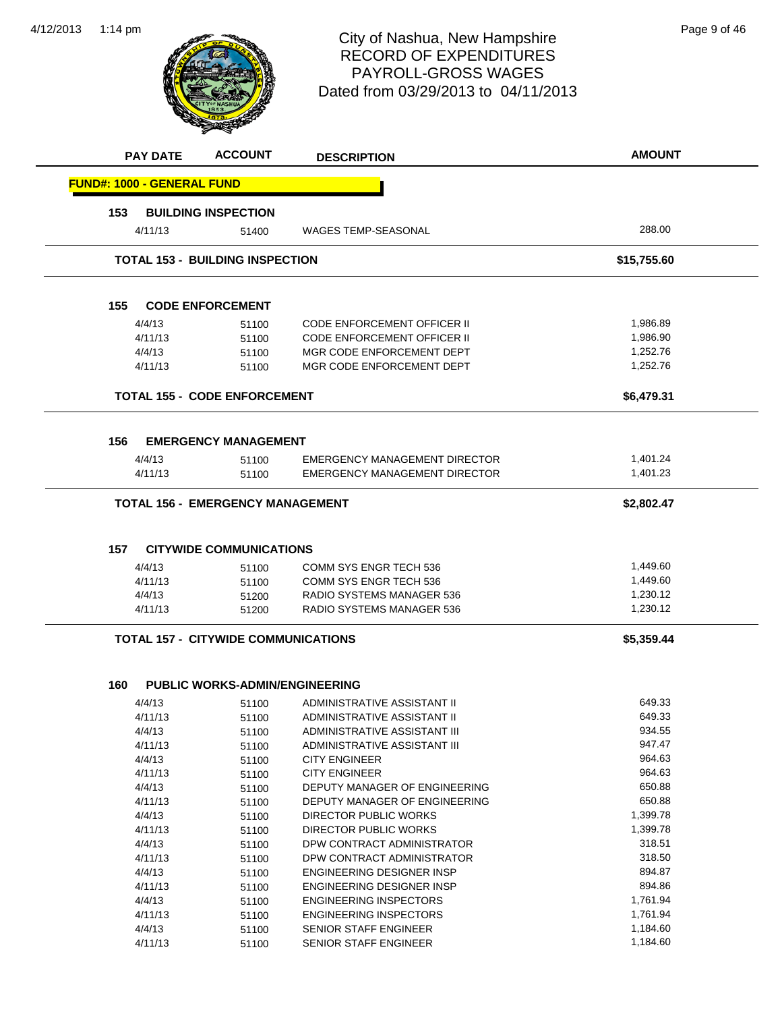4/12/2013



# 1:14 pm Page 9 of 46 RECORD OF EXPENDITURES PAYROLL-GROSS WAGES Dated from 03/29/2013 to 04/11/2013

|     | <b>PAY DATE</b>                   | <b>ACCOUNT</b>                                            | <b>DESCRIPTION</b>                                                            | <b>AMOUNT</b>                    |
|-----|-----------------------------------|-----------------------------------------------------------|-------------------------------------------------------------------------------|----------------------------------|
|     | <b>FUND#: 1000 - GENERAL FUND</b> |                                                           |                                                                               |                                  |
| 153 |                                   | <b>BUILDING INSPECTION</b>                                |                                                                               |                                  |
|     | 4/11/13                           | 51400                                                     | WAGES TEMP-SEASONAL                                                           | 288.00                           |
|     |                                   | <b>TOTAL 153 - BUILDING INSPECTION</b>                    |                                                                               | \$15,755.60                      |
| 155 |                                   | <b>CODE ENFORCEMENT</b>                                   |                                                                               |                                  |
|     | 4/4/13                            | 51100                                                     | <b>CODE ENFORCEMENT OFFICER II</b>                                            | 1,986.89                         |
|     | 4/11/13                           | 51100                                                     | <b>CODE ENFORCEMENT OFFICER II</b>                                            | 1,986.90                         |
|     | 4/4/13                            | 51100                                                     | MGR CODE ENFORCEMENT DEPT                                                     | 1,252.76                         |
|     | 4/11/13                           | 51100                                                     | MGR CODE ENFORCEMENT DEPT                                                     | 1,252.76                         |
|     |                                   | <b>TOTAL 155 - CODE ENFORCEMENT</b>                       |                                                                               | \$6,479.31                       |
| 156 |                                   | <b>EMERGENCY MANAGEMENT</b>                               |                                                                               |                                  |
|     | 4/4/13                            | 51100                                                     | EMERGENCY MANAGEMENT DIRECTOR                                                 | 1,401.24                         |
|     | 4/11/13                           | 51100                                                     | EMERGENCY MANAGEMENT DIRECTOR                                                 | 1,401.23                         |
|     |                                   | <b>TOTAL 156 - EMERGENCY MANAGEMENT</b>                   |                                                                               | \$2,802.47                       |
| 157 | 4/4/13<br>4/11/13<br>4/4/13       | <b>CITYWIDE COMMUNICATIONS</b><br>51100<br>51100<br>51200 | COMM SYS ENGR TECH 536<br>COMM SYS ENGR TECH 536<br>RADIO SYSTEMS MANAGER 536 | 1,449.60<br>1,449.60<br>1,230.12 |
|     | 4/11/13                           | 51200                                                     | RADIO SYSTEMS MANAGER 536                                                     | 1,230.12                         |
|     |                                   | <b>TOTAL 157 - CITYWIDE COMMUNICATIONS</b>                |                                                                               | \$5,359.44                       |
| 160 |                                   | <b>PUBLIC WORKS-ADMIN/ENGINEERING</b>                     |                                                                               | 649.33                           |
|     | 4/4/13<br>4/11/13                 | 51100                                                     | ADMINISTRATIVE ASSISTANT II<br>ADMINISTRATIVE ASSISTANT II                    | 649.33                           |
|     | 4/4/13                            | 51100<br>51100                                            | ADMINISTRATIVE ASSISTANT III                                                  | 934.55                           |
|     | 4/11/13                           | 51100                                                     | ADMINISTRATIVE ASSISTANT III                                                  | 947.47                           |
|     | 4/4/13                            | 51100                                                     | <b>CITY ENGINEER</b>                                                          | 964.63                           |
|     | 4/11/13                           | 51100                                                     | <b>CITY ENGINEER</b>                                                          | 964.63                           |
|     | 4/4/13                            | 51100                                                     | DEPUTY MANAGER OF ENGINEERING                                                 | 650.88                           |
|     | 4/11/13                           | 51100                                                     | DEPUTY MANAGER OF ENGINEERING                                                 | 650.88                           |
|     | 4/4/13                            | 51100                                                     | <b>DIRECTOR PUBLIC WORKS</b>                                                  | 1,399.78                         |
|     | 4/11/13                           | 51100                                                     | DIRECTOR PUBLIC WORKS                                                         | 1,399.78                         |
|     | 4/4/13                            | 51100                                                     | DPW CONTRACT ADMINISTRATOR                                                    | 318.51                           |
|     | 4/11/13                           | 51100                                                     | DPW CONTRACT ADMINISTRATOR                                                    | 318.50                           |
|     | 4/4/13                            | 51100                                                     | ENGINEERING DESIGNER INSP                                                     | 894.87                           |
|     | 4/11/13                           | 51100                                                     | ENGINEERING DESIGNER INSP                                                     | 894.86                           |
|     | 4/4/13                            | 51100                                                     | <b>ENGINEERING INSPECTORS</b>                                                 | 1,761.94                         |
|     | 4/11/13                           | 51100                                                     | <b>ENGINEERING INSPECTORS</b>                                                 | 1,761.94                         |
|     | 4/4/13                            | 51100                                                     | SENIOR STAFF ENGINEER                                                         | 1,184.60                         |
|     | 4/11/13                           | 51100                                                     | SENIOR STAFF ENGINEER                                                         | 1,184.60                         |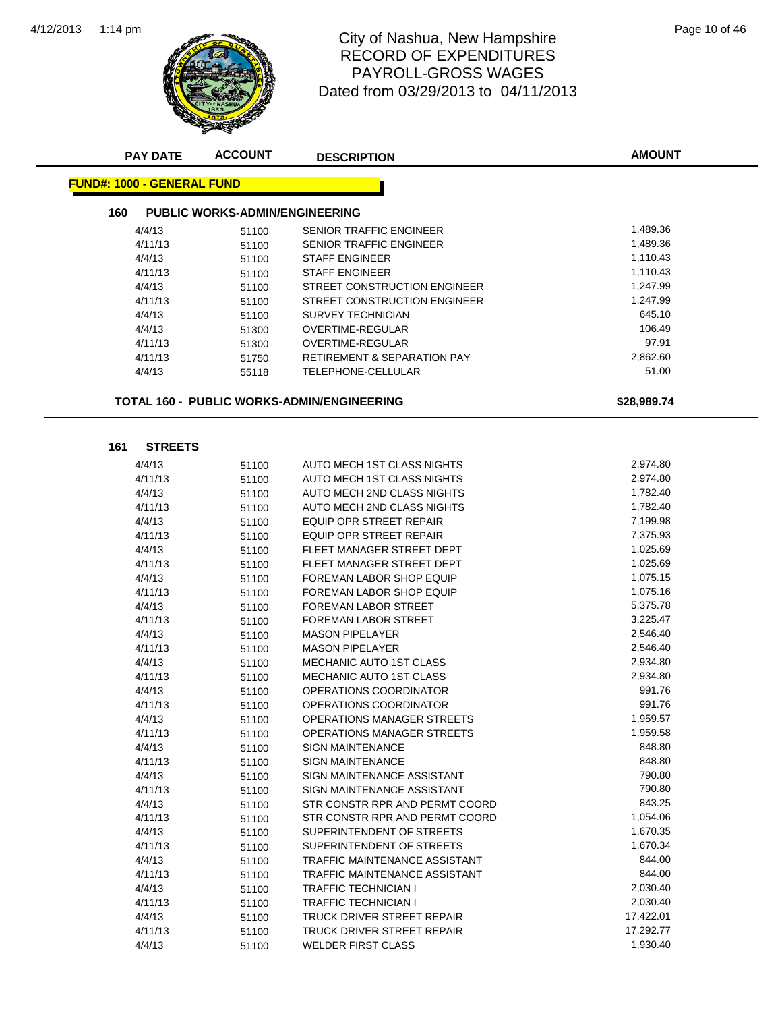

# City of Nashua, New Hampshire Page 10 of 46 RECORD OF EXPENDITURES PAYROLL-GROSS WAGES Dated from 03/29/2013 to 04/11/2013

| <b>PAY DATE</b>                   | <b>ACCOUNT</b>                        | <b>DESCRIPTION</b>                         | <b>AMOUNT</b> |
|-----------------------------------|---------------------------------------|--------------------------------------------|---------------|
| <b>FUND#: 1000 - GENERAL FUND</b> |                                       |                                            |               |
| 160                               | <b>PUBLIC WORKS-ADMIN/ENGINEERING</b> |                                            |               |
|                                   |                                       |                                            |               |
| 4/4/13                            | 51100                                 | <b>SENIOR TRAFFIC ENGINEER</b>             | 1,489.36      |
| 4/11/13                           | 51100                                 | SENIOR TRAFFIC ENGINEER                    | 1,489.36      |
| 4/4/13                            | 51100                                 | <b>STAFF ENGINEER</b>                      | 1,110.43      |
| 4/11/13                           | 51100                                 | <b>STAFF ENGINEER</b>                      | 1,110.43      |
| 4/4/13                            | 51100                                 | STREET CONSTRUCTION ENGINEER               | 1,247.99      |
| 4/11/13                           | 51100                                 | <b>STREET CONSTRUCTION ENGINEER</b>        | 1,247.99      |
| 4/4/13                            | 51100                                 | <b>SURVEY TECHNICIAN</b>                   | 645.10        |
| 4/4/13                            | 51300                                 | OVERTIME-REGULAR                           | 106.49        |
| 4/11/13                           | 51300                                 | OVERTIME-REGULAR                           | 97.91         |
| 4/11/13                           | 51750                                 | <b>RETIREMENT &amp; SEPARATION PAY</b>     | 2,862.60      |
| 4/4/13                            | 55118                                 | TELEPHONE-CELLULAR                         | 51.00         |
|                                   |                                       | TOTAL 160 - PUBLIC WORKS-ADMIN/ENGINEERING | \$28,989.74   |
|                                   |                                       |                                            |               |
| 161<br><b>STREETS</b>             |                                       |                                            |               |
| 4/4/13                            | 51100                                 | AUTO MECH 1ST CLASS NIGHTS                 | 2,974.80      |
| 4/11/13                           | 51100                                 | AUTO MECH 1ST CLASS NIGHTS                 | 2,974.80      |
| 4/4/13                            | 51100                                 | AUTO MECH 2ND CLASS NIGHTS                 | 1,782.40      |
| 4/11/13                           | 51100                                 | AUTO MECH 2ND CLASS NIGHTS                 | 1,782.40      |
| 4/4/13                            | 51100                                 | EQUIP OPR STREET REPAIR                    | 7,199.98      |
| 4/11/13                           | 51100                                 | EQUIP OPR STREET REPAIR                    | 7,375.93      |
| 4/4/13                            | 51100                                 | FLEET MANAGER STREET DEPT                  | 1,025.69      |
| 4/11/13                           | 51100                                 | FLEET MANAGER STREET DEPT                  | 1,025.69      |
| 4/4/13                            | 51100                                 | FOREMAN LABOR SHOP EQUIP                   | 1,075.15      |
| 4/11/13                           | 51100                                 | FOREMAN LABOR SHOP EQUIP                   | 1,075.16      |
| 4/4/13                            | 51100                                 | FOREMAN LABOR STREET                       | 5,375.78      |
| 4/11/13                           | 51100                                 | FOREMAN LABOR STREET                       | 3,225.47      |
| 4/4/13                            | 51100                                 | <b>MASON PIPELAYER</b>                     | 2,546.40      |
| 4/11/13                           | 51100                                 | <b>MASON PIPELAYER</b>                     | 2,546.40      |
| 4/4/13                            | 51100                                 | <b>MECHANIC AUTO 1ST CLASS</b>             | 2,934.80      |
| 4/11/13                           | 51100                                 | MECHANIC AUTO 1ST CLASS                    | 2,934.80      |
| 4/4/13                            | 51100                                 | OPERATIONS COORDINATOR                     | 991.76        |
| 4/11/13                           | 51100                                 | OPERATIONS COORDINATOR                     | 991.76        |
| 4/4/13                            | 51100                                 | OPERATIONS MANAGER STREETS                 | 1,959.57      |
| 4/11/13                           | 51100                                 | OPERATIONS MANAGER STREETS                 | 1,959.58      |
| 4/4/13                            | 51100                                 | <b>SIGN MAINTENANCE</b>                    | 848.80        |
| 4/11/13                           | 51100                                 | <b>SIGN MAINTENANCE</b>                    | 848.80        |
| 4/4/13                            | 51100                                 | SIGN MAINTENANCE ASSISTANT                 | 790.80        |
| 4/11/13                           | 51100                                 | SIGN MAINTENANCE ASSISTANT                 | 790.80        |
| 4/4/13                            | 51100                                 | STR CONSTR RPR AND PERMT COORD             | 843.25        |
| 4/11/13                           | 51100                                 | STR CONSTR RPR AND PERMT COORD             | 1,054.06      |
| 4/4/13                            | 51100                                 | SUPERINTENDENT OF STREETS                  | 1,670.35      |
| 4/11/13                           | 51100                                 | SUPERINTENDENT OF STREETS                  | 1,670.34      |
| 4/4/13                            | 51100                                 | TRAFFIC MAINTENANCE ASSISTANT              | 844.00        |
| 4/11/13                           | 51100                                 | TRAFFIC MAINTENANCE ASSISTANT              | 844.00        |
| 4/4/13                            | 51100                                 | <b>TRAFFIC TECHNICIAN I</b>                | 2,030.40      |
| 4/11/13                           | 51100                                 | <b>TRAFFIC TECHNICIAN I</b>                | 2,030.40      |

4/4/13 51100 TRUCK DRIVER STREET REPAIR 17,422.01 4/11/13 51100 TRUCK DRIVER STREET REPAIR<br>4/4/13 51100 WELDER FIRST CLASS 4/4/13 1,930.40

4/4/13 51100 WELDER FIRST CLASS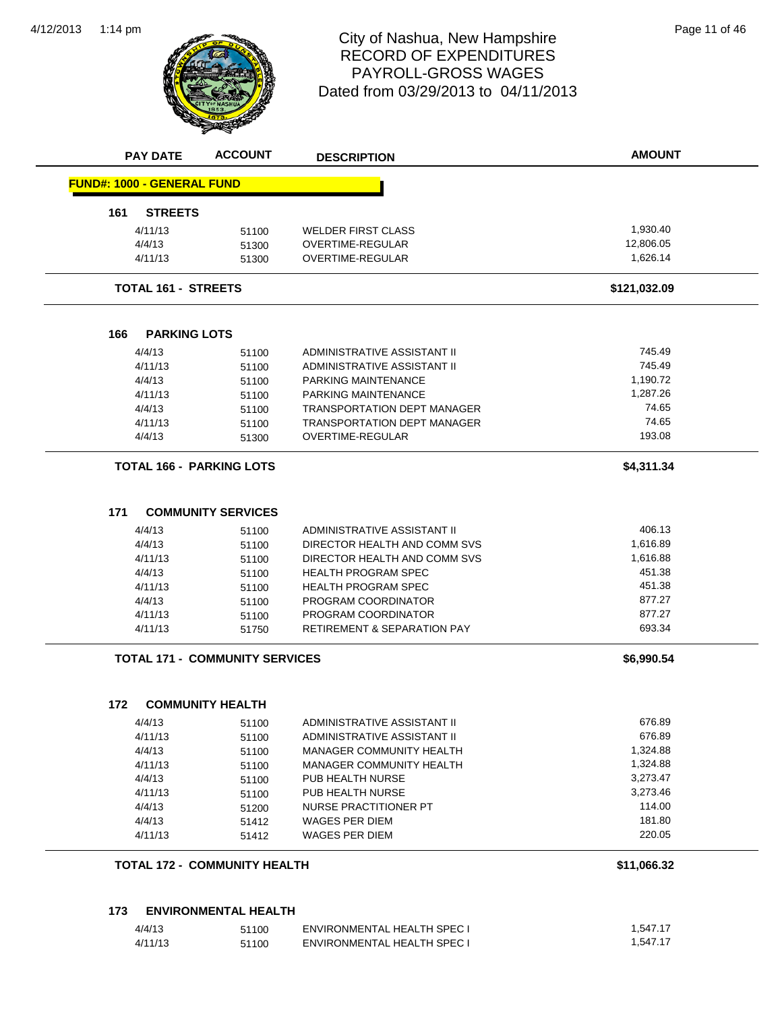4/12/2013 1:14 pm



## 1:14 pm Page 11 of 46 RECORD OF EXPENDITURES PAYROLL-GROSS WAGES Dated from 03/29/2013 to 04/11/2013

|                                   |                                       | <b>DESCRIPTION</b>                                          | <b>AMOUNT</b>        |
|-----------------------------------|---------------------------------------|-------------------------------------------------------------|----------------------|
| <b>FUND#: 1000 - GENERAL FUND</b> |                                       |                                                             |                      |
| 161<br><b>STREETS</b>             |                                       |                                                             |                      |
| 4/11/13                           | 51100                                 | <b>WELDER FIRST CLASS</b>                                   | 1,930.40             |
| 4/4/13                            | 51300                                 | OVERTIME-REGULAR                                            | 12,806.05            |
| 4/11/13                           | 51300                                 | OVERTIME-REGULAR                                            | 1,626.14             |
| <b>TOTAL 161 - STREETS</b>        |                                       |                                                             | \$121,032.09         |
| 166<br><b>PARKING LOTS</b>        |                                       |                                                             |                      |
| 4/4/13                            | 51100                                 | ADMINISTRATIVE ASSISTANT II                                 | 745.49               |
| 4/11/13                           | 51100                                 | ADMINISTRATIVE ASSISTANT II                                 | 745.49               |
| 4/4/13                            | 51100                                 | PARKING MAINTENANCE                                         | 1,190.72             |
| 4/11/13                           | 51100                                 | <b>PARKING MAINTENANCE</b>                                  | 1,287.26             |
| 4/4/13                            | 51100                                 | <b>TRANSPORTATION DEPT MANAGER</b>                          | 74.65                |
| 4/11/13                           | 51100                                 | TRANSPORTATION DEPT MANAGER                                 | 74.65                |
| 4/4/13                            | 51300                                 | OVERTIME-REGULAR                                            | 193.08               |
| <b>TOTAL 166 - PARKING LOTS</b>   |                                       |                                                             | \$4,311.34           |
| 4/4/13<br>4/4/13                  | 51100<br>51100                        | ADMINISTRATIVE ASSISTANT II<br>DIRECTOR HEALTH AND COMM SVS | 406.13<br>1,616.89   |
|                                   | 51100                                 | DIRECTOR HEALTH AND COMM SVS                                | 1,616.88             |
| 4/11/13                           |                                       | <b>HEALTH PROGRAM SPEC</b>                                  |                      |
| 4/4/13                            | 51100                                 |                                                             | 451.38               |
| 4/11/13                           | 51100                                 | <b>HEALTH PROGRAM SPEC</b>                                  | 451.38               |
| 4/4/13                            | 51100                                 | PROGRAM COORDINATOR                                         | 877.27               |
| 4/11/13                           | 51100                                 | PROGRAM COORDINATOR                                         | 877.27               |
| 4/11/13                           | 51750                                 | <b>RETIREMENT &amp; SEPARATION PAY</b>                      | 693.34               |
|                                   | <b>TOTAL 171 - COMMUNITY SERVICES</b> |                                                             | \$6,990.54           |
| 172                               | <b>COMMUNITY HEALTH</b>               |                                                             |                      |
|                                   |                                       |                                                             |                      |
| 4/4/13                            | 51100                                 | ADMINISTRATIVE ASSISTANT II                                 | 676.89<br>676.89     |
| 4/11/13                           | 51100                                 | ADMINISTRATIVE ASSISTANT II                                 |                      |
| 4/4/13<br>4/11/13                 | 51100                                 | MANAGER COMMUNITY HEALTH<br>MANAGER COMMUNITY HEALTH        | 1,324.88             |
|                                   | 51100                                 |                                                             | 1,324.88<br>3,273.47 |
| 4/4/13                            | 51100                                 | PUB HEALTH NURSE                                            | 3,273.46             |
| 4/11/13                           | 51100                                 | PUB HEALTH NURSE                                            |                      |
| 4/4/13                            | 51200                                 | NURSE PRACTITIONER PT                                       | 114.00               |
| 4/4/13<br>4/11/13                 | 51412<br>51412                        | <b>WAGES PER DIEM</b><br><b>WAGES PER DIEM</b>              | 181.80<br>220.05     |

| 173     | <b>ENVIRONMENTAL HEALTH</b> |                             |          |  |  |
|---------|-----------------------------|-----------------------------|----------|--|--|
| 4/4/13  | 51100                       | ENVIRONMENTAL HEALTH SPEC I | 1.547.17 |  |  |
| 4/11/13 | 51100                       | ENVIRONMENTAL HEALTH SPEC I | 1.547.17 |  |  |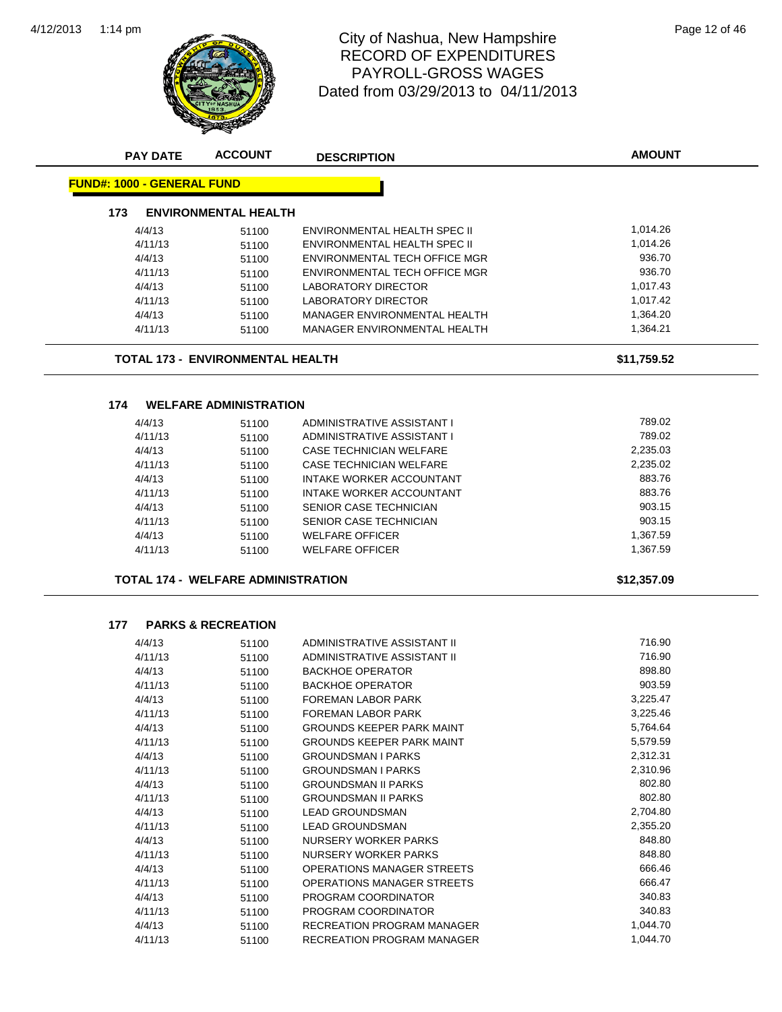

# 1:14 pm Page 12 of 46 RECORD OF EXPENDITURES PAYROLL-GROSS WAGES Dated from 03/29/2013 to 04/11/2013

| <b>PAY DATE</b>                   | <b>ACCOUNT</b>                            | <b>DESCRIPTION</b>              | <b>AMOUNT</b> |
|-----------------------------------|-------------------------------------------|---------------------------------|---------------|
| <b>FUND#: 1000 - GENERAL FUND</b> |                                           |                                 |               |
| 173                               | <b>ENVIRONMENTAL HEALTH</b>               |                                 |               |
| 4/4/13                            | 51100                                     | ENVIRONMENTAL HEALTH SPEC II    | 1,014.26      |
| 4/11/13                           | 51100                                     | ENVIRONMENTAL HEALTH SPEC II    | 1,014.26      |
| 4/4/13                            | 51100                                     | ENVIRONMENTAL TECH OFFICE MGR   | 936.70        |
| 4/11/13                           | 51100                                     | ENVIRONMENTAL TECH OFFICE MGR   | 936.70        |
| 4/4/13                            | 51100                                     | <b>LABORATORY DIRECTOR</b>      | 1,017.43      |
| 4/11/13                           | 51100                                     | <b>LABORATORY DIRECTOR</b>      | 1,017.42      |
| 4/4/13                            | 51100                                     | MANAGER ENVIRONMENTAL HEALTH    | 1,364.20      |
| 4/11/13                           | 51100                                     | MANAGER ENVIRONMENTAL HEALTH    | 1,364.21      |
|                                   | <b>TOTAL 173 - ENVIRONMENTAL HEALTH</b>   |                                 | \$11,759.52   |
| 174                               | <b>WELFARE ADMINISTRATION</b>             |                                 |               |
| 4/4/13                            | 51100                                     | ADMINISTRATIVE ASSISTANT I      | 789.02        |
| 4/11/13                           | 51100                                     | ADMINISTRATIVE ASSISTANT I      | 789.02        |
| 4/4/13                            | 51100                                     | <b>CASE TECHNICIAN WELFARE</b>  | 2,235.03      |
| 4/11/13                           | 51100                                     | <b>CASE TECHNICIAN WELFARE</b>  | 2,235.02      |
| 4/4/13                            | 51100                                     | <b>INTAKE WORKER ACCOUNTANT</b> | 883.76        |
| 4/11/13                           | 51100                                     | INTAKE WORKER ACCOUNTANT        | 883.76        |
| 4/4/13                            | 51100                                     | <b>SENIOR CASE TECHNICIAN</b>   | 903.15        |
| 4/11/13                           | 51100                                     | <b>SENIOR CASE TECHNICIAN</b>   | 903.15        |
| 4/4/13                            | 51100                                     | <b>WELFARE OFFICER</b>          | 1,367.59      |
| 4/11/13                           | 51100                                     | <b>WELFARE OFFICER</b>          | 1,367.59      |
|                                   | <b>TOTAL 174 - WELFARE ADMINISTRATION</b> |                                 | \$12,357.09   |
| 177                               | <b>PARKS &amp; RECREATION</b>             |                                 |               |
|                                   |                                           |                                 |               |
| 4/4/13                            | 51100                                     | ADMINISTRATIVE ASSISTANT II     | 716.90        |
| 4/11/13                           | 51100                                     | ADMINISTRATIVE ASSISTANT II     | 716.90        |
| 4/4/13                            | 51100                                     | <b>BACKHOE OPERATOR</b>         | 898.80        |
| 4/11/13                           | 51100                                     | <b>BACKHOE OPERATOR</b>         | 903.59        |
| 4/4/13                            | 51100                                     | <b>FOREMAN LABOR PARK</b>       | 3,225.47      |
| 4/11/13                           | 51100                                     | <b>FOREMAN LABOR PARK</b>       | 3,225.46      |

| 4/11/13 | 51100 | BACKHOE OPERATOR                  | 903.59   |
|---------|-------|-----------------------------------|----------|
| 4/4/13  | 51100 | <b>FOREMAN LABOR PARK</b>         | 3,225.47 |
| 4/11/13 | 51100 | <b>FOREMAN LABOR PARK</b>         | 3,225.46 |
| 4/4/13  | 51100 | <b>GROUNDS KEEPER PARK MAINT</b>  | 5,764.64 |
| 4/11/13 | 51100 | <b>GROUNDS KEEPER PARK MAINT</b>  | 5,579.59 |
| 4/4/13  | 51100 | <b>GROUNDSMAN I PARKS</b>         | 2,312.31 |
| 4/11/13 | 51100 | <b>GROUNDSMAN I PARKS</b>         | 2,310.96 |
| 4/4/13  | 51100 | <b>GROUNDSMAN II PARKS</b>        | 802.80   |
| 4/11/13 | 51100 | <b>GROUNDSMAN II PARKS</b>        | 802.80   |
| 4/4/13  | 51100 | <b>LEAD GROUNDSMAN</b>            | 2,704.80 |
| 4/11/13 | 51100 | <b>LEAD GROUNDSMAN</b>            | 2,355.20 |
| 4/4/13  | 51100 | NURSERY WORKER PARKS              | 848.80   |
| 4/11/13 | 51100 | NURSERY WORKER PARKS              | 848.80   |
| 4/4/13  | 51100 | <b>OPERATIONS MANAGER STREETS</b> | 666.46   |
| 4/11/13 | 51100 | <b>OPERATIONS MANAGER STREETS</b> | 666.47   |
| 4/4/13  | 51100 | PROGRAM COORDINATOR               | 340.83   |
| 4/11/13 | 51100 | PROGRAM COORDINATOR               | 340.83   |
| 4/4/13  | 51100 | <b>RECREATION PROGRAM MANAGER</b> | 1,044.70 |
| 4/11/13 | 51100 | <b>RECREATION PROGRAM MANAGER</b> | 1,044.70 |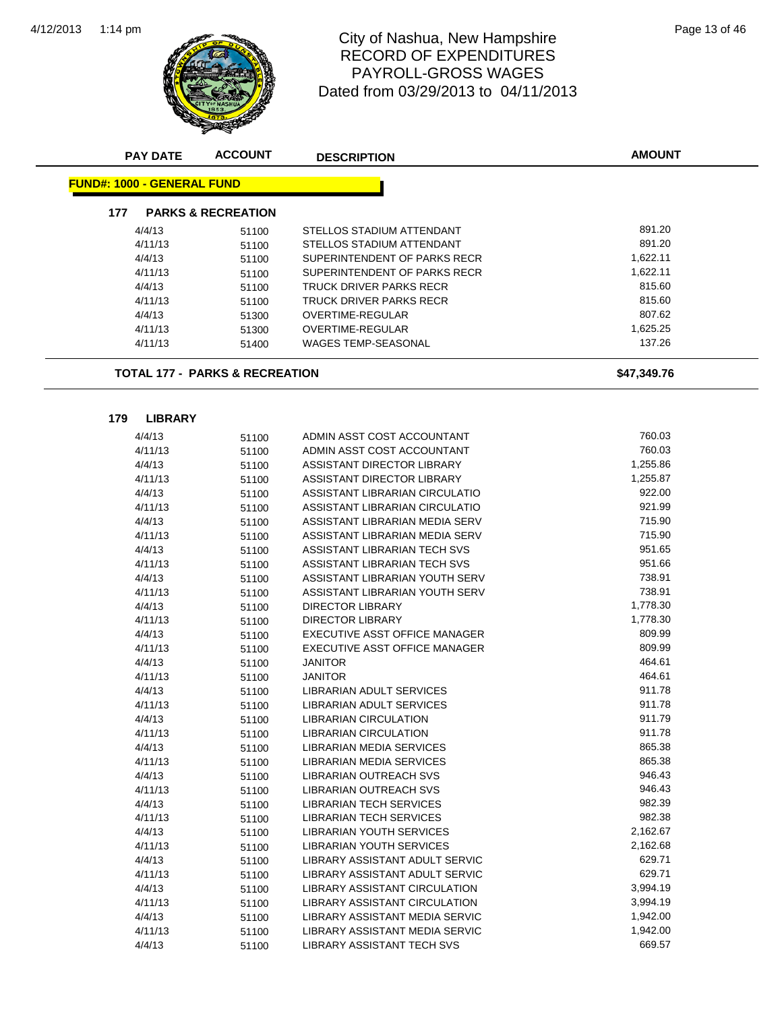

## 1:14 pm Page 13 of 46 RECORD OF EXPENDITURES PAYROLL-GROSS WAGES Dated from 03/29/2013 to 04/11/2013

| <b>PAY DATE</b>                   | <b>ACCOUNT</b>                            | <b>DESCRIPTION</b>              | <b>AMOUNT</b> |
|-----------------------------------|-------------------------------------------|---------------------------------|---------------|
| <b>FUND#: 1000 - GENERAL FUND</b> |                                           |                                 |               |
| 177                               | <b>PARKS &amp; RECREATION</b>             |                                 |               |
| 4/4/13                            | 51100                                     | STELLOS STADIUM ATTENDANT       | 891.20        |
| 4/11/13                           | 51100                                     | STELLOS STADIUM ATTENDANT       | 891.20        |
| 4/4/13                            | 51100                                     | SUPERINTENDENT OF PARKS RECR    | 1,622.11      |
| 4/11/13                           | 51100                                     | SUPERINTENDENT OF PARKS RECR    | 1,622.11      |
| 4/4/13                            | 51100                                     | <b>TRUCK DRIVER PARKS RECR</b>  | 815.60        |
| 4/11/13                           | 51100                                     | TRUCK DRIVER PARKS RECR         | 815.60        |
| 4/4/13                            | 51300                                     | OVERTIME-REGULAR                | 807.62        |
| 4/11/13                           | 51300                                     | OVERTIME-REGULAR                | 1,625.25      |
| 4/11/13                           | 51400                                     | WAGES TEMP-SEASONAL             | 137.26        |
|                                   | <b>TOTAL 177 - PARKS &amp; RECREATION</b> |                                 | \$47,349.76   |
|                                   |                                           |                                 |               |
| <b>LIBRARY</b><br>179             |                                           |                                 |               |
| 4/4/13                            | 51100                                     | ADMIN ASST COST ACCOUNTANT      | 760.03        |
| 4/11/13                           | 51100                                     | ADMIN ASST COST ACCOUNTANT      | 760.03        |
| 4/4/13                            | 51100                                     | ASSISTANT DIRECTOR LIBRARY      | 1,255.86      |
| 4/11/13                           | 51100                                     | ASSISTANT DIRECTOR LIBRARY      | 1,255.87      |
| 4/4/13                            | 51100                                     | ASSISTANT LIBRARIAN CIRCULATIO  | 922.00        |
| 4/11/13                           | 51100                                     | ASSISTANT LIBRARIAN CIRCULATIO  | 921.99        |
| 4/4/13                            | 51100                                     | ASSISTANT LIBRARIAN MEDIA SERV  | 715.90        |
| 4/11/13                           | 51100                                     | ASSISTANT LIBRARIAN MEDIA SERV  | 715.90        |
| 4/4/13                            | 51100                                     | ASSISTANT LIBRARIAN TECH SVS    | 951.65        |
| 4/11/13                           | 51100                                     | ASSISTANT LIBRARIAN TECH SVS    | 951.66        |
| 4/4/13                            | 51100                                     | ASSISTANT LIBRARIAN YOUTH SERV  | 738.91        |
| 4/11/13                           | 51100                                     | ASSISTANT LIBRARIAN YOUTH SERV  | 738.91        |
| 4/4/13                            | 51100                                     | <b>DIRECTOR LIBRARY</b>         | 1,778.30      |
| 4/11/13                           | 51100                                     | DIRECTOR LIBRARY                | 1,778.30      |
| 4/4/13                            | 51100                                     | EXECUTIVE ASST OFFICE MANAGER   | 809.99        |
| 4/11/13                           | 51100                                     | EXECUTIVE ASST OFFICE MANAGER   | 809.99        |
| 4/4/13                            | 51100                                     | <b>JANITOR</b>                  | 464.61        |
| 4/11/13                           | 51100                                     | <b>JANITOR</b>                  | 464.61        |
| 4/4/13                            | 51100                                     | <b>LIBRARIAN ADULT SERVICES</b> | 911.78        |
| 4/11/13                           | 51100                                     | LIBRARIAN ADULT SERVICES        | 911.78        |
| 4/4/13                            | 51100                                     | <b>LIBRARIAN CIRCULATION</b>    | 911.79        |
| 4/11/13                           | 51100                                     | <b>LIBRARIAN CIRCULATION</b>    | 911.78        |
| 4/4/13                            | 51100                                     | LIBRARIAN MEDIA SERVICES        | 865.38        |
| 4/11/13                           | 51100                                     | LIBRARIAN MEDIA SERVICES        | 865.38        |
| 4/4/13                            | 51100                                     | <b>LIBRARIAN OUTREACH SVS</b>   | 946.43        |
| 4/11/13                           | 51100                                     | <b>LIBRARIAN OUTREACH SVS</b>   | 946.43        |
| 4/4/13                            | 51100                                     | LIBRARIAN TECH SERVICES         | 982.39        |
| 4/11/13                           | 51100                                     | <b>LIBRARIAN TECH SERVICES</b>  | 982.38        |
| 4/4/13                            | 51100                                     | <b>LIBRARIAN YOUTH SERVICES</b> | 2,162.67      |
| 4/11/13                           | 51100                                     | LIBRARIAN YOUTH SERVICES        | 2,162.68      |
| 4/4/13                            | 51100                                     | LIBRARY ASSISTANT ADULT SERVIC  | 629.71        |
| 4/11/13                           | 51100                                     | LIBRARY ASSISTANT ADULT SERVIC  | 629.71        |
| 4/4/13                            | 51100                                     | LIBRARY ASSISTANT CIRCULATION   | 3,994.19      |
| 4/11/13                           | 51100                                     | LIBRARY ASSISTANT CIRCULATION   | 3,994.19      |
| 4/4/13                            | 51100                                     | LIBRARY ASSISTANT MEDIA SERVIC  | 1,942.00      |

4/11/13 51100 LIBRARY ASSISTANT MEDIA SERVIC 1,942.00

4/4/13 51100 LIBRARY ASSISTANT TECH SVS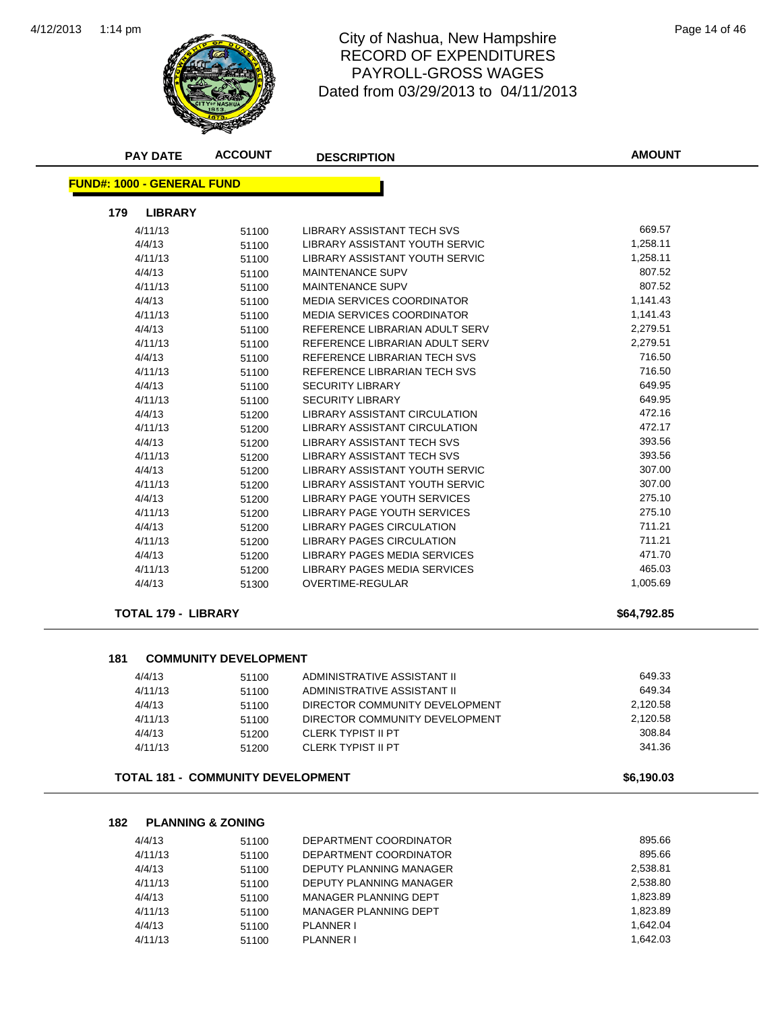

# City of Nashua, New Hampshire<br>
Page 14 of 46 RECORD OF EXPENDITURES PAYROLL-GROSS WAGES Dated from 03/29/2013 to 04/11/2013

| <b>PAY DATE</b>                   | <b>ACCOUNT</b>                           | <b>DESCRIPTION</b>                    | <b>AMOUNT</b> |
|-----------------------------------|------------------------------------------|---------------------------------------|---------------|
| <b>FUND#: 1000 - GENERAL FUND</b> |                                          |                                       |               |
| <b>LIBRARY</b><br>179             |                                          |                                       |               |
| 4/11/13                           | 51100                                    | LIBRARY ASSISTANT TECH SVS            | 669.57        |
| 4/4/13                            | 51100                                    | LIBRARY ASSISTANT YOUTH SERVIC        | 1,258.11      |
| 4/11/13                           | 51100                                    | LIBRARY ASSISTANT YOUTH SERVIC        | 1,258.11      |
| 4/4/13                            | 51100                                    | <b>MAINTENANCE SUPV</b>               | 807.52        |
| 4/11/13                           | 51100                                    | <b>MAINTENANCE SUPV</b>               | 807.52        |
| 4/4/13                            | 51100                                    | <b>MEDIA SERVICES COORDINATOR</b>     | 1,141.43      |
| 4/11/13                           | 51100                                    | MEDIA SERVICES COORDINATOR            | 1,141.43      |
| 4/4/13                            | 51100                                    | REFERENCE LIBRARIAN ADULT SERV        | 2,279.51      |
| 4/11/13                           | 51100                                    | REFERENCE LIBRARIAN ADULT SERV        | 2,279.51      |
| 4/4/13                            | 51100                                    | REFERENCE LIBRARIAN TECH SVS          | 716.50        |
| 4/11/13                           | 51100                                    | REFERENCE LIBRARIAN TECH SVS          | 716.50        |
| 4/4/13                            | 51100                                    | <b>SECURITY LIBRARY</b>               | 649.95        |
| 4/11/13                           | 51100                                    | <b>SECURITY LIBRARY</b>               | 649.95        |
| 4/4/13                            | 51200                                    | LIBRARY ASSISTANT CIRCULATION         | 472.16        |
| 4/11/13                           | 51200                                    | LIBRARY ASSISTANT CIRCULATION         | 472.17        |
| 4/4/13                            | 51200                                    | LIBRARY ASSISTANT TECH SVS            | 393.56        |
| 4/11/13                           | 51200                                    | LIBRARY ASSISTANT TECH SVS            | 393.56        |
| 4/4/13                            | 51200                                    | LIBRARY ASSISTANT YOUTH SERVIC        | 307.00        |
| 4/11/13                           | 51200                                    | <b>LIBRARY ASSISTANT YOUTH SERVIC</b> | 307.00        |
| 4/4/13                            | 51200                                    | LIBRARY PAGE YOUTH SERVICES           | 275.10        |
| 4/11/13                           | 51200                                    | LIBRARY PAGE YOUTH SERVICES           | 275.10        |
| 4/4/13                            | 51200                                    | LIBRARY PAGES CIRCULATION             | 711.21        |
| 4/11/13                           | 51200                                    | LIBRARY PAGES CIRCULATION             | 711.21        |
| 4/4/13                            | 51200                                    | LIBRARY PAGES MEDIA SERVICES          | 471.70        |
| 4/11/13                           | 51200                                    | LIBRARY PAGES MEDIA SERVICES          | 465.03        |
| 4/4/13                            | 51300                                    | OVERTIME-REGULAR                      | 1,005.69      |
| <b>TOTAL 179 - LIBRARY</b>        |                                          |                                       | \$64,792.85   |
|                                   |                                          |                                       |               |
| 181                               | <b>COMMUNITY DEVELOPMENT</b>             |                                       |               |
| 4/4/13                            | 51100                                    | ADMINISTRATIVE ASSISTANT II           | 649.33        |
| 4/11/13                           | 51100                                    | ADMINISTRATIVE ASSISTANT II           | 649.34        |
| 4/4/13                            | 51100                                    | DIRECTOR COMMUNITY DEVELOPMENT        | 2,120.58      |
| 4/11/13                           | 51100                                    | DIRECTOR COMMUNITY DEVELOPMENT        | 2,120.58      |
| 4/4/13                            | 51200                                    | <b>CLERK TYPIST II PT</b>             | 308.84        |
| 4/11/13                           | 51200                                    | <b>CLERK TYPIST II PT</b>             | 341.36        |
|                                   | <b>TOTAL 181 - COMMUNITY DEVELOPMENT</b> |                                       | \$6,190.03    |
|                                   |                                          |                                       |               |
| 182                               | <b>PLANNING &amp; ZONING</b>             |                                       |               |
| 4/4/13                            | 51100                                    | DEPARTMENT COORDINATOR                | 895.66        |
| 4/11/13                           | 51100                                    | DEPARTMENT COORDINATOR                | 895.66        |
| 4/4/13                            | 51100                                    | DEPUTY PLANNING MANAGER               | 2,538.81      |
| 4/11/13                           | 51100                                    | DEPUTY PLANNING MANAGER               | 2,538.80      |
| 4/4/13                            | 51100                                    | MANAGER PLANNING DEPT                 | 1,823.89      |
| 4/11/13                           | 51100                                    | MANAGER PLANNING DEPT                 | 1,823.89      |
| 4/4/13                            | 51100                                    | <b>PLANNER I</b>                      | 1,642.04      |
| 4/11/13                           | 51100                                    | PLANNER I                             | 1,642.03      |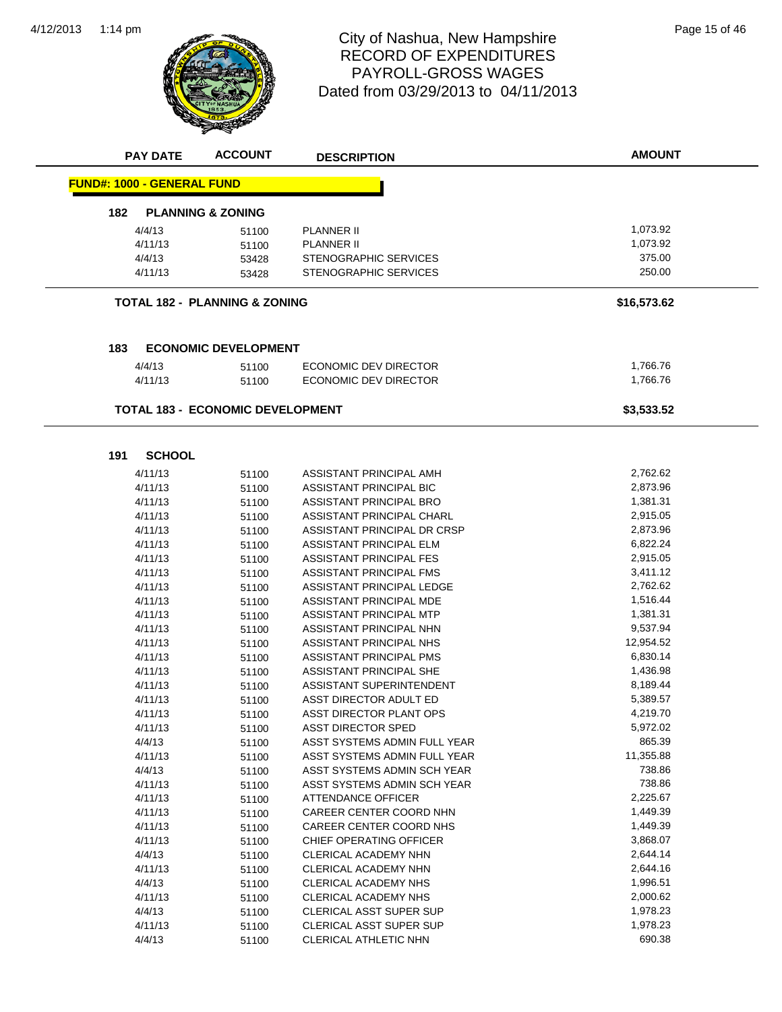

## 1:14 pm Page 15 of 46 RECORD OF EXPENDITURES PAYROLL-GROSS WAGES Dated from 03/29/2013 to 04/11/2013

| <b>PAY DATE</b>                   | <b>ACCOUNT</b>                           | <b>DESCRIPTION</b>             | <b>AMOUNT</b> |
|-----------------------------------|------------------------------------------|--------------------------------|---------------|
| <b>FUND#: 1000 - GENERAL FUND</b> |                                          |                                |               |
|                                   |                                          |                                |               |
| 182                               | <b>PLANNING &amp; ZONING</b>             |                                |               |
| 4/4/13                            | 51100                                    | <b>PLANNER II</b>              | 1,073.92      |
| 4/11/13                           | 51100                                    | <b>PLANNER II</b>              | 1,073.92      |
| 4/4/13                            | 53428                                    | STENOGRAPHIC SERVICES          | 375.00        |
| 4/11/13                           | 53428                                    | <b>STENOGRAPHIC SERVICES</b>   | 250.00        |
|                                   | <b>TOTAL 182 - PLANNING &amp; ZONING</b> |                                | \$16,573.62   |
|                                   |                                          |                                |               |
| 183                               | <b>ECONOMIC DEVELOPMENT</b>              |                                |               |
| 4/4/13                            | 51100                                    | ECONOMIC DEV DIRECTOR          | 1,766.76      |
| 4/11/13                           | 51100                                    | ECONOMIC DEV DIRECTOR          | 1,766.76      |
|                                   | <b>TOTAL 183 - ECONOMIC DEVELOPMENT</b>  |                                | \$3,533.52    |
|                                   |                                          |                                |               |
| <b>SCHOOL</b><br>191              |                                          |                                |               |
| 4/11/13                           | 51100                                    | ASSISTANT PRINCIPAL AMH        | 2,762.62      |
| 4/11/13                           | 51100                                    | ASSISTANT PRINCIPAL BIC        | 2,873.96      |
| 4/11/13                           | 51100                                    | ASSISTANT PRINCIPAL BRO        | 1,381.31      |
| 4/11/13                           | 51100                                    | ASSISTANT PRINCIPAL CHARL      | 2,915.05      |
| 4/11/13                           | 51100                                    | ASSISTANT PRINCIPAL DR CRSP    | 2,873.96      |
| 4/11/13                           | 51100                                    | ASSISTANT PRINCIPAL ELM        | 6,822.24      |
| 4/11/13                           | 51100                                    | ASSISTANT PRINCIPAL FES        | 2,915.05      |
| 4/11/13                           | 51100                                    | ASSISTANT PRINCIPAL FMS        | 3,411.12      |
| 4/11/13                           | 51100                                    | ASSISTANT PRINCIPAL LEDGE      | 2,762.62      |
| 4/11/13                           | 51100                                    | ASSISTANT PRINCIPAL MDE        | 1,516.44      |
| 4/11/13                           | 51100                                    | ASSISTANT PRINCIPAL MTP        | 1,381.31      |
| 4/11/13                           | 51100                                    | ASSISTANT PRINCIPAL NHN        | 9,537.94      |
| 4/11/13                           | 51100                                    | ASSISTANT PRINCIPAL NHS        | 12,954.52     |
| 4/11/13                           | 51100                                    | <b>ASSISTANT PRINCIPAL PMS</b> | 6,830.14      |
| 4/11/13                           | 51100                                    | <b>ASSISTANT PRINCIPAL SHE</b> | 1,436.98      |
| 4/11/13                           | 51100                                    | ASSISTANT SUPERINTENDENT       | 8,189.44      |
| 4/11/13                           | 51100                                    | ASST DIRECTOR ADULT ED         | 5,389.57      |
| 4/11/13                           | 51100                                    | ASST DIRECTOR PLANT OPS        | 4,219.70      |
| 4/11/13                           | 51100                                    | <b>ASST DIRECTOR SPED</b>      | 5,972.02      |
| 4/4/13                            | 51100                                    | ASST SYSTEMS ADMIN FULL YEAR   | 865.39        |
| 4/11/13                           | 51100                                    | ASST SYSTEMS ADMIN FULL YEAR   | 11,355.88     |
| 4/4/13                            | 51100                                    | ASST SYSTEMS ADMIN SCH YEAR    | 738.86        |
| 4/11/13                           | 51100                                    | ASST SYSTEMS ADMIN SCH YEAR    | 738.86        |
| 4/11/13                           | 51100                                    | ATTENDANCE OFFICER             | 2,225.67      |
| 4/11/13                           | 51100                                    | CAREER CENTER COORD NHN        | 1,449.39      |
| 4/11/13                           | 51100                                    | CAREER CENTER COORD NHS        | 1,449.39      |
| 4/11/13                           | 51100                                    | CHIEF OPERATING OFFICER        | 3,868.07      |
| 4/4/13                            | 51100                                    | CLERICAL ACADEMY NHN           | 2,644.14      |
| 4/11/13                           | 51100                                    | CLERICAL ACADEMY NHN           | 2,644.16      |
| 4/4/13                            | 51100                                    | CLERICAL ACADEMY NHS           | 1,996.51      |
| 4/11/13                           | 51100                                    | CLERICAL ACADEMY NHS           | 2,000.62      |
| 4/4/13                            | 51100                                    | <b>CLERICAL ASST SUPER SUP</b> | 1,978.23      |
| 4/11/13                           | 51100                                    | CLERICAL ASST SUPER SUP        | 1,978.23      |
| 4/4/13                            | 51100                                    | CLERICAL ATHLETIC NHN          | 690.38        |
|                                   |                                          |                                |               |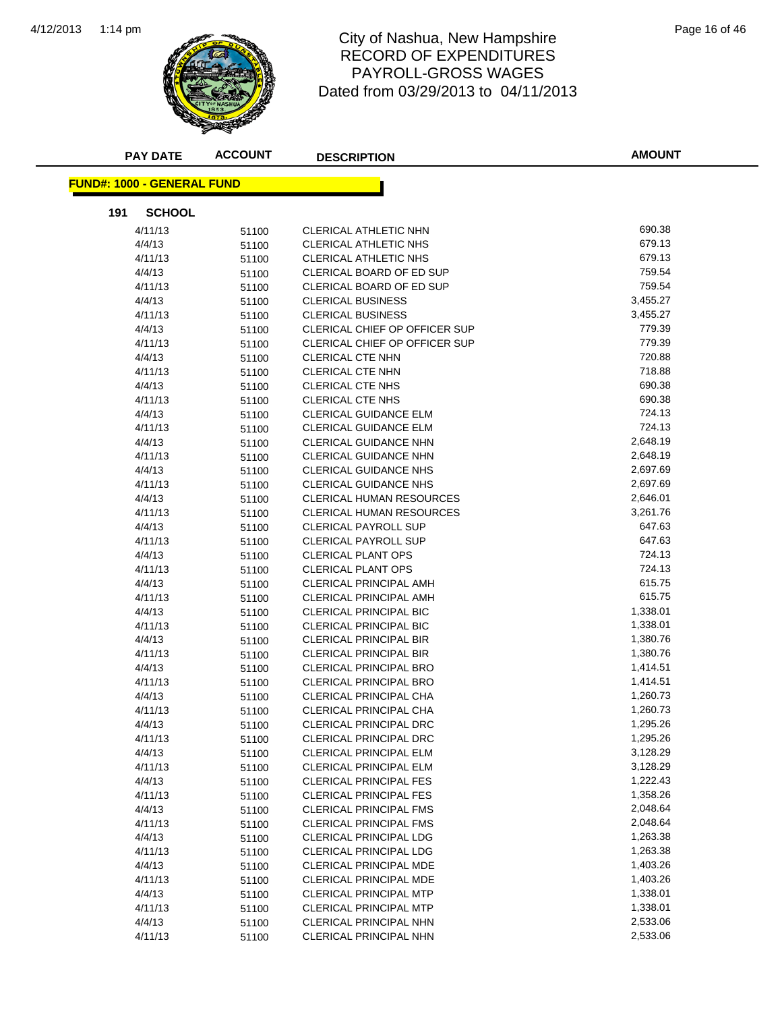

#### 1:14 pm Page 16 of 46 RECORD OF EXPENDITURES PAYROLL-GROSS WAGES Dated from 03/29/2013 to 04/11/2013

| <b>PAY DATE</b>                    | <b>ACCOUNT</b> | <b>DESCRIPTION</b>                   | <b>AMOUNT</b> |
|------------------------------------|----------------|--------------------------------------|---------------|
| <u> FUND#: 1000 - GENERAL FUND</u> |                |                                      |               |
| <b>SCHOOL</b><br>191               |                |                                      |               |
| 4/11/13                            | 51100          | CLERICAL ATHLETIC NHN                | 690.38        |
| 4/4/13                             | 51100          | CLERICAL ATHLETIC NHS                | 679.13        |
| 4/11/13                            | 51100          | CLERICAL ATHLETIC NHS                | 679.13        |
| 4/4/13                             | 51100          | CLERICAL BOARD OF ED SUP             | 759.54        |
| 4/11/13                            | 51100          | CLERICAL BOARD OF ED SUP             | 759.54        |
| 4/4/13                             | 51100          | <b>CLERICAL BUSINESS</b>             | 3,455.27      |
| 4/11/13                            | 51100          | <b>CLERICAL BUSINESS</b>             | 3,455.27      |
| 4/4/13                             | 51100          | <b>CLERICAL CHIEF OP OFFICER SUP</b> | 779.39        |
| 4/11/13                            | 51100          | CLERICAL CHIEF OP OFFICER SUP        | 779.39        |
| 4/4/13                             | 51100          | CLERICAL CTE NHN                     | 720.88        |
| 4/11/13                            | 51100          | CLERICAL CTE NHN                     | 718.88        |
| 4/4/13                             | 51100          | CLERICAL CTE NHS                     | 690.38        |
| 4/11/13                            | 51100          | CLERICAL CTE NHS                     | 690.38        |
| 4/4/13                             | 51100          | <b>CLERICAL GUIDANCE ELM</b>         | 724.13        |
| 4/11/13                            | 51100          | <b>CLERICAL GUIDANCE ELM</b>         | 724.13        |
| 4/4/13                             | 51100          | <b>CLERICAL GUIDANCE NHN</b>         | 2,648.19      |
| 4/11/13                            | 51100          | <b>CLERICAL GUIDANCE NHN</b>         | 2,648.19      |
| 4/4/13                             | 51100          | <b>CLERICAL GUIDANCE NHS</b>         | 2,697.69      |
| 4/11/13                            | 51100          | <b>CLERICAL GUIDANCE NHS</b>         | 2,697.69      |
| 4/4/13                             | 51100          | CLERICAL HUMAN RESOURCES             | 2,646.01      |
| 4/11/13                            | 51100          | CLERICAL HUMAN RESOURCES             | 3,261.76      |
| 4/4/13                             | 51100          | <b>CLERICAL PAYROLL SUP</b>          | 647.63        |
| 4/11/13                            | 51100          | <b>CLERICAL PAYROLL SUP</b>          | 647.63        |
| 4/4/13                             | 51100          | <b>CLERICAL PLANT OPS</b>            | 724.13        |
| 4/11/13                            | 51100          | <b>CLERICAL PLANT OPS</b>            | 724.13        |
| 4/4/13                             | 51100          | <b>CLERICAL PRINCIPAL AMH</b>        | 615.75        |
| 4/11/13                            | 51100          | <b>CLERICAL PRINCIPAL AMH</b>        | 615.75        |
| 4/4/13                             | 51100          | CLERICAL PRINCIPAL BIC               | 1,338.01      |
| 4/11/13                            | 51100          | <b>CLERICAL PRINCIPAL BIC</b>        | 1,338.01      |
| 4/4/13                             | 51100          | <b>CLERICAL PRINCIPAL BIR</b>        | 1,380.76      |
| 4/11/13                            | 51100          | <b>CLERICAL PRINCIPAL BIR</b>        | 1,380.76      |
| 4/4/13                             | 51100          | <b>CLERICAL PRINCIPAL BRO</b>        | 1,414.51      |
| 4/11/13                            | 51100          | <b>CLERICAL PRINCIPAL BRO</b>        | 1,414.51      |
| 4/4/13                             | 51100          | CLERICAL PRINCIPAL CHA               | 1,260.73      |
| 4/11/13                            | 51100          | CLERICAL PRINCIPAL CHA               | 1,260.73      |
| 4/4/13                             | 51100          | <b>CLERICAL PRINCIPAL DRC</b>        | 1,295.26      |
| 4/11/13                            | 51100          | <b>CLERICAL PRINCIPAL DRC</b>        | 1,295.26      |
| 4/4/13                             | 51100          | <b>CLERICAL PRINCIPAL ELM</b>        | 3,128.29      |
| 4/11/13                            | 51100          | <b>CLERICAL PRINCIPAL ELM</b>        | 3,128.29      |
| 4/4/13                             | 51100          | <b>CLERICAL PRINCIPAL FES</b>        | 1,222.43      |
| 4/11/13                            | 51100          | <b>CLERICAL PRINCIPAL FES</b>        | 1,358.26      |
| 4/4/13                             | 51100          | <b>CLERICAL PRINCIPAL FMS</b>        | 2,048.64      |
| 4/11/13                            | 51100          | <b>CLERICAL PRINCIPAL FMS</b>        | 2,048.64      |
| 4/4/13                             | 51100          | CLERICAL PRINCIPAL LDG               | 1,263.38      |
| 4/11/13                            | 51100          | <b>CLERICAL PRINCIPAL LDG</b>        | 1,263.38      |
| 4/4/13                             | 51100          | <b>CLERICAL PRINCIPAL MDE</b>        | 1,403.26      |
| 4/11/13                            | 51100          | CLERICAL PRINCIPAL MDE               | 1,403.26      |
| 4/4/13                             | 51100          | <b>CLERICAL PRINCIPAL MTP</b>        | 1,338.01      |
| 4/11/13                            | 51100          | <b>CLERICAL PRINCIPAL MTP</b>        | 1,338.01      |
| 4/4/13                             | 51100          | CLERICAL PRINCIPAL NHN               | 2,533.06      |
| 4/11/13                            | 51100          | CLERICAL PRINCIPAL NHN               | 2,533.06      |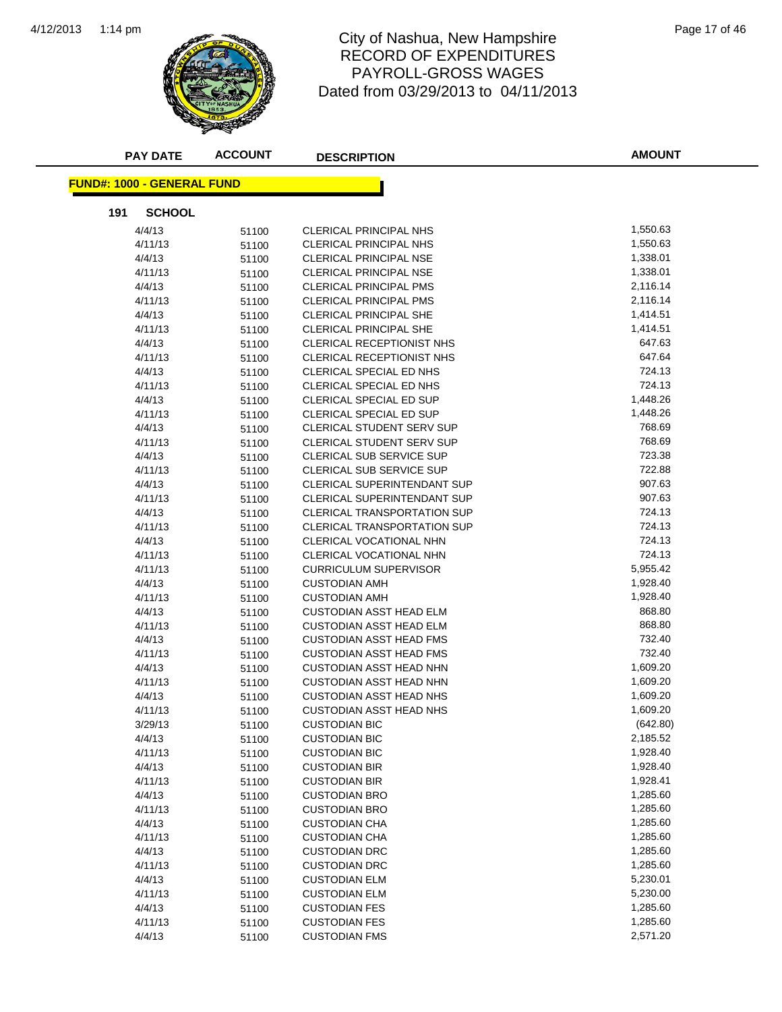

### 1:14 pm Page 17 of 46 RECORD OF EXPENDITURES PAYROLL-GROSS WAGES Dated from 03/29/2013 to 04/11/2013

| <b>PAY DATE</b>                   | <b>ACCOUNT</b> | <b>DESCRIPTION</b>                 | <b>AMOUNT</b> |
|-----------------------------------|----------------|------------------------------------|---------------|
| <b>FUND#: 1000 - GENERAL FUND</b> |                |                                    |               |
| 191<br><b>SCHOOL</b>              |                |                                    |               |
| 4/4/13                            | 51100          | <b>CLERICAL PRINCIPAL NHS</b>      | 1,550.63      |
| 4/11/13                           | 51100          | <b>CLERICAL PRINCIPAL NHS</b>      | 1,550.63      |
| 4/4/13                            | 51100          | <b>CLERICAL PRINCIPAL NSE</b>      | 1,338.01      |
| 4/11/13                           | 51100          | <b>CLERICAL PRINCIPAL NSE</b>      | 1,338.01      |
| 4/4/13                            | 51100          | <b>CLERICAL PRINCIPAL PMS</b>      | 2,116.14      |
| 4/11/13                           | 51100          | CLERICAL PRINCIPAL PMS             | 2,116.14      |
| 4/4/13                            | 51100          | <b>CLERICAL PRINCIPAL SHE</b>      | 1,414.51      |
| 4/11/13                           | 51100          | <b>CLERICAL PRINCIPAL SHE</b>      | 1,414.51      |
| 4/4/13                            | 51100          | CLERICAL RECEPTIONIST NHS          | 647.63        |
| 4/11/13                           | 51100          | CLERICAL RECEPTIONIST NHS          | 647.64        |
| 4/4/13                            | 51100          | CLERICAL SPECIAL ED NHS            | 724.13        |
| 4/11/13                           | 51100          | CLERICAL SPECIAL ED NHS            | 724.13        |
| 4/4/13                            | 51100          | <b>CLERICAL SPECIAL ED SUP</b>     | 1,448.26      |
| 4/11/13                           | 51100          | <b>CLERICAL SPECIAL ED SUP</b>     | 1,448.26      |
| 4/4/13                            | 51100          | <b>CLERICAL STUDENT SERV SUP</b>   | 768.69        |
| 4/11/13                           | 51100          | <b>CLERICAL STUDENT SERV SUP</b>   | 768.69        |
| 4/4/13                            | 51100          | CLERICAL SUB SERVICE SUP           | 723.38        |
| 4/11/13                           | 51100          | CLERICAL SUB SERVICE SUP           | 722.88        |
| 4/4/13                            | 51100          | CLERICAL SUPERINTENDANT SUP        | 907.63        |
| 4/11/13                           | 51100          | <b>CLERICAL SUPERINTENDANT SUP</b> | 907.63        |
| 4/4/13                            | 51100          | <b>CLERICAL TRANSPORTATION SUP</b> | 724.13        |
| 4/11/13                           | 51100          | <b>CLERICAL TRANSPORTATION SUP</b> | 724.13        |
| 4/4/13                            | 51100          | CLERICAL VOCATIONAL NHN            | 724.13        |
| 4/11/13                           | 51100          | CLERICAL VOCATIONAL NHN            | 724.13        |
| 4/11/13                           | 51100          | <b>CURRICULUM SUPERVISOR</b>       | 5,955.42      |
| 4/4/13                            | 51100          | <b>CUSTODIAN AMH</b>               | 1,928.40      |
| 4/11/13                           | 51100          | <b>CUSTODIAN AMH</b>               | 1,928.40      |
| 4/4/13                            | 51100          | <b>CUSTODIAN ASST HEAD ELM</b>     | 868.80        |
| 4/11/13                           | 51100          | <b>CUSTODIAN ASST HEAD ELM</b>     | 868.80        |
| 4/4/13                            | 51100          | <b>CUSTODIAN ASST HEAD FMS</b>     | 732.40        |
| 4/11/13                           | 51100          | <b>CUSTODIAN ASST HEAD FMS</b>     | 732.40        |
| 4/4/13                            | 51100          | <b>CUSTODIAN ASST HEAD NHN</b>     | 1,609.20      |
| 4/11/13                           | 51100          | <b>CUSTODIAN ASST HEAD NHN</b>     | 1,609.20      |
| 4/4/13                            | 51100          | CUSTODIAN ASST HEAD NHS            | 1,609.20      |
| 4/11/13                           | 51100          | <b>CUSTODIAN ASST HEAD NHS</b>     | 1,609.20      |
| 3/29/13                           | 51100          | <b>CUSTODIAN BIC</b>               | (642.80)      |
| 4/4/13                            | 51100          | <b>CUSTODIAN BIC</b>               | 2,185.52      |
| 4/11/13                           | 51100          | <b>CUSTODIAN BIC</b>               | 1,928.40      |
| 4/4/13                            | 51100          | <b>CUSTODIAN BIR</b>               | 1,928.40      |
| 4/11/13                           | 51100          | <b>CUSTODIAN BIR</b>               | 1,928.41      |
| 4/4/13                            | 51100          | <b>CUSTODIAN BRO</b>               | 1,285.60      |
| 4/11/13                           | 51100          | <b>CUSTODIAN BRO</b>               | 1,285.60      |
| 4/4/13                            | 51100          | <b>CUSTODIAN CHA</b>               | 1,285.60      |
| 4/11/13                           | 51100          | <b>CUSTODIAN CHA</b>               | 1,285.60      |
| 4/4/13                            | 51100          | <b>CUSTODIAN DRC</b>               | 1,285.60      |
| 4/11/13                           | 51100          | <b>CUSTODIAN DRC</b>               | 1,285.60      |
| 4/4/13                            | 51100          | <b>CUSTODIAN ELM</b>               | 5,230.01      |
| 4/11/13                           | 51100          | <b>CUSTODIAN ELM</b>               | 5,230.00      |
| 4/4/13                            | 51100          | <b>CUSTODIAN FES</b>               | 1,285.60      |
| 4/11/13                           | 51100          | <b>CUSTODIAN FES</b>               | 1,285.60      |
| 4/4/13                            | 51100          | <b>CUSTODIAN FMS</b>               | 2,571.20      |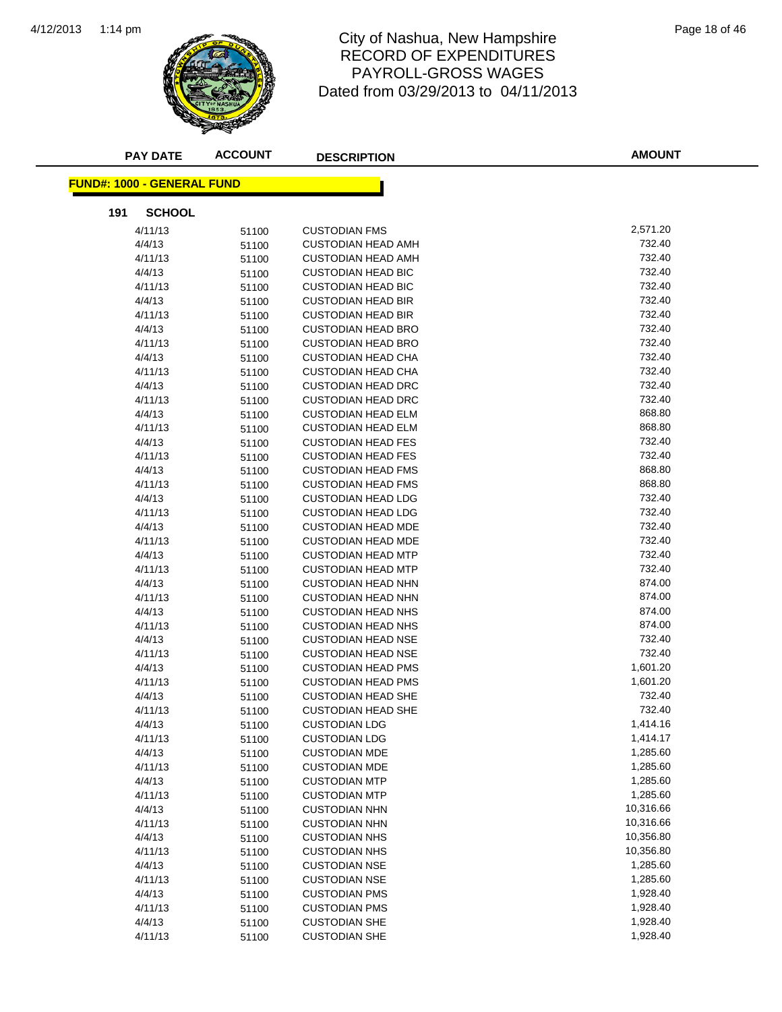

## 1:14 pm Page 18 of 46 RECORD OF EXPENDITURES PAYROLL-GROSS WAGES Dated from 03/29/2013 to 04/11/2013

| <b>PAY DATE</b>                    | <b>ACCOUNT</b> | <b>DESCRIPTION</b>        | <b>AMOUNT</b> |
|------------------------------------|----------------|---------------------------|---------------|
| <u> FUND#: 1000 - GENERAL FUND</u> |                |                           |               |
| 191<br><b>SCHOOL</b>               |                |                           |               |
| 4/11/13                            | 51100          | <b>CUSTODIAN FMS</b>      | 2,571.20      |
| 4/4/13                             | 51100          | <b>CUSTODIAN HEAD AMH</b> | 732.40        |
| 4/11/13                            | 51100          | <b>CUSTODIAN HEAD AMH</b> | 732.40        |
| 4/4/13                             | 51100          | <b>CUSTODIAN HEAD BIC</b> | 732.40        |
| 4/11/13                            | 51100          | <b>CUSTODIAN HEAD BIC</b> | 732.40        |
| 4/4/13                             | 51100          | <b>CUSTODIAN HEAD BIR</b> | 732.40        |
| 4/11/13                            | 51100          | <b>CUSTODIAN HEAD BIR</b> | 732.40        |
| 4/4/13                             | 51100          | <b>CUSTODIAN HEAD BRO</b> | 732.40        |
| 4/11/13                            | 51100          | <b>CUSTODIAN HEAD BRO</b> | 732.40        |
| 4/4/13                             | 51100          | <b>CUSTODIAN HEAD CHA</b> | 732.40        |
| 4/11/13                            | 51100          | <b>CUSTODIAN HEAD CHA</b> | 732.40        |
| 4/4/13                             | 51100          | <b>CUSTODIAN HEAD DRC</b> | 732.40        |
| 4/11/13                            | 51100          | <b>CUSTODIAN HEAD DRC</b> | 732.40        |
| 4/4/13                             | 51100          | <b>CUSTODIAN HEAD ELM</b> | 868.80        |
| 4/11/13                            | 51100          | <b>CUSTODIAN HEAD ELM</b> | 868.80        |
| 4/4/13                             | 51100          | <b>CUSTODIAN HEAD FES</b> | 732.40        |
| 4/11/13                            | 51100          | <b>CUSTODIAN HEAD FES</b> | 732.40        |
| 4/4/13                             | 51100          | <b>CUSTODIAN HEAD FMS</b> | 868.80        |
| 4/11/13                            | 51100          | <b>CUSTODIAN HEAD FMS</b> | 868.80        |
| 4/4/13                             | 51100          | <b>CUSTODIAN HEAD LDG</b> | 732.40        |
| 4/11/13                            | 51100          | <b>CUSTODIAN HEAD LDG</b> | 732.40        |
| 4/4/13                             | 51100          | <b>CUSTODIAN HEAD MDE</b> | 732.40        |
| 4/11/13                            | 51100          | <b>CUSTODIAN HEAD MDE</b> | 732.40        |
| 4/4/13                             | 51100          | <b>CUSTODIAN HEAD MTP</b> | 732.40        |
| 4/11/13                            | 51100          | <b>CUSTODIAN HEAD MTP</b> | 732.40        |
| 4/4/13                             | 51100          | <b>CUSTODIAN HEAD NHN</b> | 874.00        |
| 4/11/13                            | 51100          | <b>CUSTODIAN HEAD NHN</b> | 874.00        |
| 4/4/13                             | 51100          | <b>CUSTODIAN HEAD NHS</b> | 874.00        |
| 4/11/13                            | 51100          | <b>CUSTODIAN HEAD NHS</b> | 874.00        |
| 4/4/13                             | 51100          | <b>CUSTODIAN HEAD NSE</b> | 732.40        |
| 4/11/13                            | 51100          | <b>CUSTODIAN HEAD NSE</b> | 732.40        |
| 4/4/13                             | 51100          | <b>CUSTODIAN HEAD PMS</b> | 1,601.20      |
| 4/11/13                            | 51100          | <b>CUSTODIAN HEAD PMS</b> | 1,601.20      |
| 4/4/13                             | 51100          | <b>CUSTODIAN HEAD SHE</b> | 732.40        |
| 4/11/13                            | 51100          | <b>CUSTODIAN HEAD SHE</b> | 732.40        |
| 4/4/13                             | 51100          | <b>CUSTODIAN LDG</b>      | 1,414.16      |
| 4/11/13                            | 51100          | <b>CUSTODIAN LDG</b>      | 1,414.17      |
| 4/4/13                             | 51100          | <b>CUSTODIAN MDE</b>      | 1,285.60      |
| 4/11/13                            | 51100          | <b>CUSTODIAN MDE</b>      | 1,285.60      |
| 4/4/13                             | 51100          | <b>CUSTODIAN MTP</b>      | 1,285.60      |
| 4/11/13                            | 51100          | <b>CUSTODIAN MTP</b>      | 1,285.60      |
| 4/4/13                             | 51100          | <b>CUSTODIAN NHN</b>      | 10,316.66     |
| 4/11/13                            | 51100          | <b>CUSTODIAN NHN</b>      | 10,316.66     |
| 4/4/13                             | 51100          | <b>CUSTODIAN NHS</b>      | 10,356.80     |
| 4/11/13                            | 51100          | <b>CUSTODIAN NHS</b>      | 10,356.80     |
| 4/4/13                             | 51100          | <b>CUSTODIAN NSE</b>      | 1,285.60      |
| 4/11/13                            | 51100          | <b>CUSTODIAN NSE</b>      | 1,285.60      |
| 4/4/13                             | 51100          | <b>CUSTODIAN PMS</b>      | 1,928.40      |
| 4/11/13                            | 51100          | <b>CUSTODIAN PMS</b>      | 1,928.40      |
| 4/4/13                             | 51100          | <b>CUSTODIAN SHE</b>      | 1,928.40      |
| 4/11/13                            | 51100          | <b>CUSTODIAN SHE</b>      | 1,928.40      |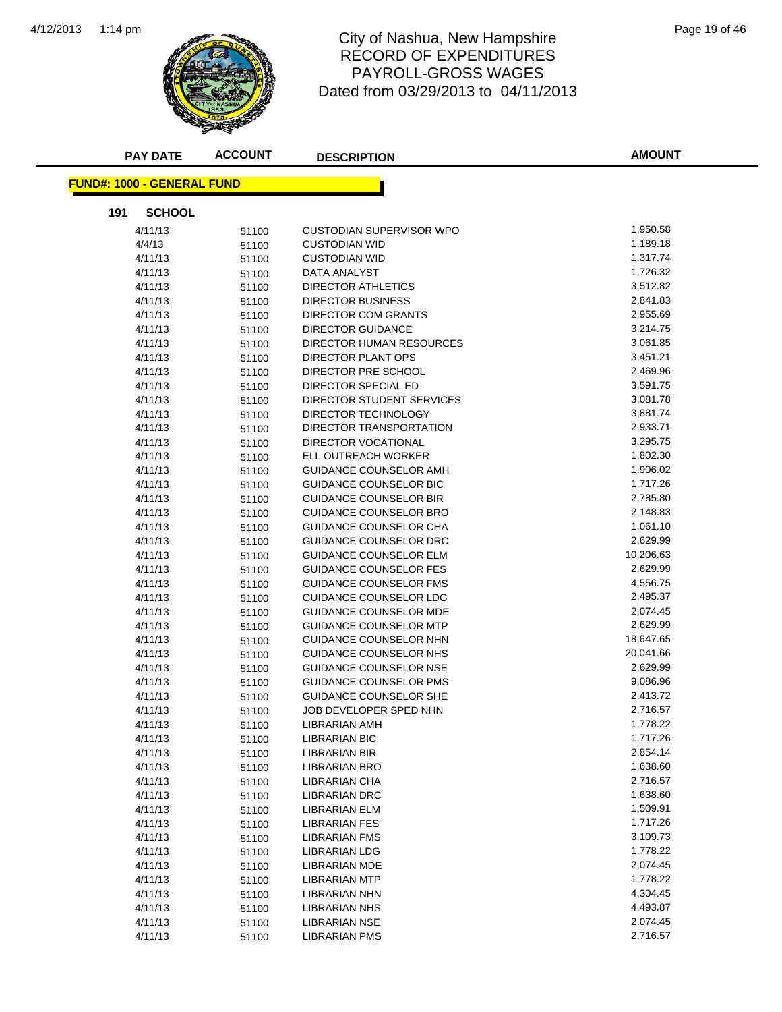

# 1:14 pm Page 19 of 46 RECORD OF EXPENDITURES PAYROLL-GROSS WAGES Dated from 03/29/2013 to 04/11/2013

| <b>PAY DATE</b>                   | <b>ACCOUNT</b> | <b>DESCRIPTION</b>              | <b>AMOUNT</b> |
|-----------------------------------|----------------|---------------------------------|---------------|
| <b>FUND#: 1000 - GENERAL FUND</b> |                |                                 |               |
| 191<br><b>SCHOOL</b>              |                |                                 |               |
| 4/11/13                           | 51100          | <b>CUSTODIAN SUPERVISOR WPO</b> | 1,950.58      |
| 4/4/13                            | 51100          | <b>CUSTODIAN WID</b>            | 1,189.18      |
| 4/11/13                           | 51100          | <b>CUSTODIAN WID</b>            | 1,317.74      |
| 4/11/13                           | 51100          | DATA ANALYST                    | 1,726.32      |
| 4/11/13                           | 51100          | DIRECTOR ATHLETICS              | 3,512.82      |
| 4/11/13                           | 51100          | <b>DIRECTOR BUSINESS</b>        | 2,841.83      |
| 4/11/13                           | 51100          | DIRECTOR COM GRANTS             | 2,955.69      |
| 4/11/13                           | 51100          | <b>DIRECTOR GUIDANCE</b>        | 3,214.75      |
| 4/11/13                           | 51100          | DIRECTOR HUMAN RESOURCES        | 3,061.85      |
| 4/11/13                           | 51100          | DIRECTOR PLANT OPS              | 3,451.21      |
| 4/11/13                           | 51100          | DIRECTOR PRE SCHOOL             | 2,469.96      |
| 4/11/13                           | 51100          | DIRECTOR SPECIAL ED             | 3,591.75      |
| 4/11/13                           | 51100          | DIRECTOR STUDENT SERVICES       | 3,081.78      |
| 4/11/13                           | 51100          | DIRECTOR TECHNOLOGY             | 3,881.74      |
| 4/11/13                           | 51100          | DIRECTOR TRANSPORTATION         | 2,933.71      |
| 4/11/13                           | 51100          | DIRECTOR VOCATIONAL             | 3,295.75      |
| 4/11/13                           | 51100          | ELL OUTREACH WORKER             | 1,802.30      |
| 4/11/13                           | 51100          | GUIDANCE COUNSELOR AMH          | 1,906.02      |
| 4/11/13                           | 51100          | <b>GUIDANCE COUNSELOR BIC</b>   | 1,717.26      |
| 4/11/13                           | 51100          | <b>GUIDANCE COUNSELOR BIR</b>   | 2,785.80      |
| 4/11/13                           | 51100          | GUIDANCE COUNSELOR BRO          | 2,148.83      |
| 4/11/13                           | 51100          | GUIDANCE COUNSELOR CHA          | 1,061.10      |
| 4/11/13                           | 51100          | GUIDANCE COUNSELOR DRC          | 2,629.99      |
| 4/11/13                           | 51100          | <b>GUIDANCE COUNSELOR ELM</b>   | 10,206.63     |
| 4/11/13                           | 51100          | <b>GUIDANCE COUNSELOR FES</b>   | 2,629.99      |
| 4/11/13                           | 51100          | GUIDANCE COUNSELOR FMS          | 4,556.75      |
| 4/11/13                           | 51100          | GUIDANCE COUNSELOR LDG          | 2,495.37      |
| 4/11/13                           | 51100          | GUIDANCE COUNSELOR MDE          | 2,074.45      |
| 4/11/13                           | 51100          | <b>GUIDANCE COUNSELOR MTP</b>   | 2,629.99      |
| 4/11/13                           | 51100          | GUIDANCE COUNSELOR NHN          | 18,647.65     |
| 4/11/13                           | 51100          | GUIDANCE COUNSELOR NHS          | 20,041.66     |
| 4/11/13                           | 51100          | <b>GUIDANCE COUNSELOR NSE</b>   | 2,629.99      |
| 4/11/13                           | 51100          | <b>GUIDANCE COUNSELOR PMS</b>   | 9,086.96      |
| 4/11/13                           | 51100          | GUIDANCE COUNSELOR SHE          | 2,413.72      |
| 4/11/13                           | 51100          | JOB DEVELOPER SPED NHN          | 2,716.57      |
| 4/11/13                           | 51100          | LIBRARIAN AMH                   | 1,778.22      |
| 4/11/13                           |                | LIBRARIAN BIC                   | 1,717.26      |
| 4/11/13                           | 51100<br>51100 | <b>LIBRARIAN BIR</b>            | 2,854.14      |
| 4/11/13                           | 51100          | LIBRARIAN BRO                   | 1,638.60      |
| 4/11/13                           |                | <b>LIBRARIAN CHA</b>            | 2,716.57      |
| 4/11/13                           | 51100          | <b>LIBRARIAN DRC</b>            | 1,638.60      |
| 4/11/13                           | 51100          | LIBRARIAN ELM                   | 1,509.91      |
| 4/11/13                           | 51100          | <b>LIBRARIAN FES</b>            | 1,717.26      |
| 4/11/13                           | 51100          | <b>LIBRARIAN FMS</b>            | 3,109.73      |
|                                   | 51100          |                                 | 1,778.22      |
| 4/11/13                           | 51100          | LIBRARIAN LDG                   | 2,074.45      |
| 4/11/13                           | 51100          | LIBRARIAN MDE                   |               |
| 4/11/13                           | 51100          | <b>LIBRARIAN MTP</b>            | 1,778.22      |
| 4/11/13                           | 51100          | <b>LIBRARIAN NHN</b>            | 4,304.45      |
| 4/11/13                           | 51100          | LIBRARIAN NHS                   | 4,493.87      |
| 4/11/13                           | 51100          | LIBRARIAN NSE                   | 2,074.45      |
| 4/11/13                           | 51100          | <b>LIBRARIAN PMS</b>            | 2,716.57      |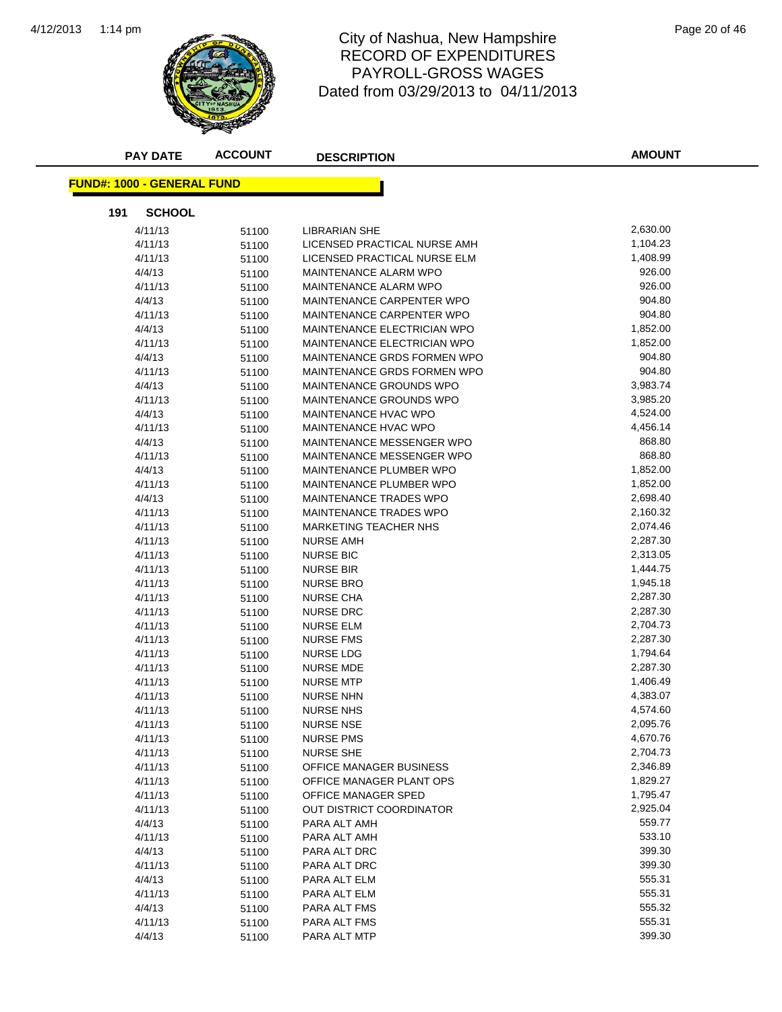

# 1:14 pm Page 20 of 46 RECORD OF EXPENDITURES PAYROLL-GROSS WAGES Dated from 03/29/2013 to 04/11/2013

| <b>PAY DATE</b>                   | <b>ACCOUNT</b> | <b>DESCRIPTION</b>                       | <b>AMOUNT</b>        |
|-----------------------------------|----------------|------------------------------------------|----------------------|
| <b>FUND#: 1000 - GENERAL FUND</b> |                |                                          |                      |
| 191<br><b>SCHOOL</b>              |                |                                          |                      |
| 4/11/13                           | 51100          | <b>LIBRARIAN SHE</b>                     | 2,630.00             |
| 4/11/13                           | 51100          | LICENSED PRACTICAL NURSE AMH             | 1,104.23             |
| 4/11/13                           | 51100          | LICENSED PRACTICAL NURSE ELM             | 1,408.99             |
| 4/4/13                            | 51100          | MAINTENANCE ALARM WPO                    | 926.00               |
| 4/11/13                           | 51100          | MAINTENANCE ALARM WPO                    | 926.00               |
| 4/4/13                            | 51100          | MAINTENANCE CARPENTER WPO                | 904.80               |
| 4/11/13                           | 51100          | MAINTENANCE CARPENTER WPO                | 904.80               |
| 4/4/13                            | 51100          | MAINTENANCE ELECTRICIAN WPO              | 1,852.00             |
| 4/11/13                           | 51100          | MAINTENANCE ELECTRICIAN WPO              | 1,852.00             |
| 4/4/13                            | 51100          | MAINTENANCE GRDS FORMEN WPO              | 904.80               |
| 4/11/13                           | 51100          | MAINTENANCE GRDS FORMEN WPO              | 904.80               |
| 4/4/13                            | 51100          | MAINTENANCE GROUNDS WPO                  | 3,983.74             |
| 4/11/13                           | 51100          | MAINTENANCE GROUNDS WPO                  | 3,985.20             |
| 4/4/13                            | 51100          | <b>MAINTENANCE HVAC WPO</b>              | 4,524.00             |
| 4/11/13                           | 51100          | MAINTENANCE HVAC WPO                     | 4,456.14             |
| 4/4/13                            | 51100          | MAINTENANCE MESSENGER WPO                | 868.80               |
| 4/11/13                           | 51100          | MAINTENANCE MESSENGER WPO                | 868.80               |
| 4/4/13                            | 51100          | MAINTENANCE PLUMBER WPO                  | 1,852.00             |
| 4/11/13                           | 51100          | MAINTENANCE PLUMBER WPO                  | 1,852.00             |
| 4/4/13                            | 51100          | <b>MAINTENANCE TRADES WPO</b>            | 2,698.40             |
| 4/11/13                           | 51100          | MAINTENANCE TRADES WPO                   | 2,160.32             |
| 4/11/13                           | 51100          | <b>MARKETING TEACHER NHS</b>             | 2,074.46             |
| 4/11/13                           | 51100          | <b>NURSE AMH</b>                         | 2,287.30             |
| 4/11/13                           | 51100          | <b>NURSE BIC</b>                         | 2,313.05             |
| 4/11/13                           | 51100          | <b>NURSE BIR</b>                         | 1,444.75             |
| 4/11/13                           | 51100          | <b>NURSE BRO</b>                         | 1,945.18             |
| 4/11/13                           | 51100          | <b>NURSE CHA</b>                         | 2,287.30             |
| 4/11/13                           | 51100          | <b>NURSE DRC</b>                         | 2,287.30             |
| 4/11/13                           | 51100          | <b>NURSE ELM</b>                         | 2,704.73             |
| 4/11/13                           | 51100          | <b>NURSE FMS</b>                         | 2,287.30             |
| 4/11/13                           | 51100          | NURSE LDG                                | 1,794.64             |
| 4/11/13                           | 51100          | <b>NURSE MDE</b>                         | 2,287.30             |
| 4/11/13                           | 51100          | <b>NURSE MTP</b>                         | 1,406.49             |
| 4/11/13                           | 51100          | <b>NURSE NHN</b>                         | 4,383.07             |
| 4/11/13                           | 51100          | <b>NURSE NHS</b>                         | 4,574.60             |
| 4/11/13                           | 51100          | <b>NURSE NSE</b>                         | 2,095.76             |
| 4/11/13                           | 51100          | <b>NURSE PMS</b>                         | 4,670.76<br>2,704.73 |
| 4/11/13                           | 51100          | <b>NURSE SHE</b>                         |                      |
| 4/11/13                           | 51100          | OFFICE MANAGER BUSINESS                  | 2,346.89             |
| 4/11/13                           | 51100          | OFFICE MANAGER PLANT OPS                 | 1,829.27<br>1,795.47 |
| 4/11/13                           | 51100          | OFFICE MANAGER SPED                      | 2,925.04             |
| 4/11/13<br>4/4/13                 | 51100          | OUT DISTRICT COORDINATOR<br>PARA ALT AMH | 559.77               |
| 4/11/13                           | 51100          |                                          | 533.10               |
| 4/4/13                            | 51100          | PARA ALT AMH<br>PARA ALT DRC             | 399.30               |
| 4/11/13                           | 51100<br>51100 | PARA ALT DRC                             | 399.30               |
| 4/4/13                            | 51100          | PARA ALT ELM                             | 555.31               |
| 4/11/13                           | 51100          | PARA ALT ELM                             | 555.31               |
| 4/4/13                            | 51100          | PARA ALT FMS                             | 555.32               |
| 4/11/13                           | 51100          | PARA ALT FMS                             | 555.31               |
| 4/4/13                            | 51100          | PARA ALT MTP                             | 399.30               |
|                                   |                |                                          |                      |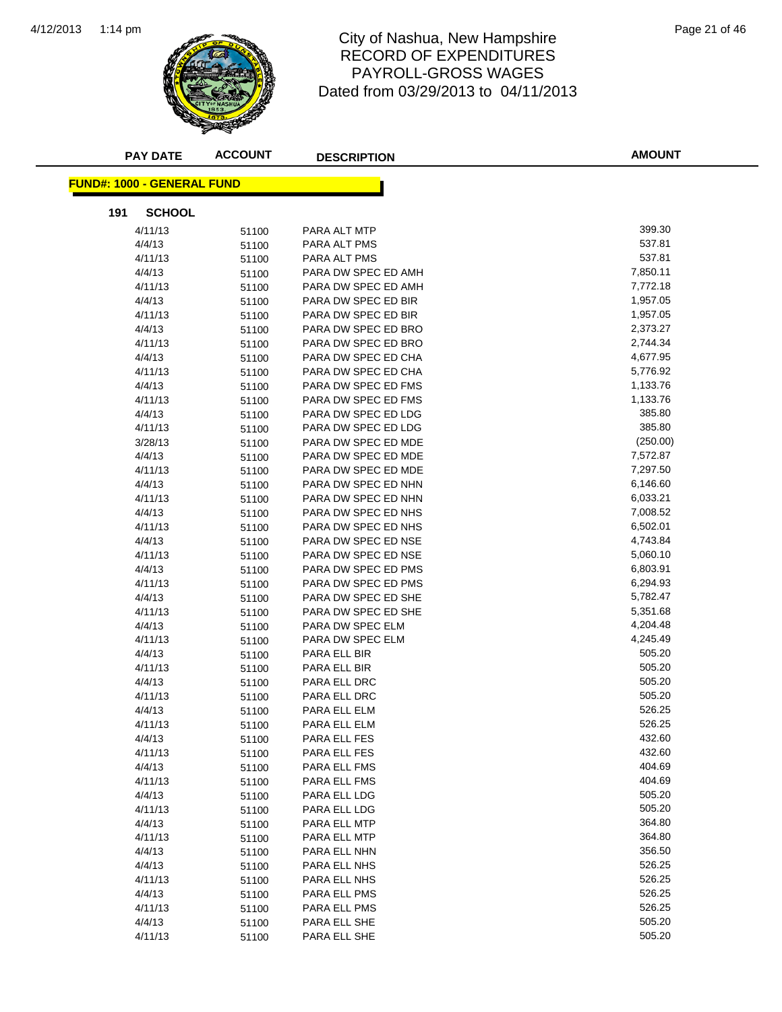

### 1:14 pm Page 21 of 46 RECORD OF EXPENDITURES PAYROLL-GROSS WAGES Dated from 03/29/2013 to 04/11/2013

| <b>PAY DATE</b>                   | <b>ACCOUNT</b> | <b>DESCRIPTION</b>  | <b>AMOUNT</b>    |
|-----------------------------------|----------------|---------------------|------------------|
| <b>FUND#: 1000 - GENERAL FUND</b> |                |                     |                  |
| 191<br><b>SCHOOL</b>              |                |                     |                  |
| 4/11/13                           | 51100          | PARA ALT MTP        | 399.30           |
| 4/4/13                            | 51100          | PARA ALT PMS        | 537.81           |
| 4/11/13                           | 51100          | PARA ALT PMS        | 537.81           |
| 4/4/13                            | 51100          | PARA DW SPEC ED AMH | 7,850.11         |
| 4/11/13                           | 51100          | PARA DW SPEC ED AMH | 7,772.18         |
| 4/4/13                            | 51100          | PARA DW SPEC ED BIR | 1,957.05         |
| 4/11/13                           | 51100          | PARA DW SPEC ED BIR | 1,957.05         |
| 4/4/13                            | 51100          | PARA DW SPEC ED BRO | 2,373.27         |
| 4/11/13                           | 51100          | PARA DW SPEC ED BRO | 2,744.34         |
| 4/4/13                            | 51100          | PARA DW SPEC ED CHA | 4,677.95         |
| 4/11/13                           | 51100          | PARA DW SPEC ED CHA | 5,776.92         |
| 4/4/13                            | 51100          | PARA DW SPEC ED FMS | 1,133.76         |
| 4/11/13                           | 51100          | PARA DW SPEC ED FMS | 1,133.76         |
| 4/4/13                            | 51100          | PARA DW SPEC ED LDG | 385.80           |
| 4/11/13                           | 51100          | PARA DW SPEC ED LDG | 385.80           |
| 3/28/13                           | 51100          | PARA DW SPEC ED MDE | (250.00)         |
| 4/4/13                            | 51100          | PARA DW SPEC ED MDE | 7,572.87         |
| 4/11/13                           | 51100          | PARA DW SPEC ED MDE | 7,297.50         |
| 4/4/13                            | 51100          | PARA DW SPEC ED NHN | 6,146.60         |
| 4/11/13                           | 51100          | PARA DW SPEC ED NHN | 6,033.21         |
| 4/4/13                            | 51100          | PARA DW SPEC ED NHS | 7,008.52         |
| 4/11/13                           | 51100          | PARA DW SPEC ED NHS | 6,502.01         |
| 4/4/13                            | 51100          | PARA DW SPEC ED NSE | 4,743.84         |
| 4/11/13                           | 51100          | PARA DW SPEC ED NSE | 5,060.10         |
| 4/4/13                            | 51100          | PARA DW SPEC ED PMS | 6,803.91         |
| 4/11/13                           |                | PARA DW SPEC ED PMS | 6,294.93         |
| 4/4/13                            | 51100<br>51100 | PARA DW SPEC ED SHE | 5,782.47         |
| 4/11/13                           |                | PARA DW SPEC ED SHE | 5,351.68         |
| 4/4/13                            | 51100<br>51100 | PARA DW SPEC ELM    | 4,204.48         |
| 4/11/13                           | 51100          | PARA DW SPEC ELM    | 4,245.49         |
| 4/4/13                            | 51100          | PARA ELL BIR        | 505.20           |
| 4/11/13                           |                | PARA ELL BIR        | 505.20           |
| 4/4/13                            | 51100<br>51100 | PARA ELL DRC        | 505.20           |
| 4/11/13                           |                | PARA ELL DRC        | 505.20           |
| 4/4/13                            | 51100<br>51100 | PARA ELL ELM        | 526.25           |
| 4/11/13                           | 51100          | PARA ELL ELM        | 526.25           |
| 4/4/13                            | 51100          | PARA ELL FES        | 432.60           |
| 4/11/13                           |                | PARA ELL FES        | 432.60           |
| 4/4/13                            | 51100<br>51100 | PARA ELL FMS        | 404.69           |
| 4/11/13                           |                | PARA ELL FMS        | 404.69           |
| 4/4/13                            | 51100          | PARA ELL LDG        | 505.20           |
| 4/11/13                           | 51100          | PARA ELL LDG        | 505.20           |
| 4/4/13                            | 51100          | PARA ELL MTP        | 364.80           |
| 4/11/13                           | 51100          | PARA ELL MTP        | 364.80           |
|                                   | 51100          | PARA ELL NHN        | 356.50           |
| 4/4/13                            | 51100          |                     | 526.25           |
| 4/4/13                            | 51100          | PARA ELL NHS        |                  |
| 4/11/13                           | 51100          | PARA ELL NHS        | 526.25<br>526.25 |
| 4/4/13                            | 51100          | PARA ELL PMS        |                  |
| 4/11/13                           | 51100          | PARA ELL PMS        | 526.25           |
| 4/4/13                            | 51100          | PARA ELL SHE        | 505.20           |
| 4/11/13                           | 51100          | PARA ELL SHE        | 505.20           |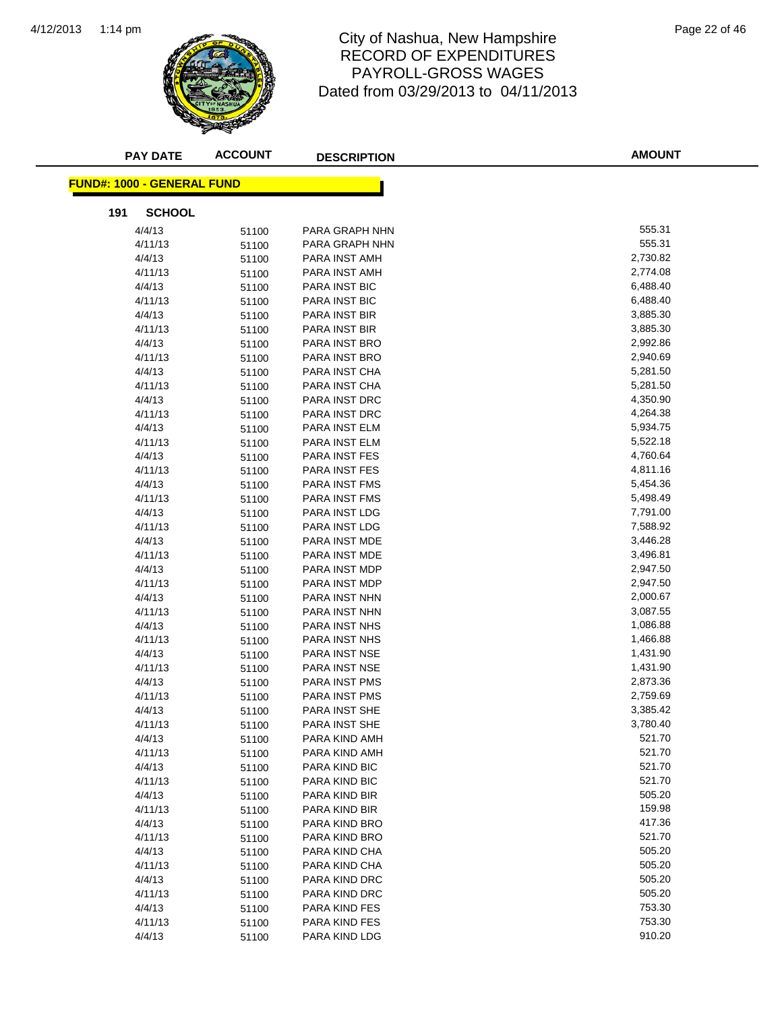

## 1:14 pm Page 22 of 46 RECORD OF EXPENDITURES PAYROLL-GROSS WAGES Dated from 03/29/2013 to 04/11/2013

| <b>PAY DATE</b>                   | <b>ACCOUNT</b> | <b>DESCRIPTION</b>   | <b>AMOUNT</b> |
|-----------------------------------|----------------|----------------------|---------------|
| <b>FUND#: 1000 - GENERAL FUND</b> |                |                      |               |
| 191<br><b>SCHOOL</b>              |                |                      |               |
| 4/4/13                            | 51100          | PARA GRAPH NHN       | 555.31        |
| 4/11/13                           | 51100          | PARA GRAPH NHN       | 555.31        |
| 4/4/13                            | 51100          | PARA INST AMH        | 2,730.82      |
| 4/11/13                           | 51100          | PARA INST AMH        | 2,774.08      |
| 4/4/13                            | 51100          | PARA INST BIC        | 6,488.40      |
| 4/11/13                           | 51100          | PARA INST BIC        | 6,488.40      |
| 4/4/13                            | 51100          | PARA INST BIR        | 3,885.30      |
| 4/11/13                           | 51100          | PARA INST BIR        | 3,885.30      |
| 4/4/13                            | 51100          | PARA INST BRO        | 2,992.86      |
| 4/11/13                           | 51100          | PARA INST BRO        | 2,940.69      |
| 4/4/13                            | 51100          | PARA INST CHA        | 5,281.50      |
| 4/11/13                           | 51100          | PARA INST CHA        | 5,281.50      |
| 4/4/13                            | 51100          | PARA INST DRC        | 4,350.90      |
| 4/11/13                           | 51100          | PARA INST DRC        | 4,264.38      |
| 4/4/13                            | 51100          | PARA INST ELM        | 5,934.75      |
| 4/11/13                           | 51100          | PARA INST ELM        | 5,522.18      |
| 4/4/13                            | 51100          | PARA INST FES        | 4,760.64      |
| 4/11/13                           | 51100          | <b>PARA INST FES</b> | 4,811.16      |
| 4/4/13                            | 51100          | <b>PARA INST FMS</b> | 5,454.36      |
| 4/11/13                           | 51100          | <b>PARA INST FMS</b> | 5,498.49      |
| 4/4/13                            | 51100          | PARA INST LDG        | 7,791.00      |
| 4/11/13                           | 51100          | PARA INST LDG        | 7,588.92      |
| 4/4/13                            | 51100          | PARA INST MDE        | 3,446.28      |
| 4/11/13                           | 51100          | PARA INST MDE        | 3,496.81      |
| 4/4/13                            | 51100          | PARA INST MDP        | 2,947.50      |
| 4/11/13                           | 51100          | PARA INST MDP        | 2,947.50      |
| 4/4/13                            | 51100          | PARA INST NHN        | 2,000.67      |
| 4/11/13                           | 51100          | PARA INST NHN        | 3,087.55      |
| 4/4/13                            | 51100          | PARA INST NHS        | 1,086.88      |
| 4/11/13                           | 51100          | PARA INST NHS        | 1,466.88      |
| 4/4/13                            | 51100          | PARA INST NSE        | 1,431.90      |
| 4/11/13                           | 51100          | PARA INST NSE        | 1,431.90      |
| 4/4/13                            | 51100          | PARA INST PMS        | 2,873.36      |
| 4/11/13                           | 51100          | <b>PARA INST PMS</b> | 2,759.69      |
| 4/4/13                            | 51100          | PARA INST SHE        | 3,385.42      |
| 4/11/13                           | 51100          | PARA INST SHE        | 3,780.40      |
| 4/4/13                            | 51100          | PARA KIND AMH        | 521.70        |
| 4/11/13                           | 51100          | PARA KIND AMH        | 521.70        |
| 4/4/13                            | 51100          | PARA KIND BIC        | 521.70        |
| 4/11/13                           | 51100          | PARA KIND BIC        | 521.70        |
| 4/4/13                            | 51100          | PARA KIND BIR        | 505.20        |
| 4/11/13                           | 51100          | PARA KIND BIR        | 159.98        |
| 4/4/13                            | 51100          | PARA KIND BRO        | 417.36        |
| 4/11/13                           | 51100          | PARA KIND BRO        | 521.70        |
| 4/4/13                            | 51100          | PARA KIND CHA        | 505.20        |
| 4/11/13                           | 51100          | PARA KIND CHA        | 505.20        |
| 4/4/13                            | 51100          | PARA KIND DRC        | 505.20        |
| 4/11/13                           | 51100          | PARA KIND DRC        | 505.20        |
| 4/4/13                            | 51100          | PARA KIND FES        | 753.30        |
| 4/11/13                           | 51100          | PARA KIND FES        | 753.30        |
| 4/4/13                            | 51100          | PARA KIND LDG        | 910.20        |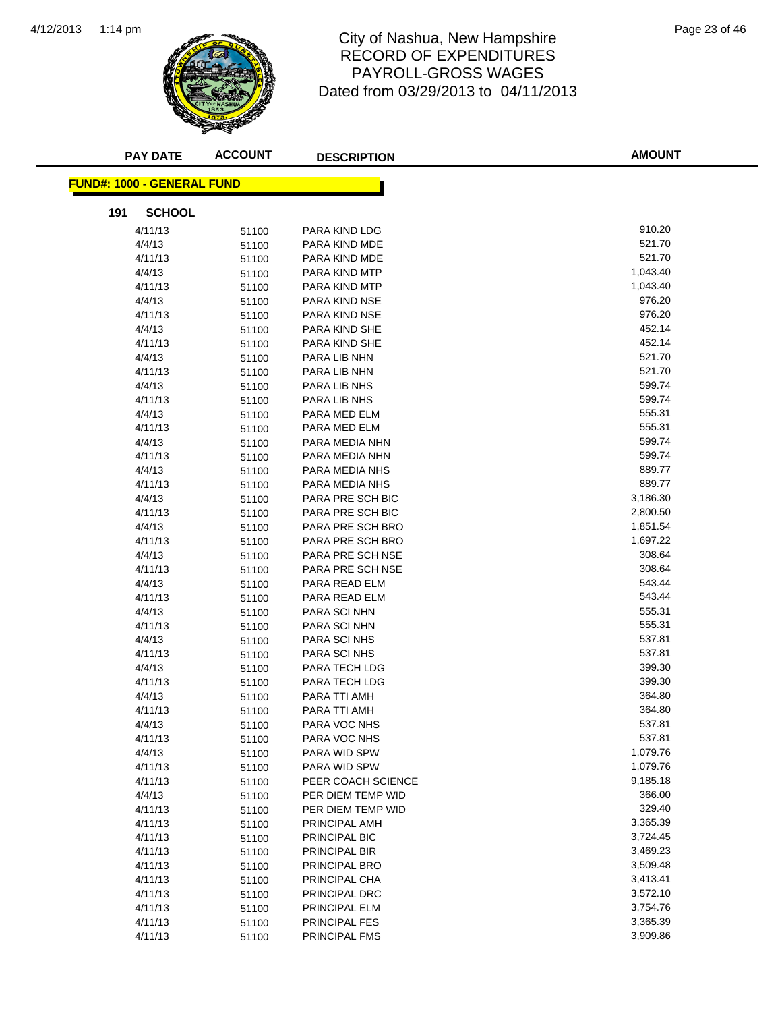

## 1:14 pm Page 23 of 46 RECORD OF EXPENDITURES PAYROLL-GROSS WAGES Dated from 03/29/2013 to 04/11/2013

| <b>PAY DATE</b>                    | <b>ACCOUNT</b> | <b>DESCRIPTION</b>           | <b>AMOUNT</b>      |
|------------------------------------|----------------|------------------------------|--------------------|
| <u> FUND#: 1000 - GENERAL FUND</u> |                |                              |                    |
| <b>SCHOOL</b><br>191               |                |                              |                    |
| 4/11/13                            | 51100          | PARA KIND LDG                | 910.20             |
| 4/4/13                             | 51100          | PARA KIND MDE                | 521.70             |
| 4/11/13                            | 51100          | PARA KIND MDE                | 521.70             |
| 4/4/13                             | 51100          | PARA KIND MTP                | 1,043.40           |
| 4/11/13                            | 51100          | PARA KIND MTP                | 1,043.40           |
| 4/4/13                             | 51100          | PARA KIND NSE                | 976.20             |
| 4/11/13                            | 51100          | PARA KIND NSE                | 976.20             |
| 4/4/13                             | 51100          | PARA KIND SHE                | 452.14             |
| 4/11/13                            | 51100          | PARA KIND SHE                | 452.14             |
| 4/4/13                             | 51100          | PARA LIB NHN                 | 521.70             |
| 4/11/13                            | 51100          | PARA LIB NHN                 | 521.70             |
| 4/4/13                             | 51100          | PARA LIB NHS                 | 599.74             |
| 4/11/13                            | 51100          | PARA LIB NHS                 | 599.74             |
| 4/4/13                             | 51100          | PARA MED ELM                 | 555.31             |
| 4/11/13                            | 51100          | PARA MED ELM                 | 555.31             |
| 4/4/13                             | 51100          | PARA MEDIA NHN               | 599.74             |
| 4/11/13                            | 51100          | PARA MEDIA NHN               | 599.74             |
| 4/4/13                             | 51100          | PARA MEDIA NHS               | 889.77             |
| 4/11/13                            | 51100          | PARA MEDIA NHS               | 889.77             |
| 4/4/13                             | 51100          | PARA PRE SCH BIC             | 3,186.30           |
| 4/11/13                            | 51100          | PARA PRE SCH BIC             | 2,800.50           |
| 4/4/13                             | 51100          | PARA PRE SCH BRO             | 1,851.54           |
| 4/11/13                            | 51100          | PARA PRE SCH BRO             | 1,697.22           |
| 4/4/13                             | 51100          | PARA PRE SCH NSE             | 308.64             |
| 4/11/13                            | 51100          | PARA PRE SCH NSE             | 308.64             |
| 4/4/13                             | 51100          | PARA READ ELM                | 543.44             |
| 4/11/13                            | 51100          | PARA READ ELM                | 543.44             |
| 4/4/13                             | 51100          | PARA SCI NHN                 | 555.31             |
| 4/11/13                            | 51100          | PARA SCI NHN                 | 555.31             |
| 4/4/13                             | 51100          | PARA SCI NHS                 | 537.81             |
| 4/11/13                            | 51100          | PARA SCI NHS                 | 537.81             |
| 4/4/13                             | 51100          | PARA TECH LDG                | 399.30             |
| 4/11/13                            | 51100          | PARA TECH LDG                | 399.30             |
| 4/4/13                             | 51100          | PARA TTI AMH                 | 364.80             |
| 4/11/13                            | 51100          | PARA TTI AMH                 | 364.80             |
| 4/4/13                             | 51100          | PARA VOC NHS                 | 537.81             |
| 4/11/13                            | 51100          | PARA VOC NHS                 | 537.81<br>1,079.76 |
| 4/4/13<br>4/11/13                  | 51100          | PARA WID SPW<br>PARA WID SPW | 1,079.76           |
| 4/11/13                            | 51100          | PEER COACH SCIENCE           | 9,185.18           |
| 4/4/13                             | 51100          | PER DIEM TEMP WID            | 366.00             |
| 4/11/13                            | 51100          | PER DIEM TEMP WID            | 329.40             |
| 4/11/13                            | 51100          | PRINCIPAL AMH                | 3,365.39           |
| 4/11/13                            | 51100<br>51100 | PRINCIPAL BIC                | 3,724.45           |
| 4/11/13                            | 51100          | PRINCIPAL BIR                | 3,469.23           |
| 4/11/13                            | 51100          | PRINCIPAL BRO                | 3,509.48           |
| 4/11/13                            | 51100          | PRINCIPAL CHA                | 3,413.41           |
| 4/11/13                            | 51100          | PRINCIPAL DRC                | 3,572.10           |
| 4/11/13                            | 51100          | PRINCIPAL ELM                | 3,754.76           |
| 4/11/13                            | 51100          | PRINCIPAL FES                | 3,365.39           |
| 4/11/13                            | 51100          | PRINCIPAL FMS                | 3,909.86           |
|                                    |                |                              |                    |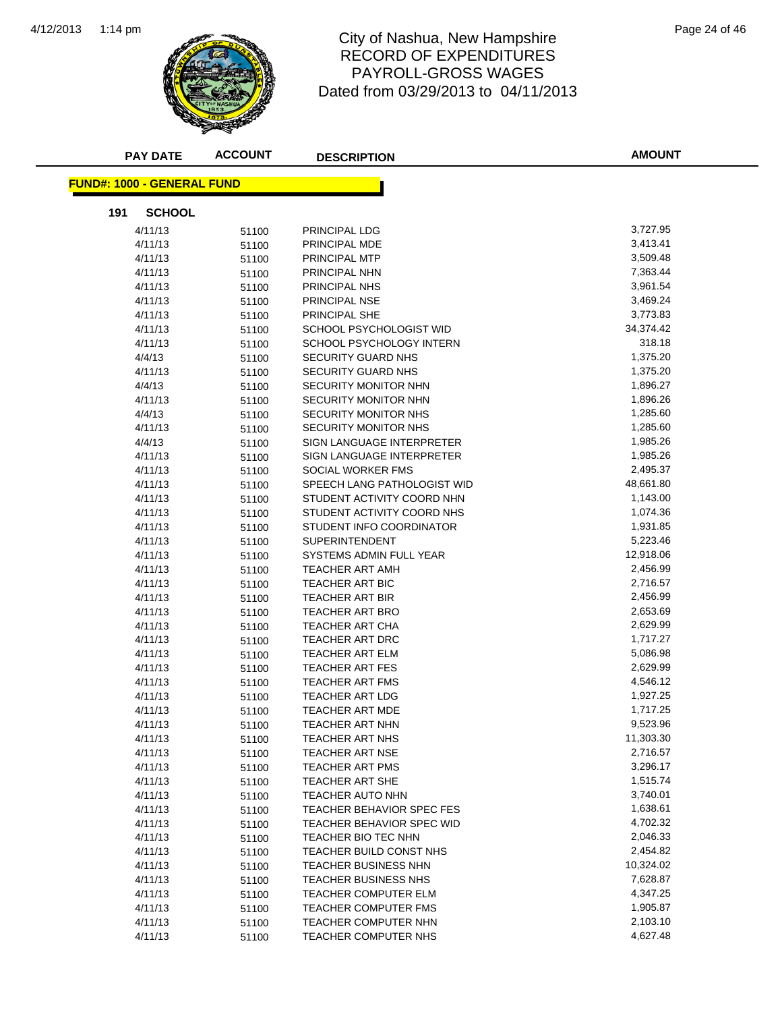

## 1:14 pm Page 24 of 46 RECORD OF EXPENDITURES PAYROLL-GROSS WAGES Dated from 03/29/2013 to 04/11/2013

| <b>PAY DATE</b>                   | <b>ACCOUNT</b> | <b>DESCRIPTION</b>               | <b>AMOUNT</b> |
|-----------------------------------|----------------|----------------------------------|---------------|
| <b>FUND#: 1000 - GENERAL FUND</b> |                |                                  |               |
| 191<br><b>SCHOOL</b>              |                |                                  |               |
| 4/11/13                           | 51100          | PRINCIPAL LDG                    | 3,727.95      |
| 4/11/13                           | 51100          | PRINCIPAL MDE                    | 3,413.41      |
| 4/11/13                           | 51100          | PRINCIPAL MTP                    | 3,509.48      |
| 4/11/13                           | 51100          | PRINCIPAL NHN                    | 7,363.44      |
| 4/11/13                           | 51100          | PRINCIPAL NHS                    | 3,961.54      |
| 4/11/13                           | 51100          | PRINCIPAL NSE                    | 3,469.24      |
| 4/11/13                           | 51100          | PRINCIPAL SHE                    | 3,773.83      |
| 4/11/13                           | 51100          | SCHOOL PSYCHOLOGIST WID          | 34,374.42     |
| 4/11/13                           | 51100          | SCHOOL PSYCHOLOGY INTERN         | 318.18        |
| 4/4/13                            | 51100          | <b>SECURITY GUARD NHS</b>        | 1,375.20      |
| 4/11/13                           | 51100          | <b>SECURITY GUARD NHS</b>        | 1,375.20      |
| 4/4/13                            | 51100          | SECURITY MONITOR NHN             | 1,896.27      |
| 4/11/13                           | 51100          | SECURITY MONITOR NHN             | 1,896.26      |
| 4/4/13                            | 51100          | <b>SECURITY MONITOR NHS</b>      | 1,285.60      |
| 4/11/13                           | 51100          | SECURITY MONITOR NHS             | 1,285.60      |
| 4/4/13                            | 51100          | SIGN LANGUAGE INTERPRETER        | 1,985.26      |
| 4/11/13                           | 51100          | SIGN LANGUAGE INTERPRETER        | 1,985.26      |
| 4/11/13                           | 51100          | SOCIAL WORKER FMS                | 2,495.37      |
| 4/11/13                           | 51100          | SPEECH LANG PATHOLOGIST WID      | 48,661.80     |
| 4/11/13                           | 51100          | STUDENT ACTIVITY COORD NHN       | 1,143.00      |
| 4/11/13                           | 51100          | STUDENT ACTIVITY COORD NHS       | 1,074.36      |
| 4/11/13                           | 51100          | STUDENT INFO COORDINATOR         | 1,931.85      |
| 4/11/13                           | 51100          | <b>SUPERINTENDENT</b>            | 5,223.46      |
| 4/11/13                           | 51100          | SYSTEMS ADMIN FULL YEAR          | 12,918.06     |
| 4/11/13                           | 51100          | TEACHER ART AMH                  | 2,456.99      |
| 4/11/13                           | 51100          | <b>TEACHER ART BIC</b>           | 2,716.57      |
| 4/11/13                           | 51100          | TEACHER ART BIR                  | 2,456.99      |
| 4/11/13                           | 51100          | <b>TEACHER ART BRO</b>           | 2,653.69      |
| 4/11/13                           | 51100          | TEACHER ART CHA                  | 2,629.99      |
| 4/11/13                           | 51100          | TEACHER ART DRC                  | 1,717.27      |
| 4/11/13                           | 51100          | TEACHER ART ELM                  | 5,086.98      |
| 4/11/13                           | 51100          | TEACHER ART FES                  | 2,629.99      |
| 4/11/13                           | 51100          | TEACHER ART FMS                  | 4,546.12      |
| 4/11/13                           | 51100          | TEACHER ART LDG                  | 1,927.25      |
| 4/11/13                           | 51100          | <b>TEACHER ART MDE</b>           | 1,717.25      |
| 4/11/13                           | 51100          | <b>TEACHER ART NHN</b>           | 9,523.96      |
| 4/11/13                           | 51100          | TEACHER ART NHS                  | 11,303.30     |
| 4/11/13                           | 51100          | <b>TEACHER ART NSE</b>           | 2,716.57      |
| 4/11/13                           | 51100          | TEACHER ART PMS                  | 3,296.17      |
| 4/11/13                           | 51100          | <b>TEACHER ART SHE</b>           | 1,515.74      |
| 4/11/13                           | 51100          | TEACHER AUTO NHN                 | 3,740.01      |
| 4/11/13                           | 51100          | TEACHER BEHAVIOR SPEC FES        | 1,638.61      |
| 4/11/13                           | 51100          | <b>TEACHER BEHAVIOR SPEC WID</b> | 4,702.32      |
| 4/11/13                           | 51100          | TEACHER BIO TEC NHN              | 2,046.33      |
| 4/11/13                           | 51100          | TEACHER BUILD CONST NHS          | 2,454.82      |
| 4/11/13                           | 51100          | <b>TEACHER BUSINESS NHN</b>      | 10,324.02     |
| 4/11/13                           | 51100          | <b>TEACHER BUSINESS NHS</b>      | 7,628.87      |
| 4/11/13                           | 51100          | TEACHER COMPUTER ELM             | 4,347.25      |
| 4/11/13                           | 51100          | <b>TEACHER COMPUTER FMS</b>      | 1,905.87      |
| 4/11/13                           | 51100          | TEACHER COMPUTER NHN             | 2,103.10      |
| 4/11/13                           | 51100          | TEACHER COMPUTER NHS             | 4,627.48      |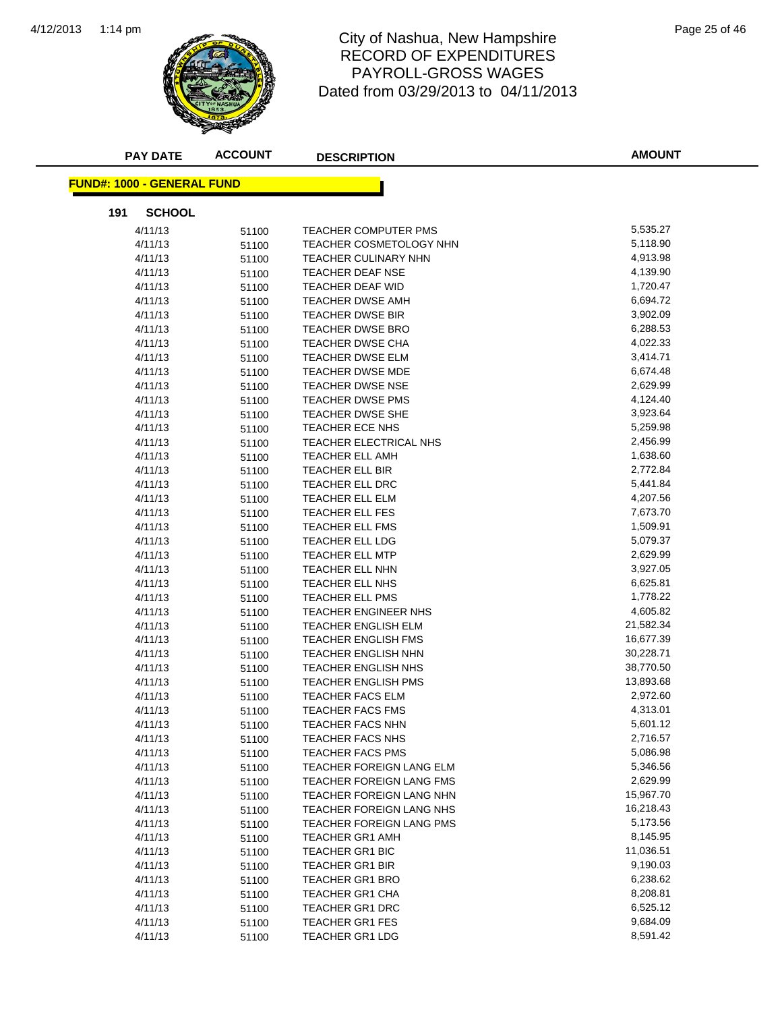

## 1:14 pm Page 25 of 46 RECORD OF EXPENDITURES PAYROLL-GROSS WAGES Dated from 03/29/2013 to 04/11/2013

| <b>PAY DATE</b>                   | <b>ACCOUNT</b> | <b>DESCRIPTION</b>              | <b>AMOUNT</b> |
|-----------------------------------|----------------|---------------------------------|---------------|
| <b>FUND#: 1000 - GENERAL FUND</b> |                |                                 |               |
| 191<br><b>SCHOOL</b>              |                |                                 |               |
| 4/11/13                           | 51100          | <b>TEACHER COMPUTER PMS</b>     | 5,535.27      |
| 4/11/13                           | 51100          | TEACHER COSMETOLOGY NHN         | 5,118.90      |
| 4/11/13                           | 51100          | <b>TEACHER CULINARY NHN</b>     | 4,913.98      |
| 4/11/13                           | 51100          | <b>TEACHER DEAF NSE</b>         | 4,139.90      |
| 4/11/13                           | 51100          | TEACHER DEAF WID                | 1,720.47      |
| 4/11/13                           | 51100          | <b>TEACHER DWSE AMH</b>         | 6,694.72      |
| 4/11/13                           | 51100          | TEACHER DWSE BIR                | 3,902.09      |
| 4/11/13                           | 51100          | TEACHER DWSE BRO                | 6,288.53      |
| 4/11/13                           | 51100          | TEACHER DWSE CHA                | 4,022.33      |
| 4/11/13                           | 51100          | TEACHER DWSE ELM                | 3,414.71      |
| 4/11/13                           | 51100          | TEACHER DWSE MDE                | 6,674.48      |
| 4/11/13                           | 51100          | <b>TEACHER DWSE NSE</b>         | 2,629.99      |
| 4/11/13                           | 51100          | <b>TEACHER DWSE PMS</b>         | 4,124.40      |
| 4/11/13                           | 51100          | <b>TEACHER DWSE SHE</b>         | 3,923.64      |
| 4/11/13                           | 51100          | <b>TEACHER ECE NHS</b>          | 5,259.98      |
| 4/11/13                           | 51100          | TEACHER ELECTRICAL NHS          | 2,456.99      |
| 4/11/13                           | 51100          | <b>TEACHER ELL AMH</b>          | 1,638.60      |
| 4/11/13                           | 51100          | TEACHER ELL BIR                 | 2,772.84      |
| 4/11/13                           | 51100          | TEACHER ELL DRC                 | 5,441.84      |
| 4/11/13                           | 51100          | TEACHER ELL ELM                 | 4,207.56      |
| 4/11/13                           | 51100          | TEACHER ELL FES                 | 7,673.70      |
| 4/11/13                           | 51100          | TEACHER ELL FMS                 | 1,509.91      |
| 4/11/13                           | 51100          | TEACHER ELL LDG                 | 5,079.37      |
| 4/11/13                           | 51100          | TEACHER ELL MTP                 | 2,629.99      |
| 4/11/13                           | 51100          | TEACHER ELL NHN                 | 3,927.05      |
| 4/11/13                           | 51100          | TEACHER ELL NHS                 | 6,625.81      |
| 4/11/13                           | 51100          | TEACHER ELL PMS                 | 1,778.22      |
| 4/11/13                           | 51100          | TEACHER ENGINEER NHS            | 4,605.82      |
| 4/11/13                           | 51100          | <b>TEACHER ENGLISH ELM</b>      | 21,582.34     |
| 4/11/13                           | 51100          | TEACHER ENGLISH FMS             | 16,677.39     |
| 4/11/13                           | 51100          | <b>TEACHER ENGLISH NHN</b>      | 30,228.71     |
| 4/11/13                           | 51100          | TEACHER ENGLISH NHS             | 38,770.50     |
| 4/11/13                           | 51100          | <b>TEACHER ENGLISH PMS</b>      | 13,893.68     |
| 4/11/13                           | 51100          | <b>TEACHER FACS ELM</b>         | 2,972.60      |
| 4/11/13                           | 51100          | <b>TEACHER FACS FMS</b>         | 4,313.01      |
| 4/11/13                           | 51100          | TEACHER FACS NHN                | 5,601.12      |
| 4/11/13                           | 51100          | <b>TEACHER FACS NHS</b>         | 2,716.57      |
| 4/11/13                           | 51100          | TEACHER FACS PMS                | 5,086.98      |
| 4/11/13                           | 51100          | TEACHER FOREIGN LANG ELM        | 5,346.56      |
| 4/11/13                           | 51100          | <b>TEACHER FOREIGN LANG FMS</b> | 2,629.99      |
| 4/11/13                           | 51100          | TEACHER FOREIGN LANG NHN        | 15,967.70     |
| 4/11/13                           | 51100          | TEACHER FOREIGN LANG NHS        | 16,218.43     |
| 4/11/13                           | 51100          | TEACHER FOREIGN LANG PMS        | 5,173.56      |
| 4/11/13                           | 51100          | <b>TEACHER GR1 AMH</b>          | 8,145.95      |
| 4/11/13                           |                | TEACHER GR1 BIC                 | 11,036.51     |
| 4/11/13                           | 51100          | TEACHER GR1 BIR                 | 9,190.03      |
| 4/11/13                           | 51100          | TEACHER GR1 BRO                 | 6,238.62      |
| 4/11/13                           | 51100          | TEACHER GR1 CHA                 | 8,208.81      |
|                                   | 51100          | TEACHER GR1 DRC                 | 6,525.12      |
| 4/11/13<br>4/11/13                | 51100          | <b>TEACHER GR1 FES</b>          | 9,684.09      |
|                                   | 51100          | <b>TEACHER GR1 LDG</b>          | 8,591.42      |
| 4/11/13                           | 51100          |                                 |               |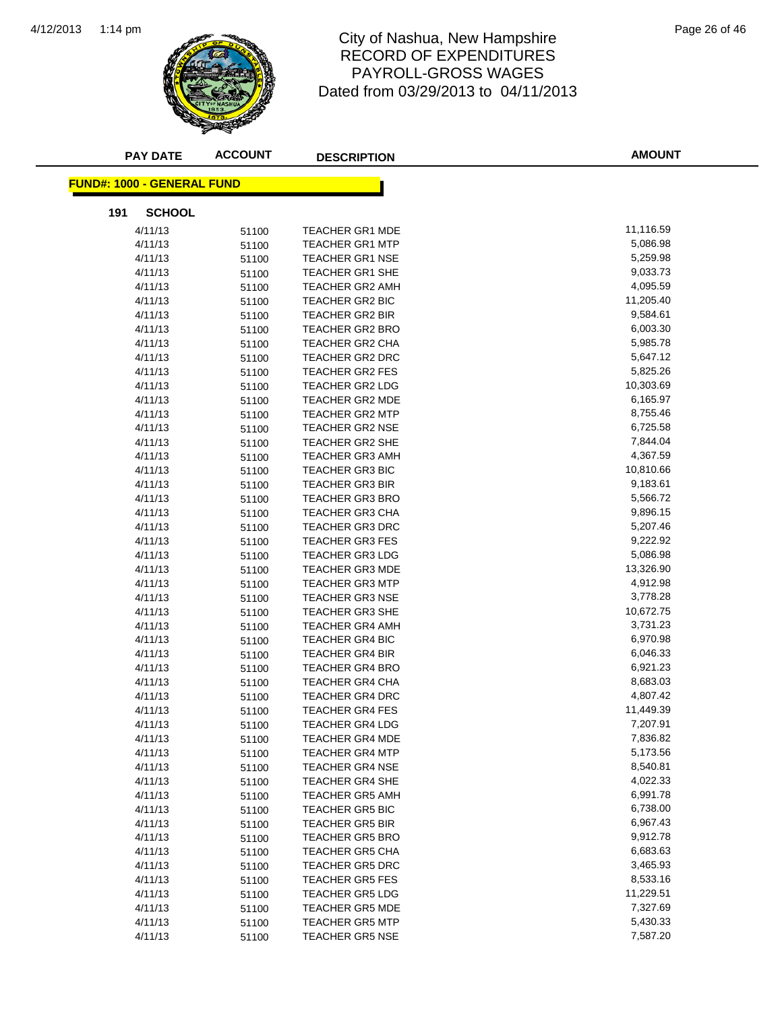

### 1:14 pm Page 26 of 46 RECORD OF EXPENDITURES PAYROLL-GROSS WAGES Dated from 03/29/2013 to 04/11/2013

| <b>PAY DATE</b>                   | <b>ACCOUNT</b> | <b>DESCRIPTION</b>                               | <b>AMOUNT</b>        |
|-----------------------------------|----------------|--------------------------------------------------|----------------------|
| <b>FUND#: 1000 - GENERAL FUND</b> |                |                                                  |                      |
| 191<br><b>SCHOOL</b>              |                |                                                  |                      |
| 4/11/13                           | 51100          | <b>TEACHER GR1 MDE</b>                           | 11,116.59            |
| 4/11/13                           | 51100          | <b>TEACHER GR1 MTP</b>                           | 5,086.98             |
| 4/11/13                           | 51100          | <b>TEACHER GR1 NSE</b>                           | 5,259.98             |
| 4/11/13                           | 51100          | TEACHER GR1 SHE                                  | 9,033.73             |
| 4/11/13                           | 51100          | <b>TEACHER GR2 AMH</b>                           | 4,095.59             |
| 4/11/13                           | 51100          | <b>TEACHER GR2 BIC</b>                           | 11,205.40            |
| 4/11/13                           | 51100          | <b>TEACHER GR2 BIR</b>                           | 9,584.61             |
| 4/11/13                           | 51100          | <b>TEACHER GR2 BRO</b>                           | 6,003.30             |
| 4/11/13                           | 51100          | TEACHER GR2 CHA                                  | 5,985.78             |
| 4/11/13                           | 51100          | <b>TEACHER GR2 DRC</b>                           | 5,647.12             |
| 4/11/13                           | 51100          | <b>TEACHER GR2 FES</b>                           | 5,825.26             |
| 4/11/13                           | 51100          | TEACHER GR2 LDG                                  | 10,303.69            |
| 4/11/13                           | 51100          | <b>TEACHER GR2 MDE</b>                           | 6,165.97             |
| 4/11/13                           | 51100          | <b>TEACHER GR2 MTP</b>                           | 8,755.46             |
| 4/11/13                           | 51100          | <b>TEACHER GR2 NSE</b>                           | 6,725.58             |
| 4/11/13                           | 51100          | TEACHER GR2 SHE                                  | 7,844.04             |
| 4/11/13                           | 51100          | <b>TEACHER GR3 AMH</b>                           | 4,367.59             |
| 4/11/13                           | 51100          | TEACHER GR3 BIC                                  | 10,810.66            |
| 4/11/13                           |                | <b>TEACHER GR3 BIR</b>                           | 9,183.61             |
| 4/11/13                           | 51100<br>51100 | <b>TEACHER GR3 BRO</b>                           | 5,566.72             |
| 4/11/13                           |                | <b>TEACHER GR3 CHA</b>                           | 9,896.15             |
| 4/11/13                           | 51100          | <b>TEACHER GR3 DRC</b>                           | 5,207.46             |
| 4/11/13                           | 51100          | <b>TEACHER GR3 FES</b>                           | 9,222.92             |
| 4/11/13                           | 51100          | <b>TEACHER GR3 LDG</b>                           | 5,086.98             |
| 4/11/13                           | 51100          | <b>TEACHER GR3 MDE</b>                           | 13,326.90            |
| 4/11/13                           | 51100          | <b>TEACHER GR3 MTP</b>                           | 4,912.98             |
|                                   | 51100          |                                                  | 3,778.28             |
| 4/11/13<br>4/11/13                | 51100          | <b>TEACHER GR3 NSE</b><br><b>TEACHER GR3 SHE</b> | 10,672.75            |
|                                   | 51100          |                                                  | 3,731.23             |
| 4/11/13                           | 51100          | <b>TEACHER GR4 AMH</b><br><b>TEACHER GR4 BIC</b> | 6,970.98             |
| 4/11/13<br>4/11/13                | 51100          | <b>TEACHER GR4 BIR</b>                           | 6,046.33             |
| 4/11/13                           | 51100          |                                                  | 6,921.23             |
|                                   | 51100          | <b>TEACHER GR4 BRO</b><br><b>TEACHER GR4 CHA</b> | 8,683.03             |
| 4/11/13                           | 51100          |                                                  |                      |
| 4/11/13                           | 51100          | <b>TEACHER GR4 DRC</b>                           | 4,807.42             |
| 4/11/13                           | 51100          | <b>TEACHER GR4 FES</b>                           | 11,449.39            |
| 4/11/13                           | 51100          | TEACHER GR4 LDG                                  | 7,207.91<br>7,836.82 |
| 4/11/13                           | 51100          | <b>TEACHER GR4 MDE</b>                           | 5,173.56             |
| 4/11/13                           | 51100          | <b>TEACHER GR4 MTP</b>                           |                      |
| 4/11/13                           | 51100          | <b>TEACHER GR4 NSE</b>                           | 8,540.81             |
| 4/11/13                           | 51100          | <b>TEACHER GR4 SHE</b>                           | 4,022.33             |
| 4/11/13                           | 51100          | <b>TEACHER GR5 AMH</b>                           | 6,991.78             |
| 4/11/13                           | 51100          | <b>TEACHER GR5 BIC</b>                           | 6,738.00             |
| 4/11/13                           | 51100          | <b>TEACHER GR5 BIR</b>                           | 6,967.43             |
| 4/11/13                           | 51100          | <b>TEACHER GR5 BRO</b>                           | 9,912.78             |
| 4/11/13                           | 51100          | <b>TEACHER GR5 CHA</b>                           | 6,683.63             |
| 4/11/13                           | 51100          | <b>TEACHER GR5 DRC</b>                           | 3,465.93             |
| 4/11/13                           | 51100          | <b>TEACHER GR5 FES</b>                           | 8,533.16             |
| 4/11/13                           | 51100          | <b>TEACHER GR5 LDG</b>                           | 11,229.51            |
| 4/11/13                           | 51100          | <b>TEACHER GR5 MDE</b>                           | 7,327.69             |
| 4/11/13                           | 51100          | <b>TEACHER GR5 MTP</b>                           | 5,430.33             |
| 4/11/13                           | 51100          | <b>TEACHER GR5 NSE</b>                           | 7,587.20             |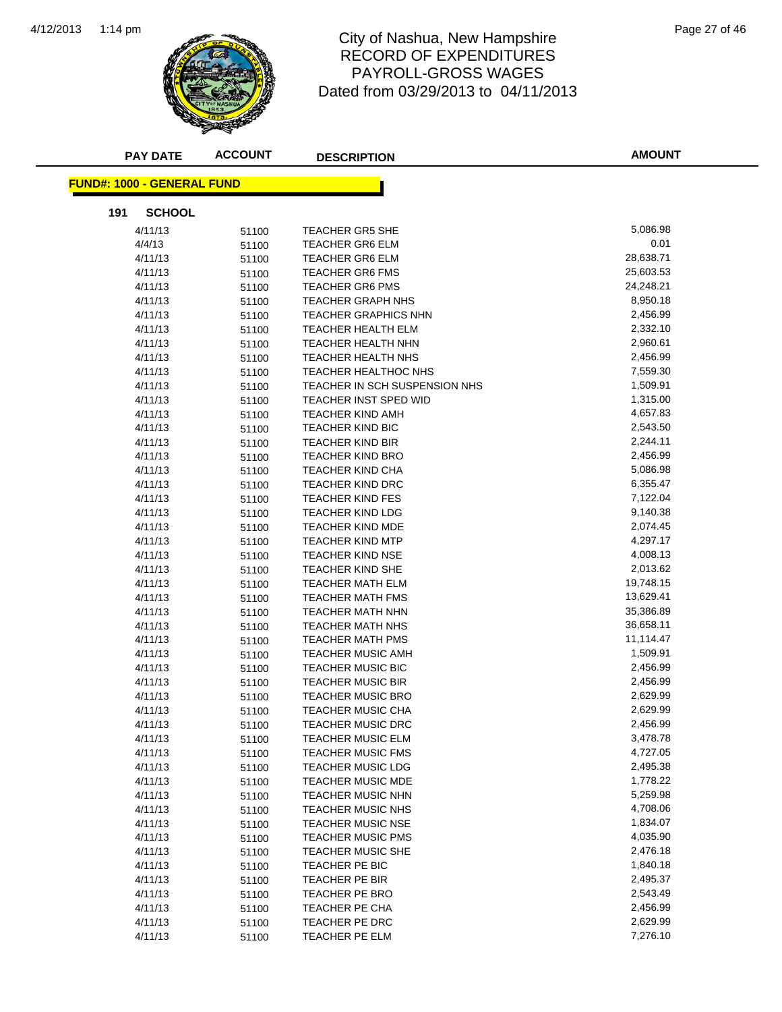

## 1:14 pm Page 27 of 46 RECORD OF EXPENDITURES PAYROLL-GROSS WAGES Dated from 03/29/2013 to 04/11/2013

| <b>PAY DATE</b>                    | <b>ACCOUNT</b> | <b>DESCRIPTION</b>            | <b>AMOUNT</b> |
|------------------------------------|----------------|-------------------------------|---------------|
| <u> FUND#: 1000 - GENERAL FUND</u> |                |                               |               |
| 191<br><b>SCHOOL</b>               |                |                               |               |
| 4/11/13                            | 51100          | <b>TEACHER GR5 SHE</b>        | 5,086.98      |
| 4/4/13                             | 51100          | <b>TEACHER GR6 ELM</b>        | 0.01          |
| 4/11/13                            | 51100          | <b>TEACHER GR6 ELM</b>        | 28,638.71     |
| 4/11/13                            | 51100          | <b>TEACHER GR6 FMS</b>        | 25,603.53     |
| 4/11/13                            | 51100          | <b>TEACHER GR6 PMS</b>        | 24,248.21     |
| 4/11/13                            | 51100          | <b>TEACHER GRAPH NHS</b>      | 8,950.18      |
| 4/11/13                            | 51100          | <b>TEACHER GRAPHICS NHN</b>   | 2,456.99      |
| 4/11/13                            | 51100          | <b>TEACHER HEALTH ELM</b>     | 2,332.10      |
| 4/11/13                            | 51100          | TEACHER HEALTH NHN            | 2,960.61      |
| 4/11/13                            | 51100          | <b>TEACHER HEALTH NHS</b>     | 2,456.99      |
| 4/11/13                            | 51100          | <b>TEACHER HEALTHOC NHS</b>   | 7,559.30      |
| 4/11/13                            | 51100          | TEACHER IN SCH SUSPENSION NHS | 1,509.91      |
| 4/11/13                            | 51100          | <b>TEACHER INST SPED WID</b>  | 1,315.00      |
| 4/11/13                            | 51100          | <b>TEACHER KIND AMH</b>       | 4,657.83      |
| 4/11/13                            | 51100          | <b>TEACHER KIND BIC</b>       | 2,543.50      |
| 4/11/13                            | 51100          | <b>TEACHER KIND BIR</b>       | 2,244.11      |
| 4/11/13                            | 51100          | TEACHER KIND BRO              | 2,456.99      |
| 4/11/13                            | 51100          | <b>TEACHER KIND CHA</b>       | 5,086.98      |
| 4/11/13                            | 51100          | <b>TEACHER KIND DRC</b>       | 6,355.47      |
| 4/11/13                            | 51100          | <b>TEACHER KIND FES</b>       | 7,122.04      |
| 4/11/13                            | 51100          | <b>TEACHER KIND LDG</b>       | 9,140.38      |
| 4/11/13                            | 51100          | <b>TEACHER KIND MDE</b>       | 2,074.45      |
| 4/11/13                            | 51100          | <b>TEACHER KIND MTP</b>       | 4,297.17      |
| 4/11/13                            | 51100          | <b>TEACHER KIND NSE</b>       | 4,008.13      |
| 4/11/13                            | 51100          | TEACHER KIND SHE              | 2,013.62      |
| 4/11/13                            | 51100          | TEACHER MATH ELM              | 19,748.15     |
| 4/11/13                            | 51100          | <b>TEACHER MATH FMS</b>       | 13,629.41     |
| 4/11/13                            | 51100          | TEACHER MATH NHN              | 35,386.89     |
| 4/11/13                            | 51100          | <b>TEACHER MATH NHS</b>       | 36,658.11     |
| 4/11/13                            | 51100          | <b>TEACHER MATH PMS</b>       | 11,114.47     |
| 4/11/13                            | 51100          | <b>TEACHER MUSIC AMH</b>      | 1,509.91      |
| 4/11/13                            | 51100          | <b>TEACHER MUSIC BIC</b>      | 2,456.99      |
| 4/11/13                            | 51100          | <b>TEACHER MUSIC BIR</b>      | 2,456.99      |
| 4/11/13                            | 51100          | <b>TEACHER MUSIC BRO</b>      | 2,629.99      |
| 4/11/13                            | 51100          | <b>TEACHER MUSIC CHA</b>      | 2,629.99      |
| 4/11/13                            | 51100          | <b>TEACHER MUSIC DRC</b>      | 2,456.99      |
| 4/11/13                            | 51100          | <b>TEACHER MUSIC ELM</b>      | 3,478.78      |
| 4/11/13                            | 51100          | <b>TEACHER MUSIC FMS</b>      | 4,727.05      |
| 4/11/13                            | 51100          | <b>TEACHER MUSIC LDG</b>      | 2,495.38      |
| 4/11/13                            | 51100          | <b>TEACHER MUSIC MDE</b>      | 1,778.22      |
| 4/11/13                            | 51100          | TEACHER MUSIC NHN             | 5,259.98      |
| 4/11/13                            | 51100          | TEACHER MUSIC NHS             | 4,708.06      |
| 4/11/13                            | 51100          | <b>TEACHER MUSIC NSE</b>      | 1,834.07      |
| 4/11/13                            | 51100          | <b>TEACHER MUSIC PMS</b>      | 4,035.90      |
| 4/11/13                            | 51100          | <b>TEACHER MUSIC SHE</b>      | 2,476.18      |
| 4/11/13                            | 51100          | <b>TEACHER PE BIC</b>         | 1,840.18      |
| 4/11/13                            | 51100          | TEACHER PE BIR                | 2,495.37      |
| 4/11/13                            | 51100          | TEACHER PE BRO                | 2,543.49      |
| 4/11/13                            | 51100          | TEACHER PE CHA                | 2,456.99      |
| 4/11/13                            | 51100          | TEACHER PE DRC                | 2,629.99      |
| 4/11/13                            | 51100          | TEACHER PE ELM                | 7,276.10      |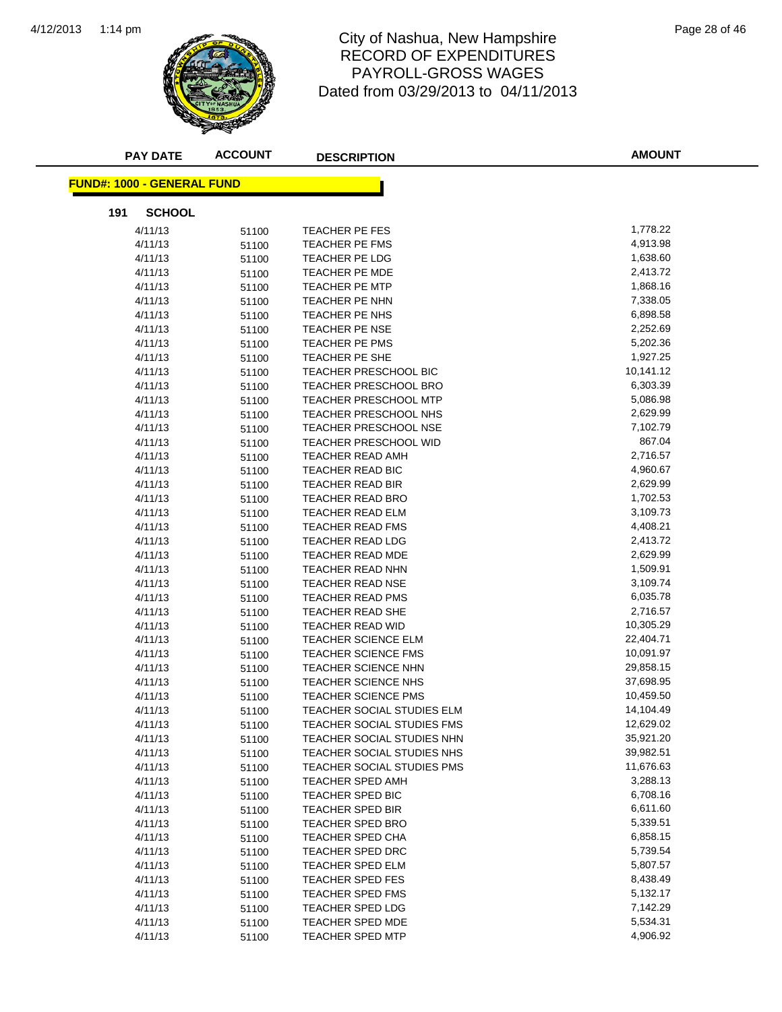

## 1:14 pm Page 28 of 46 RECORD OF EXPENDITURES PAYROLL-GROSS WAGES Dated from 03/29/2013 to 04/11/2013

| <b>PAY DATE</b>                   | <b>ACCOUNT</b> | <b>DESCRIPTION</b>           | <b>AMOUNT</b> |
|-----------------------------------|----------------|------------------------------|---------------|
| <b>FUND#: 1000 - GENERAL FUND</b> |                |                              |               |
| 191<br><b>SCHOOL</b>              |                |                              |               |
| 4/11/13                           | 51100          | TEACHER PE FES               | 1,778.22      |
| 4/11/13                           | 51100          | <b>TEACHER PE FMS</b>        | 4,913.98      |
| 4/11/13                           | 51100          | TEACHER PE LDG               | 1,638.60      |
| 4/11/13                           | 51100          | <b>TEACHER PE MDE</b>        | 2,413.72      |
| 4/11/13                           | 51100          | TEACHER PE MTP               | 1,868.16      |
| 4/11/13                           | 51100          | <b>TEACHER PE NHN</b>        | 7,338.05      |
| 4/11/13                           | 51100          | TEACHER PE NHS               | 6,898.58      |
| 4/11/13                           | 51100          | <b>TEACHER PE NSE</b>        | 2,252.69      |
| 4/11/13                           | 51100          | TEACHER PE PMS               | 5,202.36      |
| 4/11/13                           | 51100          | TEACHER PE SHE               | 1,927.25      |
| 4/11/13                           | 51100          | TEACHER PRESCHOOL BIC        | 10,141.12     |
| 4/11/13                           | 51100          | <b>TEACHER PRESCHOOL BRO</b> | 6,303.39      |
| 4/11/13                           | 51100          | <b>TEACHER PRESCHOOL MTP</b> | 5,086.98      |
| 4/11/13                           | 51100          | TEACHER PRESCHOOL NHS        | 2,629.99      |
| 4/11/13                           | 51100          | <b>TEACHER PRESCHOOL NSE</b> | 7,102.79      |
| 4/11/13                           | 51100          | <b>TEACHER PRESCHOOL WID</b> | 867.04        |
| 4/11/13                           | 51100          | <b>TEACHER READ AMH</b>      | 2,716.57      |
| 4/11/13                           | 51100          | TEACHER READ BIC             | 4,960.67      |
| 4/11/13                           | 51100          | TEACHER READ BIR             | 2,629.99      |
| 4/11/13                           | 51100          | TEACHER READ BRO             | 1,702.53      |
| 4/11/13                           | 51100          | <b>TEACHER READ ELM</b>      | 3,109.73      |
| 4/11/13                           | 51100          | <b>TEACHER READ FMS</b>      | 4,408.21      |
| 4/11/13                           | 51100          | <b>TEACHER READ LDG</b>      | 2,413.72      |
| 4/11/13                           | 51100          | <b>TEACHER READ MDE</b>      | 2,629.99      |
| 4/11/13                           | 51100          | <b>TEACHER READ NHN</b>      | 1,509.91      |
| 4/11/13                           | 51100          | <b>TEACHER READ NSE</b>      | 3,109.74      |
| 4/11/13                           | 51100          | <b>TEACHER READ PMS</b>      | 6,035.78      |
| 4/11/13                           | 51100          | <b>TEACHER READ SHE</b>      | 2,716.57      |
| 4/11/13                           | 51100          | <b>TEACHER READ WID</b>      | 10,305.29     |
| 4/11/13                           | 51100          | TEACHER SCIENCE ELM          | 22,404.71     |
| 4/11/13                           | 51100          | <b>TEACHER SCIENCE FMS</b>   | 10,091.97     |
| 4/11/13                           | 51100          | TEACHER SCIENCE NHN          | 29,858.15     |
| 4/11/13                           | 51100          | TEACHER SCIENCE NHS          | 37,698.95     |
| 4/11/13                           | 51100          | TEACHER SCIENCE PMS          | 10,459.50     |
| 4/11/13                           | 51100          | TEACHER SOCIAL STUDIES ELM   | 14,104.49     |
| 4/11/13                           | 51100          | TEACHER SOCIAL STUDIES FMS   | 12,629.02     |
| 4/11/13                           | 51100          | TEACHER SOCIAL STUDIES NHN   | 35,921.20     |
| 4/11/13                           | 51100          | TEACHER SOCIAL STUDIES NHS   | 39,982.51     |
| 4/11/13                           | 51100          | TEACHER SOCIAL STUDIES PMS   | 11,676.63     |
| 4/11/13                           | 51100          | <b>TEACHER SPED AMH</b>      | 3,288.13      |
| 4/11/13                           | 51100          | TEACHER SPED BIC             | 6,708.16      |
| 4/11/13                           | 51100          | TEACHER SPED BIR             | 6,611.60      |
| 4/11/13                           | 51100          | <b>TEACHER SPED BRO</b>      | 5,339.51      |
| 4/11/13                           | 51100          | <b>TEACHER SPED CHA</b>      | 6,858.15      |
| 4/11/13                           | 51100          | TEACHER SPED DRC             | 5,739.54      |
| 4/11/13                           | 51100          | TEACHER SPED ELM             | 5,807.57      |
| 4/11/13                           | 51100          | TEACHER SPED FES             | 8,438.49      |
| 4/11/13                           | 51100          | <b>TEACHER SPED FMS</b>      | 5,132.17      |
| 4/11/13                           | 51100          | TEACHER SPED LDG             | 7,142.29      |
| 4/11/13                           | 51100          | <b>TEACHER SPED MDE</b>      | 5,534.31      |
| 4/11/13                           | 51100          | <b>TEACHER SPED MTP</b>      | 4,906.92      |
|                                   |                |                              |               |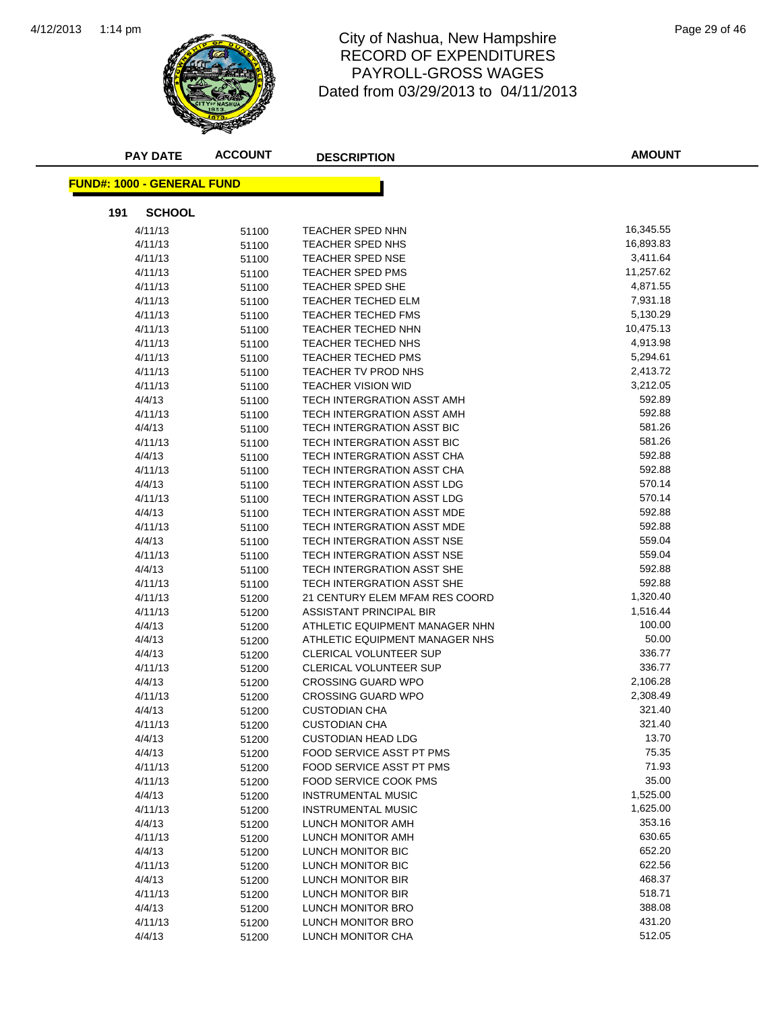

### 1:14 pm Page 29 of 46 RECORD OF EXPENDITURES PAYROLL-GROSS WAGES Dated from 03/29/2013 to 04/11/2013

| <b>PAY DATE</b>                   | <b>ACCOUNT</b> | <b>DESCRIPTION</b>                | <b>AMOUNT</b> |
|-----------------------------------|----------------|-----------------------------------|---------------|
| <b>FUND#: 1000 - GENERAL FUND</b> |                |                                   |               |
|                                   |                |                                   |               |
| 191<br><b>SCHOOL</b>              |                |                                   | 16,345.55     |
| 4/11/13                           | 51100          | TEACHER SPED NHN                  |               |
| 4/11/13                           | 51100          | TEACHER SPED NHS                  | 16,893.83     |
| 4/11/13                           | 51100          | <b>TEACHER SPED NSE</b>           | 3,411.64      |
| 4/11/13                           | 51100          | TEACHER SPED PMS                  | 11,257.62     |
| 4/11/13                           | 51100          | <b>TEACHER SPED SHE</b>           | 4,871.55      |
| 4/11/13                           | 51100          | TEACHER TECHED ELM                | 7,931.18      |
| 4/11/13                           | 51100          | TEACHER TECHED FMS                | 5,130.29      |
| 4/11/13                           | 51100          | TEACHER TECHED NHN                | 10,475.13     |
| 4/11/13                           | 51100          | TEACHER TECHED NHS                | 4,913.98      |
| 4/11/13                           | 51100          | <b>TEACHER TECHED PMS</b>         | 5,294.61      |
| 4/11/13                           | 51100          | TEACHER TV PROD NHS               | 2,413.72      |
| 4/11/13                           | 51100          | <b>TEACHER VISION WID</b>         | 3,212.05      |
| 4/4/13                            | 51100          | TECH INTERGRATION ASST AMH        | 592.89        |
| 4/11/13                           | 51100          | TECH INTERGRATION ASST AMH        | 592.88        |
| 4/4/13                            | 51100          | TECH INTERGRATION ASST BIC        | 581.26        |
| 4/11/13                           | 51100          | <b>TECH INTERGRATION ASST BIC</b> | 581.26        |
| 4/4/13                            | 51100          | TECH INTERGRATION ASST CHA        | 592.88        |
| 4/11/13                           | 51100          | TECH INTERGRATION ASST CHA        | 592.88        |
| 4/4/13                            | 51100          | TECH INTERGRATION ASST LDG        | 570.14        |
| 4/11/13                           | 51100          | TECH INTERGRATION ASST LDG        | 570.14        |
| 4/4/13                            | 51100          | TECH INTERGRATION ASST MDE        | 592.88        |
| 4/11/13                           | 51100          | TECH INTERGRATION ASST MDE        | 592.88        |
| 4/4/13                            | 51100          | TECH INTERGRATION ASST NSE        | 559.04        |
| 4/11/13                           | 51100          | TECH INTERGRATION ASST NSE        | 559.04        |
| 4/4/13                            | 51100          | TECH INTERGRATION ASST SHE        | 592.88        |
| 4/11/13                           | 51100          | TECH INTERGRATION ASST SHE        | 592.88        |
| 4/11/13                           | 51200          | 21 CENTURY ELEM MFAM RES COORD    | 1,320.40      |
| 4/11/13                           | 51200          | ASSISTANT PRINCIPAL BIR           | 1,516.44      |
| 4/4/13                            | 51200          | ATHLETIC EQUIPMENT MANAGER NHN    | 100.00        |
| 4/4/13                            | 51200          | ATHLETIC EQUIPMENT MANAGER NHS    | 50.00         |
| 4/4/13                            | 51200          | <b>CLERICAL VOLUNTEER SUP</b>     | 336.77        |
| 4/11/13                           | 51200          | <b>CLERICAL VOLUNTEER SUP</b>     | 336.77        |
| 4/4/13                            | 51200          | <b>CROSSING GUARD WPO</b>         | 2,106.28      |
| 4/11/13                           | 51200          | <b>CROSSING GUARD WPO</b>         | 2,308.49      |
| 4/4/13                            | 51200          | <b>CUSTODIAN CHA</b>              | 321.40        |
| 4/11/13                           | 51200          | <b>CUSTODIAN CHA</b>              | 321.40        |
| 4/4/13                            | 51200          | <b>CUSTODIAN HEAD LDG</b>         | 13.70         |
| 4/4/13                            | 51200          | FOOD SERVICE ASST PT PMS          | 75.35         |
| 4/11/13                           | 51200          | FOOD SERVICE ASST PT PMS          | 71.93         |
| 4/11/13                           | 51200          | <b>FOOD SERVICE COOK PMS</b>      | 35.00         |
| 4/4/13                            | 51200          | <b>INSTRUMENTAL MUSIC</b>         | 1,525.00      |
| 4/11/13                           | 51200          | <b>INSTRUMENTAL MUSIC</b>         | 1,625.00      |
| 4/4/13                            | 51200          | LUNCH MONITOR AMH                 | 353.16        |
| 4/11/13                           | 51200          | LUNCH MONITOR AMH                 | 630.65        |
| 4/4/13                            | 51200          | LUNCH MONITOR BIC                 | 652.20        |
| 4/11/13                           | 51200          | LUNCH MONITOR BIC                 | 622.56        |
| 4/4/13                            | 51200          | LUNCH MONITOR BIR                 | 468.37        |
| 4/11/13                           | 51200          | LUNCH MONITOR BIR                 | 518.71        |
| 4/4/13                            | 51200          | LUNCH MONITOR BRO                 | 388.08        |
| 4/11/13                           | 51200          | LUNCH MONITOR BRO                 | 431.20        |
| 4/4/13                            | 51200          | LUNCH MONITOR CHA                 | 512.05        |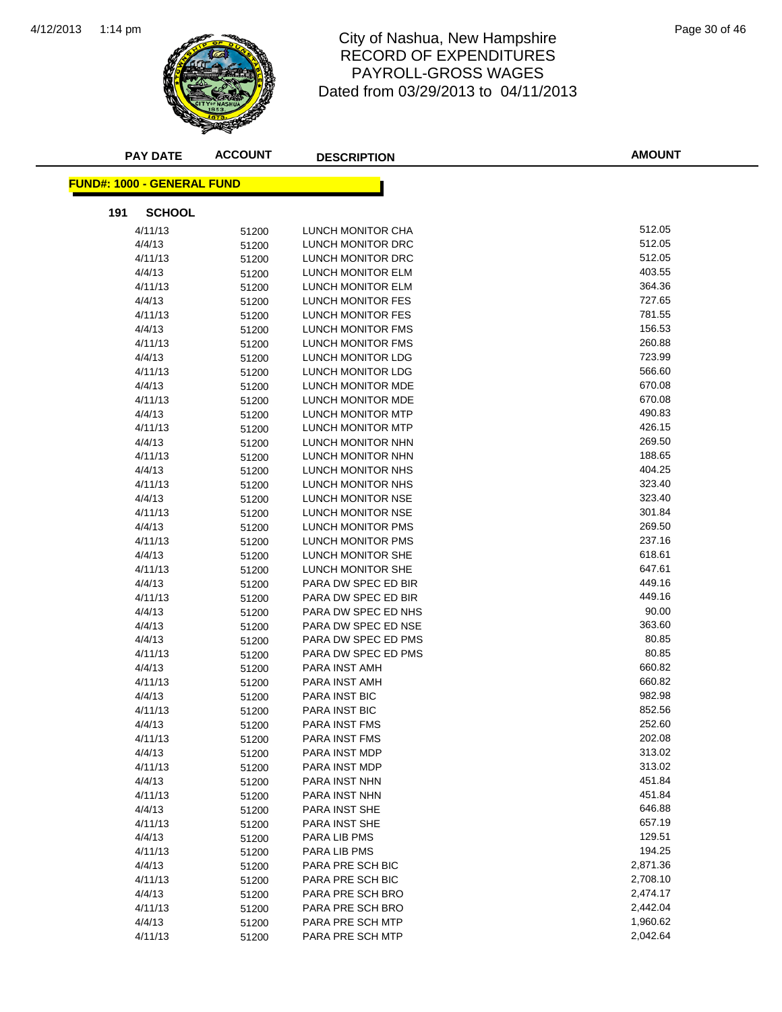

### 1:14 pm Page 30 of 46 RECORD OF EXPENDITURES PAYROLL-GROSS WAGES Dated from 03/29/2013 to 04/11/2013

| <b>PAY DATE</b>                   | <b>ACCOUNT</b> | <b>DESCRIPTION</b>   | <b>AMOUNT</b> |
|-----------------------------------|----------------|----------------------|---------------|
| <b>FUND#: 1000 - GENERAL FUND</b> |                |                      |               |
| <b>SCHOOL</b><br>191              |                |                      |               |
| 4/11/13                           | 51200          | LUNCH MONITOR CHA    | 512.05        |
| 4/4/13                            | 51200          | LUNCH MONITOR DRC    | 512.05        |
| 4/11/13                           | 51200          | LUNCH MONITOR DRC    | 512.05        |
| 4/4/13                            | 51200          | LUNCH MONITOR ELM    | 403.55        |
| 4/11/13                           | 51200          | LUNCH MONITOR ELM    | 364.36        |
| 4/4/13                            | 51200          | LUNCH MONITOR FES    | 727.65        |
| 4/11/13                           | 51200          | LUNCH MONITOR FES    | 781.55        |
| 4/4/13                            | 51200          | LUNCH MONITOR FMS    | 156.53        |
| 4/11/13                           | 51200          | LUNCH MONITOR FMS    | 260.88        |
| 4/4/13                            | 51200          | LUNCH MONITOR LDG    | 723.99        |
| 4/11/13                           | 51200          | LUNCH MONITOR LDG    | 566.60        |
| 4/4/13                            | 51200          | LUNCH MONITOR MDE    | 670.08        |
| 4/11/13                           | 51200          | LUNCH MONITOR MDE    | 670.08        |
| 4/4/13                            | 51200          | LUNCH MONITOR MTP    | 490.83        |
| 4/11/13                           | 51200          | LUNCH MONITOR MTP    | 426.15        |
| 4/4/13                            | 51200          | LUNCH MONITOR NHN    | 269.50        |
| 4/11/13                           | 51200          | LUNCH MONITOR NHN    | 188.65        |
| 4/4/13                            | 51200          | LUNCH MONITOR NHS    | 404.25        |
| 4/11/13                           | 51200          | LUNCH MONITOR NHS    | 323.40        |
| 4/4/13                            | 51200          | LUNCH MONITOR NSE    | 323.40        |
| 4/11/13                           | 51200          | LUNCH MONITOR NSE    | 301.84        |
| 4/4/13                            | 51200          | LUNCH MONITOR PMS    | 269.50        |
| 4/11/13                           | 51200          | LUNCH MONITOR PMS    | 237.16        |
| 4/4/13                            | 51200          | LUNCH MONITOR SHE    | 618.61        |
| 4/11/13                           | 51200          | LUNCH MONITOR SHE    | 647.61        |
| 4/4/13                            | 51200          | PARA DW SPEC ED BIR  | 449.16        |
| 4/11/13                           | 51200          | PARA DW SPEC ED BIR  | 449.16        |
| 4/4/13                            | 51200          | PARA DW SPEC ED NHS  | 90.00         |
| 4/4/13                            | 51200          | PARA DW SPEC ED NSE  | 363.60        |
| 4/4/13                            | 51200          | PARA DW SPEC ED PMS  | 80.85         |
| 4/11/13                           | 51200          | PARA DW SPEC ED PMS  | 80.85         |
| 4/4/13                            | 51200          | <b>PARA INST AMH</b> | 660.82        |
| 4/11/13                           | 51200          | PARA INST AMH        | 660.82        |
| 4/4/13                            | 51200          | PARA INST BIC        | 982.98        |
| 4/11/13                           | 51200          | <b>PARA INST BIC</b> | 852.56        |
| 4/4/13                            | 51200          | PARA INST FMS        | 252.60        |
| 4/11/13                           | 51200          | PARA INST FMS        | 202.08        |
| 4/4/13                            | 51200          | PARA INST MDP        | 313.02        |
| 4/11/13                           | 51200          | PARA INST MDP        | 313.02        |
| 4/4/13                            | 51200          | PARA INST NHN        | 451.84        |
| 4/11/13                           | 51200          | <b>PARA INST NHN</b> | 451.84        |
| 4/4/13                            | 51200          | PARA INST SHE        | 646.88        |
| 4/11/13                           | 51200          | <b>PARA INST SHE</b> | 657.19        |
| 4/4/13                            | 51200          | PARA LIB PMS         | 129.51        |
| 4/11/13                           | 51200          | PARA LIB PMS         | 194.25        |
| 4/4/13                            | 51200          | PARA PRE SCH BIC     | 2,871.36      |
| 4/11/13                           | 51200          | PARA PRE SCH BIC     | 2,708.10      |
| 4/4/13                            | 51200          | PARA PRE SCH BRO     | 2,474.17      |
| 4/11/13                           | 51200          | PARA PRE SCH BRO     | 2,442.04      |
| 4/4/13                            | 51200          | PARA PRE SCH MTP     | 1,960.62      |
| 4/11/13                           | 51200          | PARA PRE SCH MTP     | 2,042.64      |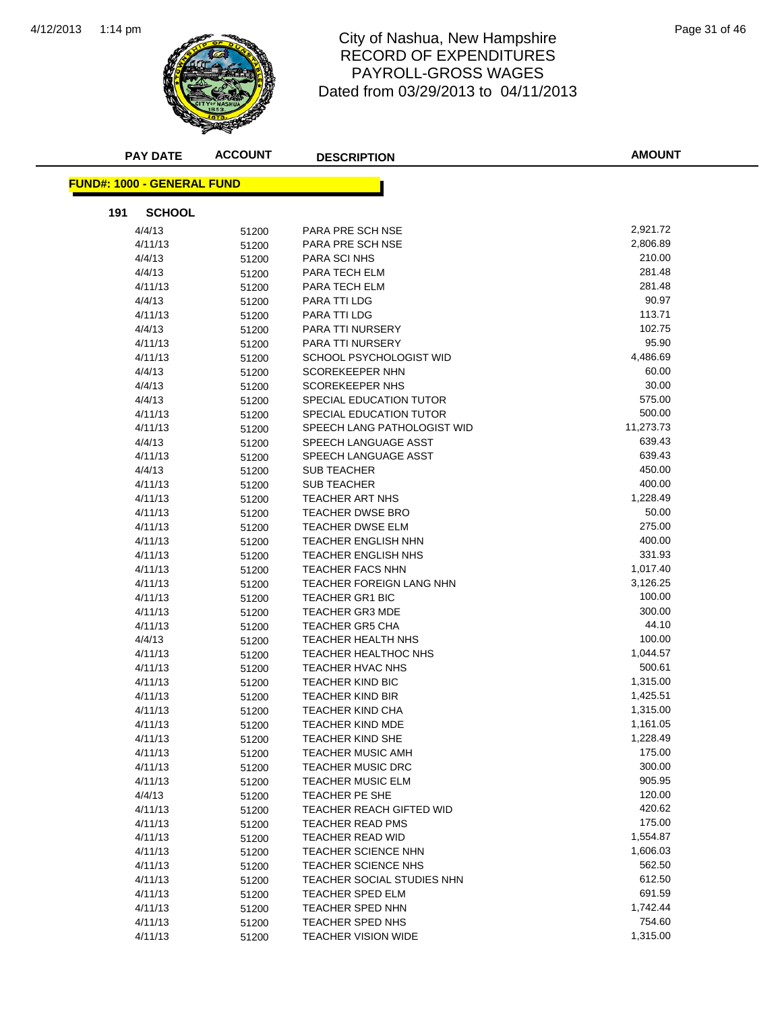

## 1:14 pm Page 31 of 46 RECORD OF EXPENDITURES PAYROLL-GROSS WAGES Dated from 03/29/2013 to 04/11/2013

| <b>PAY DATE</b>                   | <b>ACCOUNT</b> | <b>DESCRIPTION</b>          | <b>AMOUNT</b> |
|-----------------------------------|----------------|-----------------------------|---------------|
| <b>FUND#: 1000 - GENERAL FUND</b> |                |                             |               |
| <b>SCHOOL</b><br>191              |                |                             |               |
| 4/4/13                            | 51200          | PARA PRE SCH NSE            | 2,921.72      |
| 4/11/13                           | 51200          | PARA PRE SCH NSE            | 2,806.89      |
| 4/4/13                            | 51200          | PARA SCI NHS                | 210.00        |
| 4/4/13                            | 51200          | PARA TECH ELM               | 281.48        |
| 4/11/13                           | 51200          | PARA TECH ELM               | 281.48        |
| 4/4/13                            | 51200          | PARA TTI LDG                | 90.97         |
| 4/11/13                           | 51200          | PARA TTI LDG                | 113.71        |
| 4/4/13                            | 51200          | PARA TTI NURSERY            | 102.75        |
| 4/11/13                           | 51200          | PARA TTI NURSERY            | 95.90         |
| 4/11/13                           | 51200          | SCHOOL PSYCHOLOGIST WID     | 4,486.69      |
| 4/4/13                            | 51200          | <b>SCOREKEEPER NHN</b>      | 60.00         |
| 4/4/13                            | 51200          | <b>SCOREKEEPER NHS</b>      | 30.00         |
| 4/4/13                            | 51200          | SPECIAL EDUCATION TUTOR     | 575.00        |
| 4/11/13                           | 51200          | SPECIAL EDUCATION TUTOR     | 500.00        |
| 4/11/13                           | 51200          | SPEECH LANG PATHOLOGIST WID | 11,273.73     |
| 4/4/13                            | 51200          | SPEECH LANGUAGE ASST        | 639.43        |
| 4/11/13                           | 51200          | SPEECH LANGUAGE ASST        | 639.43        |
| 4/4/13                            | 51200          | <b>SUB TEACHER</b>          | 450.00        |
| 4/11/13                           | 51200          | <b>SUB TEACHER</b>          | 400.00        |
| 4/11/13                           | 51200          | TEACHER ART NHS             | 1,228.49      |
| 4/11/13                           | 51200          | <b>TEACHER DWSE BRO</b>     | 50.00         |
| 4/11/13                           | 51200          | TEACHER DWSE ELM            | 275.00        |
| 4/11/13                           | 51200          | <b>TEACHER ENGLISH NHN</b>  | 400.00        |
| 4/11/13                           | 51200          | TEACHER ENGLISH NHS         | 331.93        |
| 4/11/13                           | 51200          | <b>TEACHER FACS NHN</b>     | 1,017.40      |
| 4/11/13                           | 51200          | TEACHER FOREIGN LANG NHN    | 3,126.25      |
| 4/11/13                           | 51200          | <b>TEACHER GR1 BIC</b>      | 100.00        |
| 4/11/13                           | 51200          | <b>TEACHER GR3 MDE</b>      | 300.00        |
| 4/11/13                           | 51200          | TEACHER GR5 CHA             | 44.10         |
| 4/4/13                            | 51200          | TEACHER HEALTH NHS          | 100.00        |
| 4/11/13                           | 51200          | TEACHER HEALTHOC NHS        | 1,044.57      |
| 4/11/13                           | 51200          | TEACHER HVAC NHS            | 500.61        |
| 4/11/13                           | 51200          | TEACHER KIND BIC            | 1,315.00      |
| 4/11/13                           | 51200          | TEACHER KIND BIR            | 1,425.51      |
| 4/11/13                           | 51200          | TEACHER KIND CHA            | 1,315.00      |
| 4/11/13                           | 51200          | <b>TEACHER KIND MDE</b>     | 1,161.05      |
| 4/11/13                           | 51200          | TEACHER KIND SHE            | 1,228.49      |
| 4/11/13                           | 51200          | <b>TEACHER MUSIC AMH</b>    | 175.00        |
| 4/11/13                           | 51200          | TEACHER MUSIC DRC           | 300.00        |
| 4/11/13                           | 51200          | TEACHER MUSIC ELM           | 905.95        |
| 4/4/13                            | 51200          | TEACHER PE SHE              | 120.00        |
| 4/11/13                           | 51200          | TEACHER REACH GIFTED WID    | 420.62        |
| 4/11/13                           | 51200          | <b>TEACHER READ PMS</b>     | 175.00        |
| 4/11/13                           | 51200          | <b>TEACHER READ WID</b>     | 1,554.87      |
| 4/11/13                           | 51200          | <b>TEACHER SCIENCE NHN</b>  | 1,606.03      |
| 4/11/13                           | 51200          | <b>TEACHER SCIENCE NHS</b>  | 562.50        |
| 4/11/13                           | 51200          | TEACHER SOCIAL STUDIES NHN  | 612.50        |
| 4/11/13                           | 51200          | TEACHER SPED ELM            | 691.59        |
| 4/11/13                           | 51200          | TEACHER SPED NHN            | 1,742.44      |
| 4/11/13                           | 51200          | TEACHER SPED NHS            | 754.60        |
| 4/11/13                           | 51200          | <b>TEACHER VISION WIDE</b>  | 1,315.00      |
|                                   |                |                             |               |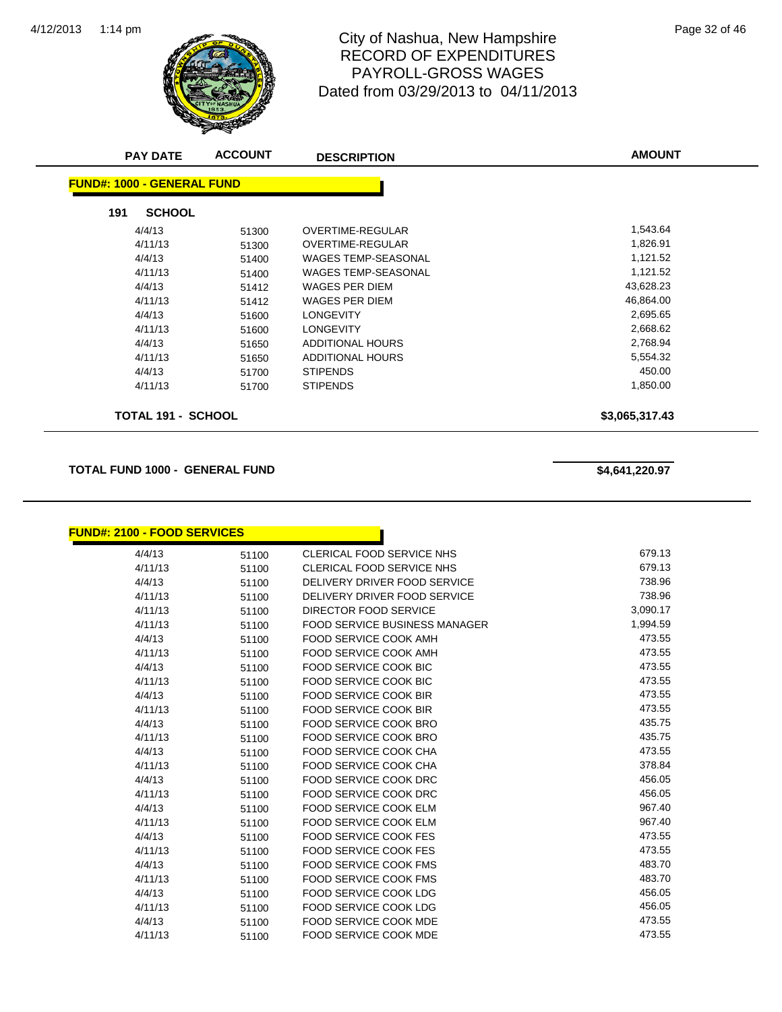

# City of Nashua, New Hampshire<br>
<u>146</u> Page 32 of 46 RECORD OF EXPENDITURES PAYROLL-GROSS WAGES Dated from 03/29/2013 to 04/11/2013

| <b>PAY DATE</b>                   | <b>ACCOUNT</b> | <b>DESCRIPTION</b>         | <b>AMOUNT</b>  |
|-----------------------------------|----------------|----------------------------|----------------|
| <b>FUND#: 1000 - GENERAL FUND</b> |                |                            |                |
| <b>SCHOOL</b><br>191              |                |                            |                |
| 4/4/13                            | 51300          | OVERTIME-REGULAR           | 1,543.64       |
| 4/11/13                           | 51300          | OVERTIME-REGULAR           | 1,826.91       |
| 4/4/13                            | 51400          | <b>WAGES TEMP-SEASONAL</b> | 1,121.52       |
| 4/11/13                           | 51400          | <b>WAGES TEMP-SEASONAL</b> | 1,121.52       |
| 4/4/13                            | 51412          | WAGES PER DIEM             | 43,628.23      |
| 4/11/13                           | 51412          | WAGES PER DIEM             | 46,864.00      |
| 4/4/13                            | 51600          | <b>LONGEVITY</b>           | 2,695.65       |
| 4/11/13                           | 51600          | <b>LONGEVITY</b>           | 2,668.62       |
| 4/4/13                            | 51650          | ADDITIONAL HOURS           | 2,768.94       |
| 4/11/13                           | 51650          | <b>ADDITIONAL HOURS</b>    | 5,554.32       |
| 4/4/13                            | 51700          | <b>STIPENDS</b>            | 450.00         |
| 4/11/13                           | 51700          | <b>STIPENDS</b>            | 1,850.00       |
| <b>TOTAL 191 - SCHOOL</b>         |                |                            | \$3,065,317.43 |

#### **TOTAL FUND 1000 - GENERAL FUND \$4,641,220.97**

| <b>FUND#: 2100 - FOOD SERVICES</b> |       |                                      |          |
|------------------------------------|-------|--------------------------------------|----------|
| 4/4/13                             | 51100 | CLERICAL FOOD SERVICE NHS            | 679.13   |
| 4/11/13                            | 51100 | <b>CLERICAL FOOD SERVICE NHS</b>     | 679.13   |
| 4/4/13                             | 51100 | DELIVERY DRIVER FOOD SERVICE         | 738.96   |
| 4/11/13                            | 51100 | DELIVERY DRIVER FOOD SERVICE         | 738.96   |
| 4/11/13                            | 51100 | DIRECTOR FOOD SERVICE                | 3,090.17 |
| 4/11/13                            | 51100 | <b>FOOD SERVICE BUSINESS MANAGER</b> | 1,994.59 |
| 4/4/13                             | 51100 | <b>FOOD SERVICE COOK AMH</b>         | 473.55   |
| 4/11/13                            | 51100 | <b>FOOD SERVICE COOK AMH</b>         | 473.55   |
| 4/4/13                             | 51100 | FOOD SERVICE COOK BIC                | 473.55   |
| 4/11/13                            | 51100 | <b>FOOD SERVICE COOK BIC</b>         | 473.55   |
| 4/4/13                             | 51100 | <b>FOOD SERVICE COOK BIR</b>         | 473.55   |
| 4/11/13                            | 51100 | <b>FOOD SERVICE COOK BIR</b>         | 473.55   |
| 4/4/13                             | 51100 | <b>FOOD SERVICE COOK BRO</b>         | 435.75   |
| 4/11/13                            | 51100 | FOOD SERVICE COOK BRO                | 435.75   |
| 4/4/13                             | 51100 | <b>FOOD SERVICE COOK CHA</b>         | 473.55   |
| 4/11/13                            | 51100 | <b>FOOD SERVICE COOK CHA</b>         | 378.84   |
| 4/4/13                             | 51100 | <b>FOOD SERVICE COOK DRC</b>         | 456.05   |
| 4/11/13                            | 51100 | <b>FOOD SERVICE COOK DRC</b>         | 456.05   |
| 4/4/13                             | 51100 | <b>FOOD SERVICE COOK ELM</b>         | 967.40   |
| 4/11/13                            | 51100 | <b>FOOD SERVICE COOK ELM</b>         | 967.40   |
| 4/4/13                             | 51100 | <b>FOOD SERVICE COOK FES</b>         | 473.55   |
| 4/11/13                            | 51100 | <b>FOOD SERVICE COOK FES</b>         | 473.55   |
| 4/4/13                             | 51100 | <b>FOOD SERVICE COOK FMS</b>         | 483.70   |
| 4/11/13                            | 51100 | <b>FOOD SERVICE COOK FMS</b>         | 483.70   |
| 4/4/13                             | 51100 | <b>FOOD SERVICE COOK LDG</b>         | 456.05   |
| 4/11/13                            | 51100 | <b>FOOD SERVICE COOK LDG</b>         | 456.05   |
| 4/4/13                             | 51100 | <b>FOOD SERVICE COOK MDE</b>         | 473.55   |
| 4/11/13                            | 51100 | <b>FOOD SERVICE COOK MDE</b>         | 473.55   |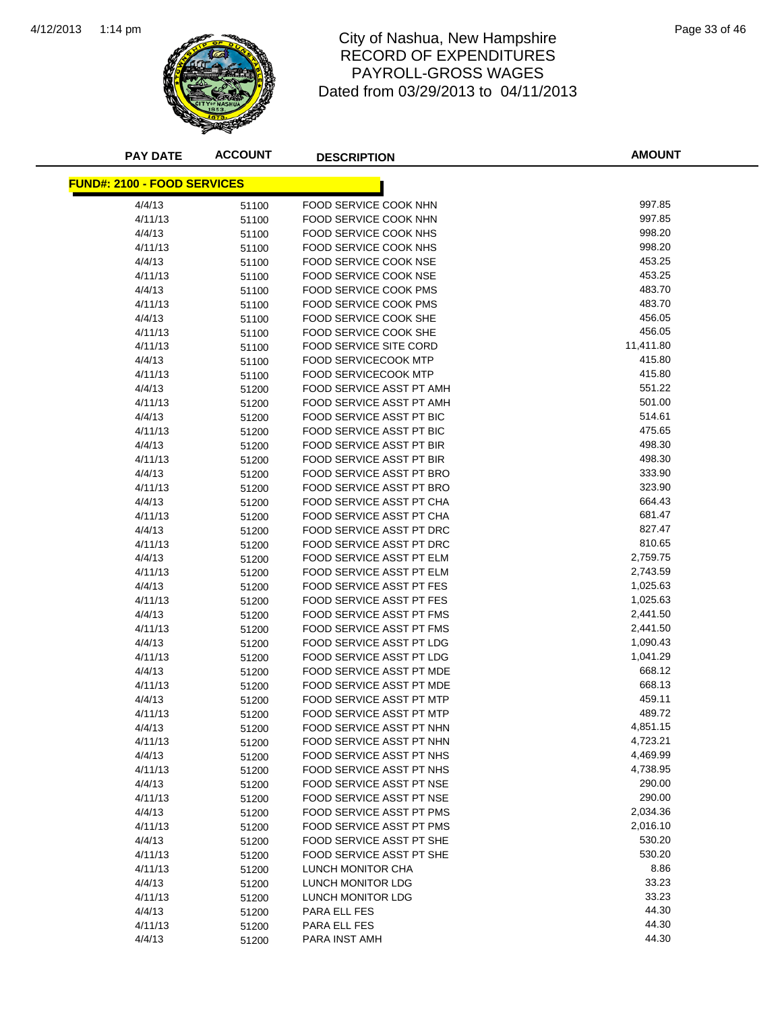

## 1:14 pm Page 33 of 46 RECORD OF EXPENDITURES PAYROLL-GROSS WAGES Dated from 03/29/2013 to 04/11/2013

| <b>PAY DATE</b>                    | <b>ACCOUNT</b> | <b>DESCRIPTION</b>              | <b>AMOUNT</b> |
|------------------------------------|----------------|---------------------------------|---------------|
| <b>FUND#: 2100 - FOOD SERVICES</b> |                |                                 |               |
|                                    |                |                                 |               |
| 4/4/13                             | 51100          | FOOD SERVICE COOK NHN           | 997.85        |
| 4/11/13                            | 51100          | FOOD SERVICE COOK NHN           | 997.85        |
| 4/4/13                             | 51100          | FOOD SERVICE COOK NHS           | 998.20        |
| 4/11/13                            | 51100          | FOOD SERVICE COOK NHS           | 998.20        |
| 4/4/13                             | 51100          | FOOD SERVICE COOK NSE           | 453.25        |
| 4/11/13                            | 51100          | FOOD SERVICE COOK NSE           | 453.25        |
| 4/4/13                             | 51100          | FOOD SERVICE COOK PMS           | 483.70        |
| 4/11/13                            | 51100          | <b>FOOD SERVICE COOK PMS</b>    | 483.70        |
| 4/4/13                             | 51100          | FOOD SERVICE COOK SHE           | 456.05        |
| 4/11/13                            | 51100          | FOOD SERVICE COOK SHE           | 456.05        |
| 4/11/13                            | 51100          | <b>FOOD SERVICE SITE CORD</b>   | 11,411.80     |
| 4/4/13                             | 51100          | <b>FOOD SERVICECOOK MTP</b>     | 415.80        |
| 4/11/13                            | 51100          | <b>FOOD SERVICECOOK MTP</b>     | 415.80        |
| 4/4/13                             | 51200          | FOOD SERVICE ASST PT AMH        | 551.22        |
| 4/11/13                            | 51200          | FOOD SERVICE ASST PT AMH        | 501.00        |
| 4/4/13                             | 51200          | FOOD SERVICE ASST PT BIC        | 514.61        |
| 4/11/13                            | 51200          | FOOD SERVICE ASST PT BIC        | 475.65        |
| 4/4/13                             | 51200          | <b>FOOD SERVICE ASST PT BIR</b> | 498.30        |
| 4/11/13                            | 51200          | FOOD SERVICE ASST PT BIR        | 498.30        |
| 4/4/13                             | 51200          | FOOD SERVICE ASST PT BRO        | 333.90        |
| 4/11/13                            | 51200          | FOOD SERVICE ASST PT BRO        | 323.90        |
| 4/4/13                             | 51200          | FOOD SERVICE ASST PT CHA        | 664.43        |
| 4/11/13                            | 51200          | FOOD SERVICE ASST PT CHA        | 681.47        |
| 4/4/13                             | 51200          | FOOD SERVICE ASST PT DRC        | 827.47        |
| 4/11/13                            | 51200          | FOOD SERVICE ASST PT DRC        | 810.65        |
| 4/4/13                             | 51200          | FOOD SERVICE ASST PT ELM        | 2,759.75      |
| 4/11/13                            | 51200          | FOOD SERVICE ASST PT ELM        | 2,743.59      |
| 4/4/13                             | 51200          | FOOD SERVICE ASST PT FES        | 1,025.63      |
| 4/11/13                            | 51200          | FOOD SERVICE ASST PT FES        | 1,025.63      |
| 4/4/13                             | 51200          | FOOD SERVICE ASST PT FMS        | 2,441.50      |
| 4/11/13                            | 51200          | FOOD SERVICE ASST PT FMS        | 2,441.50      |
| 4/4/13                             | 51200          | FOOD SERVICE ASST PT LDG        | 1,090.43      |
| 4/11/13                            | 51200          | FOOD SERVICE ASST PT LDG        | 1,041.29      |
| 4/4/13                             | 51200          | FOOD SERVICE ASST PT MDE        | 668.12        |
| 4/11/13                            | 51200          | FOOD SERVICE ASST PT MDE        | 668.13        |
| 4/4/13                             | 51200          | FOOD SERVICE ASST PT MTP        | 459.11        |
| 4/11/13                            | 51200          | FOOD SERVICE ASST PT MTP        | 489.72        |
| 4/4/13                             | 51200          | FOOD SERVICE ASST PT NHN        | 4,851.15      |
| 4/11/13                            | 51200          | FOOD SERVICE ASST PT NHN        | 4,723.21      |
| 4/4/13                             | 51200          | FOOD SERVICE ASST PT NHS        | 4,469.99      |
| 4/11/13                            | 51200          | FOOD SERVICE ASST PT NHS        | 4,738.95      |
| 4/4/13                             | 51200          | FOOD SERVICE ASST PT NSE        | 290.00        |
| 4/11/13                            | 51200          | <b>FOOD SERVICE ASST PT NSE</b> | 290.00        |
| 4/4/13                             | 51200          | FOOD SERVICE ASST PT PMS        | 2,034.36      |
| 4/11/13                            | 51200          | FOOD SERVICE ASST PT PMS        | 2,016.10      |
| 4/4/13                             | 51200          | FOOD SERVICE ASST PT SHE        | 530.20        |
| 4/11/13                            | 51200          | FOOD SERVICE ASST PT SHE        | 530.20        |
| 4/11/13                            | 51200          | LUNCH MONITOR CHA               | 8.86          |
| 4/4/13                             | 51200          | LUNCH MONITOR LDG               | 33.23         |
| 4/11/13                            | 51200          | LUNCH MONITOR LDG               | 33.23         |
| 4/4/13                             | 51200          | PARA ELL FES                    | 44.30         |
| 4/11/13                            | 51200          | PARA ELL FES                    | 44.30         |
| 4/4/13                             | 51200          | PARA INST AMH                   | 44.30         |
|                                    |                |                                 |               |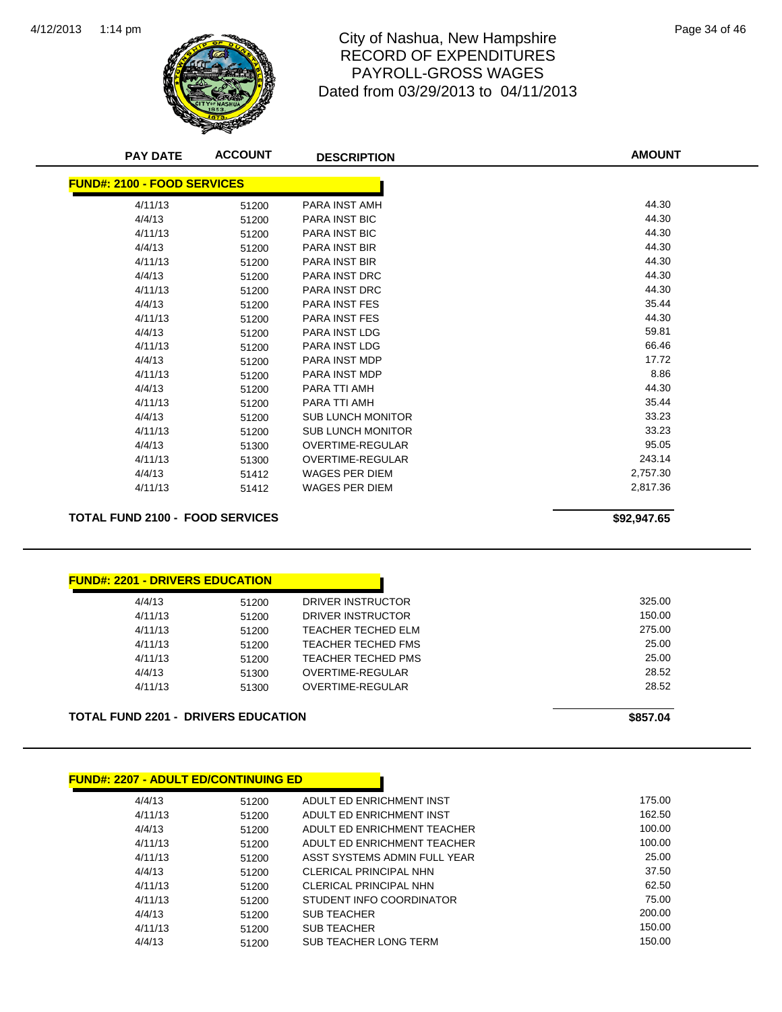

## 1:14 pm Page 34 of 46 RECORD OF EXPENDITURES PAYROLL-GROSS WAGES Dated from 03/29/2013 to 04/11/2013

| <b>FUND#: 2100 - FOOD SERVICES</b>                                                          |                |                           |             |
|---------------------------------------------------------------------------------------------|----------------|---------------------------|-------------|
|                                                                                             |                |                           |             |
| 4/11/13                                                                                     | 51200          | PARA INST AMH             | 44.30       |
| 4/4/13                                                                                      | 51200          | PARA INST BIC             | 44.30       |
| 4/11/13                                                                                     | 51200          | PARA INST BIC             | 44.30       |
| 4/4/13                                                                                      | 51200          | PARA INST BIR             | 44.30       |
| 4/11/13                                                                                     | 51200          | PARA INST BIR             | 44.30       |
| 4/4/13                                                                                      | 51200          | <b>PARA INST DRC</b>      | 44.30       |
| 4/11/13                                                                                     | 51200          | PARA INST DRC             | 44.30       |
| 4/4/13                                                                                      | 51200          | <b>PARA INST FES</b>      | 35.44       |
| 4/11/13                                                                                     | 51200          | <b>PARA INST FES</b>      | 44.30       |
| 4/4/13                                                                                      | 51200          | PARA INST LDG             | 59.81       |
| 4/11/13                                                                                     | 51200          | PARA INST LDG             | 66.46       |
| 4/4/13                                                                                      | 51200          | <b>PARA INST MDP</b>      | 17.72       |
| 4/11/13                                                                                     | 51200          | <b>PARA INST MDP</b>      | 8.86        |
| 4/4/13                                                                                      | 51200          | PARA TTI AMH              | 44.30       |
| 4/11/13                                                                                     | 51200          | PARA TTI AMH              | 35.44       |
| 4/4/13                                                                                      | 51200          | <b>SUB LUNCH MONITOR</b>  | 33.23       |
| 4/11/13                                                                                     | 51200          | <b>SUB LUNCH MONITOR</b>  | 33.23       |
| 4/4/13                                                                                      | 51300          | OVERTIME-REGULAR          | 95.05       |
| 4/11/13                                                                                     | 51300          | <b>OVERTIME-REGULAR</b>   | 243.14      |
|                                                                                             |                | <b>WAGES PER DIEM</b>     | 2,757.30    |
| 4/4/13                                                                                      |                |                           |             |
| 4/11/13                                                                                     | 51412<br>51412 | <b>WAGES PER DIEM</b>     | 2,817.36    |
|                                                                                             |                |                           | \$92,947.65 |
|                                                                                             |                |                           |             |
| 4/4/13                                                                                      | 51200          | DRIVER INSTRUCTOR         | 325.00      |
| 4/11/13                                                                                     | 51200          | DRIVER INSTRUCTOR         | 150.00      |
| 4/11/13                                                                                     | 51200          | TEACHER TECHED ELM        | 275.00      |
| <b>TOTAL FUND 2100 - FOOD SERVICES</b><br><b>FUND#: 2201 - DRIVERS EDUCATION</b><br>4/11/13 | 51200          | <b>TEACHER TECHED FMS</b> | 25.00       |
| 4/11/13                                                                                     | 51200          | <b>TEACHER TECHED PMS</b> | 25.00       |
| 4/4/13                                                                                      | 51300          | <b>OVERTIME-REGULAR</b>   | 28.52       |
| 4/11/13                                                                                     | 51300          | <b>OVERTIME-REGULAR</b>   | 28.52       |

| 4/4/13  | 51200 | ADULT ED ENRICHMENT INST      | 175.00 |
|---------|-------|-------------------------------|--------|
| 4/11/13 | 51200 | ADULT ED ENRICHMENT INST      | 162.50 |
| 4/4/13  | 51200 | ADULT ED ENRICHMENT TEACHER   | 100.00 |
| 4/11/13 | 51200 | ADULT ED ENRICHMENT TEACHER   | 100.00 |
| 4/11/13 | 51200 | ASST SYSTEMS ADMIN FULL YEAR  | 25.00  |
| 4/4/13  | 51200 | <b>CLERICAL PRINCIPAL NHN</b> | 37.50  |
| 4/11/13 | 51200 | CLERICAL PRINCIPAL NHN        | 62.50  |
| 4/11/13 | 51200 | STUDENT INFO COORDINATOR      | 75.00  |
| 4/4/13  | 51200 | <b>SUB TEACHER</b>            | 200.00 |
| 4/11/13 | 51200 | <b>SUB TEACHER</b>            | 150.00 |
| 4/4/13  | 51200 | SUB TEACHER LONG TERM         | 150.00 |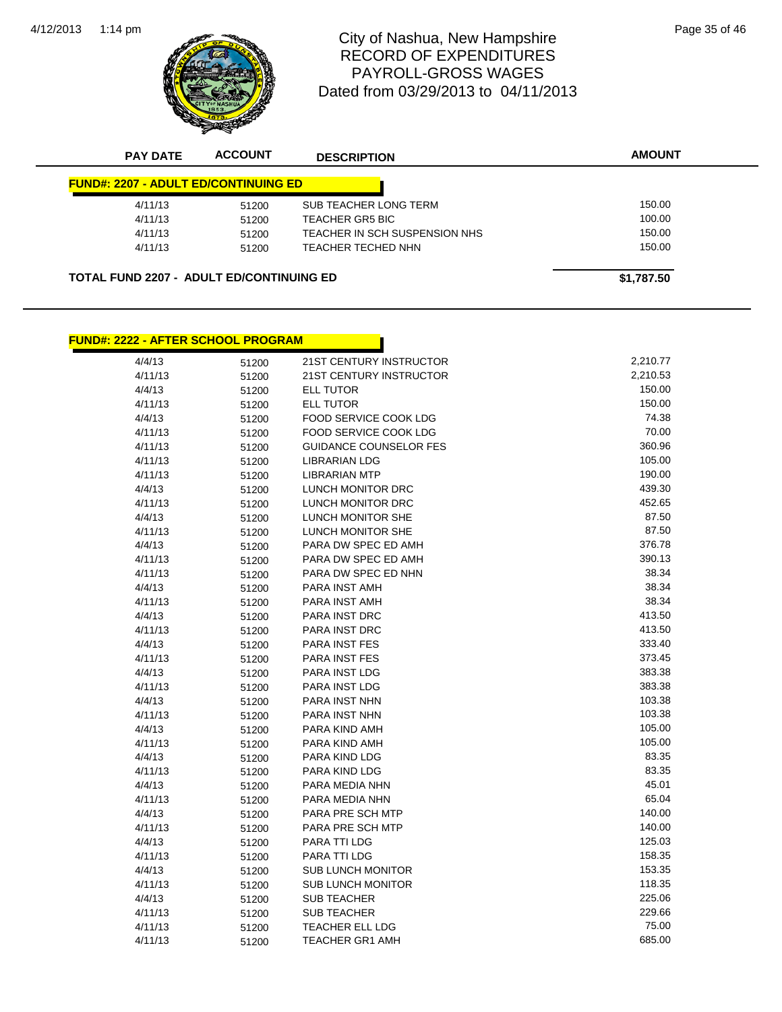

# City of Nashua, New Hampshire<br>
<sub>26 Page</sub> 35 of 46 RECORD OF EXPENDITURES PAYROLL-GROSS WAGES Dated from 03/29/2013 to 04/11/2013

| <b>PAY DATE</b>                                 | <b>ACCOUNT</b> | <b>DESCRIPTION</b>            | <b>AMOUNT</b> |  |  |  |  |
|-------------------------------------------------|----------------|-------------------------------|---------------|--|--|--|--|
| <b>FUND#: 2207 - ADULT ED/CONTINUING ED</b>     |                |                               |               |  |  |  |  |
| 4/11/13                                         | 51200          | SUB TEACHER LONG TERM         | 150.00        |  |  |  |  |
| 4/11/13                                         | 51200          | TEACHER GR5 BIC               | 100.00        |  |  |  |  |
| 4/11/13                                         | 51200          | TEACHER IN SCH SUSPENSION NHS | 150.00        |  |  |  |  |
| 4/11/13                                         | 51200          | TEACHER TECHED NHN            | 150.00        |  |  |  |  |
| <b>TOTAL FUND 2207 - ADULT ED/CONTINUING ED</b> |                |                               | \$1,787.50    |  |  |  |  |

#### **FUND#: 2222 - AFTER SCHOOL PROGRAM**

| 4/4/13  | 51200 | 21ST CENTURY INSTRUCTOR      | 2,210.77 |
|---------|-------|------------------------------|----------|
| 4/11/13 | 51200 | 21ST CENTURY INSTRUCTOR      | 2,210.53 |
| 4/4/13  | 51200 | ELL TUTOR                    | 150.00   |
| 4/11/13 | 51200 | <b>ELL TUTOR</b>             | 150.00   |
| 4/4/13  | 51200 | <b>FOOD SERVICE COOK LDG</b> | 74.38    |
| 4/11/13 | 51200 | FOOD SERVICE COOK LDG        | 70.00    |
| 4/11/13 | 51200 | GUIDANCE COUNSELOR FES       | 360.96   |
| 4/11/13 | 51200 | <b>LIBRARIAN LDG</b>         | 105.00   |
| 4/11/13 | 51200 | <b>LIBRARIAN MTP</b>         | 190.00   |
| 4/4/13  | 51200 | LUNCH MONITOR DRC            | 439.30   |
| 4/11/13 | 51200 | <b>LUNCH MONITOR DRC</b>     | 452.65   |
| 4/4/13  | 51200 | LUNCH MONITOR SHE            | 87.50    |
| 4/11/13 | 51200 | LUNCH MONITOR SHE            | 87.50    |
| 4/4/13  | 51200 | PARA DW SPEC ED AMH          | 376.78   |
| 4/11/13 | 51200 | PARA DW SPEC ED AMH          | 390.13   |
| 4/11/13 | 51200 | PARA DW SPEC ED NHN          | 38.34    |
| 4/4/13  | 51200 | PARA INST AMH                | 38.34    |
| 4/11/13 | 51200 | PARA INST AMH                | 38.34    |
| 4/4/13  | 51200 | PARA INST DRC                | 413.50   |
| 4/11/13 | 51200 | PARA INST DRC                | 413.50   |
| 4/4/13  | 51200 | PARA INST FES                | 333.40   |
| 4/11/13 | 51200 | <b>PARA INST FES</b>         | 373.45   |
| 4/4/13  | 51200 | PARA INST LDG                | 383.38   |
| 4/11/13 | 51200 | PARA INST LDG                | 383.38   |
| 4/4/13  | 51200 | PARA INST NHN                | 103.38   |
| 4/11/13 | 51200 | PARA INST NHN                | 103.38   |
| 4/4/13  | 51200 | PARA KIND AMH                | 105.00   |
| 4/11/13 | 51200 | PARA KIND AMH                | 105.00   |
| 4/4/13  | 51200 | PARA KIND LDG                | 83.35    |
| 4/11/13 | 51200 | PARA KIND LDG                | 83.35    |
| 4/4/13  | 51200 | PARA MEDIA NHN               | 45.01    |
| 4/11/13 | 51200 | PARA MEDIA NHN               | 65.04    |
| 4/4/13  | 51200 | PARA PRE SCH MTP             | 140.00   |
| 4/11/13 | 51200 | PARA PRE SCH MTP             | 140.00   |
| 4/4/13  | 51200 | PARA TTI LDG                 | 125.03   |
| 4/11/13 | 51200 | PARA TTI LDG                 | 158.35   |
| 4/4/13  | 51200 | <b>SUB LUNCH MONITOR</b>     | 153.35   |
| 4/11/13 | 51200 | <b>SUB LUNCH MONITOR</b>     | 118.35   |
| 4/4/13  | 51200 | <b>SUB TEACHER</b>           | 225.06   |
| 4/11/13 | 51200 | <b>SUB TEACHER</b>           | 229.66   |
| 4/11/13 | 51200 | <b>TEACHER ELL LDG</b>       | 75.00    |
| 4/11/13 | 51200 | TEACHER GR1 AMH              | 685.00   |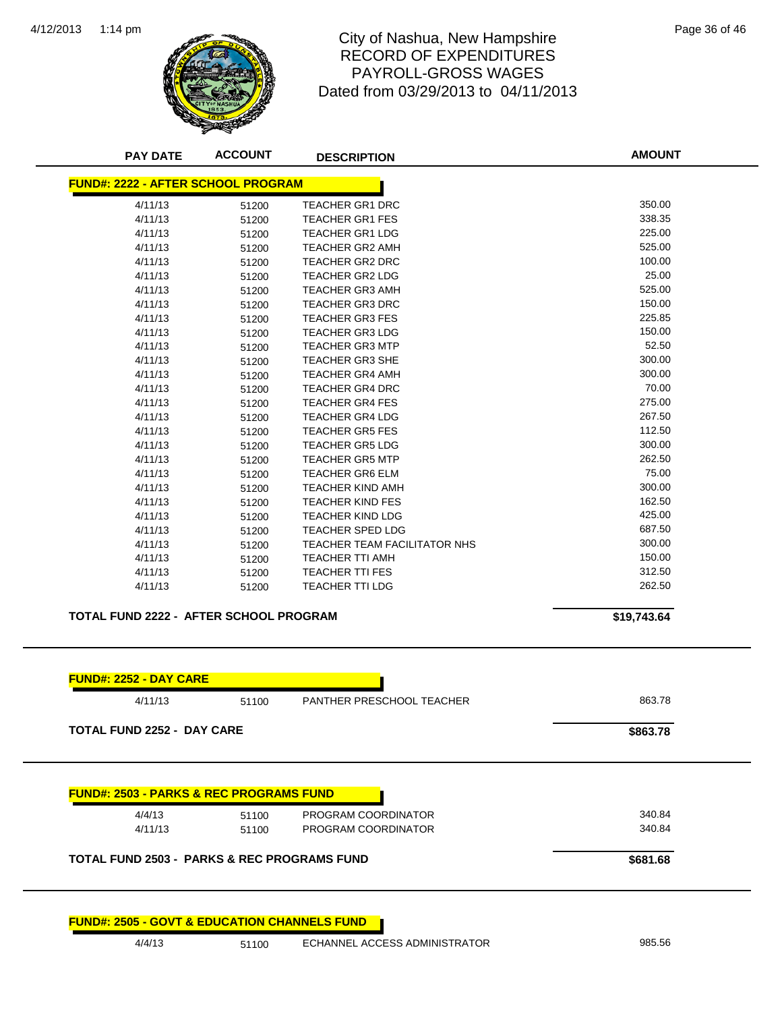

# 1:14 pm Page 36 of 46 RECORD OF EXPENDITURES PAYROLL-GROSS WAGES Dated from 03/29/2013 to 04/11/2013

| <b>PAY DATE</b>                                        | <b>ACCOUNT</b> | <b>DESCRIPTION</b>                         | <b>AMOUNT</b>    |
|--------------------------------------------------------|----------------|--------------------------------------------|------------------|
| <b>FUND#: 2222 - AFTER SCHOOL PROGRAM</b>              |                |                                            |                  |
| 4/11/13                                                | 51200          | <b>TEACHER GR1 DRC</b>                     | 350.00           |
| 4/11/13                                                | 51200          | <b>TEACHER GR1 FES</b>                     | 338.35           |
| 4/11/13                                                | 51200          | <b>TEACHER GR1 LDG</b>                     | 225.00           |
| 4/11/13                                                | 51200          | <b>TEACHER GR2 AMH</b>                     | 525.00           |
| 4/11/13                                                | 51200          | <b>TEACHER GR2 DRC</b>                     | 100.00           |
| 4/11/13                                                | 51200          | <b>TEACHER GR2 LDG</b>                     | 25.00            |
| 4/11/13                                                | 51200          | <b>TEACHER GR3 AMH</b>                     | 525.00           |
| 4/11/13                                                | 51200          | <b>TEACHER GR3 DRC</b>                     | 150.00           |
| 4/11/13                                                | 51200          | <b>TEACHER GR3 FES</b>                     | 225.85           |
| 4/11/13                                                | 51200          | TEACHER GR3 LDG                            | 150.00           |
| 4/11/13                                                | 51200          | <b>TEACHER GR3 MTP</b>                     | 52.50            |
| 4/11/13                                                | 51200          | <b>TEACHER GR3 SHE</b>                     | 300.00           |
| 4/11/13                                                | 51200          | <b>TEACHER GR4 AMH</b>                     | 300.00           |
| 4/11/13                                                | 51200          | <b>TEACHER GR4 DRC</b>                     | 70.00            |
| 4/11/13                                                | 51200          | <b>TEACHER GR4 FES</b>                     | 275.00           |
| 4/11/13                                                | 51200          | <b>TEACHER GR4 LDG</b>                     | 267.50           |
| 4/11/13                                                | 51200          | <b>TEACHER GR5 FES</b>                     | 112.50           |
| 4/11/13                                                | 51200          | <b>TEACHER GR5 LDG</b>                     | 300.00           |
| 4/11/13                                                | 51200          | <b>TEACHER GR5 MTP</b>                     | 262.50           |
| 4/11/13                                                | 51200          | <b>TEACHER GR6 ELM</b>                     | 75.00            |
| 4/11/13                                                | 51200          | <b>TEACHER KIND AMH</b>                    | 300.00           |
| 4/11/13                                                | 51200          | <b>TEACHER KIND FES</b>                    | 162.50           |
| 4/11/13                                                | 51200          | <b>TEACHER KIND LDG</b>                    | 425.00           |
| 4/11/13                                                | 51200          | <b>TEACHER SPED LDG</b>                    | 687.50           |
| 4/11/13                                                | 51200          | TEACHER TEAM FACILITATOR NHS               | 300.00           |
| 4/11/13                                                | 51200          | <b>TEACHER TTI AMH</b>                     | 150.00           |
| 4/11/13                                                | 51200          | <b>TEACHER TTI FES</b>                     | 312.50           |
| 4/11/13                                                | 51200          | <b>TEACHER TTI LDG</b>                     | 262.50           |
| <b>TOTAL FUND 2222 - AFTER SCHOOL PROGRAM</b>          |                |                                            | \$19,743.64      |
| <b>FUND#: 2252 - DAY CARE</b>                          |                |                                            |                  |
| 4/11/13                                                | 51100          | PANTHER PRESCHOOL TEACHER                  | 863.78           |
| <b>TOTAL FUND 2252 - DAY CARE</b>                      |                |                                            | \$863.78         |
|                                                        |                |                                            |                  |
| <b>FUND#: 2503 - PARKS &amp; REC PROGRAMS FUND</b>     |                |                                            |                  |
| 4/4/13<br>4/11/13                                      | 51100<br>51100 | PROGRAM COORDINATOR<br>PROGRAM COORDINATOR | 340.84<br>340.84 |
| <b>TOTAL FUND 2503 - PARKS &amp; REC PROGRAMS FUND</b> |                |                                            | \$681.68         |
|                                                        |                |                                            |                  |

```
FUND#: 2505 - GOVT & EDUCATION CHANNELS FUND
```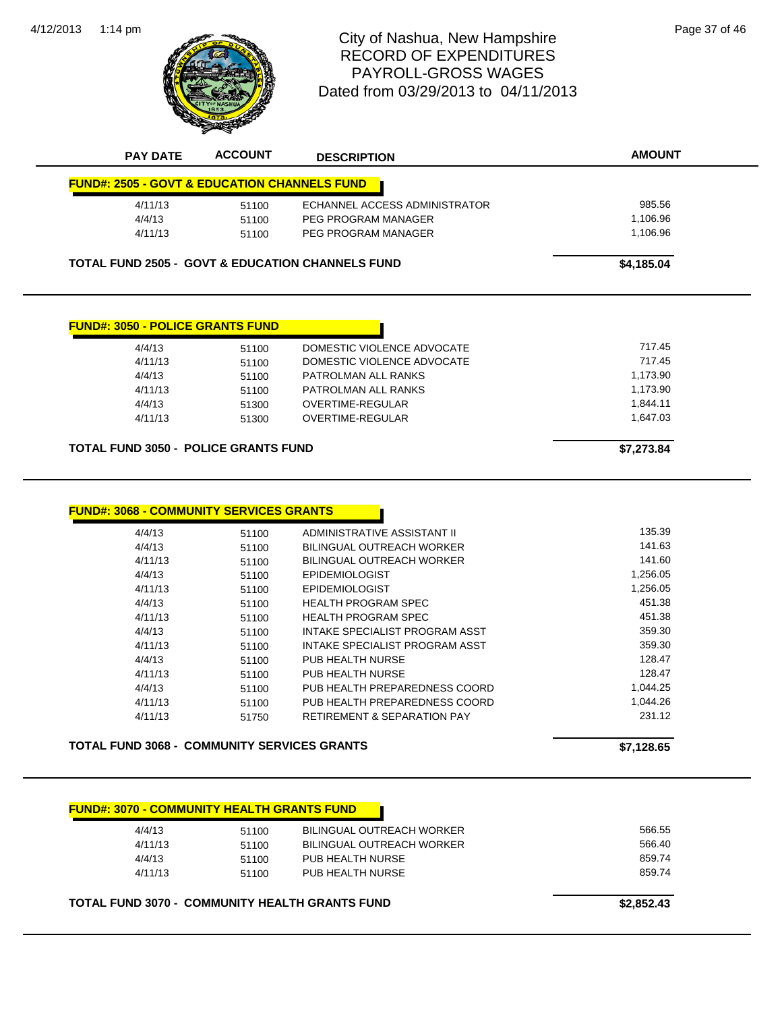4/12/2013



# City of Nashua, New Hampshire<br>
Page 37 of 46 RECORD OF EXPENDITURES PAYROLL-GROSS WAGES Dated from 03/29/2013 to 04/11/2013

| <b>PAY DATE</b>                                         | <b>ACCOUNT</b> | <b>DESCRIPTION</b>                                           | <b>AMOUNT</b>      |
|---------------------------------------------------------|----------------|--------------------------------------------------------------|--------------------|
| <b>FUND#: 2505 - GOVT &amp; EDUCATION CHANNELS FUND</b> |                |                                                              |                    |
| 4/11/13                                                 | 51100          | ECHANNEL ACCESS ADMINISTRATOR                                | 985.56             |
| 4/4/13                                                  | 51100          | <b>PEG PROGRAM MANAGER</b>                                   | 1,106.96           |
| 4/11/13                                                 | 51100          | PEG PROGRAM MANAGER                                          | 1,106.96           |
|                                                         |                | <b>TOTAL FUND 2505 - GOVT &amp; EDUCATION CHANNELS FUND</b>  | \$4,185.04         |
|                                                         |                |                                                              |                    |
| <b>FUND#: 3050 - POLICE GRANTS FUND</b>                 |                |                                                              |                    |
| 4/4/13                                                  | 51100          | DOMESTIC VIOLENCE ADVOCATE                                   | 717.45             |
| 4/11/13                                                 | 51100          | DOMESTIC VIOLENCE ADVOCATE                                   | 717.45             |
| 4/4/13                                                  | 51100          | PATROLMAN ALL RANKS                                          | 1,173.90           |
| 4/11/13                                                 | 51100          | PATROLMAN ALL RANKS                                          | 1,173.90           |
| 4/4/13                                                  | 51300          | <b>OVERTIME-REGULAR</b>                                      | 1,844.11           |
| 4/11/13                                                 | 51300          | <b>OVERTIME-REGULAR</b>                                      | 1,647.03           |
| <b>TOTAL FUND 3050 - POLICE GRANTS FUND</b>             |                |                                                              | \$7,273.84         |
|                                                         |                |                                                              |                    |
| <b>FUND#: 3068 - COMMUNITY SERVICES GRANTS</b>          |                |                                                              |                    |
| 4/4/13                                                  | 51100          | ADMINISTRATIVE ASSISTANT II                                  | 135.39             |
| 4/4/13                                                  | 51100          | <b>BILINGUAL OUTREACH WORKER</b>                             | 141.63             |
| 4/11/13                                                 | 51100          | BILINGUAL OUTREACH WORKER                                    | 141.60             |
| 4/4/13                                                  | 51100          | <b>EPIDEMIOLOGIST</b>                                        | 1,256.05           |
| 4/11/13                                                 | 51100          | <b>EPIDEMIOLOGIST</b>                                        | 1,256.05<br>451.38 |
| 4/4/13                                                  | 51100          | <b>HEALTH PROGRAM SPEC</b>                                   | 451.38             |
| 4/11/13<br>4/4/13                                       | 51100          | <b>HEALTH PROGRAM SPEC</b><br>INTAKE SPECIALIST PROGRAM ASST | 359.30             |
| 4/11/13                                                 | 51100          | <b>INTAKE SPECIALIST PROGRAM ASST</b>                        | 359.30             |
| 4/4/13                                                  | 51100<br>51100 | PUB HEALTH NURSE                                             | 128.47             |
| 4/11/13                                                 | 51100          | PUB HEALTH NURSE                                             | 128.47             |
| 4/4/13                                                  | 51100          | PUB HEALTH PREPAREDNESS COORD                                | 1,044.25           |
| 4/11/13                                                 | 51100          | PUB HEALTH PREPAREDNESS COORD                                | 1,044.26           |
| 4/11/13                                                 | 51750          | <b>RETIREMENT &amp; SEPARATION PAY</b>                       | 231.12             |
| <b>TOTAL FUND 3068 - COMMUNITY SERVICES GRANTS</b>      |                |                                                              | \$7,128.65         |
|                                                         |                |                                                              |                    |
| <b>FUND#: 3070 - COMMUNITY HEALTH GRANTS FUND</b>       |                |                                                              |                    |
| 4/4/13                                                  | 51100          | <b>BILINGUAL OUTREACH WORKER</b>                             | 566.55             |
| 4/11/13                                                 | 51100          | <b>BILINGUAL OUTREACH WORKER</b>                             | 566.40             |
| 4/4/13                                                  | 51100          | PUB HEALTH NURSE                                             | 859.74             |
| 4/11/13                                                 | 51100          | PUB HEALTH NURSE                                             | 859.74             |

TOTAL FUND 3070 - COMMUNITY HEALTH GRANTS FUND<br>
\$2,852.43

4/11/13 51100 PUB HEALTH NURSE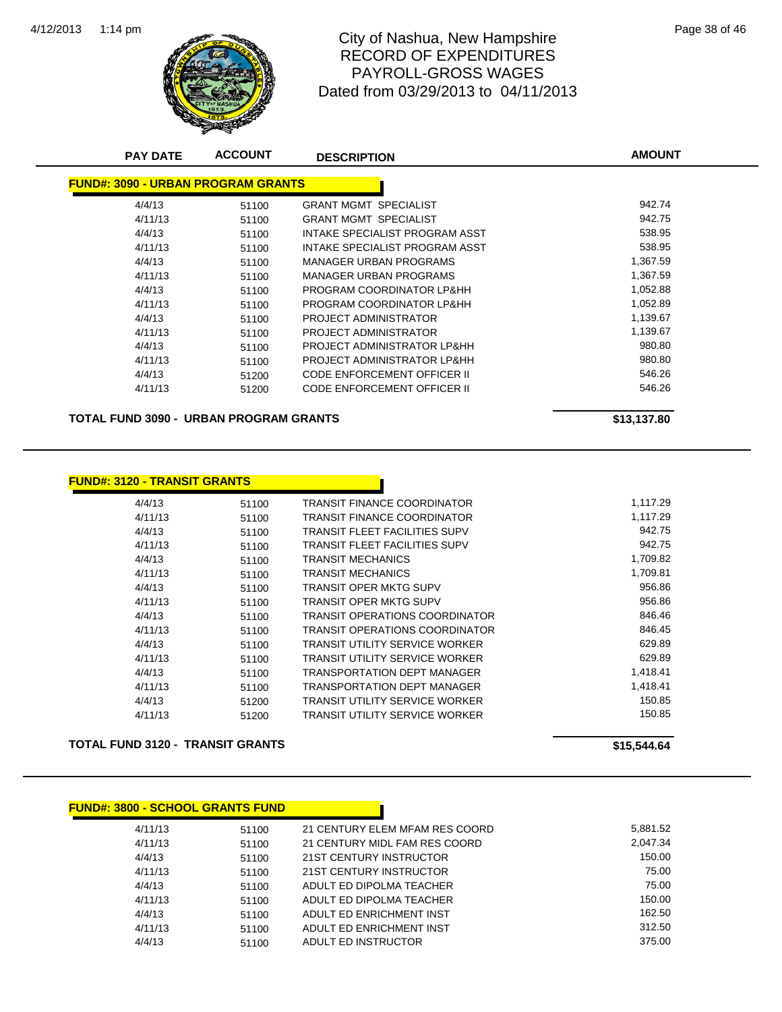

### 1:14 pm Page 38 of 46 RECORD OF EXPENDITURES PAYROLL-GROSS WAGES Dated from 03/29/2013 to 04/11/2013

| <b>PAY DATE</b>                           | <b>ACCOUNT</b> | <b>DESCRIPTION</b>             | <b>AMOUNT</b> |
|-------------------------------------------|----------------|--------------------------------|---------------|
| <b>FUND#: 3090 - URBAN PROGRAM GRANTS</b> |                |                                |               |
| 4/4/13                                    | 51100          | <b>GRANT MGMT SPECIALIST</b>   | 942.74        |
| 4/11/13                                   | 51100          | <b>GRANT MGMT SPECIALIST</b>   | 942.75        |
| 4/4/13                                    | 51100          | INTAKE SPECIALIST PROGRAM ASST | 538.95        |
| 4/11/13                                   | 51100          | INTAKE SPECIALIST PROGRAM ASST | 538.95        |
| 4/4/13                                    | 51100          | <b>MANAGER URBAN PROGRAMS</b>  | 1,367.59      |
| 4/11/13                                   | 51100          | <b>MANAGER URBAN PROGRAMS</b>  | 1,367.59      |
| 4/4/13                                    | 51100          | PROGRAM COORDINATOR LP&HH      | 1,052.88      |
| 4/11/13                                   | 51100          | PROGRAM COORDINATOR LP&HH      | 1,052.89      |
| 4/4/13                                    | 51100          | PROJECT ADMINISTRATOR          | 1,139.67      |
| 4/11/13                                   | 51100          | PROJECT ADMINISTRATOR          | 1,139.67      |
| 4/4/13                                    | 51100          | PROJECT ADMINISTRATOR LP&HH    | 980.80        |
| 4/11/13                                   | 51100          | PROJECT ADMINISTRATOR LP&HH    | 980.80        |
| 4/4/13                                    | 51200          | CODE ENFORCEMENT OFFICER II    | 546.26        |
| 4/11/13                                   | 51200          | CODE ENFORCEMENT OFFICER II    | 546.26        |

**TOTAL FUND 3090 - URBAN PROGRAM GRANTS \$13,137.80**

| <b>FUND#: 3120 - TRANSIT GRANTS</b> |       |                                       |          |
|-------------------------------------|-------|---------------------------------------|----------|
| 4/4/13                              | 51100 | <b>TRANSIT FINANCE COORDINATOR</b>    | 1,117.29 |
| 4/11/13                             | 51100 | <b>TRANSIT FINANCE COORDINATOR</b>    | 1,117.29 |
| 4/4/13                              | 51100 | <b>TRANSIT FLEET FACILITIES SUPV</b>  | 942.75   |
| 4/11/13                             | 51100 | <b>TRANSIT FLEET FACILITIES SUPV</b>  | 942.75   |
| 4/4/13                              | 51100 | <b>TRANSIT MECHANICS</b>              | 1,709.82 |
| 4/11/13                             | 51100 | TRANSIT MECHANICS                     | 1,709.81 |
| 4/4/13                              | 51100 | <b>TRANSIT OPER MKTG SUPV</b>         | 956.86   |
| 4/11/13                             | 51100 | <b>TRANSIT OPER MKTG SUPV</b>         | 956.86   |
| 4/4/13                              | 51100 | TRANSIT OPERATIONS COORDINATOR        | 846.46   |
| 4/11/13                             | 51100 | <b>TRANSIT OPERATIONS COORDINATOR</b> | 846.45   |
| 4/4/13                              | 51100 | TRANSIT UTILITY SERVICE WORKER        | 629.89   |
| 4/11/13                             | 51100 | TRANSIT UTILITY SERVICE WORKER        | 629.89   |
| 4/4/13                              | 51100 | <b>TRANSPORTATION DEPT MANAGER</b>    | 1,418.41 |
| 4/11/13                             | 51100 | <b>TRANSPORTATION DEPT MANAGER</b>    | 1,418.41 |
| 4/4/13                              | 51200 | <b>TRANSIT UTILITY SERVICE WORKER</b> | 150.85   |
| 4/11/13                             | 51200 | TRANSIT UTILITY SERVICE WORKER        | 150.85   |

**TOTAL FUND 3120 - TRANSIT GRANTS \$15,544.64** 

| <b>FUND#: 3800 - SCHOOL GRANTS FUND</b> |       |                                |          |
|-----------------------------------------|-------|--------------------------------|----------|
| 4/11/13                                 | 51100 | 21 CENTURY ELEM MFAM RES COORD | 5,881.52 |
| 4/11/13                                 | 51100 | 21 CENTURY MIDL FAM RES COORD  | 2.047.34 |
| 4/4/13                                  | 51100 | 21ST CENTURY INSTRUCTOR        | 150.00   |
| 4/11/13                                 | 51100 | 21ST CENTURY INSTRUCTOR        | 75.00    |
| 4/4/13                                  | 51100 | ADULT ED DIPOLMA TEACHER       | 75.00    |
| 4/11/13                                 | 51100 | ADULT ED DIPOLMA TEACHER       | 150.00   |
| 4/4/13                                  | 51100 | ADULT ED ENRICHMENT INST       | 162.50   |
| 4/11/13                                 | 51100 | ADULT ED ENRICHMENT INST       | 312.50   |
| 4/4/13                                  | 51100 | ADULT ED INSTRUCTOR            | 375.00   |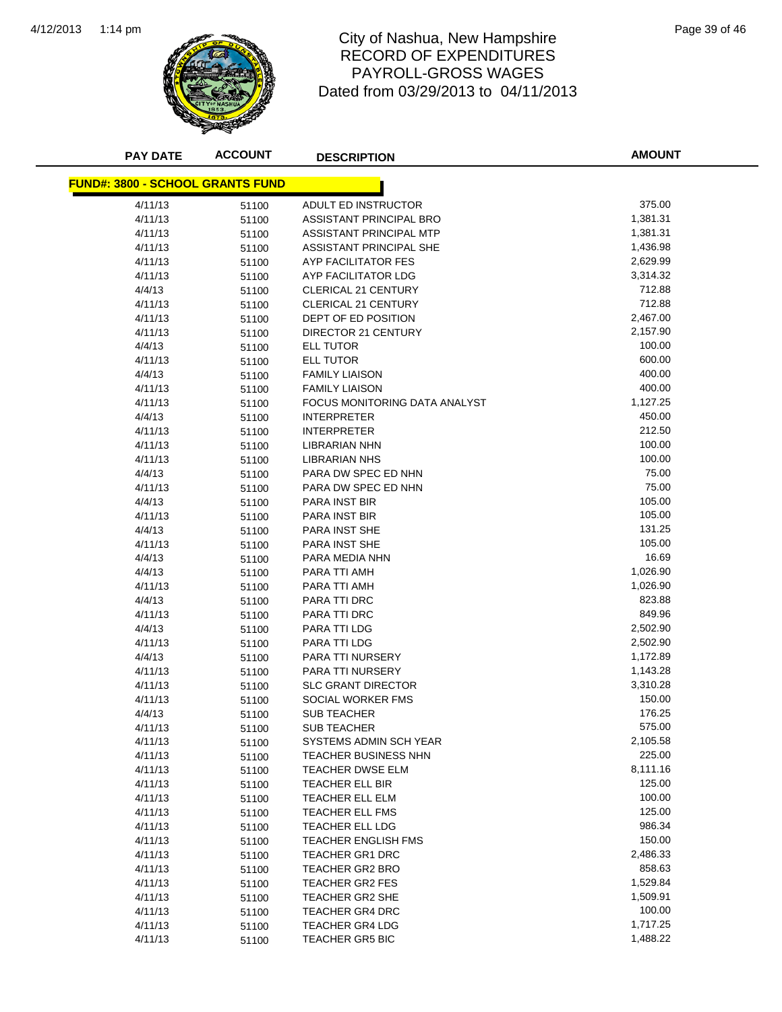

### 1:14 pm Page 39 of 46 RECORD OF EXPENDITURES PAYROLL-GROSS WAGES Dated from 03/29/2013 to 04/11/2013

| <b>PAY DATE</b>                         | <b>ACCOUNT</b> | <b>DESCRIPTION</b>            | <b>AMOUNT</b> |
|-----------------------------------------|----------------|-------------------------------|---------------|
| <b>FUND#: 3800 - SCHOOL GRANTS FUND</b> |                |                               |               |
| 4/11/13                                 | 51100          | ADULT ED INSTRUCTOR           | 375.00        |
| 4/11/13                                 | 51100          | ASSISTANT PRINCIPAL BRO       | 1,381.31      |
| 4/11/13                                 | 51100          | ASSISTANT PRINCIPAL MTP       | 1,381.31      |
| 4/11/13                                 | 51100          | ASSISTANT PRINCIPAL SHE       | 1,436.98      |
| 4/11/13                                 | 51100          | AYP FACILITATOR FES           | 2,629.99      |
| 4/11/13                                 | 51100          | AYP FACILITATOR LDG           | 3,314.32      |
| 4/4/13                                  | 51100          | <b>CLERICAL 21 CENTURY</b>    | 712.88        |
| 4/11/13                                 | 51100          | <b>CLERICAL 21 CENTURY</b>    | 712.88        |
| 4/11/13                                 | 51100          | DEPT OF ED POSITION           | 2,467.00      |
| 4/11/13                                 | 51100          | DIRECTOR 21 CENTURY           | 2,157.90      |
| 4/4/13                                  | 51100          | <b>ELL TUTOR</b>              | 100.00        |
| 4/11/13                                 | 51100          | <b>ELL TUTOR</b>              | 600.00        |
| 4/4/13                                  | 51100          | <b>FAMILY LIAISON</b>         | 400.00        |
| 4/11/13                                 | 51100          | <b>FAMILY LIAISON</b>         | 400.00        |
| 4/11/13                                 | 51100          | FOCUS MONITORING DATA ANALYST | 1,127.25      |
| 4/4/13                                  | 51100          | <b>INTERPRETER</b>            | 450.00        |
| 4/11/13                                 | 51100          | <b>INTERPRETER</b>            | 212.50        |
| 4/11/13                                 | 51100          | <b>LIBRARIAN NHN</b>          | 100.00        |
| 4/11/13                                 | 51100          | <b>LIBRARIAN NHS</b>          | 100.00        |
| 4/4/13                                  | 51100          | PARA DW SPEC ED NHN           | 75.00         |
| 4/11/13                                 | 51100          | PARA DW SPEC ED NHN           | 75.00         |
| 4/4/13                                  | 51100          | PARA INST BIR                 | 105.00        |
| 4/11/13                                 | 51100          | PARA INST BIR                 | 105.00        |
| 4/4/13                                  | 51100          | PARA INST SHE                 | 131.25        |
| 4/11/13                                 | 51100          | PARA INST SHE                 | 105.00        |
| 4/4/13                                  | 51100          | PARA MEDIA NHN                | 16.69         |
| 4/4/13                                  | 51100          | PARA TTI AMH                  | 1,026.90      |
| 4/11/13                                 | 51100          | PARA TTI AMH                  | 1,026.90      |
| 4/4/13                                  | 51100          | PARA TTI DRC                  | 823.88        |
| 4/11/13                                 | 51100          | PARA TTI DRC                  | 849.96        |
| 4/4/13                                  | 51100          | PARA TTI LDG                  | 2,502.90      |
| 4/11/13                                 | 51100          | PARA TTI LDG                  | 2,502.90      |
| 4/4/13                                  | 51100          | PARA TTI NURSERY              | 1,172.89      |
| 4/11/13                                 | 51100          | PARA TTI NURSERY              | 1,143.28      |
| 4/11/13                                 | 51100          | <b>SLC GRANT DIRECTOR</b>     | 3,310.28      |
| 4/11/13                                 | 51100          | SOCIAL WORKER FMS             | 150.00        |
| 4/4/13                                  | 51100          | SUB TEACHER                   | 176.25        |
| 4/11/13                                 | 51100          | SUB TEACHER                   | 575.00        |
| 4/11/13                                 | 51100          | SYSTEMS ADMIN SCH YEAR        | 2,105.58      |
| 4/11/13                                 | 51100          | <b>TEACHER BUSINESS NHN</b>   | 225.00        |
| 4/11/13                                 | 51100          | TEACHER DWSE ELM              | 8,111.16      |
| 4/11/13                                 | 51100          | TEACHER ELL BIR               | 125.00        |
| 4/11/13                                 | 51100          | TEACHER ELL ELM               | 100.00        |
| 4/11/13                                 | 51100          | TEACHER ELL FMS               | 125.00        |
| 4/11/13                                 | 51100          | TEACHER ELL LDG               | 986.34        |
| 4/11/13                                 | 51100          | <b>TEACHER ENGLISH FMS</b>    | 150.00        |
| 4/11/13                                 | 51100          | <b>TEACHER GR1 DRC</b>        | 2,486.33      |
| 4/11/13                                 | 51100          | <b>TEACHER GR2 BRO</b>        | 858.63        |
| 4/11/13                                 | 51100          | <b>TEACHER GR2 FES</b>        | 1,529.84      |
| 4/11/13                                 | 51100          | TEACHER GR2 SHE               | 1,509.91      |
| 4/11/13                                 | 51100          | <b>TEACHER GR4 DRC</b>        | 100.00        |
| 4/11/13                                 | 51100          | <b>TEACHER GR4 LDG</b>        | 1,717.25      |
| 4/11/13                                 | 51100          | TEACHER GR5 BIC               | 1,488.22      |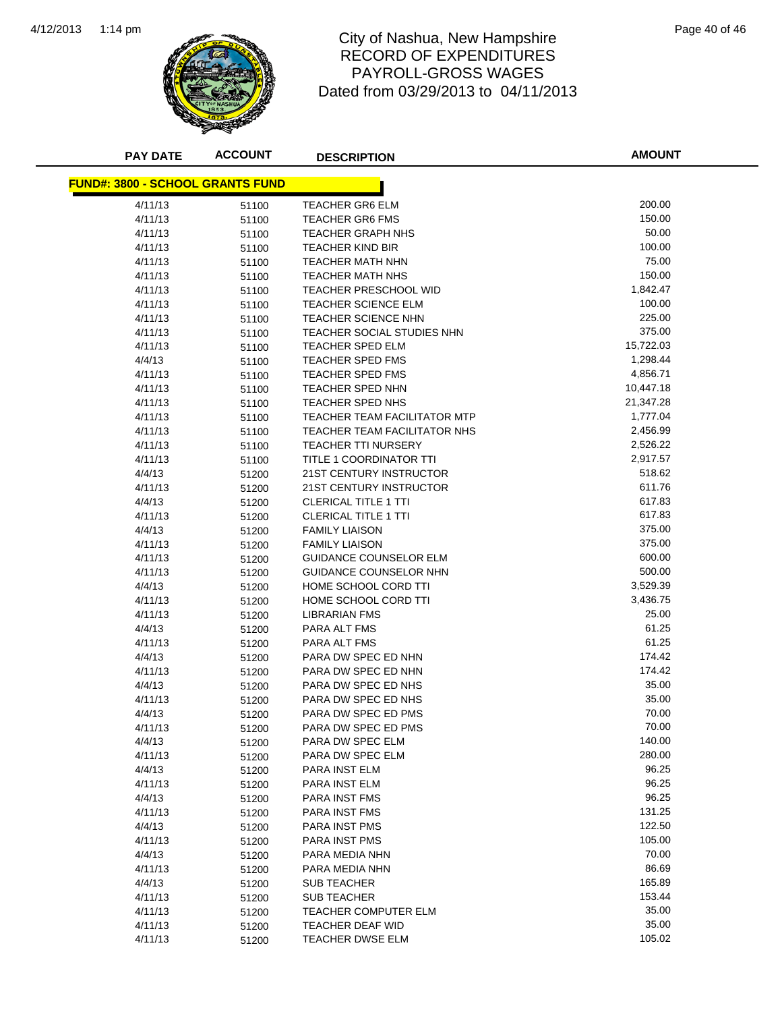

## 1:14 pm Page 40 of 46 RECORD OF EXPENDITURES PAYROLL-GROSS WAGES Dated from 03/29/2013 to 04/11/2013

| <b>PAY DATE</b>                         | <b>ACCOUNT</b> | <b>DESCRIPTION</b>                   | <b>AMOUNT</b>     |
|-----------------------------------------|----------------|--------------------------------------|-------------------|
| <b>FUND#: 3800 - SCHOOL GRANTS FUND</b> |                |                                      |                   |
|                                         |                |                                      |                   |
| 4/11/13                                 | 51100          | TEACHER GR6 ELM                      | 200.00            |
| 4/11/13                                 | 51100          | TEACHER GR6 FMS                      | 150.00            |
| 4/11/13                                 | 51100          | TEACHER GRAPH NHS                    | 50.00             |
| 4/11/13                                 | 51100          | TEACHER KIND BIR                     | 100.00            |
| 4/11/13                                 | 51100          | TEACHER MATH NHN                     | 75.00             |
| 4/11/13                                 | 51100          | TEACHER MATH NHS                     | 150.00            |
| 4/11/13                                 | 51100          | TEACHER PRESCHOOL WID                | 1,842.47          |
| 4/11/13                                 | 51100          | <b>TEACHER SCIENCE ELM</b>           | 100.00            |
| 4/11/13                                 | 51100          | <b>TEACHER SCIENCE NHN</b>           | 225.00            |
| 4/11/13                                 | 51100          | TEACHER SOCIAL STUDIES NHN           | 375.00            |
| 4/11/13                                 | 51100          | TEACHER SPED ELM                     | 15,722.03         |
| 4/4/13                                  | 51100          | TEACHER SPED FMS                     | 1,298.44          |
| 4/11/13                                 | 51100          | TEACHER SPED FMS                     | 4,856.71          |
| 4/11/13                                 | 51100          | TEACHER SPED NHN                     | 10,447.18         |
| 4/11/13                                 | 51100          | TEACHER SPED NHS                     | 21,347.28         |
| 4/11/13                                 | 51100          | <b>TEACHER TEAM FACILITATOR MTP</b>  | 1,777.04          |
| 4/11/13                                 | 51100          | TEACHER TEAM FACILITATOR NHS         | 2,456.99          |
| 4/11/13                                 | 51100          | <b>TEACHER TTI NURSERY</b>           | 2,526.22          |
| 4/11/13                                 | 51100          | TITLE 1 COORDINATOR TTI              | 2,917.57          |
| 4/4/13                                  | 51200          | 21ST CENTURY INSTRUCTOR              | 518.62            |
| 4/11/13                                 | 51200          | 21ST CENTURY INSTRUCTOR              | 611.76            |
| 4/4/13                                  | 51200          | <b>CLERICAL TITLE 1 TTI</b>          | 617.83            |
| 4/11/13                                 | 51200          | <b>CLERICAL TITLE 1 TTI</b>          | 617.83<br>375.00  |
| 4/4/13                                  | 51200          | <b>FAMILY LIAISON</b>                |                   |
| 4/11/13                                 | 51200          | <b>FAMILY LIAISON</b>                | 375.00<br>600.00  |
| 4/11/13                                 | 51200          | GUIDANCE COUNSELOR ELM               |                   |
| 4/11/13                                 | 51200          | GUIDANCE COUNSELOR NHN               | 500.00            |
| 4/4/13                                  | 51200          | HOME SCHOOL CORD TTI                 | 3,529.39          |
| 4/11/13                                 | 51200          | HOME SCHOOL CORD TTI                 | 3,436.75<br>25.00 |
| 4/11/13<br>4/4/13                       | 51200          | <b>LIBRARIAN FMS</b><br>PARA ALT FMS | 61.25             |
| 4/11/13                                 | 51200<br>51200 | PARA ALT FMS                         | 61.25             |
| 4/4/13                                  | 51200          | PARA DW SPEC ED NHN                  | 174.42            |
| 4/11/13                                 | 51200          | PARA DW SPEC ED NHN                  | 174.42            |
| 4/4/13                                  | 51200          | PARA DW SPEC ED NHS                  | 35.00             |
| 4/11/13                                 | 51200          | PARA DW SPEC ED NHS                  | 35.00             |
| 4/4/13                                  | 51200          | PARA DW SPEC ED PMS                  | 70.00             |
| 4/11/13                                 | 51200          | PARA DW SPEC ED PMS                  | 70.00             |
| 4/4/13                                  | 51200          | PARA DW SPEC ELM                     | 140.00            |
| 4/11/13                                 | 51200          | PARA DW SPEC ELM                     | 280.00            |
| 4/4/13                                  | 51200          | PARA INST ELM                        | 96.25             |
| 4/11/13                                 | 51200          | PARA INST ELM                        | 96.25             |
| 4/4/13                                  | 51200          | <b>PARA INST FMS</b>                 | 96.25             |
| 4/11/13                                 | 51200          | PARA INST FMS                        | 131.25            |
| 4/4/13                                  | 51200          | PARA INST PMS                        | 122.50            |
| 4/11/13                                 | 51200          | <b>PARA INST PMS</b>                 | 105.00            |
| 4/4/13                                  | 51200          | PARA MEDIA NHN                       | 70.00             |
| 4/11/13                                 | 51200          | PARA MEDIA NHN                       | 86.69             |
| 4/4/13                                  | 51200          | <b>SUB TEACHER</b>                   | 165.89            |
| 4/11/13                                 | 51200          | <b>SUB TEACHER</b>                   | 153.44            |
| 4/11/13                                 | 51200          | TEACHER COMPUTER ELM                 | 35.00             |
| 4/11/13                                 | 51200          | TEACHER DEAF WID                     | 35.00             |
| 4/11/13                                 | 51200          | TEACHER DWSE ELM                     | 105.02            |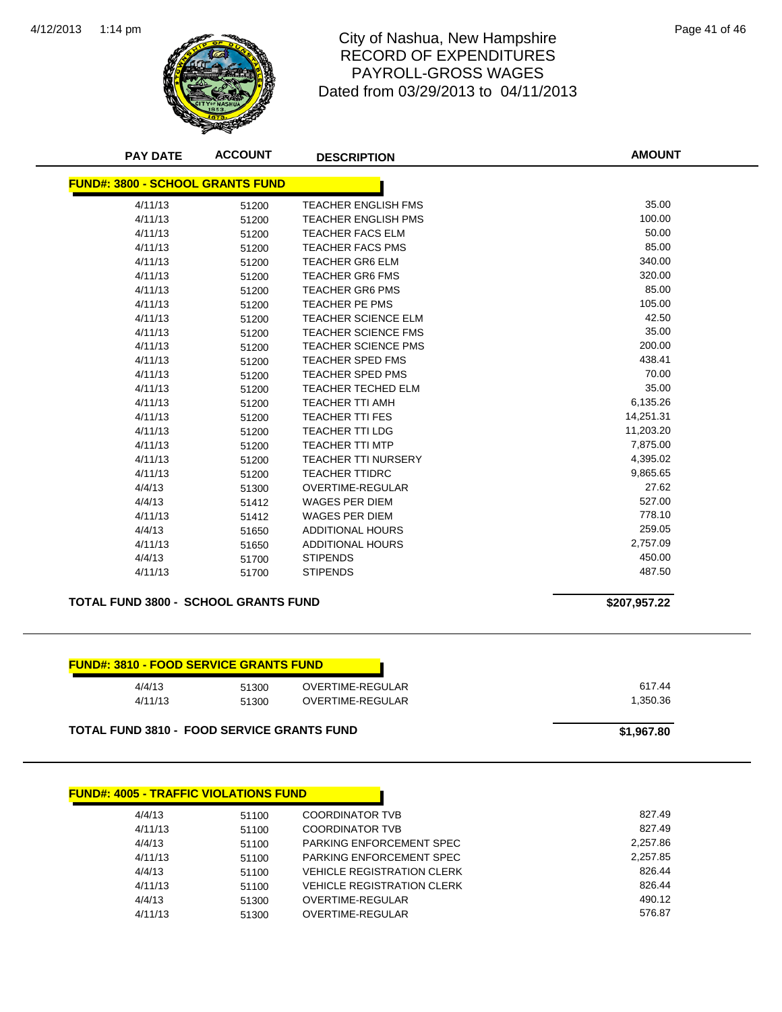

# City of Nashua, New Hampshire Page 41 of 46 RECORD OF EXPENDITURES PAYROLL-GROSS WAGES Dated from 03/29/2013 to 04/11/2013

| <b>PAY DATE</b>                         | <b>ACCOUNT</b> | <b>DESCRIPTION</b>         | <b>AMOUNT</b> |
|-----------------------------------------|----------------|----------------------------|---------------|
| <b>FUND#: 3800 - SCHOOL GRANTS FUND</b> |                |                            |               |
| 4/11/13                                 | 51200          | <b>TEACHER ENGLISH FMS</b> | 35.00         |
| 4/11/13                                 | 51200          | <b>TEACHER ENGLISH PMS</b> | 100.00        |
| 4/11/13                                 | 51200          | <b>TEACHER FACS ELM</b>    | 50.00         |
| 4/11/13                                 | 51200          | <b>TEACHER FACS PMS</b>    | 85.00         |
| 4/11/13                                 | 51200          | <b>TEACHER GR6 ELM</b>     | 340.00        |
| 4/11/13                                 | 51200          | <b>TEACHER GR6 FMS</b>     | 320.00        |
| 4/11/13                                 | 51200          | <b>TEACHER GR6 PMS</b>     | 85.00         |
| 4/11/13                                 | 51200          | <b>TEACHER PE PMS</b>      | 105.00        |
| 4/11/13                                 | 51200          | <b>TEACHER SCIENCE ELM</b> | 42.50         |
| 4/11/13                                 | 51200          | <b>TEACHER SCIENCE FMS</b> | 35.00         |
| 4/11/13                                 | 51200          | <b>TEACHER SCIENCE PMS</b> | 200.00        |
| 4/11/13                                 | 51200          | <b>TEACHER SPED FMS</b>    | 438.41        |
| 4/11/13                                 | 51200          | <b>TEACHER SPED PMS</b>    | 70.00         |
| 4/11/13                                 | 51200          | <b>TEACHER TECHED ELM</b>  | 35.00         |
| 4/11/13                                 | 51200          | <b>TEACHER TTI AMH</b>     | 6,135.26      |
| 4/11/13                                 | 51200          | <b>TEACHER TTI FES</b>     | 14,251.31     |
| 4/11/13                                 | 51200          | <b>TEACHER TTI LDG</b>     | 11,203.20     |
| 4/11/13                                 | 51200          | <b>TEACHER TTI MTP</b>     | 7,875.00      |
| 4/11/13                                 | 51200          | <b>TEACHER TTI NURSERY</b> | 4,395.02      |
| 4/11/13                                 | 51200          | <b>TEACHER TTIDRC</b>      | 9,865.65      |
| 4/4/13                                  | 51300          | <b>OVERTIME-REGULAR</b>    | 27.62         |
| 4/4/13                                  | 51412          | <b>WAGES PER DIEM</b>      | 527.00        |
| 4/11/13                                 | 51412          | <b>WAGES PER DIEM</b>      | 778.10        |
| 4/4/13                                  | 51650          | <b>ADDITIONAL HOURS</b>    | 259.05        |
| 4/11/13                                 | 51650          | <b>ADDITIONAL HOURS</b>    | 2,757.09      |
| 4/4/13                                  | 51700          | <b>STIPENDS</b>            | 450.00        |
| 4/11/13                                 | 51700          | <b>STIPENDS</b>            | 487.50        |

**TOTAL FUND 3800 - SCHOOL GRANTS FUND \$207,957.22** 

#### **FUND#: 3810 - FOOD SERVICE GRANTS FUND**

**TOTAL FUND 3810 - FOOD SERVICE GRANTS FUND \$1,967.80**

| <b>FUND#: 4005 - TRAFFIC VIOLATIONS FUND</b> |       |                                   |          |  |
|----------------------------------------------|-------|-----------------------------------|----------|--|
| 4/4/13                                       | 51100 | <b>COORDINATOR TVB</b>            | 827.49   |  |
| 4/11/13                                      | 51100 | <b>COORDINATOR TVB</b>            | 827.49   |  |
| 4/4/13                                       | 51100 | PARKING ENFORCEMENT SPEC          | 2,257.86 |  |
| 4/11/13                                      | 51100 | PARKING ENFORCEMENT SPEC          | 2.257.85 |  |
| 4/4/13                                       | 51100 | <b>VEHICLE REGISTRATION CLERK</b> | 826.44   |  |
| 4/11/13                                      | 51100 | <b>VEHICLE REGISTRATION CLERK</b> | 826.44   |  |
| 4/4/13                                       | 51300 | OVERTIME-REGULAR                  | 490.12   |  |
| 4/11/13                                      | 51300 | OVERTIME-REGULAR                  | 576.87   |  |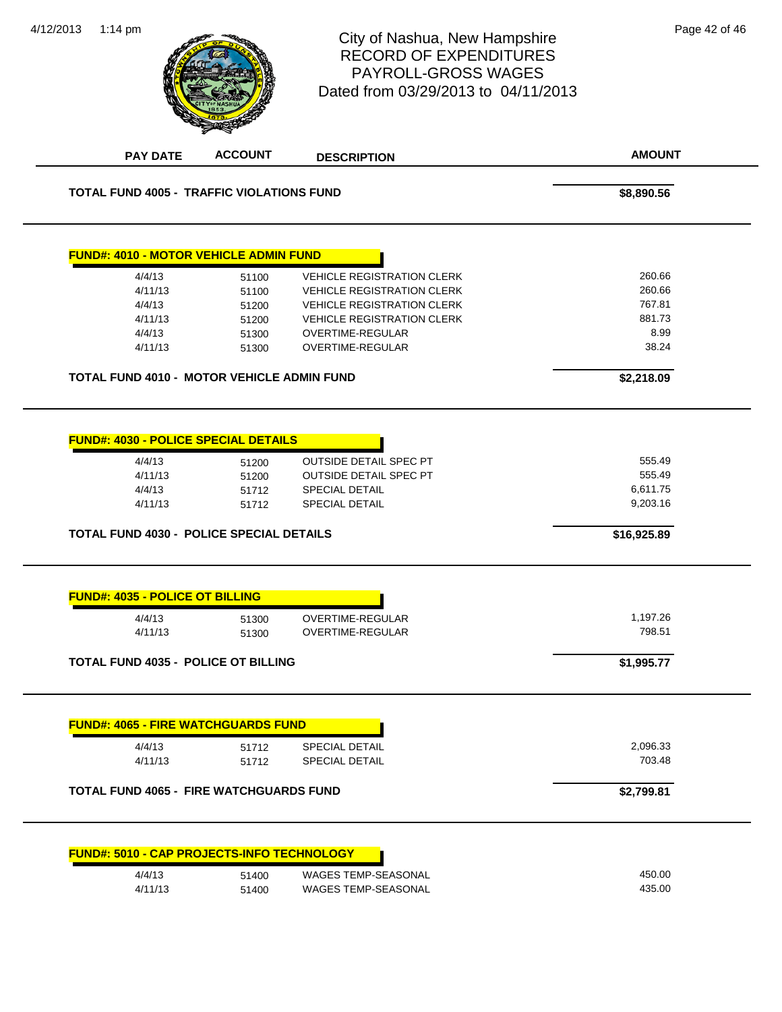| 4/12/2013 | $1:14$ pm                                                                                                                                         |                                                    | City of Nashua, New Hampshire<br><b>RECORD OF EXPENDITURES</b><br><b>PAYROLL-GROSS WAGES</b><br>Dated from 03/29/2013 to 04/11/2013        | Page 42 of 46                                                                 |
|-----------|---------------------------------------------------------------------------------------------------------------------------------------------------|----------------------------------------------------|--------------------------------------------------------------------------------------------------------------------------------------------|-------------------------------------------------------------------------------|
|           | <b>PAY DATE</b>                                                                                                                                   | <b>ACCOUNT</b>                                     | <b>DESCRIPTION</b>                                                                                                                         | <b>AMOUNT</b>                                                                 |
|           | <b>TOTAL FUND 4005 - TRAFFIC VIOLATIONS FUND</b>                                                                                                  |                                                    |                                                                                                                                            | \$8,890.56                                                                    |
|           | <b>FUND#: 4010 - MOTOR VEHICLE ADMIN FUND</b>                                                                                                     |                                                    |                                                                                                                                            |                                                                               |
|           | 4/4/13                                                                                                                                            | 51100                                              | <b>VEHICLE REGISTRATION CLERK</b>                                                                                                          | 260.66                                                                        |
|           | 4/11/13                                                                                                                                           | 51100                                              | <b>VEHICLE REGISTRATION CLERK</b>                                                                                                          | 260.66                                                                        |
|           | 4/4/13                                                                                                                                            | 51200                                              | <b>VEHICLE REGISTRATION CLERK</b>                                                                                                          | 767.81                                                                        |
|           | 4/11/13                                                                                                                                           | 51200                                              | <b>VEHICLE REGISTRATION CLERK</b>                                                                                                          | 881.73                                                                        |
|           | 4/4/13                                                                                                                                            | 51300                                              | <b>OVERTIME-REGULAR</b>                                                                                                                    | 8.99                                                                          |
|           | 4/11/13                                                                                                                                           | 51300                                              | OVERTIME-REGULAR                                                                                                                           | 38.24                                                                         |
|           | <b>TOTAL FUND 4010 - MOTOR VEHICLE ADMIN FUND</b>                                                                                                 |                                                    |                                                                                                                                            | \$2,218.09                                                                    |
|           | 4/4/13<br>4/11/13<br>4/4/13<br>4/11/13<br>TOTAL FUND 4030 - POLICE SPECIAL DETAILS<br><b>FUND#: 4035 - POLICE OT BILLING</b><br>4/4/13<br>4/11/13 | 51200<br>51200<br>51712<br>51712<br>51300<br>51300 | <b>OUTSIDE DETAIL SPEC PT</b><br><b>OUTSIDE DETAIL SPEC PT</b><br>SPECIAL DETAIL<br>SPECIAL DETAIL<br>OVERTIME-REGULAR<br>OVERTIME-REGULAR | 555.49<br>555.49<br>6,611.75<br>9,203.16<br>\$16,925.89<br>1,197.26<br>798.51 |
|           | <b>TOTAL FUND 4035 - POLICE OT BILLING</b>                                                                                                        |                                                    |                                                                                                                                            | \$1,995.77                                                                    |
|           | <b>FUND#: 4065 - FIRE WATCHGUARDS FUND</b>                                                                                                        |                                                    |                                                                                                                                            |                                                                               |
|           | 4/4/13                                                                                                                                            | 51712                                              | <b>SPECIAL DETAIL</b>                                                                                                                      | 2,096.33                                                                      |
|           | 4/11/13                                                                                                                                           | 51712                                              | <b>SPECIAL DETAIL</b>                                                                                                                      | 703.48                                                                        |
|           | <b>TOTAL FUND 4065 - FIRE WATCHGUARDS FUND</b>                                                                                                    |                                                    |                                                                                                                                            | \$2,799.81                                                                    |
|           | <b>FUND#: 5010 - CAP PROJECTS-INFO TECHNOLOGY</b>                                                                                                 |                                                    |                                                                                                                                            |                                                                               |
|           | 4/4/13                                                                                                                                            | 51400                                              | WAGES TEMP-SEASONAL                                                                                                                        | 450.00                                                                        |
|           | 4/11/13                                                                                                                                           | 51400                                              | WAGES TEMP-SEASONAL                                                                                                                        | 435.00                                                                        |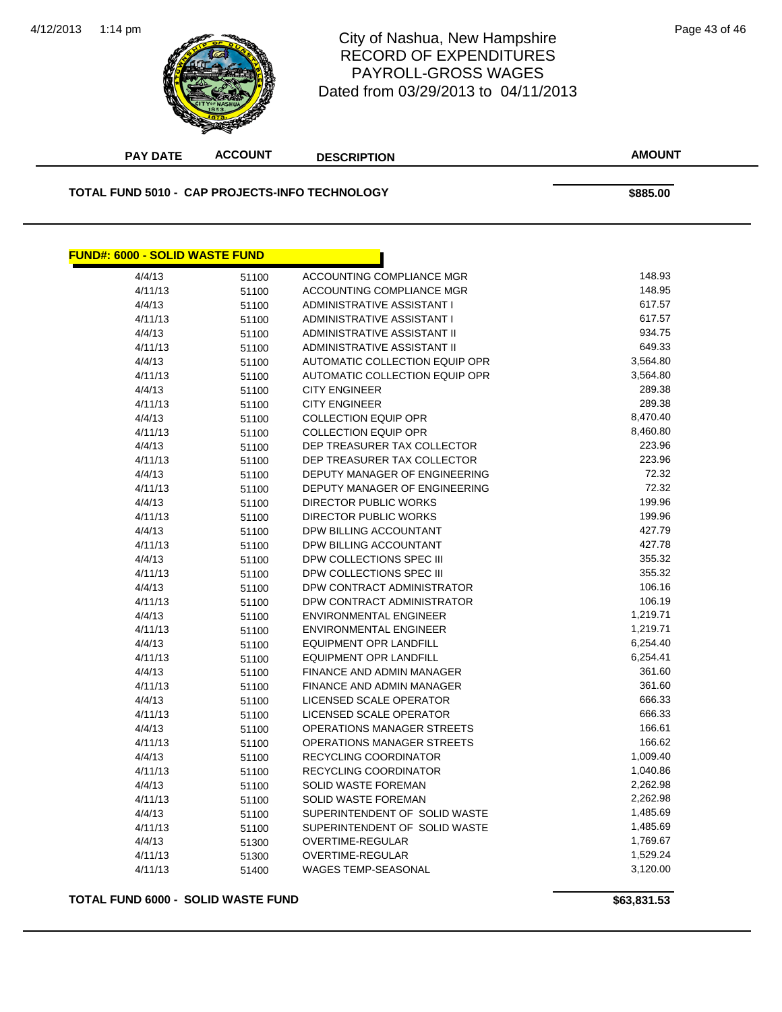

## 1:14 pm Page 43 of 46 RECORD OF EXPENDITURES PAYROLL-GROSS WAGES Dated from 03/29/2013 to 04/11/2013

**TOTAL FUND 5010 - CAP PROJECTS-INFO TECHNOLOGY \$885.00 FUND#: 6000 - SOLID WASTE FUND** 4/4/13 51100 ACCOUNTING COMPLIANCE MGR 148.93 4/11/13 51100 ACCOUNTING COMPLIANCE MGR 148.95 4/4/13 51100 ADMINISTRATIVE ASSISTANT I 617.57 4/11/13 51100 ADMINISTRATIVE ASSISTANT I 617.57 4/4/13 51100 ADMINISTRATIVE ASSISTANT II 934.75 4/11/13 51100 ADMINISTRATIVE ASSISTANT II 649.33 4/4/13 51100 AUTOMATIC COLLECTION EQUIP OPR 3,564.80 4/11/13 51100 AUTOMATIC COLLECTION EQUIP OPR 3,564.80 4/4/13 51100 CITY ENGINEER 289.38 4/11/13 51100 CITY ENGINEER 289.38 4/4/13 51100 COLLECTION EQUIP OPR 8,470.40 4/11/13 51100 COLLECTION EQUIP OPR 8,460.80 4/4/13 51100 DEP TREASURER TAX COLLECTOR 223.96 4/11/13 51100 DEP TREASURER TAX COLLECTOR 223.96 4/4/13 51100 DEPUTY MANAGER OF ENGINEERING 72.32 4/11/13 51100 DEPUTY MANAGER OF ENGINEERING 72.32 4/4/13 51100 DIRECTOR PUBLIC WORKS 199.96 4/11/13 51100 DIRECTOR PUBLIC WORKS 199.96 4/4/13 51100 DPW BILLING ACCOUNTANT 427.79 4/11/13 51100 DPW BILLING ACCOUNTANT 427.78 4/4/13 51100 DPW COLLECTIONS SPEC III 355.32 4/11/13 51100 DPW COLLECTIONS SPEC III 355.32 4/4/13 51100 DPW CONTRACT ADMINISTRATOR 106.16 4/11/13 51100 DPW CONTRACT ADMINISTRATOR 106.19 4/4/13 51100 ENVIRONMENTAL ENGINEER 1,219.71 4/11/13 51100 ENVIRONMENTAL ENGINEER 1,219.71 4/4/13 51100 EQUIPMENT OPR LANDFILL 6,254.40 4/11/13 51100 EQUIPMENT OPR LANDFILL 6,254.41 4/4/13 51100 FINANCE AND ADMIN MANAGER 361.60 4/11/13 51100 FINANCE AND ADMIN MANAGER 361.60 4/4/13 51100 LICENSED SCALE OPERATOR 666.33 4/11/13 51100 LICENSED SCALE OPERATOR 666.33 4/4/13 51100 OPERATIONS MANAGER STREETS 166.61 4/11/13 51100 OPERATIONS MANAGER STREETS 166.62 4/4/13 51100 RECYCLING COORDINATOR 1,009.40 4/11/13 51100 RECYCLING COORDINATOR 1,040.86 4/4/13 51100 SOLID WASTE FOREMAN 2,262.98 4/11/13 51100 SOLID WASTE FOREMAN 2,262.98 4/4/13 51100 SUPERINTENDENT OF SOLID WASTE 50 1,485.69 4/11/13 51100 SUPERINTENDENT OF SOLID WASTE 1,485.69 4/4/13 51300 OVERTIME-REGULAR 1,769.67

> 4/11/13 51300 OVERTIME-REGULAR 1,529.24 4/11/13 51400 WAGES TEMP-SEASONAL 3,120.00

**TOTAL FUND 6000 - SOLID WASTE FUND \$63,831.53** 

**AMOUNT**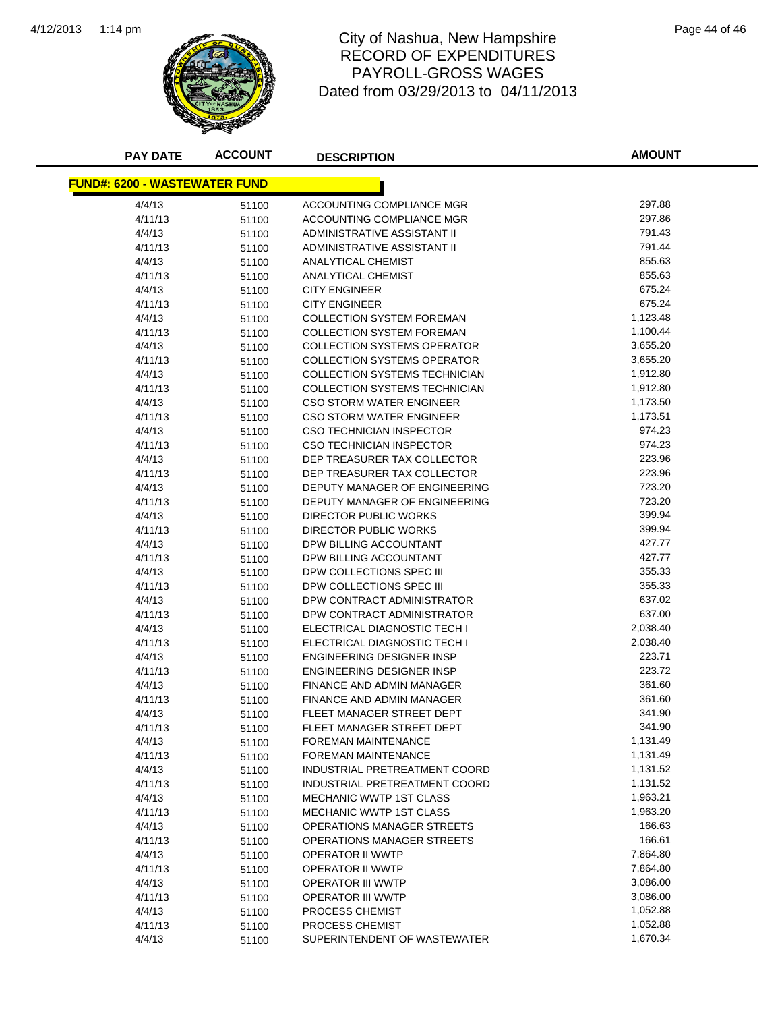

### 1:14 pm Page 44 of 46 RECORD OF EXPENDITURES PAYROLL-GROSS WAGES Dated from 03/29/2013 to 04/11/2013

| <b>PAY DATE</b>                      | <b>ACCOUNT</b> | <b>DESCRIPTION</b>                 | <b>AMOUNT</b> |
|--------------------------------------|----------------|------------------------------------|---------------|
| <b>FUND#: 6200 - WASTEWATER FUND</b> |                |                                    |               |
| 4/4/13                               | 51100          | ACCOUNTING COMPLIANCE MGR          | 297.88        |
| 4/11/13                              | 51100          | <b>ACCOUNTING COMPLIANCE MGR</b>   | 297.86        |
| 4/4/13                               | 51100          | ADMINISTRATIVE ASSISTANT II        | 791.43        |
| 4/11/13                              | 51100          | ADMINISTRATIVE ASSISTANT II        | 791.44        |
| 4/4/13                               | 51100          | <b>ANALYTICAL CHEMIST</b>          | 855.63        |
| 4/11/13                              | 51100          | ANALYTICAL CHEMIST                 | 855.63        |
| 4/4/13                               | 51100          | <b>CITY ENGINEER</b>               | 675.24        |
| 4/11/13                              | 51100          | <b>CITY ENGINEER</b>               | 675.24        |
| 4/4/13                               | 51100          | <b>COLLECTION SYSTEM FOREMAN</b>   | 1,123.48      |
| 4/11/13                              | 51100          | <b>COLLECTION SYSTEM FOREMAN</b>   | 1,100.44      |
| 4/4/13                               | 51100          | <b>COLLECTION SYSTEMS OPERATOR</b> | 3,655.20      |
| 4/11/13                              | 51100          | <b>COLLECTION SYSTEMS OPERATOR</b> | 3,655.20      |
| 4/4/13                               | 51100          | COLLECTION SYSTEMS TECHNICIAN      | 1,912.80      |
| 4/11/13                              | 51100          | COLLECTION SYSTEMS TECHNICIAN      | 1,912.80      |
| 4/4/13                               | 51100          | <b>CSO STORM WATER ENGINEER</b>    | 1,173.50      |
| 4/11/13                              | 51100          | <b>CSO STORM WATER ENGINEER</b>    | 1,173.51      |
| 4/4/13                               | 51100          | <b>CSO TECHNICIAN INSPECTOR</b>    | 974.23        |
| 4/11/13                              | 51100          | <b>CSO TECHNICIAN INSPECTOR</b>    | 974.23        |
| 4/4/13                               | 51100          | DEP TREASURER TAX COLLECTOR        | 223.96        |
| 4/11/13                              | 51100          | DEP TREASURER TAX COLLECTOR        | 223.96        |
| 4/4/13                               | 51100          | DEPUTY MANAGER OF ENGINEERING      | 723.20        |
| 4/11/13                              | 51100          | DEPUTY MANAGER OF ENGINEERING      | 723.20        |
| 4/4/13                               | 51100          | DIRECTOR PUBLIC WORKS              | 399.94        |
| 4/11/13                              | 51100          | DIRECTOR PUBLIC WORKS              | 399.94        |
| 4/4/13                               | 51100          | DPW BILLING ACCOUNTANT             | 427.77        |
| 4/11/13                              | 51100          | DPW BILLING ACCOUNTANT             | 427.77        |
| 4/4/13                               | 51100          | DPW COLLECTIONS SPEC III           | 355.33        |
| 4/11/13                              | 51100          | DPW COLLECTIONS SPEC III           | 355.33        |
| 4/4/13                               | 51100          | DPW CONTRACT ADMINISTRATOR         | 637.02        |
| 4/11/13                              | 51100          | DPW CONTRACT ADMINISTRATOR         | 637.00        |
| 4/4/13                               | 51100          | ELECTRICAL DIAGNOSTIC TECH I       | 2,038.40      |
| 4/11/13                              | 51100          | ELECTRICAL DIAGNOSTIC TECH I       | 2,038.40      |
| 4/4/13                               | 51100          | <b>ENGINEERING DESIGNER INSP</b>   | 223.71        |
| 4/11/13                              | 51100          | <b>ENGINEERING DESIGNER INSP</b>   | 223.72        |
| 4/4/13                               | 51100          | FINANCE AND ADMIN MANAGER          | 361.60        |
| 4/11/13                              | 51100          | <b>FINANCE AND ADMIN MANAGER</b>   | 361.60        |
| 4/4/13                               | 51100          | FLEET MANAGER STREET DEPT          | 341.90        |
| 4/11/13                              | 51100          | FLEET MANAGER STREET DEPT          | 341.90        |
| 4/4/13                               | 51100          | FOREMAN MAINTENANCE                | 1,131.49      |
| 4/11/13                              | 51100          | <b>FOREMAN MAINTENANCE</b>         | 1,131.49      |
| 4/4/13                               | 51100          | INDUSTRIAL PRETREATMENT COORD      | 1,131.52      |
| 4/11/13                              | 51100          | INDUSTRIAL PRETREATMENT COORD      | 1,131.52      |
| 4/4/13                               | 51100          | <b>MECHANIC WWTP 1ST CLASS</b>     | 1,963.21      |
| 4/11/13                              | 51100          | MECHANIC WWTP 1ST CLASS            | 1,963.20      |
| 4/4/13                               | 51100          | <b>OPERATIONS MANAGER STREETS</b>  | 166.63        |
| 4/11/13                              | 51100          | <b>OPERATIONS MANAGER STREETS</b>  | 166.61        |
| 4/4/13                               | 51100          | <b>OPERATOR II WWTP</b>            | 7,864.80      |
| 4/11/13                              | 51100          | <b>OPERATOR II WWTP</b>            | 7,864.80      |
| 4/4/13                               | 51100          | <b>OPERATOR III WWTP</b>           | 3,086.00      |
| 4/11/13                              | 51100          | <b>OPERATOR III WWTP</b>           | 3,086.00      |
| 4/4/13                               | 51100          | PROCESS CHEMIST                    | 1,052.88      |
| 4/11/13                              | 51100          | PROCESS CHEMIST                    | 1,052.88      |
| 4/4/13                               | 51100          | SUPERINTENDENT OF WASTEWATER       | 1,670.34      |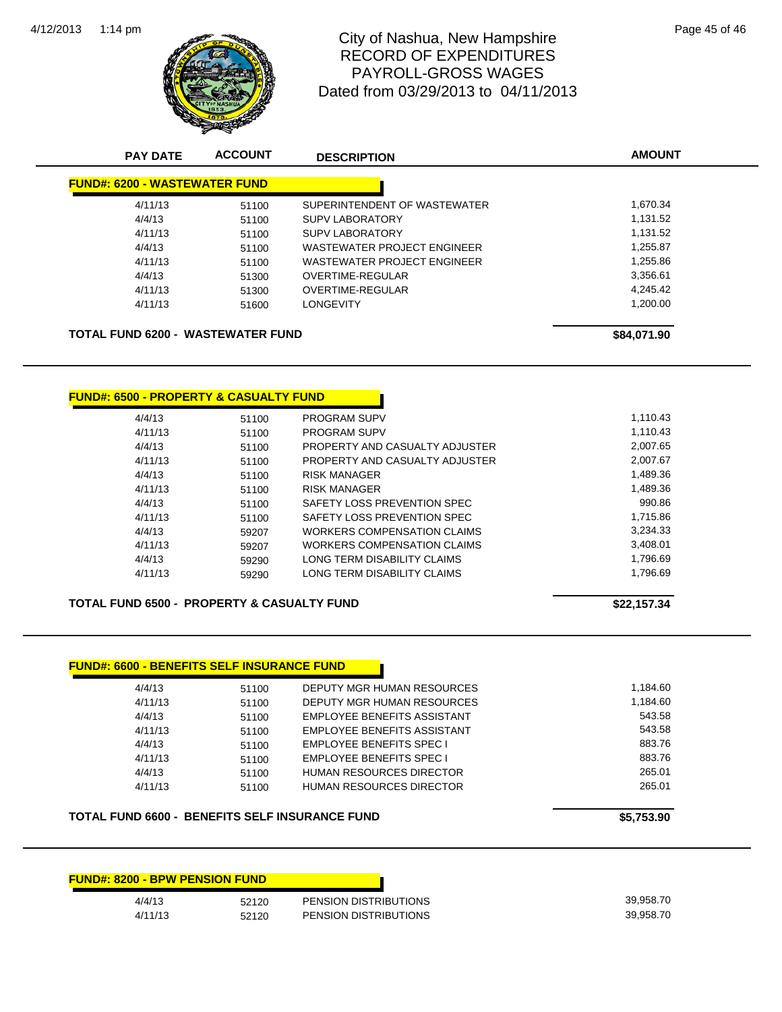

## 1:14 pm Page 45 of 46 RECORD OF EXPENDITURES PAYROLL-GROSS WAGES Dated from 03/29/2013 to 04/11/2013

| <b>PAY DATE</b>                                       | <b>ACCOUNT</b> | <b>DESCRIPTION</b>                 | <b>AMOUNT</b> |
|-------------------------------------------------------|----------------|------------------------------------|---------------|
| <b>FUND#: 6200 - WASTEWATER FUND</b>                  |                |                                    |               |
| 4/11/13                                               | 51100          | SUPERINTENDENT OF WASTEWATER       | 1,670.34      |
| 4/4/13                                                | 51100          | <b>SUPV LABORATORY</b>             | 1,131.52      |
| 4/11/13                                               | 51100          | <b>SUPV LABORATORY</b>             | 1,131.52      |
| 4/4/13                                                | 51100          | WASTEWATER PROJECT ENGINEER        | 1,255.87      |
| 4/11/13                                               | 51100          | WASTEWATER PROJECT ENGINEER        | 1,255.86      |
| 4/4/13                                                | 51300          | <b>OVERTIME-REGULAR</b>            | 3,356.61      |
| 4/11/13                                               | 51300          | <b>OVERTIME-REGULAR</b>            | 4,245.42      |
| 4/11/13                                               | 51600          | <b>LONGEVITY</b>                   | 1,200.00      |
| <b>TOTAL FUND 6200 - WASTEWATER FUND</b>              |                |                                    | \$84,071.90   |
| <b>FUND#: 6500 - PROPERTY &amp; CASUALTY FUND</b>     |                |                                    |               |
| 4/4/13                                                | 51100          | PROGRAM SUPV                       | 1,110.43      |
| 4/11/13                                               | 51100          | <b>PROGRAM SUPV</b>                | 1,110.43      |
| 4/4/13                                                | 51100          | PROPERTY AND CASUALTY ADJUSTER     | 2,007.65      |
| 4/11/13                                               | 51100          | PROPERTY AND CASUALTY ADJUSTER     | 2,007.67      |
| 4/4/13                                                | 51100          | <b>RISK MANAGER</b>                | 1,489.36      |
| 4/11/13                                               | 51100          | <b>RISK MANAGER</b>                | 1,489.36      |
| 4/4/13                                                | 51100          | SAFETY LOSS PREVENTION SPEC        | 990.86        |
| 4/11/13                                               | 51100          | SAFETY LOSS PREVENTION SPEC        | 1,715.86      |
| 4/4/13                                                | 59207          | <b>WORKERS COMPENSATION CLAIMS</b> | 3,234.33      |
| 4/11/13                                               | 59207          | <b>WORKERS COMPENSATION CLAIMS</b> | 3,408.01      |
| 4/4/13                                                | 59290          | LONG TERM DISABILITY CLAIMS        | 1,796.69      |
| 4/11/13                                               | 59290          | LONG TERM DISABILITY CLAIMS        | 1,796.69      |
| <b>TOTAL FUND 6500 - PROPERTY &amp; CASUALTY FUND</b> |                |                                    | \$22,157.34   |
| <b>FUND#: 6600 - BENEFITS SELF INSURANCE FUND</b>     |                |                                    |               |
| 4/4/13                                                | 51100          | DEPUTY MGR HUMAN RESOURCES         | 1,184.60      |
| 4/11/13                                               | 51100          | DEPUTY MGR HUMAN RESOURCES         | 1,184.60      |
|                                                       |                |                                    |               |

| .       | .     |                                 | .        |
|---------|-------|---------------------------------|----------|
| 4/11/13 | 51100 | DEPUTY MGR HUMAN RESOURCES      | 1.184.60 |
| 4/4/13  | 51100 | EMPLOYEE BENEFITS ASSISTANT     | 543.58   |
| 4/11/13 | 51100 | EMPLOYEE BENEFITS ASSISTANT     | 543.58   |
| 4/4/13  | 51100 | <b>EMPLOYEE BENEFITS SPEC I</b> | 883.76   |
| 4/11/13 | 51100 | <b>EMPLOYEE BENEFITS SPEC I</b> | 883.76   |
| 4/4/13  | 51100 | <b>HUMAN RESOURCES DIRECTOR</b> | 265.01   |
| 4/11/13 | 51100 | <b>HUMAN RESOURCES DIRECTOR</b> | 265.01   |
|         |       |                                 |          |

### **TOTAL FUND 6600 - BENEFITS SELF INSURANCE FUND**  $$5,753.90$